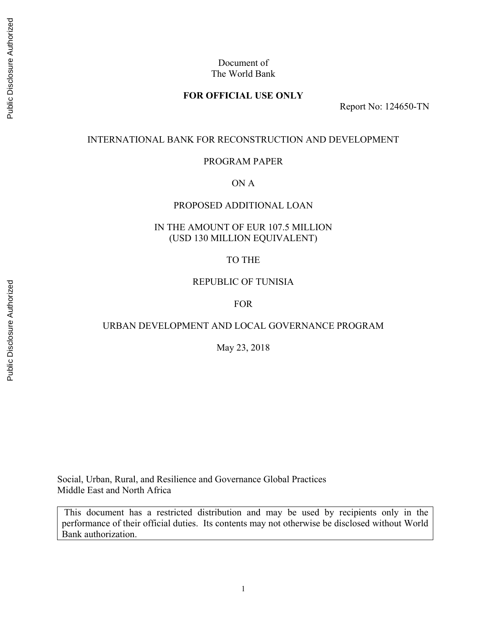## Document of The World Bank

## **FOR OFFICIAL USE ONLY**

Report No: 124650-TN

#### INTERNATIONAL BANK FOR RECONSTRUCTION AND DEVELOPMENT

#### PROGRAM PAPER

ON A

### PROPOSED ADDITIONAL LOAN

## IN THE AMOUNT OF EUR 107.5 MILLION (USD 130 MILLION EQUIVALENT)

### TO THE

#### REPUBLIC OF TUNISIA

#### FOR

#### URBAN DEVELOPMENT AND LOCAL GOVERNANCE PROGRAM

May 23, 2018

Social, Urban, Rural, and Resilience and Governance Global Practices Middle East and North Africa

 This document has a restricted distribution and may be used by recipients only in the performance of their official duties. Its contents may not otherwise be disclosed without World Bank authorization.

Public Disclosure Authorized

Public Disclosure Authorized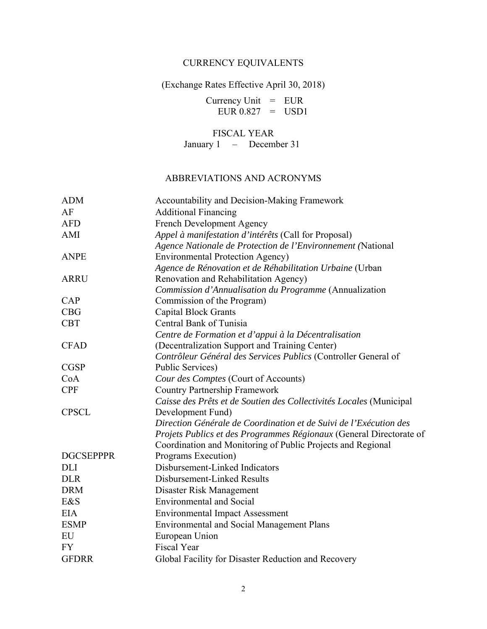# CURRENCY EQUIVALENTS

(Exchange Rates Effective April 30, 2018)

Currency Unit  $=$  EUR  $EUR 0.827 = USD1$ 

FISCAL YEAR January 1 – December 31

# ABBREVIATIONS AND ACRONYMS

| <b>ADM</b>       | Accountability and Decision-Making Framework                        |
|------------------|---------------------------------------------------------------------|
| AF               | <b>Additional Financing</b>                                         |
| <b>AFD</b>       | French Development Agency                                           |
| AMI              | Appel à manifestation d'intérêts (Call for Proposal)                |
|                  | Agence Nationale de Protection de l'Environnement (National         |
| <b>ANPE</b>      | <b>Environmental Protection Agency)</b>                             |
|                  | Agence de Rénovation et de Réhabilitation Urbaine (Urban            |
| <b>ARRU</b>      | Renovation and Rehabilitation Agency)                               |
|                  | Commission d'Annualisation du Programme (Annualization              |
| <b>CAP</b>       | Commission of the Program)                                          |
| CBG              | <b>Capital Block Grants</b>                                         |
| <b>CBT</b>       | Central Bank of Tunisia                                             |
|                  | Centre de Formation et d'appui à la Décentralisation                |
| <b>CFAD</b>      | (Decentralization Support and Training Center)                      |
|                  | Contrôleur Général des Services Publics (Controller General of      |
| <b>CGSP</b>      | Public Services)                                                    |
| CoA              | Cour des Comptes (Court of Accounts)                                |
| <b>CPF</b>       | <b>Country Partnership Framework</b>                                |
|                  | Caisse des Prêts et de Soutien des Collectivités Locales (Municipal |
| <b>CPSCL</b>     | Development Fund)                                                   |
|                  | Direction Générale de Coordination et de Suivi de l'Exécution des   |
|                  | Projets Publics et des Programmes Régionaux (General Directorate of |
|                  | Coordination and Monitoring of Public Projects and Regional         |
| <b>DGCSEPPPR</b> | Programs Execution)                                                 |
| <b>DLI</b>       | Disbursement-Linked Indicators                                      |
| <b>DLR</b>       | Disbursement-Linked Results                                         |
| <b>DRM</b>       | Disaster Risk Management                                            |
| E&S              | <b>Environmental and Social</b>                                     |
| <b>EIA</b>       | <b>Environmental Impact Assessment</b>                              |
| <b>ESMP</b>      | <b>Environmental and Social Management Plans</b>                    |
| EU               | European Union                                                      |
| <b>FY</b>        | <b>Fiscal Year</b>                                                  |
| <b>GFDRR</b>     | Global Facility for Disaster Reduction and Recovery                 |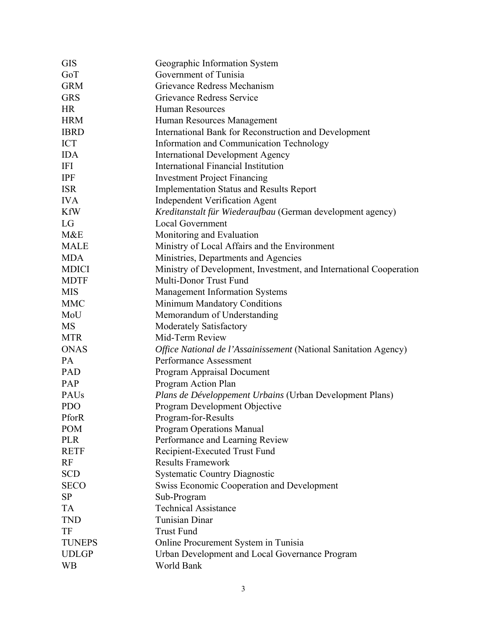| <b>GIS</b>    | Geographic Information System                                      |
|---------------|--------------------------------------------------------------------|
| GoT           | Government of Tunisia                                              |
| <b>GRM</b>    | Grievance Redress Mechanism                                        |
| <b>GRS</b>    | Grievance Redress Service                                          |
| <b>HR</b>     | <b>Human Resources</b>                                             |
| <b>HRM</b>    | Human Resources Management                                         |
| <b>IBRD</b>   | International Bank for Reconstruction and Development              |
| <b>ICT</b>    | Information and Communication Technology                           |
| <b>IDA</b>    | <b>International Development Agency</b>                            |
| <b>IFI</b>    | <b>International Financial Institution</b>                         |
| <b>IPF</b>    | <b>Investment Project Financing</b>                                |
| <b>ISR</b>    | <b>Implementation Status and Results Report</b>                    |
| <b>IVA</b>    | <b>Independent Verification Agent</b>                              |
| <b>KfW</b>    | Kreditanstalt für Wiederaufbau (German development agency)         |
| LG            | <b>Local Government</b>                                            |
| M&E           | Monitoring and Evaluation                                          |
| <b>MALE</b>   | Ministry of Local Affairs and the Environment                      |
| <b>MDA</b>    | Ministries, Departments and Agencies                               |
| <b>MDICI</b>  | Ministry of Development, Investment, and International Cooperation |
| <b>MDTF</b>   | Multi-Donor Trust Fund                                             |
| <b>MIS</b>    | <b>Management Information Systems</b>                              |
| <b>MMC</b>    | Minimum Mandatory Conditions                                       |
| MoU           | Memorandum of Understanding                                        |
| MS            | Moderately Satisfactory                                            |
| <b>MTR</b>    | Mid-Term Review                                                    |
| <b>ONAS</b>   | Office National de l'Assainissement (National Sanitation Agency)   |
| PA            | Performance Assessment                                             |
| PAD           | Program Appraisal Document                                         |
| PAP           | Program Action Plan                                                |
| PAUs          | Plans de Développement Urbains (Urban Development Plans)           |
| <b>PDO</b>    | Program Development Objective                                      |
| PforR         | Program-for-Results                                                |
| <b>POM</b>    | <b>Program Operations Manual</b>                                   |
| <b>PLR</b>    | Performance and Learning Review                                    |
| <b>RETF</b>   | Recipient-Executed Trust Fund                                      |
| RF            | <b>Results Framework</b>                                           |
| <b>SCD</b>    | Systematic Country Diagnostic                                      |
| <b>SECO</b>   | <b>Swiss Economic Cooperation and Development</b>                  |
| <b>SP</b>     | Sub-Program                                                        |
| <b>TA</b>     | <b>Technical Assistance</b>                                        |
| <b>TND</b>    | <b>Tunisian Dinar</b>                                              |
| TF            | <b>Trust Fund</b>                                                  |
| <b>TUNEPS</b> | Online Procurement System in Tunisia                               |
| <b>UDLGP</b>  | Urban Development and Local Governance Program                     |
| <b>WB</b>     | World Bank                                                         |
|               |                                                                    |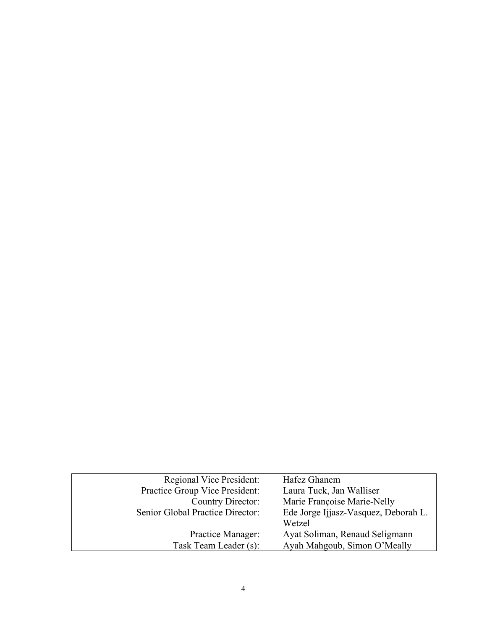| <b>Regional Vice President:</b>  | Hafez Ghanem                         |
|----------------------------------|--------------------------------------|
| Practice Group Vice President:   | Laura Tuck, Jan Walliser             |
| Country Director:                | Marie Françoise Marie-Nelly          |
| Senior Global Practice Director: | Ede Jorge Ijjasz-Vasquez, Deborah L. |
|                                  | Wetzel                               |
| Practice Manager:                | Ayat Soliman, Renaud Seligmann       |
| Task Team Leader (s):            | Ayah Mahgoub, Simon O'Meally         |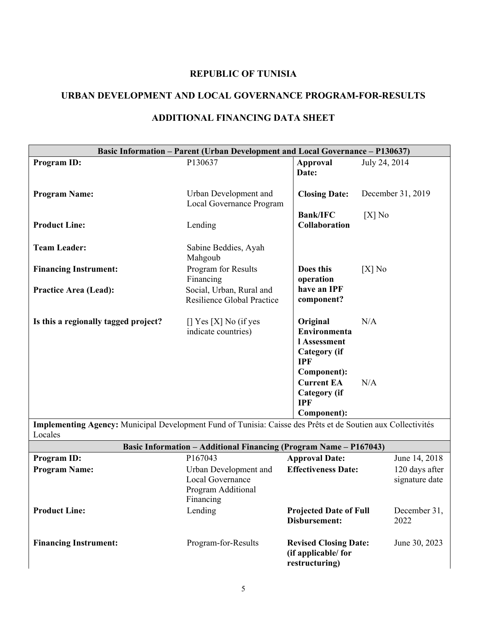# **REPUBLIC OF TUNISIA**

# **URBAN DEVELOPMENT AND LOCAL GOVERNANCE PROGRAM-FOR-RESULTS**

|                                                                                                                         | <b>Basic Information – Parent (Urban Development and Local Governance – P130637)</b> |                                                                                              |                                  |
|-------------------------------------------------------------------------------------------------------------------------|--------------------------------------------------------------------------------------|----------------------------------------------------------------------------------------------|----------------------------------|
| Program ID:                                                                                                             | P130637                                                                              | <b>Approval</b><br>Date:                                                                     | July 24, 2014                    |
| <b>Program Name:</b>                                                                                                    | Urban Development and<br>Local Governance Program                                    | <b>Closing Date:</b>                                                                         | December 31, 2019                |
| <b>Product Line:</b>                                                                                                    | Lending                                                                              | <b>Bank/IFC</b><br>Collaboration                                                             | $[X]$ No                         |
| <b>Team Leader:</b>                                                                                                     | Sabine Beddies, Ayah<br>Mahgoub                                                      |                                                                                              |                                  |
| <b>Financing Instrument:</b>                                                                                            | Program for Results<br>Financing                                                     | Does this<br>operation                                                                       | $[X]$ No                         |
| <b>Practice Area (Lead):</b>                                                                                            | Social, Urban, Rural and<br>Resilience Global Practice                               | have an IPF<br>component?                                                                    |                                  |
| Is this a regionally tagged project?                                                                                    | $[$ Yes $[X]$ No (if yes<br>indicate countries)                                      | Original<br>Environmenta<br>l Assessment<br><b>Category</b> (if<br><b>IPF</b><br>Component): | N/A                              |
|                                                                                                                         |                                                                                      | <b>Current EA</b><br><b>Category</b> (if<br><b>IPF</b>                                       | N/A                              |
|                                                                                                                         |                                                                                      | Component):                                                                                  |                                  |
| Implementing Agency: Municipal Development Fund of Tunisia: Caisse des Prêts et de Soutien aux Collectivités<br>Locales |                                                                                      |                                                                                              |                                  |
|                                                                                                                         | <b>Basic Information - Additional Financing (Program Name - P167043)</b>             |                                                                                              |                                  |
| Program ID:                                                                                                             | P167043                                                                              | <b>Approval Date:</b>                                                                        | June 14, 2018                    |
| <b>Program Name:</b>                                                                                                    | Urban Development and<br>Local Governance<br>Program Additional<br>Financing         | <b>Effectiveness Date:</b>                                                                   | 120 days after<br>signature date |
| <b>Product Line:</b>                                                                                                    | Lending                                                                              | <b>Projected Date of Full</b><br><b>Disbursement:</b>                                        | December 31,<br>2022             |
| <b>Financing Instrument:</b>                                                                                            | Program-for-Results                                                                  | <b>Revised Closing Date:</b><br>(if applicable/for<br>restructuring)                         | June 30, 2023                    |

# **ADDITIONAL FINANCING DATA SHEET**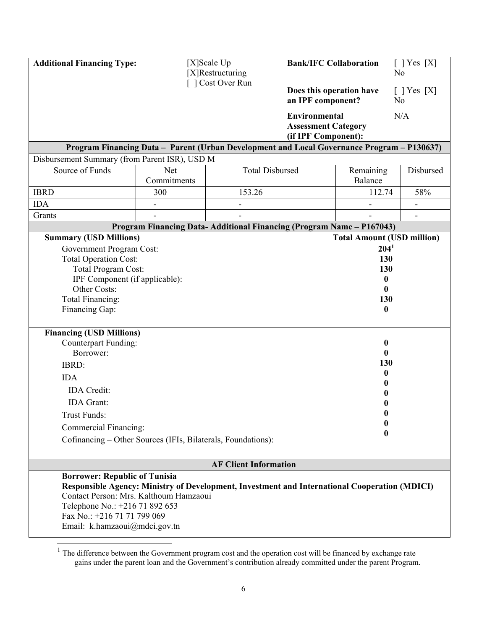| <b>Additional Financing Type:</b>                                                                                                                                                | [X]Scale Up<br>[X]Restructuring |                                                                                               | <b>Bank/IFC Collaboration</b>                                      |                                   | $\lceil$   Yes $\lceil$ X]<br>No  |
|----------------------------------------------------------------------------------------------------------------------------------------------------------------------------------|---------------------------------|-----------------------------------------------------------------------------------------------|--------------------------------------------------------------------|-----------------------------------|-----------------------------------|
|                                                                                                                                                                                  |                                 | [ ] Cost Over Run                                                                             | Does this operation have<br>an IPF component?                      |                                   | $[$ T Yes $[X]$<br>N <sub>0</sub> |
|                                                                                                                                                                                  |                                 |                                                                                               | Environmental<br><b>Assessment Category</b><br>(if IPF Component): |                                   | N/A                               |
|                                                                                                                                                                                  |                                 | Program Financing Data - Parent (Urban Development and Local Governance Program - P130637)    |                                                                    |                                   |                                   |
| Disbursement Summary (from Parent ISR), USD M                                                                                                                                    |                                 |                                                                                               |                                                                    |                                   |                                   |
| Source of Funds                                                                                                                                                                  | <b>Net</b><br>Commitments       | <b>Total Disbursed</b>                                                                        |                                                                    | Remaining<br>Balance              | Disbursed                         |
| <b>IBRD</b>                                                                                                                                                                      | 300                             | 153.26                                                                                        |                                                                    | 112.74                            | 58%                               |
| <b>IDA</b>                                                                                                                                                                       | $\overline{\phantom{0}}$        | $\overline{a}$                                                                                |                                                                    | $\overline{\phantom{0}}$          | $\qquad \qquad \blacksquare$      |
| Grants                                                                                                                                                                           |                                 |                                                                                               |                                                                    |                                   |                                   |
|                                                                                                                                                                                  |                                 | Program Financing Data-Additional Financing (Program Name - P167043)                          |                                                                    |                                   |                                   |
| <b>Summary (USD Millions)</b>                                                                                                                                                    |                                 |                                                                                               |                                                                    | <b>Total Amount (USD million)</b> |                                   |
| <b>Government Program Cost:</b><br><b>Total Operation Cost:</b>                                                                                                                  |                                 |                                                                                               |                                                                    | 204 <sup>1</sup><br>130           |                                   |
| Total Program Cost:                                                                                                                                                              |                                 |                                                                                               |                                                                    | 130                               |                                   |
| IPF Component (if applicable):                                                                                                                                                   |                                 |                                                                                               |                                                                    | 0                                 |                                   |
| Other Costs:                                                                                                                                                                     |                                 |                                                                                               |                                                                    | $\mathbf{0}$                      |                                   |
| Total Financing:                                                                                                                                                                 |                                 |                                                                                               | 130                                                                |                                   |                                   |
| Financing Gap:                                                                                                                                                                   |                                 |                                                                                               | 0                                                                  |                                   |                                   |
|                                                                                                                                                                                  |                                 |                                                                                               |                                                                    |                                   |                                   |
| <b>Financing (USD Millions)</b>                                                                                                                                                  |                                 |                                                                                               |                                                                    |                                   |                                   |
| <b>Counterpart Funding:</b><br>Borrower:                                                                                                                                         |                                 |                                                                                               |                                                                    | $\boldsymbol{0}$<br>0             |                                   |
| IBRD:                                                                                                                                                                            |                                 |                                                                                               |                                                                    | 130                               |                                   |
|                                                                                                                                                                                  |                                 |                                                                                               |                                                                    | $\mathbf 0$                       |                                   |
| <b>IDA</b>                                                                                                                                                                       |                                 |                                                                                               |                                                                    | 0                                 |                                   |
| <b>IDA</b> Credit:                                                                                                                                                               |                                 |                                                                                               |                                                                    |                                   |                                   |
| <b>IDA</b> Grant:                                                                                                                                                                |                                 |                                                                                               |                                                                    | 0                                 |                                   |
| <b>Trust Funds:</b>                                                                                                                                                              |                                 |                                                                                               |                                                                    | $\bf{0}$                          |                                   |
| Commercial Financing:                                                                                                                                                            |                                 |                                                                                               |                                                                    | 0                                 |                                   |
| Cofinancing - Other Sources (IFIs, Bilaterals, Foundations):                                                                                                                     |                                 |                                                                                               |                                                                    |                                   |                                   |
|                                                                                                                                                                                  |                                 | <b>AF Client Information</b>                                                                  |                                                                    |                                   |                                   |
| <b>Borrower: Republic of Tunisia</b><br>Contact Person: Mrs. Kalthoum Hamzaoui<br>Telephone No.: +216 71 892 653<br>Fax No.: +216 71 71 799 069<br>Email: k.hamzaoui@mdci.gov.tn |                                 | Responsible Agency: Ministry of Development, Investment and International Cooperation (MDICI) |                                                                    |                                   |                                   |

<sup>&</sup>lt;sup>1</sup> The difference between the Government program cost and the operation cost will be financed by exchange rate gains under the parent loan and the Government's contribution already committed under the parent Program.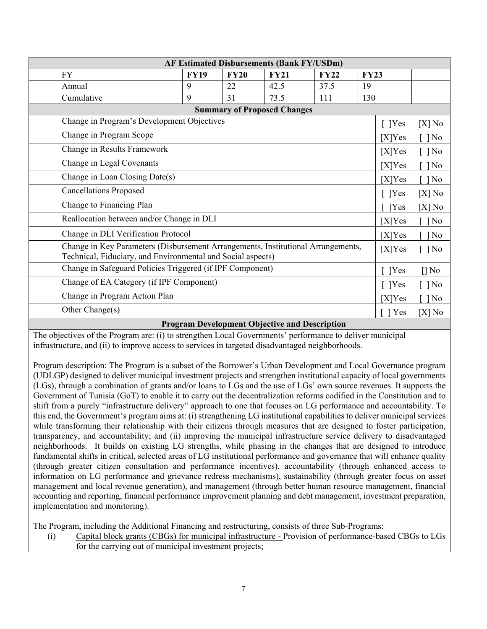|                                                                                                                                                 |             |             | <b>AF Estimated Disbursements (Bank FY/USDm)</b> |                      |             |           |          |
|-------------------------------------------------------------------------------------------------------------------------------------------------|-------------|-------------|--------------------------------------------------|----------------------|-------------|-----------|----------|
| <b>FY</b>                                                                                                                                       | <b>FY19</b> | <b>FY20</b> | <b>FY21</b>                                      | <b>FY22</b>          | <b>FY23</b> |           |          |
| Annual                                                                                                                                          | 9           | 22          | 42.5                                             | 37.5                 | 19          |           |          |
| Cumulative                                                                                                                                      | 9           | 31          | 73.5                                             | 111                  | 130         |           |          |
|                                                                                                                                                 |             |             | <b>Summary of Proposed Changes</b>               |                      |             |           |          |
| Change in Program's Development Objectives                                                                                                      |             |             |                                                  |                      |             | Yes       | $[X]$ No |
| Change in Program Scope                                                                                                                         |             |             |                                                  |                      |             | $[X]$ Yes | $\log$   |
| Change in Results Framework                                                                                                                     |             |             |                                                  |                      |             | [X]Yes    | $\log$   |
| Change in Legal Covenants                                                                                                                       |             |             |                                                  |                      |             | $[X]$ Yes | $\log$   |
| Change in Loan Closing Date(s)                                                                                                                  |             |             |                                                  |                      | $[X]$ Yes   | $\log$    |          |
| <b>Cancellations Proposed</b>                                                                                                                   |             |             |                                                  | Yes                  | $[X]$ No    |           |          |
| Change to Financing Plan                                                                                                                        |             |             |                                                  | Yes                  | $[X]$ No    |           |          |
| Reallocation between and/or Change in DLI                                                                                                       |             |             | [X]Yes                                           | $\log$               |             |           |          |
| Change in DLI Verification Protocol                                                                                                             |             |             | [X]Yes                                           | $\log$               |             |           |          |
| Change in Key Parameters (Disbursement Arrangements, Institutional Arrangements,<br>Technical, Fiduciary, and Environmental and Social aspects) |             |             | [X]Yes                                           | $\lceil \ \rceil$ No |             |           |          |
| Change in Safeguard Policies Triggered (if IPF Component)                                                                                       |             |             | Yes                                              | [] No                |             |           |          |
| Change of EA Category (if IPF Component)                                                                                                        |             |             | Yes                                              | $\log$               |             |           |          |
| Change in Program Action Plan                                                                                                                   |             |             | [X]Yes                                           | $\log$               |             |           |          |
| Other Change(s)                                                                                                                                 |             |             |                                                  |                      |             | Yes<br>-1 | $[X]$ No |

#### **Program Development Objective and Description**

The objectives of the Program are: (i) to strengthen Local Governments' performance to deliver municipal infrastructure, and (ii) to improve access to services in targeted disadvantaged neighborhoods.

Program description: The Program is a subset of the Borrower's Urban Development and Local Governance program (UDLGP) designed to deliver municipal investment projects and strengthen institutional capacity of local governments (LGs), through a combination of grants and/or loans to LGs and the use of LGs' own source revenues. It supports the Government of Tunisia (GoT) to enable it to carry out the decentralization reforms codified in the Constitution and to shift from a purely "infrastructure delivery" approach to one that focuses on LG performance and accountability. To this end, the Government's program aims at: (i) strengthening LG institutional capabilities to deliver municipal services while transforming their relationship with their citizens through measures that are designed to foster participation, transparency, and accountability; and (ii) improving the municipal infrastructure service delivery to disadvantaged neighborhoods. It builds on existing LG strengths, while phasing in the changes that are designed to introduce fundamental shifts in critical, selected areas of LG institutional performance and governance that will enhance quality (through greater citizen consultation and performance incentives), accountability (through enhanced access to information on LG performance and grievance redress mechanisms), sustainability (through greater focus on asset management and local revenue generation), and management (through better human resource management, financial accounting and reporting, financial performance improvement planning and debt management, investment preparation, implementation and monitoring).

The Program, including the Additional Financing and restructuring, consists of three Sub-Programs:

(i) Capital block grants (CBGs) for municipal infrastructure - Provision of performance-based CBGs to LGs for the carrying out of municipal investment projects;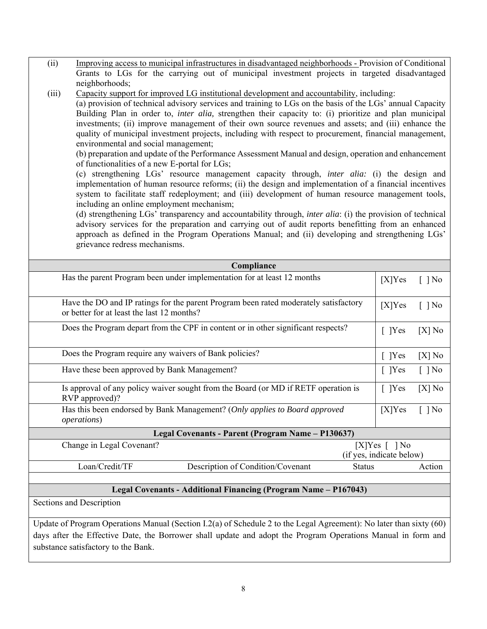| Grants to LGs for the carrying out of municipal investment projects in targeted disadvantaged                                                                                                                                                                                                                                                                                                                                                                                                                                                                                                                                                                                                                                                                                                                                                      |                                          |          |
|----------------------------------------------------------------------------------------------------------------------------------------------------------------------------------------------------------------------------------------------------------------------------------------------------------------------------------------------------------------------------------------------------------------------------------------------------------------------------------------------------------------------------------------------------------------------------------------------------------------------------------------------------------------------------------------------------------------------------------------------------------------------------------------------------------------------------------------------------|------------------------------------------|----------|
| neighborhoods;                                                                                                                                                                                                                                                                                                                                                                                                                                                                                                                                                                                                                                                                                                                                                                                                                                     |                                          |          |
| (iii)<br>Capacity support for improved LG institutional development and accountability, including:<br>(a) provision of technical advisory services and training to LGs on the basis of the LGs' annual Capacity<br>Building Plan in order to, inter alia, strengthen their capacity to: (i) prioritize and plan municipal<br>investments; (ii) improve management of their own source revenues and assets; and (iii) enhance the<br>quality of municipal investment projects, including with respect to procurement, financial management,<br>environmental and social management;<br>(b) preparation and update of the Performance Assessment Manual and design, operation and enhancement<br>of functionalities of a new E-portal for LGs;<br>(c) strengthening LGs' resource management capacity through, <i>inter alia:</i> (i) the design and |                                          |          |
| implementation of human resource reforms; (ii) the design and implementation of a financial incentives<br>system to facilitate staff redeployment; and (iii) development of human resource management tools,<br>including an online employment mechanism;                                                                                                                                                                                                                                                                                                                                                                                                                                                                                                                                                                                          |                                          |          |
| (d) strengthening LGs' transparency and accountability through, <i>inter alia</i> : (i) the provision of technical<br>advisory services for the preparation and carrying out of audit reports benefitting from an enhanced<br>approach as defined in the Program Operations Manual; and (ii) developing and strengthening LGs'<br>grievance redress mechanisms.                                                                                                                                                                                                                                                                                                                                                                                                                                                                                    |                                          |          |
| Compliance                                                                                                                                                                                                                                                                                                                                                                                                                                                                                                                                                                                                                                                                                                                                                                                                                                         |                                          |          |
| Has the parent Program been under implementation for at least 12 months                                                                                                                                                                                                                                                                                                                                                                                                                                                                                                                                                                                                                                                                                                                                                                            | $[X]$ Yes                                | $[$ ] No |
| Have the DO and IP ratings for the parent Program been rated moderately satisfactory<br>or better for at least the last 12 months?                                                                                                                                                                                                                                                                                                                                                                                                                                                                                                                                                                                                                                                                                                                 | $[X]$ Yes                                | $[$ ] No |
| Does the Program depart from the CPF in content or in other significant respects?                                                                                                                                                                                                                                                                                                                                                                                                                                                                                                                                                                                                                                                                                                                                                                  | [ ]Yes                                   | $[X]$ No |
| Does the Program require any waivers of Bank policies?                                                                                                                                                                                                                                                                                                                                                                                                                                                                                                                                                                                                                                                                                                                                                                                             | [ ]Yes                                   | $[X]$ No |
| Have these been approved by Bank Management?                                                                                                                                                                                                                                                                                                                                                                                                                                                                                                                                                                                                                                                                                                                                                                                                       | $[$ ]Yes                                 | $[$ ] No |
| Is approval of any policy waiver sought from the Board (or MD if RETF operation is<br>RVP approved)?                                                                                                                                                                                                                                                                                                                                                                                                                                                                                                                                                                                                                                                                                                                                               | [ ]Yes                                   | $[X]$ No |
| Has this been endorsed by Bank Management? (Only applies to Board approved<br><i>operations</i> )                                                                                                                                                                                                                                                                                                                                                                                                                                                                                                                                                                                                                                                                                                                                                  | $[X]$ Yes                                | $[$ ] No |
| Legal Covenants - Parent (Program Name - P130637)                                                                                                                                                                                                                                                                                                                                                                                                                                                                                                                                                                                                                                                                                                                                                                                                  |                                          |          |
| Change in Legal Covenant?                                                                                                                                                                                                                                                                                                                                                                                                                                                                                                                                                                                                                                                                                                                                                                                                                          | [X]Yes [] No<br>(if yes, indicate below) |          |
| Loan/Credit/TF<br>Description of Condition/Covenant<br><b>Status</b>                                                                                                                                                                                                                                                                                                                                                                                                                                                                                                                                                                                                                                                                                                                                                                               |                                          | Action   |
|                                                                                                                                                                                                                                                                                                                                                                                                                                                                                                                                                                                                                                                                                                                                                                                                                                                    |                                          |          |
| Legal Covenants - Additional Financing (Program Name – P167043)                                                                                                                                                                                                                                                                                                                                                                                                                                                                                                                                                                                                                                                                                                                                                                                    |                                          |          |
| <b>Sections and Description</b>                                                                                                                                                                                                                                                                                                                                                                                                                                                                                                                                                                                                                                                                                                                                                                                                                    |                                          |          |
| Update of Program Operations Manual (Section I.2(a) of Schedule 2 to the Legal Agreement): No later than sixty $(60)$<br>days after the Effective Date, the Borrower shall update and adopt the Program Operations Manual in form and<br>substance satisfactory to the Bank.                                                                                                                                                                                                                                                                                                                                                                                                                                                                                                                                                                       |                                          |          |
|                                                                                                                                                                                                                                                                                                                                                                                                                                                                                                                                                                                                                                                                                                                                                                                                                                                    |                                          |          |

(ii) Improving access to municipal infrastructures in disadvantaged neighborhoods - Provision of Conditional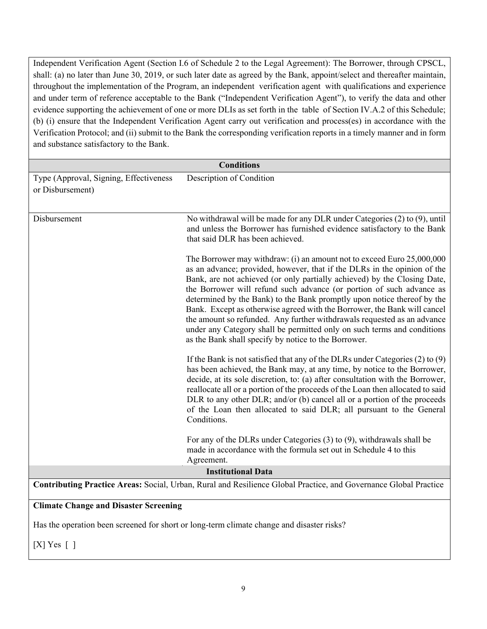Independent Verification Agent (Section I.6 of Schedule 2 to the Legal Agreement): The Borrower, through CPSCL, shall: (a) no later than June 30, 2019, or such later date as agreed by the Bank, appoint/select and thereafter maintain, throughout the implementation of the Program, an independent verification agent with qualifications and experience and under term of reference acceptable to the Bank ("Independent Verification Agent"), to verify the data and other evidence supporting the achievement of one or more DLIs as set forth in the table of Section IV.A.2 of this Schedule; (b) (i) ensure that the Independent Verification Agent carry out verification and process(es) in accordance with the Verification Protocol; and (ii) submit to the Bank the corresponding verification reports in a timely manner and in form and substance satisfactory to the Bank.

| <b>Conditions</b>                                                                                                |                                                                                                                                                                                                                                                                                                                                                                                                                                                                                                                                                                                                                                                                             |  |  |
|------------------------------------------------------------------------------------------------------------------|-----------------------------------------------------------------------------------------------------------------------------------------------------------------------------------------------------------------------------------------------------------------------------------------------------------------------------------------------------------------------------------------------------------------------------------------------------------------------------------------------------------------------------------------------------------------------------------------------------------------------------------------------------------------------------|--|--|
| Type (Approval, Signing, Effectiveness<br>or Disbursement)                                                       | Description of Condition                                                                                                                                                                                                                                                                                                                                                                                                                                                                                                                                                                                                                                                    |  |  |
| Disbursement                                                                                                     | No withdrawal will be made for any DLR under Categories (2) to (9), until<br>and unless the Borrower has furnished evidence satisfactory to the Bank<br>that said DLR has been achieved.                                                                                                                                                                                                                                                                                                                                                                                                                                                                                    |  |  |
|                                                                                                                  | The Borrower may withdraw: (i) an amount not to exceed Euro 25,000,000<br>as an advance; provided, however, that if the DLRs in the opinion of the<br>Bank, are not achieved (or only partially achieved) by the Closing Date,<br>the Borrower will refund such advance (or portion of such advance as<br>determined by the Bank) to the Bank promptly upon notice thereof by the<br>Bank. Except as otherwise agreed with the Borrower, the Bank will cancel<br>the amount so refunded. Any further withdrawals requested as an advance<br>under any Category shall be permitted only on such terms and conditions<br>as the Bank shall specify by notice to the Borrower. |  |  |
|                                                                                                                  | If the Bank is not satisfied that any of the DLRs under Categories $(2)$ to $(9)$<br>has been achieved, the Bank may, at any time, by notice to the Borrower,<br>decide, at its sole discretion, to: (a) after consultation with the Borrower,<br>reallocate all or a portion of the proceeds of the Loan then allocated to said<br>DLR to any other DLR; and/or (b) cancel all or a portion of the proceeds<br>of the Loan then allocated to said DLR; all pursuant to the General<br>Conditions.                                                                                                                                                                          |  |  |
|                                                                                                                  | For any of the DLRs under Categories $(3)$ to $(9)$ , withdrawals shall be<br>made in accordance with the formula set out in Schedule 4 to this<br>Agreement.                                                                                                                                                                                                                                                                                                                                                                                                                                                                                                               |  |  |
| <b>Institutional Data</b>                                                                                        |                                                                                                                                                                                                                                                                                                                                                                                                                                                                                                                                                                                                                                                                             |  |  |
| Contributing Practice Areas: Social, Urban, Rural and Resilience Global Practice, and Governance Global Practice |                                                                                                                                                                                                                                                                                                                                                                                                                                                                                                                                                                                                                                                                             |  |  |
| <b>Climate Change and Disaster Screening</b>                                                                     |                                                                                                                                                                                                                                                                                                                                                                                                                                                                                                                                                                                                                                                                             |  |  |
|                                                                                                                  | Has the operation been screened for short or long-term climate change and disaster risks?                                                                                                                                                                                                                                                                                                                                                                                                                                                                                                                                                                                   |  |  |

[X] Yes [ ]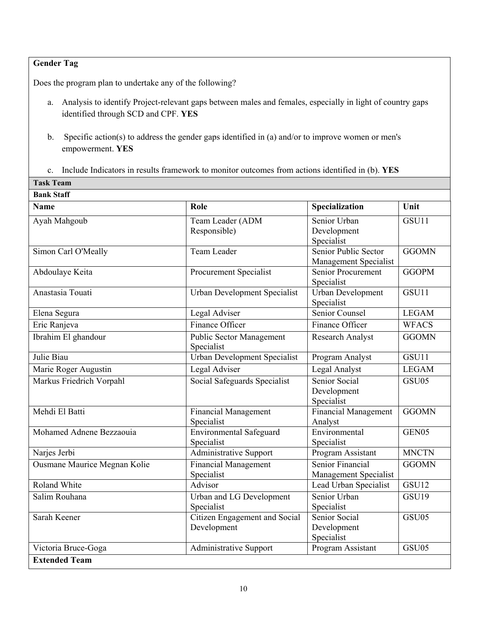# **Gender Tag**

**Task Team** 

Does the program plan to undertake any of the following?

- a. Analysis to identify Project-relevant gaps between males and females, especially in light of country gaps identified through SCD and CPF. **YES**
- b. Specific action(s) to address the gender gaps identified in (a) and/or to improve women or men's empowerment. **YES**
- c. Include Indicators in results framework to monitor outcomes from actions identified in (b). **YES**

| <b>Bank Staff</b>            |                                               |                                               |                   |  |  |
|------------------------------|-----------------------------------------------|-----------------------------------------------|-------------------|--|--|
| <b>Name</b>                  | Role                                          | Specialization                                | Unit              |  |  |
| Ayah Mahgoub                 | Team Leader (ADM<br>Responsible)              | Senior Urban<br>Development<br>Specialist     | GSU11             |  |  |
| Simon Carl O'Meally          | <b>Team Leader</b>                            | Senior Public Sector<br>Management Specialist | <b>GGOMN</b>      |  |  |
| Abdoulaye Keita              | <b>Procurement Specialist</b>                 | Senior Procurement<br>Specialist              | <b>GGOPM</b>      |  |  |
| Anastasia Touati             | Urban Development Specialist                  | Urban Development<br>Specialist               | GSU11             |  |  |
| Elena Segura                 | Legal Adviser                                 | Senior Counsel                                | <b>LEGAM</b>      |  |  |
| Eric Ranjeva                 | Finance Officer                               | Finance Officer                               | <b>WFACS</b>      |  |  |
| Ibrahim El ghandour          | <b>Public Sector Management</b><br>Specialist | <b>Research Analyst</b>                       | <b>GGOMN</b>      |  |  |
| Julie Biau                   | Urban Development Specialist                  | Program Analyst                               | GSU11             |  |  |
| Marie Roger Augustin         | Legal Adviser                                 | Legal Analyst                                 | <b>LEGAM</b>      |  |  |
| Markus Friedrich Vorpahl     | Social Safeguards Specialist                  | Senior Social<br>Development<br>Specialist    | GSU05             |  |  |
| Mehdi El Batti               | Financial Management<br>Specialist            | <b>Financial Management</b><br>Analyst        | <b>GGOMN</b>      |  |  |
| Mohamed Adnene Bezzaouia     | <b>Environmental Safeguard</b><br>Specialist  | Environmental<br>Specialist                   | GEN <sub>05</sub> |  |  |
| Narjes Jerbi                 | <b>Administrative Support</b>                 | Program Assistant                             | <b>MNCTN</b>      |  |  |
| Ousmane Maurice Megnan Kolie | <b>Financial Management</b><br>Specialist     | Senior Financial<br>Management Specialist     | <b>GGOMN</b>      |  |  |
| Roland White                 | Advisor                                       | Lead Urban Specialist                         | GSU12             |  |  |
| Salim Rouhana                | Urban and LG Development<br>Specialist        | Senior Urban<br>Specialist                    | GSU19             |  |  |
| Sarah Keener                 | Citizen Engagement and Social<br>Development  | Senior Social<br>Development<br>Specialist    | GSU05             |  |  |
| Victoria Bruce-Goga          | Administrative Support                        | Program Assistant                             | GSU05             |  |  |
| <b>Extended Team</b>         |                                               |                                               |                   |  |  |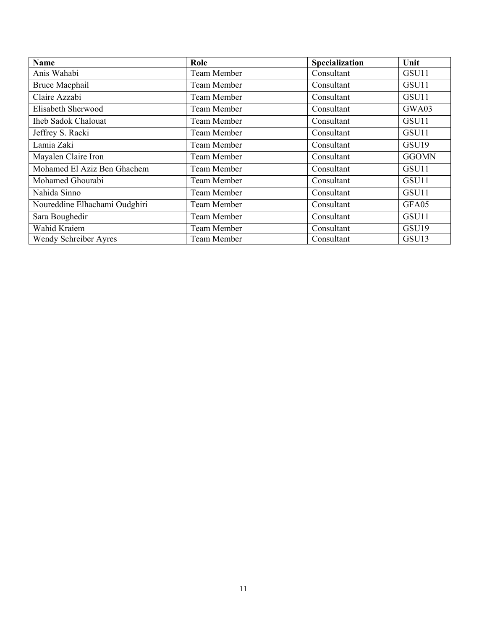| <b>Name</b>                   | Role               | Specialization | Unit         |
|-------------------------------|--------------------|----------------|--------------|
| Anis Wahabi                   | <b>Team Member</b> | Consultant     | GSU11        |
| <b>Bruce Macphail</b>         | Team Member        | Consultant     | GSU11        |
| Claire Azzabi                 | <b>Team Member</b> | Consultant     | GSU11        |
| Elisabeth Sherwood            | Team Member        | Consultant     | GWA03        |
| <b>Iheb Sadok Chalouat</b>    | Team Member        | Consultant     | GSU11        |
| Jeffrey S. Racki              | Team Member        | Consultant     | GSU11        |
| Lamia Zaki                    | Team Member        | Consultant     | GSU19        |
| Mayalen Claire Iron           | Team Member        | Consultant     | <b>GGOMN</b> |
| Mohamed El Aziz Ben Ghachem   | Team Member        | Consultant     | GSU11        |
| Mohamed Ghourabi              | Team Member        | Consultant     | GSU11        |
| Nahida Sinno                  | Team Member        | Consultant     | GSU11        |
| Noureddine Elhachami Oudghiri | Team Member        | Consultant     | GFA05        |
| Sara Boughedir                | Team Member        | Consultant     | GSU11        |
| Wahid Kraiem                  | Team Member        | Consultant     | GSU19        |
| Wendy Schreiber Ayres         | Team Member        | Consultant     | GSU13        |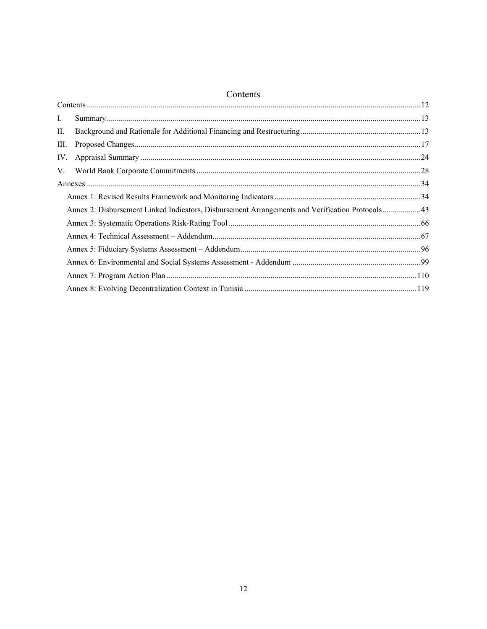# Contents

| III.                                                                                            |  |
|-------------------------------------------------------------------------------------------------|--|
| IV.                                                                                             |  |
|                                                                                                 |  |
|                                                                                                 |  |
|                                                                                                 |  |
| Annex 2: Disbursement Linked Indicators, Disbursement Arrangements and Verification Protocols43 |  |
|                                                                                                 |  |
|                                                                                                 |  |
|                                                                                                 |  |
|                                                                                                 |  |
|                                                                                                 |  |
|                                                                                                 |  |
|                                                                                                 |  |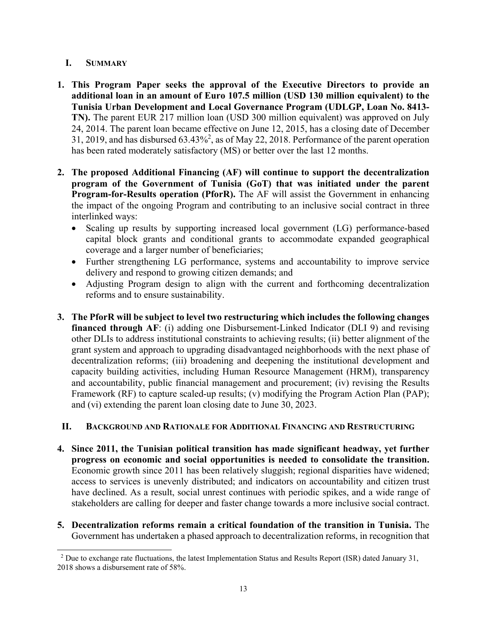# **I. SUMMARY**

 $\overline{a}$ 

- **1. This Program Paper seeks the approval of the Executive Directors to provide an additional loan in an amount of Euro 107.5 million (USD 130 million equivalent) to the Tunisia Urban Development and Local Governance Program (UDLGP, Loan No. 8413- TN).** The parent EUR 217 million loan (USD 300 million equivalent) was approved on July 24, 2014. The parent loan became effective on June 12, 2015, has a closing date of December 31, 2019, and has disbursed  $63.43\%^2$ , as of May 22, 2018. Performance of the parent operation has been rated moderately satisfactory (MS) or better over the last 12 months.
- **2. The proposed Additional Financing (AF) will continue to support the decentralization program of the Government of Tunisia (GoT) that was initiated under the parent Program-for-Results operation (PforR).** The AF will assist the Government in enhancing the impact of the ongoing Program and contributing to an inclusive social contract in three interlinked ways:
	- Scaling up results by supporting increased local government (LG) performance-based capital block grants and conditional grants to accommodate expanded geographical coverage and a larger number of beneficiaries;
	- Further strengthening LG performance, systems and accountability to improve service delivery and respond to growing citizen demands; and
	- Adjusting Program design to align with the current and forthcoming decentralization reforms and to ensure sustainability.
- **3. The PforR will be subject to level two restructuring which includes the following changes financed through AF**: (i) adding one Disbursement-Linked Indicator (DLI 9) and revising other DLIs to address institutional constraints to achieving results; (ii) better alignment of the grant system and approach to upgrading disadvantaged neighborhoods with the next phase of decentralization reforms; (iii) broadening and deepening the institutional development and capacity building activities, including Human Resource Management (HRM), transparency and accountability, public financial management and procurement; (iv) revising the Results Framework (RF) to capture scaled-up results; (v) modifying the Program Action Plan (PAP); and (vi) extending the parent loan closing date to June 30, 2023.

# **II. BACKGROUND AND RATIONALE FOR ADDITIONAL FINANCING AND RESTRUCTURING**

- **4. Since 2011, the Tunisian political transition has made significant headway, yet further progress on economic and social opportunities is needed to consolidate the transition.**  Economic growth since 2011 has been relatively sluggish; regional disparities have widened; access to services is unevenly distributed; and indicators on accountability and citizen trust have declined. As a result, social unrest continues with periodic spikes, and a wide range of stakeholders are calling for deeper and faster change towards a more inclusive social contract.
- **5. Decentralization reforms remain a critical foundation of the transition in Tunisia.** The Government has undertaken a phased approach to decentralization reforms, in recognition that

<sup>&</sup>lt;sup>2</sup> Due to exchange rate fluctuations, the latest Implementation Status and Results Report (ISR) dated January 31, 2018 shows a disbursement rate of 58%.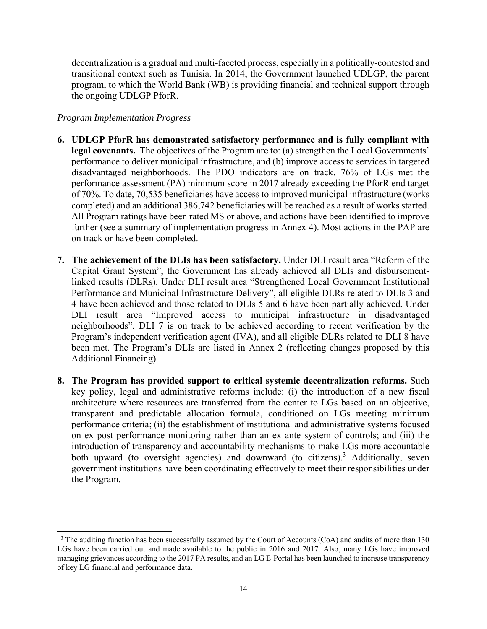decentralization is a gradual and multi-faceted process, especially in a politically-contested and transitional context such as Tunisia. In 2014, the Government launched UDLGP, the parent program, to which the World Bank (WB) is providing financial and technical support through the ongoing UDLGP PforR.

## *Program Implementation Progress*

 $\overline{a}$ 

- **6. UDLGP PforR has demonstrated satisfactory performance and is fully compliant with**  legal covenants. The objectives of the Program are to: (a) strengthen the Local Governments' performance to deliver municipal infrastructure, and (b) improve access to services in targeted disadvantaged neighborhoods. The PDO indicators are on track. 76% of LGs met the performance assessment (PA) minimum score in 2017 already exceeding the PforR end target of 70%. To date, 70,535 beneficiaries have access to improved municipal infrastructure (works completed) and an additional 386,742 beneficiaries will be reached as a result of works started. All Program ratings have been rated MS or above, and actions have been identified to improve further (see a summary of implementation progress in Annex 4). Most actions in the PAP are on track or have been completed.
- **7. The achievement of the DLIs has been satisfactory.** Under DLI result area "Reform of the Capital Grant System", the Government has already achieved all DLIs and disbursementlinked results (DLRs). Under DLI result area "Strengthened Local Government Institutional Performance and Municipal Infrastructure Delivery", all eligible DLRs related to DLIs 3 and 4 have been achieved and those related to DLIs 5 and 6 have been partially achieved. Under DLI result area "Improved access to municipal infrastructure in disadvantaged neighborhoods", DLI 7 is on track to be achieved according to recent verification by the Program's independent verification agent (IVA), and all eligible DLRs related to DLI 8 have been met. The Program's DLIs are listed in Annex 2 (reflecting changes proposed by this Additional Financing).
- **8. The Program has provided support to critical systemic decentralization reforms.** Such key policy, legal and administrative reforms include: (i) the introduction of a new fiscal architecture where resources are transferred from the center to LGs based on an objective, transparent and predictable allocation formula, conditioned on LGs meeting minimum performance criteria; (ii) the establishment of institutional and administrative systems focused on ex post performance monitoring rather than an ex ante system of controls; and (iii) the introduction of transparency and accountability mechanisms to make LGs more accountable both upward (to oversight agencies) and downward (to citizens).<sup>3</sup> Additionally, seven government institutions have been coordinating effectively to meet their responsibilities under the Program.

<sup>&</sup>lt;sup>3</sup> The auditing function has been successfully assumed by the Court of Accounts (CoA) and audits of more than 130 LGs have been carried out and made available to the public in 2016 and 2017. Also, many LGs have improved managing grievances according to the 2017 PA results, and an LG E-Portal has been launched to increase transparency of key LG financial and performance data.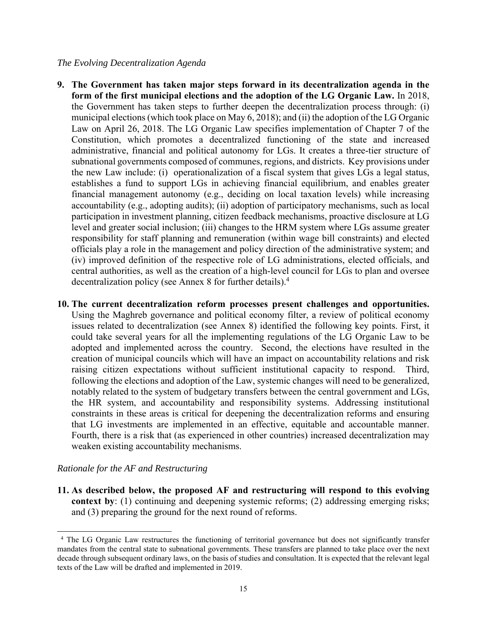### *The Evolving Decentralization Agenda*

- **9. The Government has taken major steps forward in its decentralization agenda in the form of the first municipal elections and the adoption of the LG Organic Law.** In 2018, the Government has taken steps to further deepen the decentralization process through: (i) municipal elections (which took place on May 6, 2018); and (ii) the adoption of the LG Organic Law on April 26, 2018. The LG Organic Law specifies implementation of Chapter 7 of the Constitution, which promotes a decentralized functioning of the state and increased administrative, financial and political autonomy for LGs. It creates a three-tier structure of subnational governments composed of communes, regions, and districts. Key provisions under the new Law include: (i) operationalization of a fiscal system that gives LGs a legal status, establishes a fund to support LGs in achieving financial equilibrium, and enables greater financial management autonomy (e.g., deciding on local taxation levels) while increasing accountability (e.g., adopting audits); (ii) adoption of participatory mechanisms, such as local participation in investment planning, citizen feedback mechanisms, proactive disclosure at LG level and greater social inclusion; (iii) changes to the HRM system where LGs assume greater responsibility for staff planning and remuneration (within wage bill constraints) and elected officials play a role in the management and policy direction of the administrative system; and (iv) improved definition of the respective role of LG administrations, elected officials, and central authorities, as well as the creation of a high-level council for LGs to plan and oversee decentralization policy (see Annex 8 for further details).<sup>4</sup>
- **10. The current decentralization reform processes present challenges and opportunities.** Using the Maghreb governance and political economy filter, a review of political economy issues related to decentralization (see Annex 8) identified the following key points. First, it could take several years for all the implementing regulations of the LG Organic Law to be adopted and implemented across the country. Second, the elections have resulted in the creation of municipal councils which will have an impact on accountability relations and risk raising citizen expectations without sufficient institutional capacity to respond. Third, following the elections and adoption of the Law, systemic changes will need to be generalized, notably related to the system of budgetary transfers between the central government and LGs, the HR system, and accountability and responsibility systems. Addressing institutional constraints in these areas is critical for deepening the decentralization reforms and ensuring that LG investments are implemented in an effective, equitable and accountable manner. Fourth, there is a risk that (as experienced in other countries) increased decentralization may weaken existing accountability mechanisms.

## *Rationale for the AF and Restructuring*

 $\overline{a}$ 

**11. As described below, the proposed AF and restructuring will respond to this evolving context by**: (1) continuing and deepening systemic reforms; (2) addressing emerging risks; and (3) preparing the ground for the next round of reforms.

<sup>&</sup>lt;sup>4</sup> The LG Organic Law restructures the functioning of territorial governance but does not significantly transfer mandates from the central state to subnational governments. These transfers are planned to take place over the next decade through subsequent ordinary laws, on the basis of studies and consultation. It is expected that the relevant legal texts of the Law will be drafted and implemented in 2019.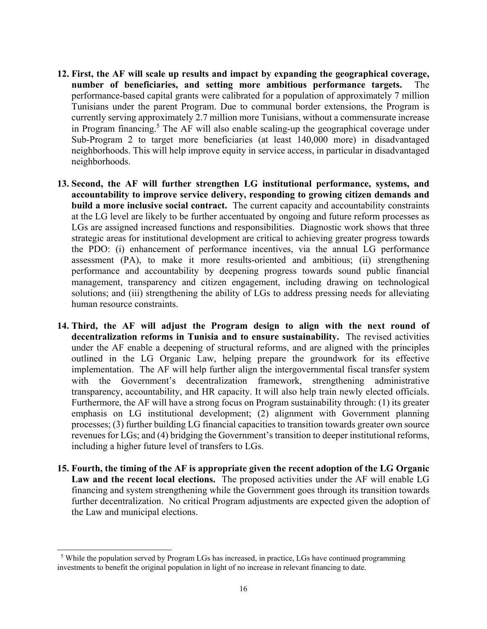- **12. First, the AF will scale up results and impact by expanding the geographical coverage, number of beneficiaries, and setting more ambitious performance targets.** The performance-based capital grants were calibrated for a population of approximately 7 million Tunisians under the parent Program. Due to communal border extensions, the Program is currently serving approximately 2.7 million more Tunisians, without a commensurate increase in Program financing.<sup>5</sup> The AF will also enable scaling-up the geographical coverage under Sub-Program 2 to target more beneficiaries (at least 140,000 more) in disadvantaged neighborhoods. This will help improve equity in service access, in particular in disadvantaged neighborhoods.
- **13. Second, the AF will further strengthen LG institutional performance, systems, and accountability to improve service delivery, responding to growing citizen demands and build a more inclusive social contract.** The current capacity and accountability constraints at the LG level are likely to be further accentuated by ongoing and future reform processes as LGs are assigned increased functions and responsibilities. Diagnostic work shows that three strategic areas for institutional development are critical to achieving greater progress towards the PDO: (i) enhancement of performance incentives, via the annual LG performance assessment (PA), to make it more results-oriented and ambitious; (ii) strengthening performance and accountability by deepening progress towards sound public financial management, transparency and citizen engagement, including drawing on technological solutions; and (iii) strengthening the ability of LGs to address pressing needs for alleviating human resource constraints.
- **14. Third, the AF will adjust the Program design to align with the next round of decentralization reforms in Tunisia and to ensure sustainability.** The revised activities under the AF enable a deepening of structural reforms, and are aligned with the principles outlined in the LG Organic Law, helping prepare the groundwork for its effective implementation. The AF will help further align the intergovernmental fiscal transfer system with the Government's decentralization framework, strengthening administrative transparency, accountability, and HR capacity. It will also help train newly elected officials. Furthermore, the AF will have a strong focus on Program sustainability through: (1) its greater emphasis on LG institutional development; (2) alignment with Government planning processes; (3) further building LG financial capacities to transition towards greater own source revenues for LGs; and (4) bridging the Government's transition to deeper institutional reforms, including a higher future level of transfers to LGs.
- **15. Fourth, the timing of the AF is appropriate given the recent adoption of the LG Organic Law and the recent local elections.** The proposed activities under the AF will enable LG financing and system strengthening while the Government goes through its transition towards further decentralization. No critical Program adjustments are expected given the adoption of the Law and municipal elections.

 $\overline{a}$ 

<sup>&</sup>lt;sup>5</sup> While the population served by Program LGs has increased, in practice, LGs have continued programming investments to benefit the original population in light of no increase in relevant financing to date.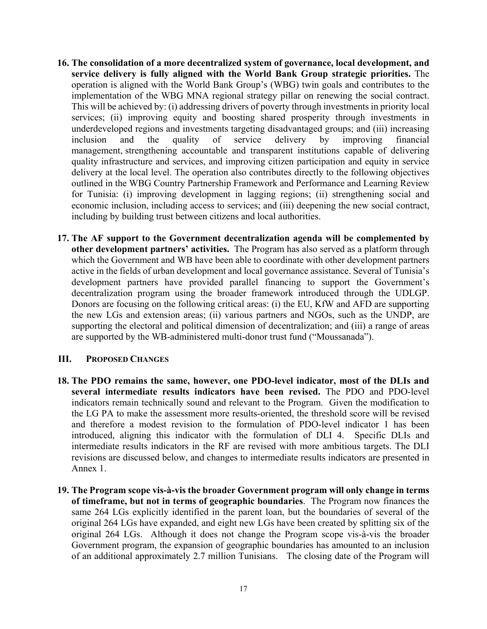- **16. The consolidation of a more decentralized system of governance, local development, and service delivery is fully aligned with the World Bank Group strategic priorities.** The operation is aligned with the World Bank Group's (WBG) twin goals and contributes to the implementation of the WBG MNA regional strategy pillar on renewing the social contract. This will be achieved by: (i) addressing drivers of poverty through investments in priority local services; (ii) improving equity and boosting shared prosperity through investments in underdeveloped regions and investments targeting disadvantaged groups; and (iii) increasing inclusion and the quality of service delivery by improving financial management, strengthening accountable and transparent institutions capable of delivering quality infrastructure and services, and improving citizen participation and equity in service delivery at the local level. The operation also contributes directly to the following objectives outlined in the WBG Country Partnership Framework and Performance and Learning Review for Tunisia: (i) improving development in lagging regions; (ii) strengthening social and economic inclusion, including access to services; and (iii) deepening the new social contract, including by building trust between citizens and local authorities.
- **17. The AF support to the Government decentralization agenda will be complemented by other development partners' activities.** The Program has also served as a platform through which the Government and WB have been able to coordinate with other development partners active in the fields of urban development and local governance assistance. Several of Tunisia's development partners have provided parallel financing to support the Government's decentralization program using the broader framework introduced through the UDLGP. Donors are focusing on the following critical areas: (i) the EU, KfW and AFD are supporting the new LGs and extension areas; (ii) various partners and NGOs, such as the UNDP, are supporting the electoral and political dimension of decentralization; and (iii) a range of areas are supported by the WB-administered multi-donor trust fund ("Moussanada").

## **III. PROPOSED CHANGES**

- **18. The PDO remains the same, however, one PDO-level indicator, most of the DLIs and several intermediate results indicators have been revised.** The PDO and PDO-level indicators remain technically sound and relevant to the Program. Given the modification to the LG PA to make the assessment more results-oriented, the threshold score will be revised and therefore a modest revision to the formulation of PDO-level indicator 1 has been introduced, aligning this indicator with the formulation of DLI 4. Specific DLIs and intermediate results indicators in the RF are revised with more ambitious targets. The DLI revisions are discussed below, and changes to intermediate results indicators are presented in Annex 1.
- **19. The Program scope vis-à-vis the broader Government program will only change in terms of timeframe, but not in terms of geographic boundaries**. The Program now finances the same 264 LGs explicitly identified in the parent loan, but the boundaries of several of the original 264 LGs have expanded, and eight new LGs have been created by splitting six of the original 264 LGs. Although it does not change the Program scope vis-à-vis the broader Government program, the expansion of geographic boundaries has amounted to an inclusion of an additional approximately 2.7 million Tunisians. The closing date of the Program will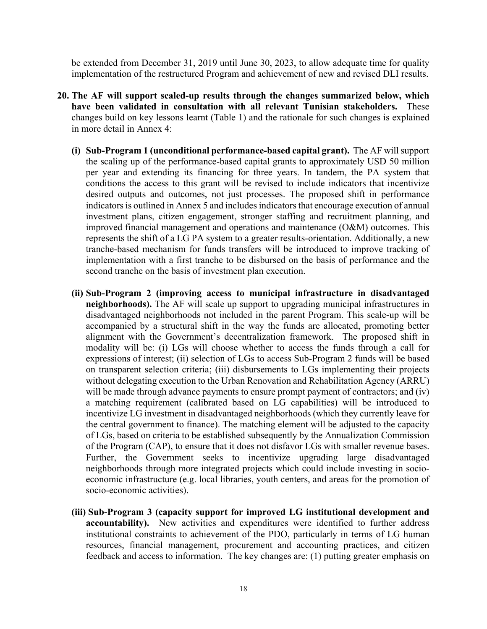be extended from December 31, 2019 until June 30, 2023, to allow adequate time for quality implementation of the restructured Program and achievement of new and revised DLI results.

- **20. The AF will support scaled-up results through the changes summarized below, which have been validated in consultation with all relevant Tunisian stakeholders.** These changes build on key lessons learnt (Table 1) and the rationale for such changes is explained in more detail in Annex 4:
	- **(i) Sub-Program 1 (unconditional performance-based capital grant).** The AF will support the scaling up of the performance-based capital grants to approximately USD 50 million per year and extending its financing for three years. In tandem, the PA system that conditions the access to this grant will be revised to include indicators that incentivize desired outputs and outcomes, not just processes. The proposed shift in performance indicators is outlined in Annex 5 and includes indicators that encourage execution of annual investment plans, citizen engagement, stronger staffing and recruitment planning, and improved financial management and operations and maintenance (O&M) outcomes. This represents the shift of a LG PA system to a greater results-orientation. Additionally, a new tranche-based mechanism for funds transfers will be introduced to improve tracking of implementation with a first tranche to be disbursed on the basis of performance and the second tranche on the basis of investment plan execution.
	- **(ii) Sub-Program 2 (improving access to municipal infrastructure in disadvantaged neighborhoods).** The AF will scale up support to upgrading municipal infrastructures in disadvantaged neighborhoods not included in the parent Program. This scale-up will be accompanied by a structural shift in the way the funds are allocated, promoting better alignment with the Government's decentralization framework. The proposed shift in modality will be: (i) LGs will choose whether to access the funds through a call for expressions of interest; (ii) selection of LGs to access Sub-Program 2 funds will be based on transparent selection criteria; (iii) disbursements to LGs implementing their projects without delegating execution to the Urban Renovation and Rehabilitation Agency (ARRU) will be made through advance payments to ensure prompt payment of contractors; and (iv) a matching requirement (calibrated based on LG capabilities) will be introduced to incentivize LG investment in disadvantaged neighborhoods (which they currently leave for the central government to finance). The matching element will be adjusted to the capacity of LGs, based on criteria to be established subsequently by the Annualization Commission of the Program (CAP), to ensure that it does not disfavor LGs with smaller revenue bases. Further, the Government seeks to incentivize upgrading large disadvantaged neighborhoods through more integrated projects which could include investing in socioeconomic infrastructure (e.g. local libraries, youth centers, and areas for the promotion of socio-economic activities).
	- **(iii) Sub-Program 3 (capacity support for improved LG institutional development and accountability).** New activities and expenditures were identified to further address institutional constraints to achievement of the PDO, particularly in terms of LG human resources, financial management, procurement and accounting practices, and citizen feedback and access to information. The key changes are: (1) putting greater emphasis on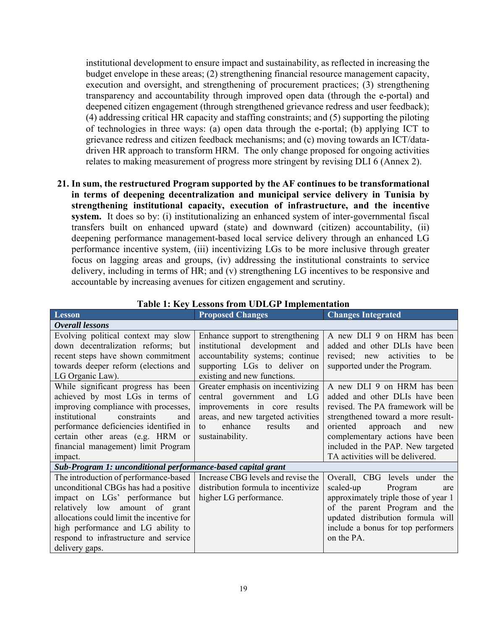institutional development to ensure impact and sustainability, as reflected in increasing the budget envelope in these areas; (2) strengthening financial resource management capacity, execution and oversight, and strengthening of procurement practices; (3) strengthening transparency and accountability through improved open data (through the e-portal) and deepened citizen engagement (through strengthened grievance redress and user feedback); (4) addressing critical HR capacity and staffing constraints; and (5) supporting the piloting of technologies in three ways: (a) open data through the e-portal; (b) applying ICT to grievance redress and citizen feedback mechanisms; and (c) moving towards an ICT/datadriven HR approach to transform HRM. The only change proposed for ongoing activities relates to making measurement of progress more stringent by revising DLI 6 (Annex 2).

**21. In sum, the restructured Program supported by the AF continues to be transformational in terms of deepening decentralization and municipal service delivery in Tunisia by strengthening institutional capacity, execution of infrastructure, and the incentive system.** It does so by: (i) institutionalizing an enhanced system of inter-governmental fiscal transfers built on enhanced upward (state) and downward (citizen) accountability, (ii) deepening performance management-based local service delivery through an enhanced LG performance incentive system, (iii) incentivizing LGs to be more inclusive through greater focus on lagging areas and groups, (iv) addressing the institutional constraints to service delivery, including in terms of HR; and (v) strengthening LG incentives to be responsive and accountable by increasing avenues for citizen engagement and scrutiny.

| <b>Lesson</b>                                                                                                                                                                                                                                                                                    | <b>Proposed Changes</b>                                                                                                                                                                       | <b>Changes Integrated</b>                                                                                                                                                                                                                                                                  |
|--------------------------------------------------------------------------------------------------------------------------------------------------------------------------------------------------------------------------------------------------------------------------------------------------|-----------------------------------------------------------------------------------------------------------------------------------------------------------------------------------------------|--------------------------------------------------------------------------------------------------------------------------------------------------------------------------------------------------------------------------------------------------------------------------------------------|
| Overall lessons                                                                                                                                                                                                                                                                                  |                                                                                                                                                                                               |                                                                                                                                                                                                                                                                                            |
| Evolving political context may slow<br>down decentralization reforms; but<br>recent steps have shown commitment<br>towards deeper reform (elections and<br>LG Organic Law).                                                                                                                      | Enhance support to strengthening<br>institutional development<br>and<br>accountability systems; continue<br>supporting LGs to deliver on<br>existing and new functions.                       | A new DLI 9 on HRM has been<br>added and other DLIs have been<br>revised; new activities to<br>be<br>supported under the Program.                                                                                                                                                          |
| While significant progress has been<br>achieved by most LGs in terms of<br>improving compliance with processes,<br>institutional<br>constraints<br>and<br>performance deficiencies identified in<br>certain other areas (e.g. HRM or<br>financial management) limit Program<br>impact.           | Greater emphasis on incentivizing<br>central government and<br>LG<br>improvements in core results<br>areas, and new targeted activities<br>enhance<br>results<br>to<br>and<br>sustainability. | A new DLI 9 on HRM has been<br>added and other DLIs have been<br>revised. The PA framework will be<br>strengthened toward a more result-<br>oriented<br>approach<br>and<br>new<br>complementary actions have been<br>included in the PAP. New targeted<br>TA activities will be delivered. |
| Sub-Program 1: unconditional performance-based capital grant                                                                                                                                                                                                                                     |                                                                                                                                                                                               |                                                                                                                                                                                                                                                                                            |
| The introduction of performance-based<br>unconditional CBGs has had a positive<br>impact on LGs' performance but<br>relatively low amount of grant<br>allocations could limit the incentive for<br>high performance and LG ability to<br>respond to infrastructure and service<br>delivery gaps. | Increase CBG levels and revise the<br>distribution formula to incentivize<br>higher LG performance.                                                                                           | Overall, CBG levels under the<br>scaled-up<br>Program<br>are<br>approximately triple those of year 1<br>of the parent Program and the<br>updated distribution formula will<br>include a bonus for top performers<br>on the PA.                                                             |

### **Table 1: Key Lessons from UDLGP Implementation**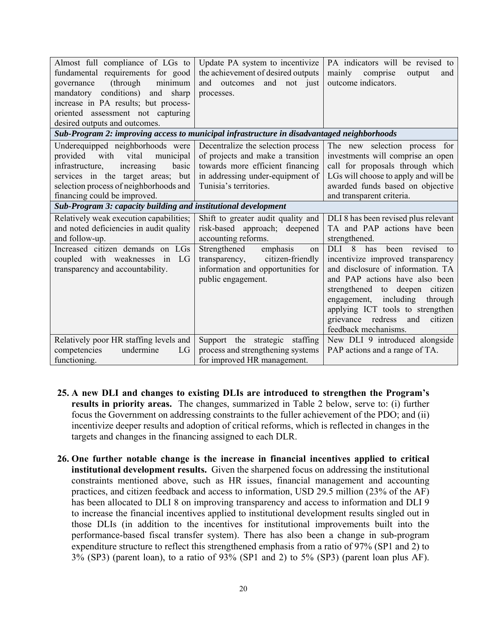| Almost full compliance of LGs to                                                           | Update PA system to incentivize    | PA indicators will be revised to       |
|--------------------------------------------------------------------------------------------|------------------------------------|----------------------------------------|
| fundamental requirements for good                                                          | the achievement of desired outputs | mainly<br>comprise<br>output<br>and    |
| minimum<br>(through<br>governance                                                          | and outcomes and not just          | outcome indicators.                    |
| mandatory conditions)<br>and<br>sharp                                                      | processes.                         |                                        |
| increase in PA results; but process-                                                       |                                    |                                        |
| oriented assessment not capturing                                                          |                                    |                                        |
| desired outputs and outcomes.                                                              |                                    |                                        |
| Sub-Program 2: improving access to municipal infrastructure in disadvantaged neighborhoods |                                    |                                        |
| Underequipped neighborhoods were                                                           | Decentralize the selection process | The new selection process for          |
| provided<br>with<br>vital<br>municipal                                                     | of projects and make a transition  | investments will comprise an open      |
| increasing<br>infrastructure,<br>basic                                                     | towards more efficient financing   | call for proposals through which       |
| services in the target areas; but                                                          | in addressing under-equipment of   | LGs will choose to apply and will be   |
| selection process of neighborhoods and                                                     | Tunisia's territories.             | awarded funds based on objective       |
| financing could be improved.                                                               |                                    | and transparent criteria.              |
| Sub-Program 3: capacity building and institutional development                             |                                    |                                        |
| Relatively weak execution capabilities;                                                    | Shift to greater audit quality and | DLI 8 has been revised plus relevant   |
| and noted deficiencies in audit quality                                                    | risk-based approach; deepened      | TA and PAP actions have been           |
| and follow-up.                                                                             | accounting reforms.                | strengthened.                          |
| Increased citizen demands on LGs                                                           | Strengthened<br>emphasis<br>on     | DLI 8<br>been<br>has<br>revised<br>to. |
| coupled with weaknesses in LG                                                              | citizen-friendly<br>transparency,  | incentivize improved transparency      |
| transparency and accountability.                                                           | information and opportunities for  | and disclosure of information. TA      |
|                                                                                            | public engagement.                 | and PAP actions have also been         |
|                                                                                            |                                    | strengthened to deepen citizen         |
|                                                                                            |                                    | including<br>engagement,<br>through    |
|                                                                                            |                                    | applying ICT tools to strengthen       |
|                                                                                            |                                    | grievance redress<br>citizen<br>and    |
|                                                                                            |                                    | feedback mechanisms.                   |
| Relatively poor HR staffing levels and                                                     | Support the strategic<br>staffing  | New DLI 9 introduced alongside         |
| undermine<br>competencies<br>LG                                                            | process and strengthening systems  | PAP actions and a range of TA.         |
| functioning.                                                                               | for improved HR management.        |                                        |

- **25. A new DLI and changes to existing DLIs are introduced to strengthen the Program's results in priority areas.** The changes, summarized in Table 2 below, serve to: (i) further focus the Government on addressing constraints to the fuller achievement of the PDO; and (ii) incentivize deeper results and adoption of critical reforms, which is reflected in changes in the targets and changes in the financing assigned to each DLR.
- **26. One further notable change is the increase in financial incentives applied to critical institutional development results.** Given the sharpened focus on addressing the institutional constraints mentioned above, such as HR issues, financial management and accounting practices, and citizen feedback and access to information, USD 29.5 million (23% of the AF) has been allocated to DLI 8 on improving transparency and access to information and DLI 9 to increase the financial incentives applied to institutional development results singled out in those DLIs (in addition to the incentives for institutional improvements built into the performance-based fiscal transfer system). There has also been a change in sub-program expenditure structure to reflect this strengthened emphasis from a ratio of 97% (SP1 and 2) to 3% (SP3) (parent loan), to a ratio of 93% (SP1 and 2) to 5% (SP3) (parent loan plus AF).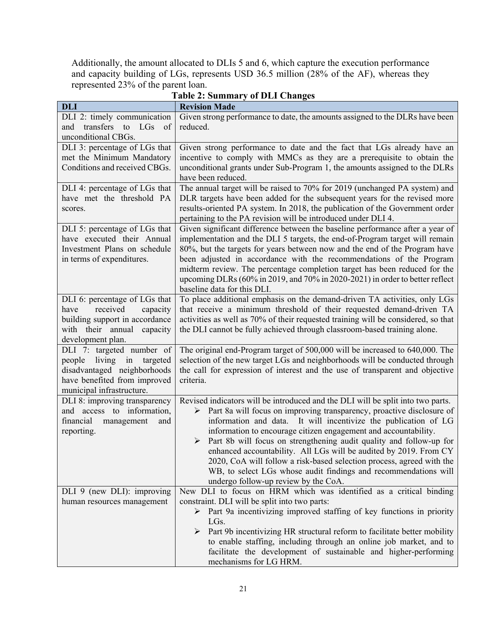Additionally, the amount allocated to DLIs 5 and 6, which capture the execution performance and capacity building of LGs, represents USD 36.5 million (28% of the AF), whereas they represented 23% of the parent loan.

| <b>DLI</b>                                                                                                                                               | <b>Revision Made</b>                                                                                                                                                                                                                                                                                                                                                                                                                                                                                                                                                                                                                  |
|----------------------------------------------------------------------------------------------------------------------------------------------------------|---------------------------------------------------------------------------------------------------------------------------------------------------------------------------------------------------------------------------------------------------------------------------------------------------------------------------------------------------------------------------------------------------------------------------------------------------------------------------------------------------------------------------------------------------------------------------------------------------------------------------------------|
| DLI 2: timely communication                                                                                                                              | Given strong performance to date, the amounts assigned to the DLRs have been                                                                                                                                                                                                                                                                                                                                                                                                                                                                                                                                                          |
| transfers to LGs of<br>and<br>unconditional CBGs.                                                                                                        | reduced.                                                                                                                                                                                                                                                                                                                                                                                                                                                                                                                                                                                                                              |
| DLI 3: percentage of LGs that<br>met the Minimum Mandatory<br>Conditions and received CBGs.                                                              | Given strong performance to date and the fact that LGs already have an<br>incentive to comply with MMCs as they are a prerequisite to obtain the<br>unconditional grants under Sub-Program 1, the amounts assigned to the DLRs<br>have been reduced.                                                                                                                                                                                                                                                                                                                                                                                  |
| DLI 4: percentage of LGs that<br>have met the threshold PA<br>scores.                                                                                    | The annual target will be raised to 70% for 2019 (unchanged PA system) and<br>DLR targets have been added for the subsequent years for the revised more<br>results-oriented PA system. In 2018, the publication of the Government order<br>pertaining to the PA revision will be introduced under DLI 4.                                                                                                                                                                                                                                                                                                                              |
| DLI 5: percentage of LGs that<br>have executed their Annual<br>Investment Plans on schedule<br>in terms of expenditures.                                 | Given significant difference between the baseline performance after a year of<br>implementation and the DLI 5 targets, the end-of-Program target will remain<br>80%, but the targets for years between now and the end of the Program have<br>been adjusted in accordance with the recommendations of the Program<br>midterm review. The percentage completion target has been reduced for the<br>upcoming DLRs (60% in 2019, and 70% in 2020-2021) in order to better reflect<br>baseline data for this DLI.                                                                                                                         |
| DLI 6: percentage of LGs that<br>received<br>capacity<br>have<br>building support in accordance<br>with their annual capacity<br>development plan.       | To place additional emphasis on the demand-driven TA activities, only LGs<br>that receive a minimum threshold of their requested demand-driven TA<br>activities as well as 70% of their requested training will be considered, so that<br>the DLI cannot be fully achieved through classroom-based training alone.                                                                                                                                                                                                                                                                                                                    |
| DLI 7: targeted number of<br>living in<br>targeted<br>people<br>disadvantaged neighborhoods<br>have benefited from improved<br>municipal infrastructure. | The original end-Program target of 500,000 will be increased to 640,000. The<br>selection of the new target LGs and neighborhoods will be conducted through<br>the call for expression of interest and the use of transparent and objective<br>criteria.                                                                                                                                                                                                                                                                                                                                                                              |
| DLI 8: improving transparency<br>and access to information,<br>financial<br>management<br>and<br>reporting.                                              | Revised indicators will be introduced and the DLI will be split into two parts.<br>> Part 8a will focus on improving transparency, proactive disclosure of<br>information and data. It will incentivize the publication of LG<br>information to encourage citizen engagement and accountability.<br>Part 8b will focus on strengthening audit quality and follow-up for<br>➤<br>enhanced accountability. All LGs will be audited by 2019. From CY<br>2020, CoA will follow a risk-based selection process, agreed with the<br>WB, to select LGs whose audit findings and recommendations will<br>undergo follow-up review by the CoA. |
| DLI 9 (new DLI): improving                                                                                                                               | New DLI to focus on HRM which was identified as a critical binding<br>constraint. DLI will be split into two parts:                                                                                                                                                                                                                                                                                                                                                                                                                                                                                                                   |
| human resources management                                                                                                                               | > Part 9a incentivizing improved staffing of key functions in priority                                                                                                                                                                                                                                                                                                                                                                                                                                                                                                                                                                |
|                                                                                                                                                          | LGs.                                                                                                                                                                                                                                                                                                                                                                                                                                                                                                                                                                                                                                  |
|                                                                                                                                                          | Part 9b incentivizing HR structural reform to facilitate better mobility<br>➤<br>to enable staffing, including through an online job market, and to<br>facilitate the development of sustainable and higher-performing<br>mechanisms for LG HRM.                                                                                                                                                                                                                                                                                                                                                                                      |

# **Table 2: Summary of DLI Changes**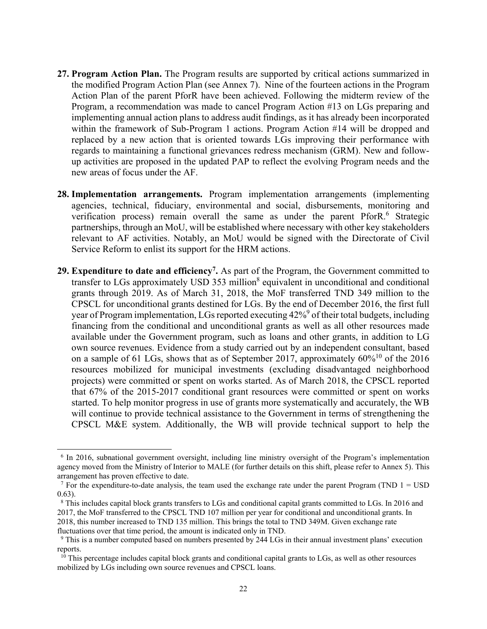- **27. Program Action Plan.** The Program results are supported by critical actions summarized in the modified Program Action Plan (see Annex 7).Nine of the fourteen actions in the Program Action Plan of the parent PforR have been achieved. Following the midterm review of the Program, a recommendation was made to cancel Program Action #13 on LGs preparing and implementing annual action plans to address audit findings, as it has already been incorporated within the framework of Sub-Program 1 actions. Program Action #14 will be dropped and replaced by a new action that is oriented towards LGs improving their performance with regards to maintaining a functional grievances redress mechanism (GRM). New and followup activities are proposed in the updated PAP to reflect the evolving Program needs and the new areas of focus under the AF.
- **28. Implementation arrangements.** Program implementation arrangements (implementing agencies, technical, fiduciary, environmental and social, disbursements, monitoring and verification process) remain overall the same as under the parent PforR.<sup>6</sup> Strategic partnerships, through an MoU, will be established where necessary with other key stakeholders relevant to AF activities. Notably, an MoU would be signed with the Directorate of Civil Service Reform to enlist its support for the HRM actions.
- **29. Expenditure to date and efficiency7.** As part of the Program, the Government committed to transfer to LGs approximately USD 353 million<sup>8</sup> equivalent in unconditional and conditional grants through 2019. As of March 31, 2018, the MoF transferred TND 349 million to the CPSCL for unconditional grants destined for LGs. By the end of December 2016, the first full year of Program implementation, LGs reported executing 42%<sup>9</sup> of their total budgets, including financing from the conditional and unconditional grants as well as all other resources made available under the Government program, such as loans and other grants, in addition to LG own source revenues. Evidence from a study carried out by an independent consultant, based on a sample of 61 LGs, shows that as of September 2017, approximately  $60\%^{10}$  of the 2016 resources mobilized for municipal investments (excluding disadvantaged neighborhood projects) were committed or spent on works started. As of March 2018, the CPSCL reported that 67% of the 2015-2017 conditional grant resources were committed or spent on works started. To help monitor progress in use of grants more systematically and accurately, the WB will continue to provide technical assistance to the Government in terms of strengthening the CPSCL M&E system. Additionally, the WB will provide technical support to help the

 $\overline{a}$ 

<sup>&</sup>lt;sup>6</sup> In 2016, subnational government oversight, including line ministry oversight of the Program's implementation agency moved from the Ministry of Interior to MALE (for further details on this shift, please refer to Annex 5). This arrangement has proven effective to date.

<sup>&</sup>lt;sup>7</sup> For the expenditure-to-date analysis, the team used the exchange rate under the parent Program (TND  $1 =$  USD 0.63).

<sup>8</sup> This includes capital block grants transfers to LGs and conditional capital grants committed to LGs. In 2016 and 2017, the MoF transferred to the CPSCL TND 107 million per year for conditional and unconditional grants. In 2018, this number increased to TND 135 million. This brings the total to TND 349M. Given exchange rate

fluctuations over that time period, the amount is indicated only in TND.

<sup>&</sup>lt;sup>9</sup> This is a number computed based on numbers presented by 244 LGs in their annual investment plans' execution reports.

<sup>&</sup>lt;sup>10</sup> This percentage includes capital block grants and conditional capital grants to LGs, as well as other resources mobilized by LGs including own source revenues and CPSCL loans.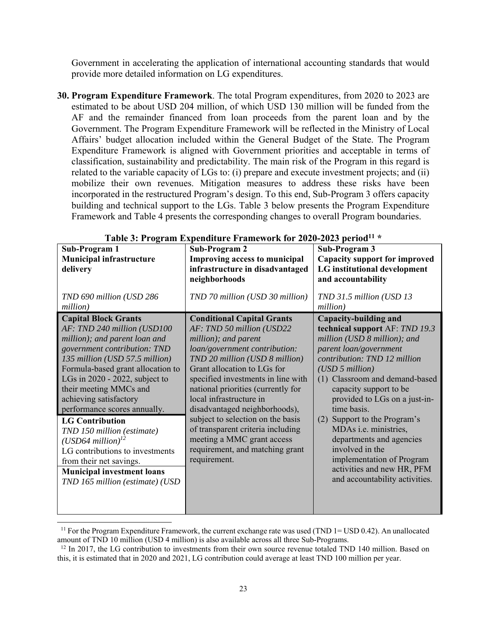Government in accelerating the application of international accounting standards that would provide more detailed information on LG expenditures.

**30. Program Expenditure Framework**. The total Program expenditures, from 2020 to 2023 are estimated to be about USD 204 million, of which USD 130 million will be funded from the AF and the remainder financed from loan proceeds from the parent loan and by the Government. The Program Expenditure Framework will be reflected in the Ministry of Local Affairs' budget allocation included within the General Budget of the State. The Program Expenditure Framework is aligned with Government priorities and acceptable in terms of classification, sustainability and predictability. The main risk of the Program in this regard is related to the variable capacity of LGs to: (i) prepare and execute investment projects; and (ii) mobilize their own revenues. Mitigation measures to address these risks have been incorporated in the restructured Program's design. To this end, Sub-Program 3 offers capacity building and technical support to the LGs. Table 3 below presents the Program Expenditure Framework and Table 4 presents the corresponding changes to overall Program boundaries.

| Sub-Program 1<br><b>Municipal infrastructure</b><br>delivery                                                                                                                                                                                                                                                                                                                                                                                                                                                                                                 | Sub-Program 2<br><b>Improving access to municipal</b><br>infrastructure in disadvantaged<br>neighborhoods                                                                                                                                                                                                                                                                                                                                                                                   | Sub-Program 3<br><b>Capacity support for improved</b><br><b>LG</b> institutional development<br>and accountability                                                                                                                                                                                                                                                                                                                                                                       |
|--------------------------------------------------------------------------------------------------------------------------------------------------------------------------------------------------------------------------------------------------------------------------------------------------------------------------------------------------------------------------------------------------------------------------------------------------------------------------------------------------------------------------------------------------------------|---------------------------------------------------------------------------------------------------------------------------------------------------------------------------------------------------------------------------------------------------------------------------------------------------------------------------------------------------------------------------------------------------------------------------------------------------------------------------------------------|------------------------------------------------------------------------------------------------------------------------------------------------------------------------------------------------------------------------------------------------------------------------------------------------------------------------------------------------------------------------------------------------------------------------------------------------------------------------------------------|
| TND 690 million (USD 286<br>million)                                                                                                                                                                                                                                                                                                                                                                                                                                                                                                                         | TND 70 million (USD 30 million)                                                                                                                                                                                                                                                                                                                                                                                                                                                             | TND 31.5 million (USD 13<br>million)                                                                                                                                                                                                                                                                                                                                                                                                                                                     |
| <b>Capital Block Grants</b><br>AF: TND 240 million (USD100<br>million); and parent loan and<br>government contribution: TND<br>135 million (USD 57.5 million)<br>Formula-based grant allocation to<br>LGs in $2020 - 2022$ , subject to<br>their meeting MMCs and<br>achieving satisfactory<br>performance scores annually.<br><b>LG Contribution</b><br>TND 150 million (estimate)<br>$(USD64$ million) <sup>12</sup><br>LG contributions to investments<br>from their net savings.<br><b>Municipal investment loans</b><br>TND 165 million (estimate) (USD | <b>Conditional Capital Grants</b><br>AF: TND 50 million (USD22<br>million); and parent<br>loan/government contribution:<br>TND 20 million (USD 8 million)<br>Grant allocation to LGs for<br>specified investments in line with<br>national priorities (currently for<br>local infrastructure in<br>disadvantaged neighborhoods),<br>subject to selection on the basis<br>of transparent criteria including<br>meeting a MMC grant access<br>requirement, and matching grant<br>requirement. | Capacity-building and<br>technical support AF: TND 19.3<br>million (USD 8 million); and<br>parent loan/government<br>contribution: TND 12 million<br>(USD 5 million)<br>(1) Classroom and demand-based<br>capacity support to be<br>provided to LGs on a just-in-<br>time basis.<br>Support to the Program's<br>(2)<br>MDAs i.e. ministries,<br>departments and agencies<br>involved in the<br>implementation of Program<br>activities and new HR, PFM<br>and accountability activities. |

Table 3: Program Expenditure Framework for 2020-2023 period<sup>11</sup> \*

 $\overline{\phantom{a}}$ 

<sup>&</sup>lt;sup>11</sup> For the Program Expenditure Framework, the current exchange rate was used (TND  $1 =$  USD 0.42). An unallocated amount of TND 10 million (USD 4 million) is also available across all three Sub-Programs.<br><sup>12</sup> In 2017, the LG contribution to investments from their own source revenue totaled TND 140 million. Based on

this, it is estimated that in 2020 and 2021, LG contribution could average at least TND 100 million per year.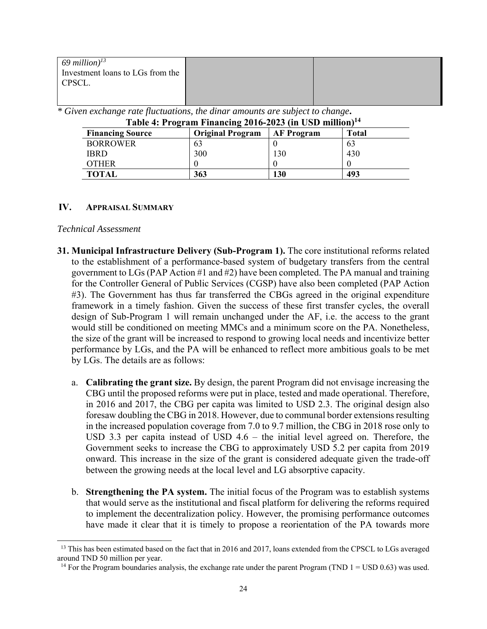| $69$ million) <sup>13</sup>      |  |
|----------------------------------|--|
| Investment loans to LGs from the |  |
| CPSCL.                           |  |
|                                  |  |

*\* Given exchange rate fluctuations, the dinar amounts are subject to change***.** 

| Table 4: Program Financing 2016-2023 (in USD million) <sup>14</sup>              |     |     |     |  |  |  |  |  |
|----------------------------------------------------------------------------------|-----|-----|-----|--|--|--|--|--|
| <b>Financing Source</b><br><b>Original Program</b><br><b>AF Program</b><br>Total |     |     |     |  |  |  |  |  |
| <b>BORROWER</b>                                                                  | 63  |     | 63  |  |  |  |  |  |
| <b>IBRD</b>                                                                      | 300 | 130 | 430 |  |  |  |  |  |
| <b>OTHER</b>                                                                     |     |     |     |  |  |  |  |  |
| <b>TOTAL</b>                                                                     | 363 | 130 | 493 |  |  |  |  |  |

#### **IV. APPRAISAL SUMMARY**

#### *Technical Assessment*

l

- **31. Municipal Infrastructure Delivery (Sub-Program 1).** The core institutional reforms related to the establishment of a performance-based system of budgetary transfers from the central government to LGs (PAP Action #1 and #2) have been completed. The PA manual and training for the Controller General of Public Services (CGSP) have also been completed (PAP Action #3). The Government has thus far transferred the CBGs agreed in the original expenditure framework in a timely fashion. Given the success of these first transfer cycles, the overall design of Sub-Program 1 will remain unchanged under the AF, i.e. the access to the grant would still be conditioned on meeting MMCs and a minimum score on the PA. Nonetheless, the size of the grant will be increased to respond to growing local needs and incentivize better performance by LGs, and the PA will be enhanced to reflect more ambitious goals to be met by LGs. The details are as follows:
	- a. **Calibrating the grant size.** By design, the parent Program did not envisage increasing the CBG until the proposed reforms were put in place, tested and made operational. Therefore, in 2016 and 2017, the CBG per capita was limited to USD 2.3. The original design also foresaw doubling the CBG in 2018. However, due to communal border extensions resulting in the increased population coverage from 7.0 to 9.7 million, the CBG in 2018 rose only to USD 3.3 per capita instead of USD 4.6 – the initial level agreed on. Therefore, the Government seeks to increase the CBG to approximately USD 5.2 per capita from 2019 onward. This increase in the size of the grant is considered adequate given the trade-off between the growing needs at the local level and LG absorptive capacity.
	- b. **Strengthening the PA system.** The initial focus of the Program was to establish systems that would serve as the institutional and fiscal platform for delivering the reforms required to implement the decentralization policy. However, the promising performance outcomes have made it clear that it is timely to propose a reorientation of the PA towards more

<sup>&</sup>lt;sup>13</sup> This has been estimated based on the fact that in 2016 and 2017, loans extended from the CPSCL to LGs averaged around TND 50 million per year.

<sup>&</sup>lt;sup>14</sup> For the Program boundaries analysis, the exchange rate under the parent Program (TND  $1 =$  USD 0.63) was used.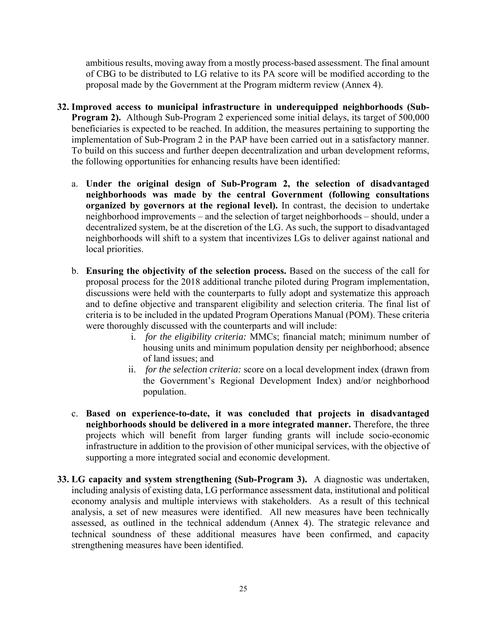ambitious results, moving away from a mostly process-based assessment. The final amount of CBG to be distributed to LG relative to its PA score will be modified according to the proposal made by the Government at the Program midterm review (Annex 4).

- **32. Improved access to municipal infrastructure in underequipped neighborhoods (Sub-Program 2).** Although Sub-Program 2 experienced some initial delays, its target of 500,000 beneficiaries is expected to be reached. In addition, the measures pertaining to supporting the implementation of Sub-Program 2 in the PAP have been carried out in a satisfactory manner. To build on this success and further deepen decentralization and urban development reforms, the following opportunities for enhancing results have been identified:
	- a. **Under the original design of Sub-Program 2, the selection of disadvantaged neighborhoods was made by the central Government (following consultations organized by governors at the regional level).** In contrast, the decision to undertake neighborhood improvements – and the selection of target neighborhoods – should, under a decentralized system, be at the discretion of the LG. As such, the support to disadvantaged neighborhoods will shift to a system that incentivizes LGs to deliver against national and local priorities.
	- b. **Ensuring the objectivity of the selection process.** Based on the success of the call for proposal process for the 2018 additional tranche piloted during Program implementation, discussions were held with the counterparts to fully adopt and systematize this approach and to define objective and transparent eligibility and selection criteria. The final list of criteria is to be included in the updated Program Operations Manual (POM). These criteria were thoroughly discussed with the counterparts and will include:
		- i. *for the eligibility criteria:* MMCs; financial match; minimum number of housing units and minimum population density per neighborhood; absence of land issues; and
		- ii. *for the selection criteria:* score on a local development index (drawn from the Government's Regional Development Index) and/or neighborhood population.
	- c. **Based on experience-to-date, it was concluded that projects in disadvantaged neighborhoods should be delivered in a more integrated manner.** Therefore, the three projects which will benefit from larger funding grants will include socio-economic infrastructure in addition to the provision of other municipal services, with the objective of supporting a more integrated social and economic development.
- **33. LG capacity and system strengthening (Sub-Program 3).** A diagnostic was undertaken, including analysis of existing data, LG performance assessment data, institutional and political economy analysis and multiple interviews with stakeholders. As a result of this technical analysis, a set of new measures were identified. All new measures have been technically assessed, as outlined in the technical addendum (Annex 4). The strategic relevance and technical soundness of these additional measures have been confirmed, and capacity strengthening measures have been identified.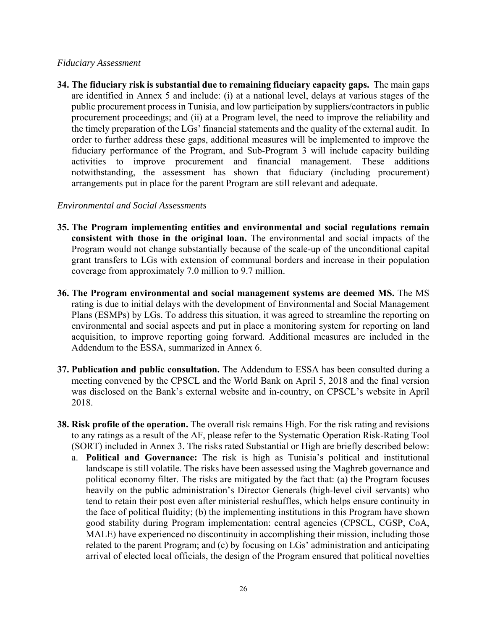## *Fiduciary Assessment*

**34. The fiduciary risk is substantial due to remaining fiduciary capacity gaps.** The main gaps are identified in Annex 5 and include: (i) at a national level, delays at various stages of the public procurement process in Tunisia, and low participation by suppliers/contractors in public procurement proceedings; and (ii) at a Program level, the need to improve the reliability and the timely preparation of the LGs' financial statements and the quality of the external audit. In order to further address these gaps, additional measures will be implemented to improve the fiduciary performance of the Program, and Sub-Program 3 will include capacity building activities to improve procurement and financial management. These additions notwithstanding, the assessment has shown that fiduciary (including procurement) arrangements put in place for the parent Program are still relevant and adequate.

## *Environmental and Social Assessments*

- **35. The Program implementing entities and environmental and social regulations remain consistent with those in the original loan.** The environmental and social impacts of the Program would not change substantially because of the scale-up of the unconditional capital grant transfers to LGs with extension of communal borders and increase in their population coverage from approximately 7.0 million to 9.7 million.
- **36. The Program environmental and social management systems are deemed MS.** The MS rating is due to initial delays with the development of Environmental and Social Management Plans (ESMPs) by LGs. To address this situation, it was agreed to streamline the reporting on environmental and social aspects and put in place a monitoring system for reporting on land acquisition, to improve reporting going forward. Additional measures are included in the Addendum to the ESSA, summarized in Annex 6.
- **37. Publication and public consultation.** The Addendum to ESSA has been consulted during a meeting convened by the CPSCL and the World Bank on April 5, 2018 and the final version was disclosed on the Bank's external website and in-country, on CPSCL's website in April 2018.
- **38. Risk profile of the operation.** The overall risk remains High. For the risk rating and revisions to any ratings as a result of the AF, please refer to the Systematic Operation Risk-Rating Tool (SORT) included in Annex 3. The risks rated Substantial or High are briefly described below:
	- a. **Political and Governance:** The risk is high as Tunisia's political and institutional landscape is still volatile. The risks have been assessed using the Maghreb governance and political economy filter. The risks are mitigated by the fact that: (a) the Program focuses heavily on the public administration's Director Generals (high-level civil servants) who tend to retain their post even after ministerial reshuffles, which helps ensure continuity in the face of political fluidity; (b) the implementing institutions in this Program have shown good stability during Program implementation: central agencies (CPSCL, CGSP, CoA, MALE) have experienced no discontinuity in accomplishing their mission, including those related to the parent Program; and (c) by focusing on LGs' administration and anticipating arrival of elected local officials, the design of the Program ensured that political novelties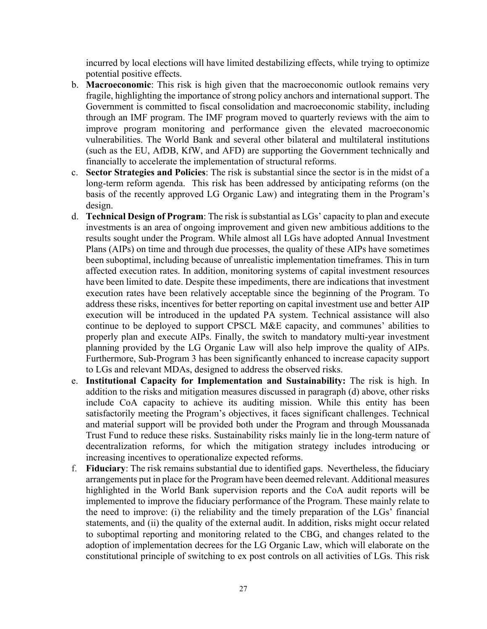incurred by local elections will have limited destabilizing effects, while trying to optimize potential positive effects.

- b. **Macroeconomic**: This risk is high given that the macroeconomic outlook remains very fragile, highlighting the importance of strong policy anchors and international support. The Government is committed to fiscal consolidation and macroeconomic stability, including through an IMF program. The IMF program moved to quarterly reviews with the aim to improve program monitoring and performance given the elevated macroeconomic vulnerabilities. The World Bank and several other bilateral and multilateral institutions (such as the EU, AfDB, KfW, and AFD) are supporting the Government technically and financially to accelerate the implementation of structural reforms.
- c. **Sector Strategies and Policies**: The risk is substantial since the sector is in the midst of a long-term reform agenda. This risk has been addressed by anticipating reforms (on the basis of the recently approved LG Organic Law) and integrating them in the Program's design.
- d. **Technical Design of Program**: The risk is substantial as LGs' capacity to plan and execute investments is an area of ongoing improvement and given new ambitious additions to the results sought under the Program. While almost all LGs have adopted Annual Investment Plans (AIPs) on time and through due processes, the quality of these AIPs have sometimes been suboptimal, including because of unrealistic implementation timeframes. This in turn affected execution rates. In addition, monitoring systems of capital investment resources have been limited to date. Despite these impediments, there are indications that investment execution rates have been relatively acceptable since the beginning of the Program. To address these risks, incentives for better reporting on capital investment use and better AIP execution will be introduced in the updated PA system. Technical assistance will also continue to be deployed to support CPSCL M&E capacity, and communes' abilities to properly plan and execute AIPs. Finally, the switch to mandatory multi-year investment planning provided by the LG Organic Law will also help improve the quality of AIPs. Furthermore, Sub-Program 3 has been significantly enhanced to increase capacity support to LGs and relevant MDAs, designed to address the observed risks.
- e. **Institutional Capacity for Implementation and Sustainability:** The risk is high. In addition to the risks and mitigation measures discussed in paragraph (d) above, other risks include CoA capacity to achieve its auditing mission. While this entity has been satisfactorily meeting the Program's objectives, it faces significant challenges. Technical and material support will be provided both under the Program and through Moussanada Trust Fund to reduce these risks. Sustainability risks mainly lie in the long-term nature of decentralization reforms, for which the mitigation strategy includes introducing or increasing incentives to operationalize expected reforms.
- f. **Fiduciary**: The risk remains substantial due to identified gaps. Nevertheless, the fiduciary arrangements put in place for the Program have been deemed relevant. Additional measures highlighted in the World Bank supervision reports and the CoA audit reports will be implemented to improve the fiduciary performance of the Program. These mainly relate to the need to improve: (i) the reliability and the timely preparation of the LGs' financial statements, and (ii) the quality of the external audit. In addition, risks might occur related to suboptimal reporting and monitoring related to the CBG, and changes related to the adoption of implementation decrees for the LG Organic Law, which will elaborate on the constitutional principle of switching to ex post controls on all activities of LGs. This risk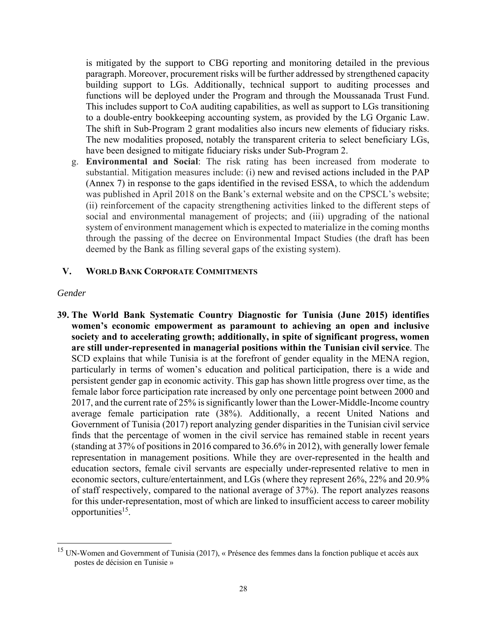is mitigated by the support to CBG reporting and monitoring detailed in the previous paragraph. Moreover, procurement risks will be further addressed by strengthened capacity building support to LGs. Additionally, technical support to auditing processes and functions will be deployed under the Program and through the Moussanada Trust Fund. This includes support to CoA auditing capabilities, as well as support to LGs transitioning to a double-entry bookkeeping accounting system, as provided by the LG Organic Law. The shift in Sub-Program 2 grant modalities also incurs new elements of fiduciary risks. The new modalities proposed, notably the transparent criteria to select beneficiary LGs, have been designed to mitigate fiduciary risks under Sub-Program 2.

g. **Environmental and Social**: The risk rating has been increased from moderate to substantial. Mitigation measures include: (i) new and revised actions included in the PAP (Annex 7) in response to the gaps identified in the revised ESSA, to which the addendum was published in April 2018 on the Bank's external website and on the CPSCL's website; (ii) reinforcement of the capacity strengthening activities linked to the different steps of social and environmental management of projects; and (iii) upgrading of the national system of environment management which is expected to materialize in the coming months through the passing of the decree on Environmental Impact Studies (the draft has been deemed by the Bank as filling several gaps of the existing system).

## **V. WORLD BANK CORPORATE COMMITMENTS**

### *Gender*

 $\overline{\phantom{a}}$ 

**39. The World Bank Systematic Country Diagnostic for Tunisia (June 2015) identifies women's economic empowerment as paramount to achieving an open and inclusive society and to accelerating growth; additionally, in spite of significant progress, women are still under-represented in managerial positions within the Tunisian civil service**. The SCD explains that while Tunisia is at the forefront of gender equality in the MENA region, particularly in terms of women's education and political participation, there is a wide and persistent gender gap in economic activity. This gap has shown little progress over time, as the female labor force participation rate increased by only one percentage point between 2000 and 2017, and the current rate of 25% is significantly lower than the Lower-Middle-Income country average female participation rate (38%). Additionally, a recent United Nations and Government of Tunisia (2017) report analyzing gender disparities in the Tunisian civil service finds that the percentage of women in the civil service has remained stable in recent years (standing at 37% of positions in 2016 compared to 36.6% in 2012), with generally lower female representation in management positions. While they are over-represented in the health and education sectors, female civil servants are especially under-represented relative to men in economic sectors, culture/entertainment, and LGs (where they represent 26%, 22% and 20.9% of staff respectively, compared to the national average of 37%). The report analyzes reasons for this under-representation, most of which are linked to insufficient access to career mobility opportunities<sup>15</sup>.

<sup>&</sup>lt;sup>15</sup> UN-Women and Government of Tunisia (2017), « Présence des femmes dans la fonction publique et accès aux postes de décision en Tunisie »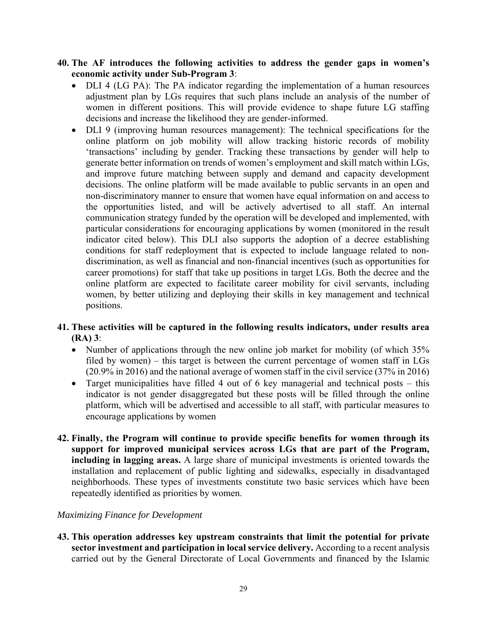- **40. The AF introduces the following activities to address the gender gaps in women's economic activity under Sub-Program 3**:
	- DLI 4 (LG PA): The PA indicator regarding the implementation of a human resources adjustment plan by LGs requires that such plans include an analysis of the number of women in different positions. This will provide evidence to shape future LG staffing decisions and increase the likelihood they are gender-informed.
	- DLI 9 (improving human resources management): The technical specifications for the online platform on job mobility will allow tracking historic records of mobility 'transactions' including by gender. Tracking these transactions by gender will help to generate better information on trends of women's employment and skill match within LGs, and improve future matching between supply and demand and capacity development decisions. The online platform will be made available to public servants in an open and non-discriminatory manner to ensure that women have equal information on and access to the opportunities listed, and will be actively advertised to all staff. An internal communication strategy funded by the operation will be developed and implemented, with particular considerations for encouraging applications by women (monitored in the result indicator cited below). This DLI also supports the adoption of a decree establishing conditions for staff redeployment that is expected to include language related to nondiscrimination, as well as financial and non-financial incentives (such as opportunities for career promotions) for staff that take up positions in target LGs. Both the decree and the online platform are expected to facilitate career mobility for civil servants, including women, by better utilizing and deploying their skills in key management and technical positions.

## **41. These activities will be captured in the following results indicators, under results area (RA) 3**:

- Number of applications through the new online job market for mobility (of which 35% filed by women) – this target is between the current percentage of women staff in LGs (20.9% in 2016) and the national average of women staff in the civil service (37% in 2016)
- Target municipalities have filled 4 out of 6 key managerial and technical posts  $-$  this indicator is not gender disaggregated but these posts will be filled through the online platform, which will be advertised and accessible to all staff, with particular measures to encourage applications by women
- **42. Finally, the Program will continue to provide specific benefits for women through its support for improved municipal services across LGs that are part of the Program, including in lagging areas.** A large share of municipal investments is oriented towards the installation and replacement of public lighting and sidewalks, especially in disadvantaged neighborhoods. These types of investments constitute two basic services which have been repeatedly identified as priorities by women.

# *Maximizing Finance for Development*

**43. This operation addresses key upstream constraints that limit the potential for private sector investment and participation in local service delivery.** According to a recent analysis carried out by the General Directorate of Local Governments and financed by the Islamic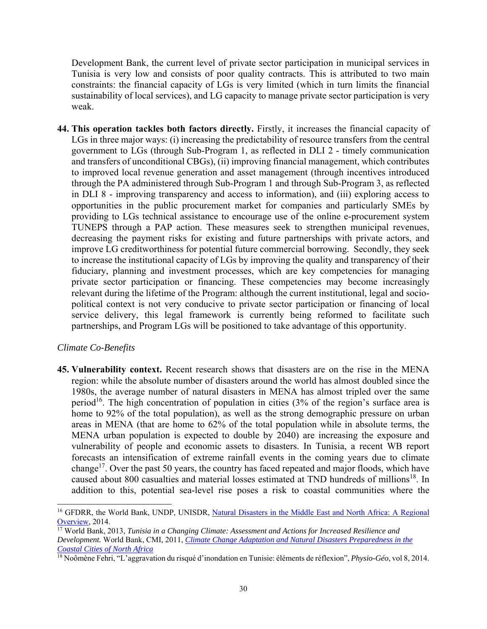Development Bank, the current level of private sector participation in municipal services in Tunisia is very low and consists of poor quality contracts. This is attributed to two main constraints: the financial capacity of LGs is very limited (which in turn limits the financial sustainability of local services), and LG capacity to manage private sector participation is very weak.

**44. This operation tackles both factors directly.** Firstly, it increases the financial capacity of LGs in three major ways: (i) increasing the predictability of resource transfers from the central government to LGs (through Sub-Program 1, as reflected in DLI 2 - timely communication and transfers of unconditional CBGs), (ii) improving financial management, which contributes to improved local revenue generation and asset management (through incentives introduced through the PA administered through Sub-Program 1 and through Sub-Program 3, as reflected in DLI 8 - improving transparency and access to information), and (iii) exploring access to opportunities in the public procurement market for companies and particularly SMEs by providing to LGs technical assistance to encourage use of the online e-procurement system TUNEPS through a PAP action. These measures seek to strengthen municipal revenues, decreasing the payment risks for existing and future partnerships with private actors, and improve LG creditworthiness for potential future commercial borrowing. Secondly, they seek to increase the institutional capacity of LGs by improving the quality and transparency of their fiduciary, planning and investment processes, which are key competencies for managing private sector participation or financing. These competencies may become increasingly relevant during the lifetime of the Program: although the current institutional, legal and sociopolitical context is not very conducive to private sector participation or financing of local service delivery, this legal framework is currently being reformed to facilitate such partnerships, and Program LGs will be positioned to take advantage of this opportunity.

### *Climate Co-Benefits*

 $\overline{\phantom{a}}$ 

**45. Vulnerability context.** Recent research shows that disasters are on the rise in the MENA region: while the absolute number of disasters around the world has almost doubled since the 1980s, the average number of natural disasters in MENA has almost tripled over the same period<sup>16</sup>. The high concentration of population in cities  $(3\%$  of the region's surface area is home to 92% of the total population), as well as the strong demographic pressure on urban areas in MENA (that are home to 62% of the total population while in absolute terms, the MENA urban population is expected to double by 2040) are increasing the exposure and vulnerability of people and economic assets to disasters. In Tunisia, a recent WB report forecasts an intensification of extreme rainfall events in the coming years due to climate change<sup>17</sup>. Over the past 50 years, the country has faced repeated and major floods, which have caused about 800 casualties and material losses estimated at TND hundreds of millions<sup>18</sup>. In addition to this, potential sea-level rise poses a risk to coastal communities where the

<sup>&</sup>lt;sup>16</sup> GFDRR, the World Bank, UNDP, UNISDR, Natural Disasters in the Middle East and North Africa: A Regional Overview, 2014.

<sup>17</sup> World Bank, 2013, *Tunisia in a Changing Climate: Assessment and Actions for Increased Resilience and Development.* World Bank, CMI, 2011, *Climate Change Adaptation and Natural Disasters Preparedness in the Coastal Cities of North Africa*

<sup>18</sup> Noômène Fehri, "L'aggravation du risqué d'inondation en Tunisie: éléments de réflexion", *Physio-Géo*, vol 8, 2014.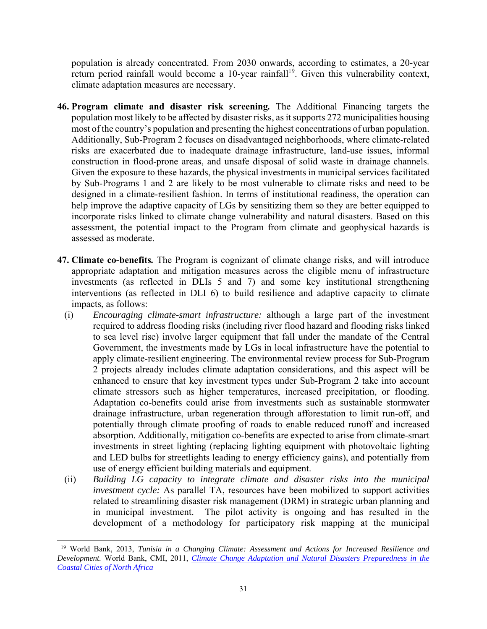population is already concentrated. From 2030 onwards, according to estimates, a 20-year return period rainfall would become a 10-year rainfall<sup>19</sup>. Given this vulnerability context, climate adaptation measures are necessary.

- **46. Program climate and disaster risk screening***.* The Additional Financing targets the population most likely to be affected by disaster risks, as it supports 272 municipalities housing most of the country's population and presenting the highest concentrations of urban population. Additionally, Sub-Program 2 focuses on disadvantaged neighborhoods, where climate-related risks are exacerbated due to inadequate drainage infrastructure, land-use issues, informal construction in flood-prone areas, and unsafe disposal of solid waste in drainage channels. Given the exposure to these hazards, the physical investments in municipal services facilitated by Sub-Programs 1 and 2 are likely to be most vulnerable to climate risks and need to be designed in a climate-resilient fashion. In terms of institutional readiness, the operation can help improve the adaptive capacity of LGs by sensitizing them so they are better equipped to incorporate risks linked to climate change vulnerability and natural disasters. Based on this assessment, the potential impact to the Program from climate and geophysical hazards is assessed as moderate.
- **47. Climate co-benefits***.* The Program is cognizant of climate change risks, and will introduce appropriate adaptation and mitigation measures across the eligible menu of infrastructure investments (as reflected in DLIs 5 and 7) and some key institutional strengthening interventions (as reflected in DLI 6) to build resilience and adaptive capacity to climate impacts, as follows:
	- (i) *Encouraging climate-smart infrastructure:* although a large part of the investment required to address flooding risks (including river flood hazard and flooding risks linked to sea level rise) involve larger equipment that fall under the mandate of the Central Government, the investments made by LGs in local infrastructure have the potential to apply climate-resilient engineering. The environmental review process for Sub-Program 2 projects already includes climate adaptation considerations, and this aspect will be enhanced to ensure that key investment types under Sub-Program 2 take into account climate stressors such as higher temperatures, increased precipitation, or flooding. Adaptation co-benefits could arise from investments such as sustainable stormwater drainage infrastructure, urban regeneration through afforestation to limit run-off, and potentially through climate proofing of roads to enable reduced runoff and increased absorption. Additionally, mitigation co-benefits are expected to arise from climate-smart investments in street lighting (replacing lighting equipment with photovoltaic lighting and LED bulbs for streetlights leading to energy efficiency gains), and potentially from use of energy efficient building materials and equipment.
	- (ii) *Building LG capacity to integrate climate and disaster risks into the municipal investment cycle:* As parallel TA, resources have been mobilized to support activities related to streamlining disaster risk management (DRM) in strategic urban planning and in municipal investment. The pilot activity is ongoing and has resulted in the development of a methodology for participatory risk mapping at the municipal

l 19 World Bank, 2013, *Tunisia in a Changing Climate: Assessment and Actions for Increased Resilience and Development.* World Bank, CMI, 2011, *Climate Change Adaptation and Natural Disasters Preparedness in the Coastal Cities of North Africa*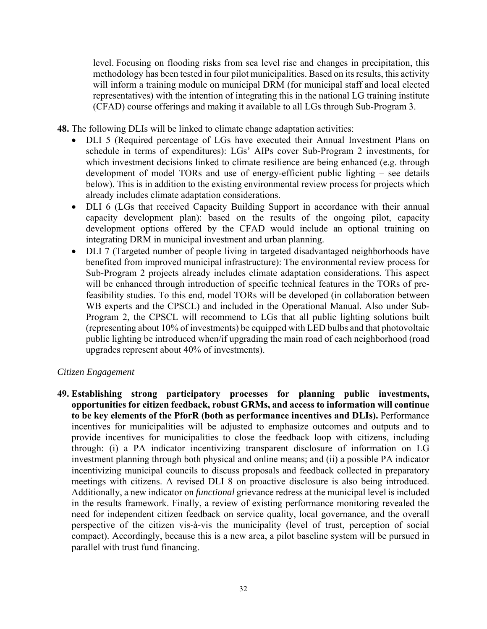level. Focusing on flooding risks from sea level rise and changes in precipitation, this methodology has been tested in four pilot municipalities. Based on its results, this activity will inform a training module on municipal DRM (for municipal staff and local elected representatives) with the intention of integrating this in the national LG training institute (CFAD) course offerings and making it available to all LGs through Sub-Program 3.

**48.** The following DLIs will be linked to climate change adaptation activities:

- DLI 5 (Required percentage of LGs have executed their Annual Investment Plans on schedule in terms of expenditures): LGs' AIPs cover Sub-Program 2 investments, for which investment decisions linked to climate resilience are being enhanced (e.g. through development of model TORs and use of energy-efficient public lighting – see details below). This is in addition to the existing environmental review process for projects which already includes climate adaptation considerations.
- DLI 6 (LGs that received Capacity Building Support in accordance with their annual capacity development plan): based on the results of the ongoing pilot, capacity development options offered by the CFAD would include an optional training on integrating DRM in municipal investment and urban planning.
- DLI 7 (Targeted number of people living in targeted disadvantaged neighborhoods have benefited from improved municipal infrastructure): The environmental review process for Sub-Program 2 projects already includes climate adaptation considerations. This aspect will be enhanced through introduction of specific technical features in the TORs of prefeasibility studies. To this end, model TORs will be developed (in collaboration between WB experts and the CPSCL) and included in the Operational Manual. Also under Sub-Program 2, the CPSCL will recommend to LGs that all public lighting solutions built (representing about 10% of investments) be equipped with LED bulbs and that photovoltaic public lighting be introduced when/if upgrading the main road of each neighborhood (road upgrades represent about 40% of investments).

## *Citizen Engagement*

**49. Establishing strong participatory processes for planning public investments, opportunities for citizen feedback, robust GRMs, and access to information will continue to be key elements of the PforR (both as performance incentives and DLIs).** Performance incentives for municipalities will be adjusted to emphasize outcomes and outputs and to provide incentives for municipalities to close the feedback loop with citizens, including through: (i) a PA indicator incentivizing transparent disclosure of information on LG investment planning through both physical and online means; and (ii) a possible PA indicator incentivizing municipal councils to discuss proposals and feedback collected in preparatory meetings with citizens. A revised DLI 8 on proactive disclosure is also being introduced. Additionally, a new indicator on *functional* grievance redress at the municipal level is included in the results framework. Finally, a review of existing performance monitoring revealed the need for independent citizen feedback on service quality, local governance, and the overall perspective of the citizen vis-à-vis the municipality (level of trust, perception of social compact). Accordingly, because this is a new area, a pilot baseline system will be pursued in parallel with trust fund financing.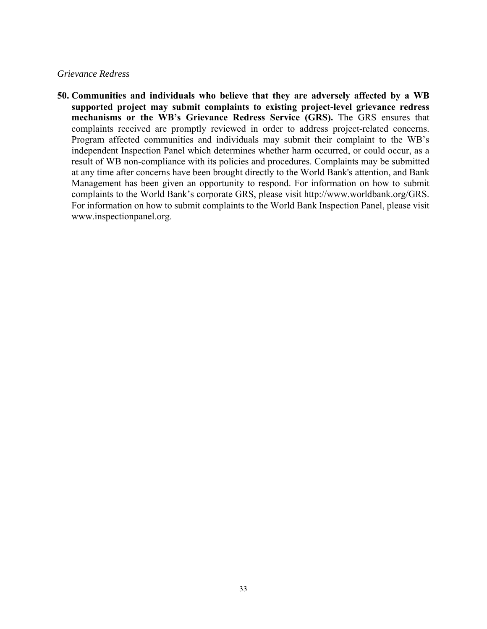#### *Grievance Redress*

**50. Communities and individuals who believe that they are adversely affected by a WB supported project may submit complaints to existing project-level grievance redress mechanisms or the WB's Grievance Redress Service (GRS).** The GRS ensures that complaints received are promptly reviewed in order to address project-related concerns. Program affected communities and individuals may submit their complaint to the WB's independent Inspection Panel which determines whether harm occurred, or could occur, as a result of WB non-compliance with its policies and procedures. Complaints may be submitted at any time after concerns have been brought directly to the World Bank's attention, and Bank Management has been given an opportunity to respond. For information on how to submit complaints to the World Bank's corporate GRS, please visit http://www.worldbank.org/GRS. For information on how to submit complaints to the World Bank Inspection Panel, please visit www.inspectionpanel.org.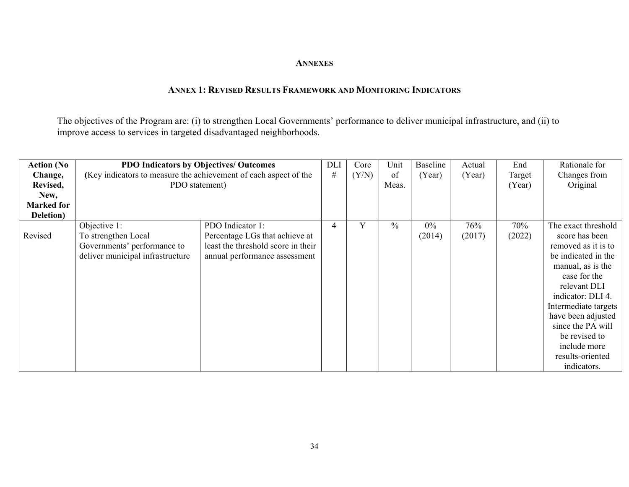#### **ANNEXES**

#### **ANNEX 1: REVISED RESULTS FRAMEWORK AND MONITORING INDICATORS**

The objectives of the Program are: (i) to strengthen Local Governments' performance to deliver municipal infrastructure, and (ii) to improve access to services in targeted disadvantaged neighborhoods.

| <b>Action</b> (No | <b>PDO Indicators by Objectives/ Outcomes</b>                    |                                    |   | Core  | Unit          | Baseline | Actual | End    | Rationale for        |
|-------------------|------------------------------------------------------------------|------------------------------------|---|-------|---------------|----------|--------|--------|----------------------|
| Change,           | (Key indicators to measure the achievement of each aspect of the |                                    |   | (Y/N) | of            | (Year)   | (Year) | Target | Changes from         |
| Revised,          | PDO statement)                                                   |                                    |   |       | Meas.         |          |        | (Year) | Original             |
| New,              |                                                                  |                                    |   |       |               |          |        |        |                      |
| <b>Marked for</b> |                                                                  |                                    |   |       |               |          |        |        |                      |
| Deletion)         |                                                                  |                                    |   |       |               |          |        |        |                      |
|                   | Objective 1:                                                     | PDO Indicator 1:                   | 4 | Y     | $\frac{0}{0}$ | $0\%$    | 76%    | 70%    | The exact threshold  |
| Revised           | To strengthen Local                                              | Percentage LGs that achieve at     |   |       |               | (2014)   | (2017) | (2022) | score has been       |
|                   | Governments' performance to                                      | least the threshold score in their |   |       |               |          |        |        | removed as it is to  |
|                   | deliver municipal infrastructure                                 | annual performance assessment      |   |       |               |          |        |        | be indicated in the  |
|                   |                                                                  |                                    |   |       |               |          |        |        | manual, as is the    |
|                   |                                                                  |                                    |   |       |               |          |        |        | case for the         |
|                   |                                                                  |                                    |   |       |               |          |        |        | relevant DLI         |
|                   |                                                                  |                                    |   |       |               |          |        |        | indicator: DLI 4.    |
|                   |                                                                  |                                    |   |       |               |          |        |        | Intermediate targets |
|                   |                                                                  |                                    |   |       |               |          |        |        | have been adjusted   |
|                   |                                                                  |                                    |   |       |               |          |        |        | since the PA will    |
|                   |                                                                  |                                    |   |       |               |          |        |        | be revised to        |
|                   |                                                                  |                                    |   |       |               |          |        |        | include more         |
|                   |                                                                  |                                    |   |       |               |          |        |        | results-oriented     |
|                   |                                                                  |                                    |   |       |               |          |        |        | indicators.          |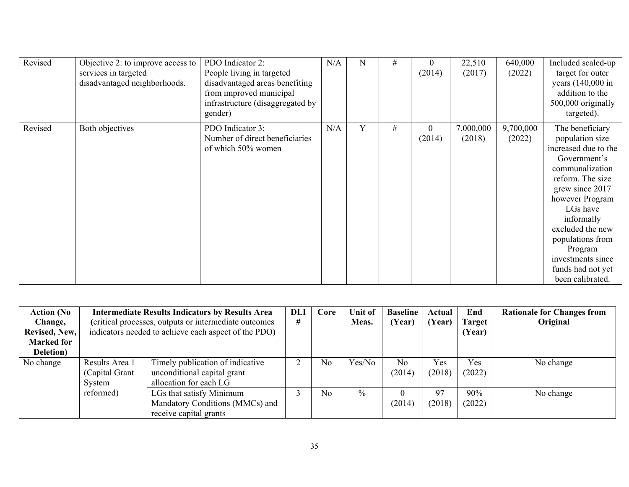| Revised | Objective 2: to improve access to<br>services in targeted<br>disadvantaged neighborhoods. | PDO Indicator 2:<br>People living in targeted<br>disadvantaged areas benefiting<br>from improved municipal<br>infrastructure (disaggregated by<br>gender) | N/A | N | # | $\theta$<br>(2014)         | 22,510<br>(2017)    | 640,000<br>(2022)   | Included scaled-up<br>target for outer<br>years (140,000 in<br>addition to the<br>500,000 originally<br>targeted).                                                                                                                                                                                 |
|---------|-------------------------------------------------------------------------------------------|-----------------------------------------------------------------------------------------------------------------------------------------------------------|-----|---|---|----------------------------|---------------------|---------------------|----------------------------------------------------------------------------------------------------------------------------------------------------------------------------------------------------------------------------------------------------------------------------------------------------|
| Revised | Both objectives                                                                           | PDO Indicator 3:<br>Number of direct beneficiaries<br>of which 50% women                                                                                  | N/A | Y | # | $\boldsymbol{0}$<br>(2014) | 7,000,000<br>(2018) | 9,700,000<br>(2022) | The beneficiary<br>population size<br>increased due to the<br>Government's<br>communalization<br>reform. The size<br>grew since 2017<br>however Program<br>LGs have<br>informally<br>excluded the new<br>populations from<br>Program<br>investments since<br>funds had not yet<br>been calibrated. |

| <b>Action</b> (No | <b>DLI</b><br><b>Intermediate Results Indicators by Results Area</b> |                                                       |   | Core | Unit of       | <b>Baseline</b> | Actual | End           | <b>Rationale for Changes from</b> |
|-------------------|----------------------------------------------------------------------|-------------------------------------------------------|---|------|---------------|-----------------|--------|---------------|-----------------------------------|
| Change,           |                                                                      | (critical processes, outputs or intermediate outcomes | # |      | Meas.         | (Year)          | (Year) | <b>Target</b> | Original                          |
| Revised, New,     |                                                                      | indicators needed to achieve each aspect of the PDO)  |   |      |               |                 |        | (Year)        |                                   |
| <b>Marked for</b> |                                                                      |                                                       |   |      |               |                 |        |               |                                   |
| Deletion)         |                                                                      |                                                       |   |      |               |                 |        |               |                                   |
| No change         | Results Area 1                                                       | Timely publication of indicative                      |   | No   | Yes/No        | N <sub>o</sub>  | Yes    | Yes           | No change                         |
|                   | (Capital Grant                                                       | unconditional capital grant                           |   |      |               | (2014)          | (2018) | (2022)        |                                   |
|                   | System                                                               | allocation for each LG                                |   |      |               |                 |        |               |                                   |
|                   | reformed)                                                            | LGs that satisfy Minimum                              |   | No   | $\frac{0}{0}$ |                 | 97     | 90%           | No change                         |
|                   |                                                                      | Mandatory Conditions (MMCs) and                       |   |      |               | (2014)          | (2018) | (2022)        |                                   |
|                   |                                                                      | receive capital grants                                |   |      |               |                 |        |               |                                   |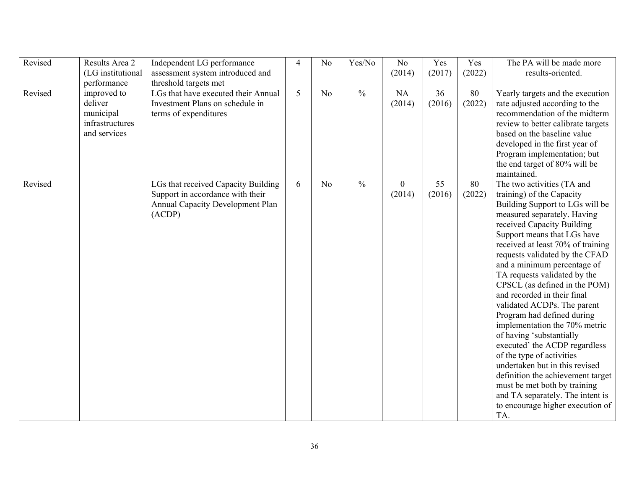| Revised | Results Area 2    | Independent LG performance              | $\overline{4}$ | N <sub>o</sub> | Yes/No        | N <sub>o</sub> | Yes    | Yes    | The PA will be made more                                    |
|---------|-------------------|-----------------------------------------|----------------|----------------|---------------|----------------|--------|--------|-------------------------------------------------------------|
|         | (LG institutional | assessment system introduced and        |                |                |               | (2014)         | (2017) | (2022) | results-oriented.                                           |
|         | performance       | threshold targets met                   |                |                |               |                |        |        |                                                             |
| Revised | improved to       | LGs that have executed their Annual     | 5              | N <sub>o</sub> | $\frac{0}{0}$ | NA             | 36     | 80     | Yearly targets and the execution                            |
|         | deliver           | Investment Plans on schedule in         |                |                |               | (2014)         | (2016) | (2022) | rate adjusted according to the                              |
|         | municipal         | terms of expenditures                   |                |                |               |                |        |        | recommendation of the midterm                               |
|         | infrastructures   |                                         |                |                |               |                |        |        | review to better calibrate targets                          |
|         | and services      |                                         |                |                |               |                |        |        | based on the baseline value                                 |
|         |                   |                                         |                |                |               |                |        |        | developed in the first year of                              |
|         |                   |                                         |                |                |               |                |        |        | Program implementation; but                                 |
|         |                   |                                         |                |                |               |                |        |        | the end target of 80% will be                               |
|         |                   |                                         |                |                |               |                |        |        | maintained.                                                 |
| Revised |                   | LGs that received Capacity Building     | 6              | N <sub>o</sub> | $\frac{0}{0}$ | $\overline{0}$ | 55     | 80     | The two activities (TA and                                  |
|         |                   | Support in accordance with their        |                |                |               | (2014)         | (2016) | (2022) | training) of the Capacity                                   |
|         |                   | <b>Annual Capacity Development Plan</b> |                |                |               |                |        |        | Building Support to LGs will be                             |
|         |                   | (ACDP)                                  |                |                |               |                |        |        | measured separately. Having                                 |
|         |                   |                                         |                |                |               |                |        |        | received Capacity Building                                  |
|         |                   |                                         |                |                |               |                |        |        | Support means that LGs have                                 |
|         |                   |                                         |                |                |               |                |        |        | received at least 70% of training                           |
|         |                   |                                         |                |                |               |                |        |        | requests validated by the CFAD                              |
|         |                   |                                         |                |                |               |                |        |        | and a minimum percentage of<br>TA requests validated by the |
|         |                   |                                         |                |                |               |                |        |        | CPSCL (as defined in the POM)                               |
|         |                   |                                         |                |                |               |                |        |        | and recorded in their final                                 |
|         |                   |                                         |                |                |               |                |        |        | validated ACDPs. The parent                                 |
|         |                   |                                         |                |                |               |                |        |        | Program had defined during                                  |
|         |                   |                                         |                |                |               |                |        |        | implementation the 70% metric                               |
|         |                   |                                         |                |                |               |                |        |        | of having 'substantially                                    |
|         |                   |                                         |                |                |               |                |        |        | executed' the ACDP regardless                               |
|         |                   |                                         |                |                |               |                |        |        | of the type of activities                                   |
|         |                   |                                         |                |                |               |                |        |        | undertaken but in this revised                              |
|         |                   |                                         |                |                |               |                |        |        | definition the achievement target                           |
|         |                   |                                         |                |                |               |                |        |        | must be met both by training                                |
|         |                   |                                         |                |                |               |                |        |        | and TA separately. The intent is                            |
|         |                   |                                         |                |                |               |                |        |        | to encourage higher execution of                            |
|         |                   |                                         |                |                |               |                |        |        | TA.                                                         |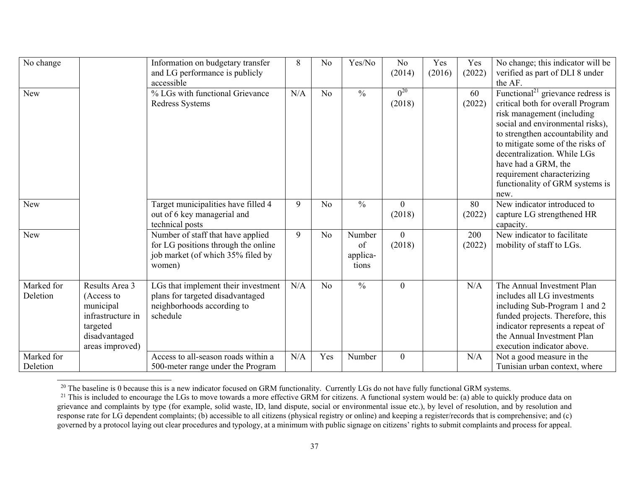| $\overline{\text{No}}$ change |                                                                                                                | Information on budgetary transfer<br>and LG performance is publicly<br>accessible                                       | 8   | N <sub>o</sub> | Yes/No                            | N <sub>o</sub><br>(2014) | Yes<br>(2016) | Yes<br>(2022) | No change; this indicator will be<br>verified as part of DLI 8 under<br>the AF.                                                                                                                                                                                                                                                                             |
|-------------------------------|----------------------------------------------------------------------------------------------------------------|-------------------------------------------------------------------------------------------------------------------------|-----|----------------|-----------------------------------|--------------------------|---------------|---------------|-------------------------------------------------------------------------------------------------------------------------------------------------------------------------------------------------------------------------------------------------------------------------------------------------------------------------------------------------------------|
| New                           |                                                                                                                | % LGs with functional Grievance<br>Redress Systems                                                                      | N/A | N <sub>o</sub> | $\frac{0}{0}$                     | $0^{20}$<br>(2018)       |               | 60<br>(2022)  | Functional <sup>21</sup> grievance redress is<br>critical both for overall Program<br>risk management (including<br>social and environmental risks),<br>to strengthen accountability and<br>to mitigate some of the risks of<br>decentralization. While LGs<br>have had a GRM, the<br>requirement characterizing<br>functionality of GRM systems is<br>new. |
| New                           |                                                                                                                | Target municipalities have filled 4<br>out of 6 key managerial and<br>technical posts                                   | 9   | N <sub>o</sub> | $\frac{0}{0}$                     | $\overline{0}$<br>(2018) |               | 80<br>(2022)  | New indicator introduced to<br>capture LG strengthened HR<br>capacity.                                                                                                                                                                                                                                                                                      |
| New                           |                                                                                                                | Number of staff that have applied<br>for LG positions through the online<br>job market (of which 35% filed by<br>women) | 9   | N <sub>o</sub> | Number<br>of<br>applica-<br>tions | $\theta$<br>(2018)       |               | 200<br>(2022) | New indicator to facilitate<br>mobility of staff to LGs.                                                                                                                                                                                                                                                                                                    |
| Marked for<br>Deletion        | Results Area 3<br>(Access to<br>municipal<br>infrastructure in<br>targeted<br>disadvantaged<br>areas improved) | LGs that implement their investment<br>plans for targeted disadvantaged<br>neighborhoods according to<br>schedule       | N/A | N <sub>o</sub> | $\frac{0}{0}$                     | $\overline{0}$           |               | N/A           | The Annual Investment Plan<br>includes all LG investments<br>including Sub-Program 1 and 2<br>funded projects. Therefore, this<br>indicator represents a repeat of<br>the Annual Investment Plan<br>execution indicator above.                                                                                                                              |
| Marked for<br>Deletion        |                                                                                                                | Access to all-season roads within a<br>500-meter range under the Program                                                | N/A | Yes            | Number                            | $\overline{0}$           |               | N/A           | Not a good measure in the<br>Tunisian urban context, where                                                                                                                                                                                                                                                                                                  |

<sup>&</sup>lt;sup>20</sup> The baseline is 0 because this is a new indicator focused on GRM functionality. Currently LGs do not have fully functional GRM systems.

<sup>&</sup>lt;sup>21</sup> This is included to encourage the LGs to move towards a more effective GRM for citizens. A functional system would be: (a) able to quickly produce data on grievance and complaints by type (for example, solid waste, ID, land dispute, social or environmental issue etc.), by level of resolution, and by resolution and response rate for LG dependent complaints; (b) accessible to all citizens (physical registry or online) and keeping a register/records that is comprehensive; and (c) governed by a protocol laying out clear procedures and typology, at a minimum with public signage on citizens' rights to submit complaints and process for appeal.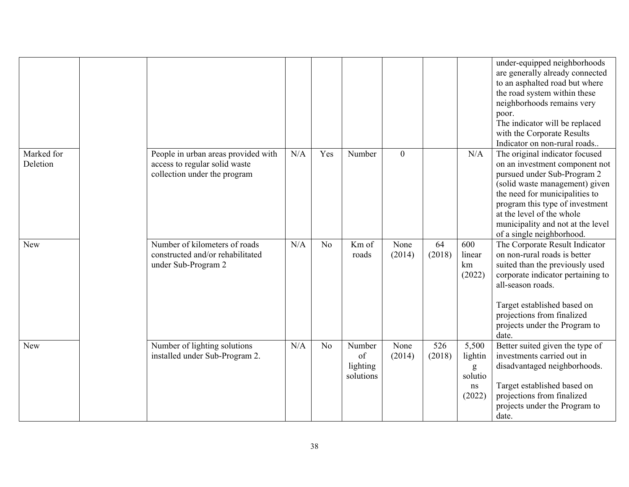|                        |                                                                                                      |     |                |                                       |                |               |                                                  | under-equipped neighborhoods<br>are generally already connected<br>to an asphalted road but where<br>the road system within these<br>neighborhoods remains very<br>poor.<br>The indicator will be replaced<br>with the Corporate Results<br>Indicator on non-rural roads                              |
|------------------------|------------------------------------------------------------------------------------------------------|-----|----------------|---------------------------------------|----------------|---------------|--------------------------------------------------|-------------------------------------------------------------------------------------------------------------------------------------------------------------------------------------------------------------------------------------------------------------------------------------------------------|
| Marked for<br>Deletion | People in urban areas provided with<br>access to regular solid waste<br>collection under the program | N/A | Yes            | Number                                | $\overline{0}$ |               | N/A                                              | The original indicator focused<br>on an investment component not<br>pursued under Sub-Program 2<br>(solid waste management) given<br>the need for municipalities to<br>program this type of investment<br>at the level of the whole<br>municipality and not at the level<br>of a single neighborhood. |
| <b>New</b>             | Number of kilometers of roads<br>constructed and/or rehabilitated<br>under Sub-Program 2             | N/A | No             | Km of<br>roads                        | None<br>(2014) | 64<br>(2018)  | 600<br>linear<br>km<br>(2022)                    | The Corporate Result Indicator<br>on non-rural roads is better<br>suited than the previously used<br>corporate indicator pertaining to<br>all-season roads.<br>Target established based on<br>projections from finalized<br>projects under the Program to<br>date.                                    |
| New                    | Number of lighting solutions<br>installed under Sub-Program 2.                                       | N/A | N <sub>o</sub> | Number<br>of<br>lighting<br>solutions | None<br>(2014) | 526<br>(2018) | 5,500<br>lightin<br>g<br>solutio<br>ns<br>(2022) | Better suited given the type of<br>investments carried out in<br>disadvantaged neighborhoods.<br>Target established based on<br>projections from finalized<br>projects under the Program to<br>date.                                                                                                  |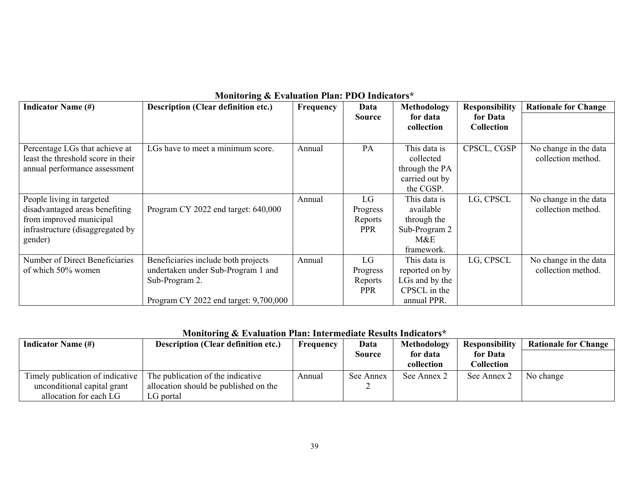|                                    | $\mathbf{m}$ and $\mathbf{m}$ and $\mathbf{m}$ and $\mathbf{m}$ and $\mathbf{m}$ and $\mathbf{m}$ and $\mathbf{m}$ |                  |               |                |                       |                             |
|------------------------------------|--------------------------------------------------------------------------------------------------------------------|------------------|---------------|----------------|-----------------------|-----------------------------|
| <b>Indicator Name (#)</b>          | <b>Description (Clear definition etc.)</b>                                                                         | <b>Frequency</b> | Data          | Methodology    | <b>Responsibility</b> | <b>Rationale for Change</b> |
|                                    |                                                                                                                    |                  | <b>Source</b> | for data       | for Data              |                             |
|                                    |                                                                                                                    |                  |               | collection     | <b>Collection</b>     |                             |
|                                    |                                                                                                                    |                  |               |                |                       |                             |
|                                    |                                                                                                                    |                  |               |                |                       |                             |
| Percentage LGs that achieve at     | LGs have to meet a minimum score.                                                                                  | Annual           | PA            | This data is   | CPSCL, CGSP           | No change in the data       |
| least the threshold score in their |                                                                                                                    |                  |               | collected      |                       | collection method.          |
| annual performance assessment      |                                                                                                                    |                  |               | through the PA |                       |                             |
|                                    |                                                                                                                    |                  |               | carried out by |                       |                             |
|                                    |                                                                                                                    |                  |               | the CGSP.      |                       |                             |
| People living in targeted          |                                                                                                                    | Annual           | LG            | This data is   | LG, CPSCL             | No change in the data       |
| disadvantaged areas benefiting     | Program CY 2022 end target: 640,000                                                                                |                  | Progress      | available      |                       | collection method.          |
| from improved municipal            |                                                                                                                    |                  | Reports       | through the    |                       |                             |
| infrastructure (disaggregated by   |                                                                                                                    |                  | <b>PPR</b>    | Sub-Program 2  |                       |                             |
| gender)                            |                                                                                                                    |                  |               | M&E            |                       |                             |
|                                    |                                                                                                                    |                  |               | framework.     |                       |                             |
| Number of Direct Beneficiaries     | Beneficiaries include both projects                                                                                | Annual           | LG            | This data is   | LG, CPSCL             | No change in the data       |
| of which 50% women                 | undertaken under Sub-Program 1 and                                                                                 |                  | Progress      | reported on by |                       | collection method.          |
|                                    | Sub-Program 2.                                                                                                     |                  | Reports       | LGs and by the |                       |                             |
|                                    |                                                                                                                    |                  | <b>PPR</b>    | CPSCL in the   |                       |                             |
|                                    | Program CY 2022 end target: 9,700,000                                                                              |                  |               | annual PPR.    |                       |                             |

### **Monitoring & Evaluation Plan: PDO Indicators\***

## **Monitoring & Evaluation Plan: Intermediate Results Indicators\***

| <b>Indicator Name (#)</b>        | <b>Description (Clear definition etc.)</b> | Frequency | Data<br><b>Source</b> | Methodology<br>for data | <b>Responsibility</b><br>for Data | <b>Rationale for Change</b> |
|----------------------------------|--------------------------------------------|-----------|-----------------------|-------------------------|-----------------------------------|-----------------------------|
|                                  |                                            |           |                       | collection              | Collection                        |                             |
| Timely publication of indicative | The publication of the indicative          | Annual    | See Annex             | See Annex 2             | See Annex 2                       | No change                   |
| unconditional capital grant      | allocation should be published on the      |           |                       |                         |                                   |                             |
| allocation for each LG           | ∟G portal                                  |           |                       |                         |                                   |                             |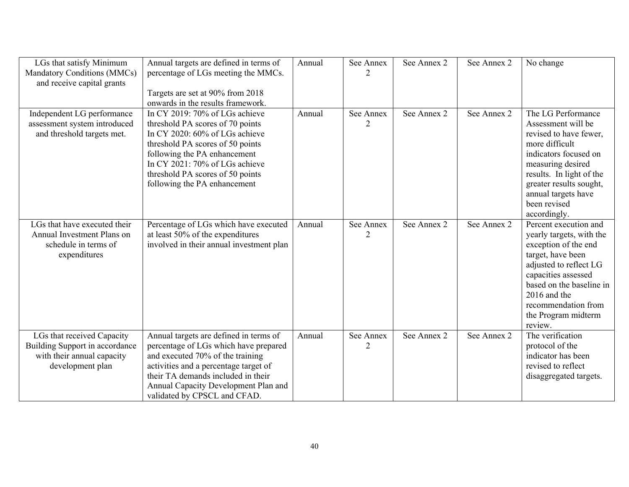| LGs that satisfy Minimum       | Annual targets are defined in terms of   | Annual | See Annex      | See Annex 2 | See Annex 2 | No change                |
|--------------------------------|------------------------------------------|--------|----------------|-------------|-------------|--------------------------|
| Mandatory Conditions (MMCs)    | percentage of LGs meeting the MMCs.      |        | $\overline{2}$ |             |             |                          |
| and receive capital grants     |                                          |        |                |             |             |                          |
|                                | Targets are set at 90% from 2018         |        |                |             |             |                          |
|                                | onwards in the results framework.        |        |                |             |             |                          |
| Independent LG performance     | In CY 2019: 70% of LGs achieve           | Annual | See Annex      | See Annex 2 | See Annex 2 | The LG Performance       |
| assessment system introduced   | threshold PA scores of 70 points         |        | $\mathcal{D}$  |             |             | Assessment will be       |
| and threshold targets met.     | In CY 2020: 60% of LGs achieve           |        |                |             |             | revised to have fewer,   |
|                                | threshold PA scores of 50 points         |        |                |             |             | more difficult           |
|                                | following the PA enhancement             |        |                |             |             | indicators focused on    |
|                                | In CY 2021: 70% of LGs achieve           |        |                |             |             | measuring desired        |
|                                | threshold PA scores of 50 points         |        |                |             |             | results. In light of the |
|                                | following the PA enhancement             |        |                |             |             | greater results sought,  |
|                                |                                          |        |                |             |             | annual targets have      |
|                                |                                          |        |                |             |             | been revised             |
|                                |                                          |        |                |             |             | accordingly.             |
| LGs that have executed their   | Percentage of LGs which have executed    | Annual | See Annex      | See Annex 2 | See Annex 2 | Percent execution and    |
| Annual Investment Plans on     | at least 50% of the expenditures         |        |                |             |             | yearly targets, with the |
| schedule in terms of           | involved in their annual investment plan |        |                |             |             | exception of the end     |
| expenditures                   |                                          |        |                |             |             | target, have been        |
|                                |                                          |        |                |             |             | adjusted to reflect LG   |
|                                |                                          |        |                |             |             | capacities assessed      |
|                                |                                          |        |                |             |             | based on the baseline in |
|                                |                                          |        |                |             |             | 2016 and the             |
|                                |                                          |        |                |             |             | recommendation from      |
|                                |                                          |        |                |             |             | the Program midterm      |
|                                |                                          |        |                |             |             | review.                  |
| LGs that received Capacity     | Annual targets are defined in terms of   | Annual | See Annex      | See Annex 2 | See Annex 2 | The verification         |
| Building Support in accordance | percentage of LGs which have prepared    |        |                |             |             | protocol of the          |
| with their annual capacity     | and executed 70% of the training         |        |                |             |             | indicator has been       |
| development plan               | activities and a percentage target of    |        |                |             |             | revised to reflect       |
|                                | their TA demands included in their       |        |                |             |             | disaggregated targets.   |
|                                | Annual Capacity Development Plan and     |        |                |             |             |                          |
|                                | validated by CPSCL and CFAD.             |        |                |             |             |                          |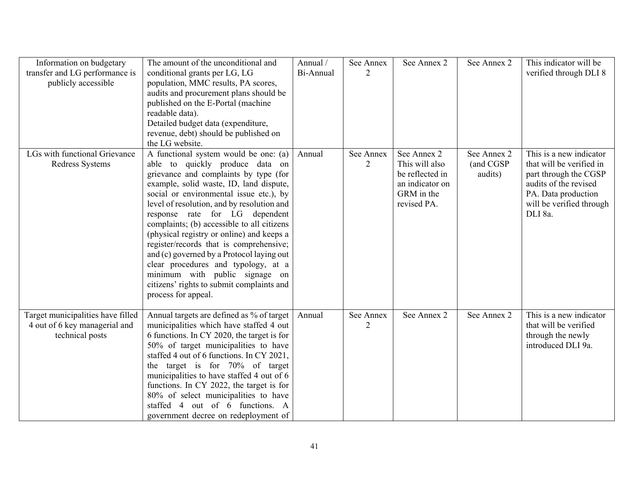| Information on budgetary<br>transfer and LG performance is<br>publicly accessible     | The amount of the unconditional and<br>conditional grants per LG, LG<br>population, MMC results, PA scores,<br>audits and procurement plans should be<br>published on the E-Portal (machine<br>readable data).<br>Detailed budget data (expenditure,<br>revenue, debt) should be published on<br>the LG website.                                                                                                                                                                                                                                                                                                        | Annual /<br>Bi-Annual | See Annex<br>$\overline{2}$ | See Annex 2                                                                                      | See Annex 2                         | This indicator will be<br>verified through DLI 8                                                                                                                    |
|---------------------------------------------------------------------------------------|-------------------------------------------------------------------------------------------------------------------------------------------------------------------------------------------------------------------------------------------------------------------------------------------------------------------------------------------------------------------------------------------------------------------------------------------------------------------------------------------------------------------------------------------------------------------------------------------------------------------------|-----------------------|-----------------------------|--------------------------------------------------------------------------------------------------|-------------------------------------|---------------------------------------------------------------------------------------------------------------------------------------------------------------------|
| LGs with functional Grievance<br>Redress Systems                                      | A functional system would be one: (a)<br>able to quickly produce data on<br>grievance and complaints by type (for<br>example, solid waste, ID, land dispute,<br>social or environmental issue etc.), by<br>level of resolution, and by resolution and<br>response rate for LG dependent<br>complaints; (b) accessible to all citizens<br>(physical registry or online) and keeps a<br>register/records that is comprehensive;<br>and (c) governed by a Protocol laying out<br>clear procedures and typology, at a<br>minimum with public signage on<br>citizens' rights to submit complaints and<br>process for appeal. | Annual                | See Annex<br>$\overline{2}$ | See Annex 2<br>This will also<br>be reflected in<br>an indicator on<br>GRM in the<br>revised PA. | See Annex 2<br>(and CGSP<br>audits) | This is a new indicator<br>that will be verified in<br>part through the CGSP<br>audits of the revised<br>PA. Data production<br>will be verified through<br>DLI 8a. |
| Target municipalities have filled<br>4 out of 6 key managerial and<br>technical posts | Annual targets are defined as % of target<br>municipalities which have staffed 4 out<br>6 functions. In CY 2020, the target is for<br>50% of target municipalities to have<br>staffed 4 out of 6 functions. In CY 2021,<br>the target is for 70% of target<br>municipalities to have staffed 4 out of 6<br>functions. In CY 2022, the target is for<br>80% of select municipalities to have<br>staffed 4 out of 6 functions. A<br>government decree on redeployment of                                                                                                                                                  | Annual                | See Annex<br>2              | See Annex 2                                                                                      | See Annex 2                         | This is a new indicator<br>that will be verified<br>through the newly<br>introduced DLI 9a.                                                                         |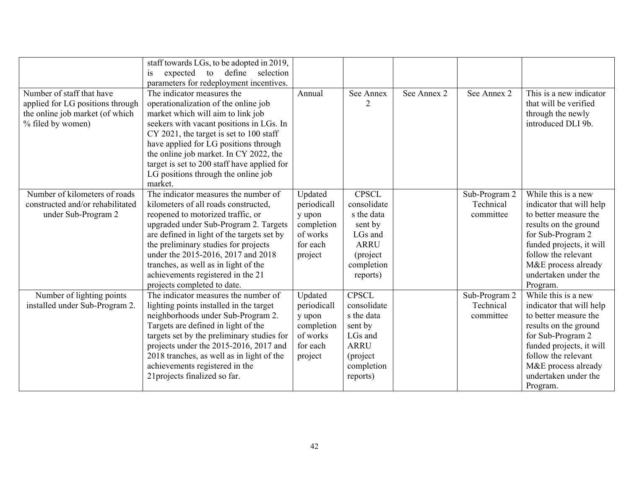|                                                                                                                       | staff towards LGs, to be adopted in 2019,<br>expected to define selection<br>is<br>parameters for redeployment incentives.                                                                                                                                                                                                                                                                         |                                                                                   |                                                                                                                      |             |                                         |                                                                                                                                                                                                                                      |
|-----------------------------------------------------------------------------------------------------------------------|----------------------------------------------------------------------------------------------------------------------------------------------------------------------------------------------------------------------------------------------------------------------------------------------------------------------------------------------------------------------------------------------------|-----------------------------------------------------------------------------------|----------------------------------------------------------------------------------------------------------------------|-------------|-----------------------------------------|--------------------------------------------------------------------------------------------------------------------------------------------------------------------------------------------------------------------------------------|
| Number of staff that have<br>applied for LG positions through<br>the online job market (of which<br>% filed by women) | The indicator measures the<br>operationalization of the online job<br>market which will aim to link job<br>seekers with vacant positions in LGs. In<br>CY 2021, the target is set to 100 staff<br>have applied for LG positions through<br>the online job market. In CY 2022, the<br>target is set to 200 staff have applied for<br>LG positions through the online job<br>market.                 | Annual                                                                            | See Annex<br>$\overline{2}$                                                                                          | See Annex 2 | See Annex 2                             | This is a new indicator<br>that will be verified<br>through the newly<br>introduced DLI 9b.                                                                                                                                          |
| Number of kilometers of roads<br>constructed and/or rehabilitated<br>under Sub-Program 2                              | The indicator measures the number of<br>kilometers of all roads constructed,<br>reopened to motorized traffic, or<br>upgraded under Sub-Program 2. Targets<br>are defined in light of the targets set by<br>the preliminary studies for projects<br>under the 2015-2016, 2017 and 2018<br>tranches, as well as in light of the<br>achievements registered in the 21<br>projects completed to date. | Updated<br>periodicall<br>y upon<br>completion<br>of works<br>for each<br>project | <b>CPSCL</b><br>consolidate<br>s the data<br>sent by<br>LGs and<br><b>ARRU</b><br>(project<br>completion<br>reports) |             | Sub-Program 2<br>Technical<br>committee | While this is a new<br>indicator that will help<br>to better measure the<br>results on the ground<br>for Sub-Program 2<br>funded projects, it will<br>follow the relevant<br>M&E process already<br>undertaken under the<br>Program. |
| Number of lighting points<br>installed under Sub-Program 2.                                                           | The indicator measures the number of<br>lighting points installed in the target<br>neighborhoods under Sub-Program 2.<br>Targets are defined in light of the<br>targets set by the preliminary studies for<br>projects under the 2015-2016, 2017 and<br>2018 tranches, as well as in light of the<br>achievements registered in the<br>21 projects finalized so far.                               | Updated<br>periodicall<br>y upon<br>completion<br>of works<br>for each<br>project | <b>CPSCL</b><br>consolidate<br>s the data<br>sent by<br>LGs and<br><b>ARRU</b><br>(project<br>completion<br>reports) |             | Sub-Program 2<br>Technical<br>committee | While this is a new<br>indicator that will help<br>to better measure the<br>results on the ground<br>for Sub-Program 2<br>funded projects, it will<br>follow the relevant<br>M&E process already<br>undertaken under the<br>Program. |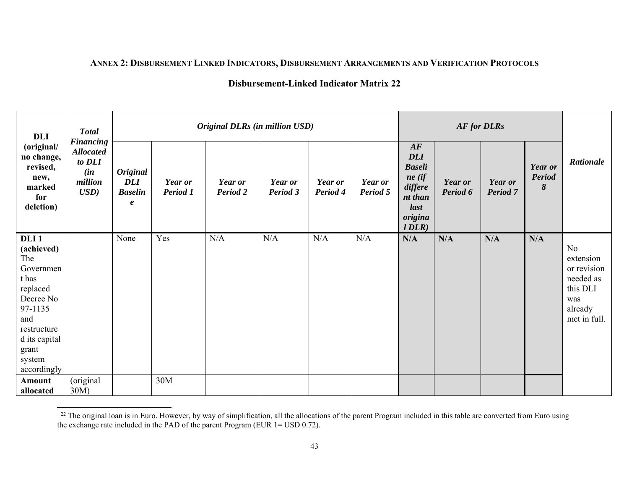#### **ANNEX 2: DISBURSEMENT LINKED INDICATORS, DISBURSEMENT ARRANGEMENTS AND VERIFICATION PROTOCOLS**

| <b>DLI</b>                                                                                                                                                               | <b>Total</b>                                                                           |                                                                     | Original DLRs (in million USD) |                     |                     |                            |                     |                                                                                                 | <b>AF for DLRs</b>  |                     |                                      |                                                                                           |
|--------------------------------------------------------------------------------------------------------------------------------------------------------------------------|----------------------------------------------------------------------------------------|---------------------------------------------------------------------|--------------------------------|---------------------|---------------------|----------------------------|---------------------|-------------------------------------------------------------------------------------------------|---------------------|---------------------|--------------------------------------|-------------------------------------------------------------------------------------------|
| (original/<br>no change,<br>revised,<br>new,<br>marked<br>for<br>deletion)                                                                                               | <b>Financing</b><br><b>Allocated</b><br>to DLI<br>(in<br>million<br>$\boldsymbol{USD}$ | <b>Original</b><br><b>DLI</b><br><b>Baselin</b><br>$\boldsymbol{e}$ | Year or<br>Period 1            | Year or<br>Period 2 | Year or<br>Period 3 | <b>Year or</b><br>Period 4 | Year or<br>Period 5 | AF<br><b>DLI</b><br><b>Baseli</b><br>$ne$ (if<br>differe<br>nt than<br>last<br>origina<br>IDLR) | Year or<br>Period 6 | Year or<br>Period 7 | Year or<br><b>Period</b><br>8<br>N/A | Rationale                                                                                 |
| DLI <sub>1</sub><br>(achieved)<br>The<br>Governmen<br>t has<br>replaced<br>Decree No<br>97-1135<br>and<br>restructure<br>d its capital<br>grant<br>system<br>accordingly |                                                                                        | None                                                                | Yes                            | N/A                 | N/A                 | N/A                        | N/A                 | N/A                                                                                             | N/A                 | N/A                 |                                      | No<br>extension<br>or revision<br>needed as<br>this DLI<br>was<br>already<br>met in full. |
| Amount<br>allocated                                                                                                                                                      | (original<br>30M)                                                                      |                                                                     | 30M                            |                     |                     |                            |                     |                                                                                                 |                     |                     |                                      |                                                                                           |

 $^{22}$  The original loan is in Euro. However, by way of simplification, all the allocations of the parent Program included in this table are converted from Euro using the exchange rate included in the PAD of the parent Program (EUR 1= USD 0.72).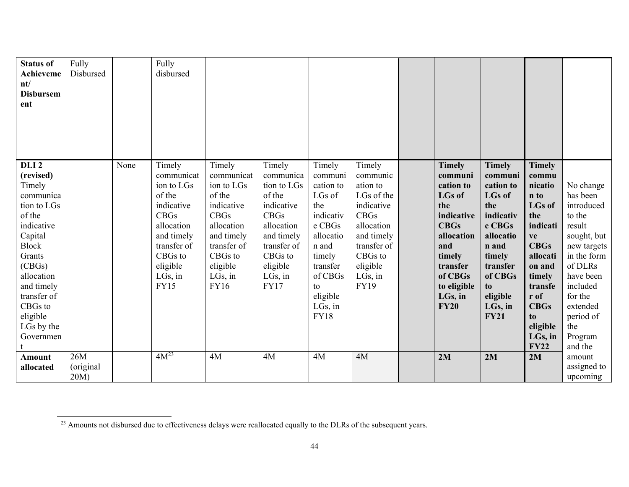| <b>Status of</b><br><b>Achieveme</b><br>nt/<br><b>Disbursem</b><br>ent                                                                                                                                                                  | Fully<br>Disbursed          |      | Fully<br>disbursed                                                                                                                                                       |                                                                                                                                                                          |                                                                                                                                                                       |                                                                                                                                                                           |                                                                                                                                                                       |                                                                                                                                                                                       |                                                                                                                                                                                  |                                                                                                                                                                                                           |                                                                                                                                                                                                           |
|-----------------------------------------------------------------------------------------------------------------------------------------------------------------------------------------------------------------------------------------|-----------------------------|------|--------------------------------------------------------------------------------------------------------------------------------------------------------------------------|--------------------------------------------------------------------------------------------------------------------------------------------------------------------------|-----------------------------------------------------------------------------------------------------------------------------------------------------------------------|---------------------------------------------------------------------------------------------------------------------------------------------------------------------------|-----------------------------------------------------------------------------------------------------------------------------------------------------------------------|---------------------------------------------------------------------------------------------------------------------------------------------------------------------------------------|----------------------------------------------------------------------------------------------------------------------------------------------------------------------------------|-----------------------------------------------------------------------------------------------------------------------------------------------------------------------------------------------------------|-----------------------------------------------------------------------------------------------------------------------------------------------------------------------------------------------------------|
| DLI <sub>2</sub><br>(revised)<br>Timely<br>communica<br>tion to LGs<br>of the<br>indicative<br>Capital<br><b>Block</b><br>Grants<br>(CBGs)<br>allocation<br>and timely<br>transfer of<br>CBGs to<br>eligible<br>LGs by the<br>Governmen |                             | None | Timely<br>communicat<br>ion to LGs<br>of the<br>indicative<br><b>CBGs</b><br>allocation<br>and timely<br>transfer of<br>CBGs to<br>eligible<br>$LGs$ , in<br><b>FY15</b> | Timely<br>communicat<br>ion to LGs<br>of the<br>indicative<br><b>CBGs</b><br>allocation<br>and timely<br>transfer of<br>CBGs to<br>eligible<br>$LGs$ , in<br><b>FY16</b> | Timely<br>communica<br>tion to LGs<br>of the<br>indicative<br><b>CBGs</b><br>allocation<br>and timely<br>transfer of<br>CBGs to<br>eligible<br>LGs, in<br><b>FY17</b> | Timely<br>communi<br>cation to<br>LGs of<br>the<br>indicativ<br>e CBGs<br>allocatio<br>n and<br>timely<br>transfer<br>of CBGs<br>to<br>eligible<br>LGs, in<br><b>FY18</b> | Timely<br>communic<br>ation to<br>LGs of the<br>indicative<br><b>CBGs</b><br>allocation<br>and timely<br>transfer of<br>CBGs to<br>eligible<br>LGs, in<br><b>FY19</b> | <b>Timely</b><br>communi<br>cation to<br>LGs of<br>the<br>indicative<br><b>CBGs</b><br>allocation<br>and<br>timely<br>transfer<br>of CBGs<br>to eligible<br>$LGs$ , in<br><b>FY20</b> | <b>Timely</b><br>communi<br>cation to<br>LGs of<br>the<br>indicativ<br>e CBGs<br>allocatio<br>n and<br>timely<br>transfer<br>of CBGs<br>to<br>eligible<br>LGs, in<br><b>FY21</b> | <b>Timely</b><br>commu<br>nicatio<br>n to<br>LGs of<br>the<br>indicati<br>ve<br><b>CBGs</b><br>allocati<br>on and<br>timely<br>transfe<br>r of<br><b>CBGs</b><br>to<br>eligible<br>LGs, in<br><b>FY22</b> | No change<br>has been<br>introduced<br>to the<br>result<br>sought, but<br>new targets<br>in the form<br>of DLRs<br>have been<br>included<br>for the<br>extended<br>period of<br>the<br>Program<br>and the |
| <b>Amount</b><br>allocated                                                                                                                                                                                                              | 26M<br>(original<br>$20M$ ) |      | $4M^{23}$                                                                                                                                                                | 4M                                                                                                                                                                       | 4M                                                                                                                                                                    | 4M                                                                                                                                                                        | 4M                                                                                                                                                                    | 2M                                                                                                                                                                                    | 2M                                                                                                                                                                               | 2M                                                                                                                                                                                                        | amount<br>assigned to<br>upcoming                                                                                                                                                                         |

<sup>&</sup>lt;sup>23</sup> Amounts not disbursed due to effectiveness delays were reallocated equally to the DLRs of the subsequent years.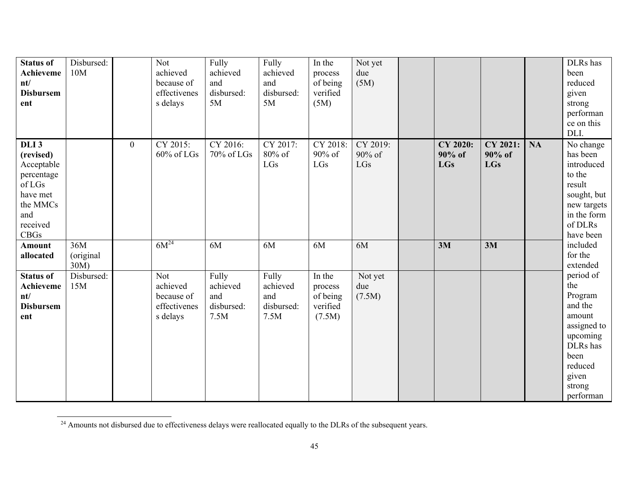| <b>Status of</b><br>Achieveme<br>nt/<br><b>Disbursem</b><br>ent                                                        | Disbursed:<br>10M        |                | Not<br>achieved<br>because of<br>effectivenes<br>s delays | Fully<br>achieved<br>and<br>disbursed:<br>5M   | Fully<br>achieved<br>and<br>disbursed:<br>5M   | In the<br>process<br>of being<br>verified<br>(5M)   | Not yet<br>due<br>(5M)    |                                         |                                  |           | DLRs has<br>been<br>reduced<br>given<br>strong<br>performan<br>ce on this<br>DLI.                                                          |
|------------------------------------------------------------------------------------------------------------------------|--------------------------|----------------|-----------------------------------------------------------|------------------------------------------------|------------------------------------------------|-----------------------------------------------------|---------------------------|-----------------------------------------|----------------------------------|-----------|--------------------------------------------------------------------------------------------------------------------------------------------|
| DLI <sub>3</sub><br>(revised)<br>Acceptable<br>percentage<br>of LGs<br>have met<br>the MMCs<br>and<br>received<br>CBGs |                          | $\overline{0}$ | CY 2015:<br>60% of LGs                                    | CY 2016:<br>70% of LGs                         | CY 2017:<br>80% of<br>LGs                      | CY 2018:<br>90% of<br>LGs                           | CY 2019:<br>90% of<br>LGs | <b>CY 2020:</b><br>90% of<br><b>LGs</b> | CY 2021:<br>90% of<br><b>LGs</b> | <b>NA</b> | No change<br>has been<br>introduced<br>to the<br>result<br>sought, but<br>new targets<br>in the form<br>of DLRs<br>have been               |
| <b>Amount</b><br>allocated                                                                                             | 36M<br>(original<br>30M) |                | $6M^{24}$                                                 | 6M                                             | 6M                                             | 6M                                                  | 6M                        | 3M                                      | 3M                               |           | included<br>for the<br>extended                                                                                                            |
| <b>Status of</b><br>Achieveme<br>nt/<br><b>Disbursem</b><br>ent                                                        | Disbursed:<br>15M        |                | Not<br>achieved<br>because of<br>effectivenes<br>s delays | Fully<br>achieved<br>and<br>disbursed:<br>7.5M | Fully<br>achieved<br>and<br>disbursed:<br>7.5M | In the<br>process<br>of being<br>verified<br>(7.5M) | Not yet<br>due<br>(7.5M)  |                                         |                                  |           | period of<br>the<br>Program<br>and the<br>amount<br>assigned to<br>upcoming<br>DLRs has<br>been<br>reduced<br>given<br>strong<br>performan |

<sup>&</sup>lt;sup>24</sup> Amounts not disbursed due to effectiveness delays were reallocated equally to the DLRs of the subsequent years.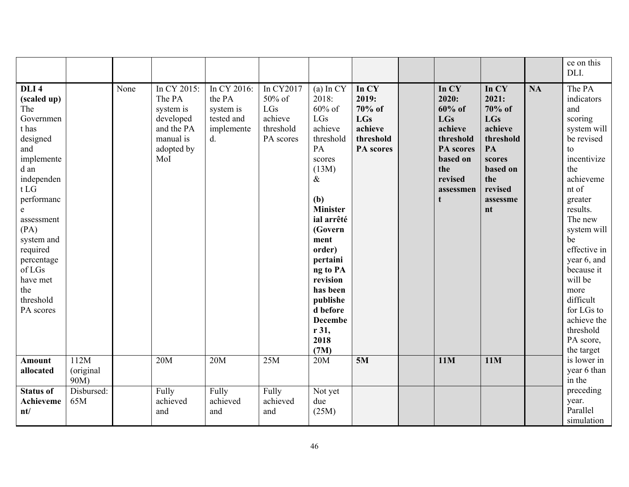|                                                                                                                                                                                                                                                                                           |                           |      |                                                                                                 |                                                                         |                                                                 |                                                                                                                                                                                                                                                                                           |                                                                             |                                                                                                                                |                                                                                                                                |           | ce on this<br>DLI.                                                                                                                                                                                                                                                                                                             |
|-------------------------------------------------------------------------------------------------------------------------------------------------------------------------------------------------------------------------------------------------------------------------------------------|---------------------------|------|-------------------------------------------------------------------------------------------------|-------------------------------------------------------------------------|-----------------------------------------------------------------|-------------------------------------------------------------------------------------------------------------------------------------------------------------------------------------------------------------------------------------------------------------------------------------------|-----------------------------------------------------------------------------|--------------------------------------------------------------------------------------------------------------------------------|--------------------------------------------------------------------------------------------------------------------------------|-----------|--------------------------------------------------------------------------------------------------------------------------------------------------------------------------------------------------------------------------------------------------------------------------------------------------------------------------------|
| DLI <sub>4</sub><br>(scaled up)<br>The<br>Governmen<br>t has<br>designed<br>and<br>implemente<br>d an<br>independen<br>t <sub>LG</sub><br>performanc<br>$\mathbf{e}$<br>assessment<br>(PA)<br>system and<br>required<br>percentage<br>of LGs<br>have met<br>the<br>threshold<br>PA scores |                           | None | In CY 2015:<br>The PA<br>system is<br>developed<br>and the PA<br>manual is<br>adopted by<br>MoI | In CY 2016:<br>the PA<br>system is<br>tested and<br>implemente<br>$d$ . | In CY2017<br>50% of<br>LGs<br>achieve<br>threshold<br>PA scores | $(a)$ In CY<br>2018:<br>$60\%$ of<br>LGs<br>achieve<br>threshold<br>PA<br>scores<br>(13M)<br>$\&$<br>(b)<br><b>Minister</b><br>ial arrêté<br>(Govern<br>ment<br>order)<br>pertaini<br>ng to PA<br>revision<br>has been<br>publishe<br>d before<br><b>Decembe</b><br>r 31,<br>2018<br>(7M) | In CY<br>2019:<br>70% of<br><b>LGs</b><br>achieve<br>threshold<br>PA scores | In CY<br>2020:<br>$60\%$ of<br><b>LGs</b><br>achieve<br>threshold<br>PA scores<br>based on<br>the<br>revised<br>assessmen<br>t | In CY<br>2021:<br>70% of<br><b>LGs</b><br>achieve<br>threshold<br>PA<br>scores<br>based on<br>the<br>revised<br>assessme<br>nt | <b>NA</b> | The PA<br>indicators<br>and<br>scoring<br>system will<br>be revised<br>to<br>incentivize<br>the<br>achieveme<br>nt of<br>greater<br>results.<br>The new<br>system will<br>be<br>effective in<br>year 6, and<br>because it<br>will be<br>more<br>difficult<br>for LGs to<br>achieve the<br>threshold<br>PA score,<br>the target |
| <b>Amount</b><br>allocated                                                                                                                                                                                                                                                                | 112M<br>(original<br>90M) |      | 20M                                                                                             | 20M                                                                     | 25M                                                             | 20M                                                                                                                                                                                                                                                                                       | 5M                                                                          | <b>11M</b>                                                                                                                     | 11M                                                                                                                            |           | is lower in<br>year 6 than<br>in the                                                                                                                                                                                                                                                                                           |
| <b>Status of</b><br>Achieveme<br>nt/                                                                                                                                                                                                                                                      | Disbursed:<br>65M         |      | Fully<br>achieved<br>and                                                                        | Fully<br>achieved<br>and                                                | Fully<br>achieved<br>and                                        | Not yet<br>due<br>(25M)                                                                                                                                                                                                                                                                   |                                                                             |                                                                                                                                |                                                                                                                                |           | preceding<br>year.<br>Parallel<br>simulation                                                                                                                                                                                                                                                                                   |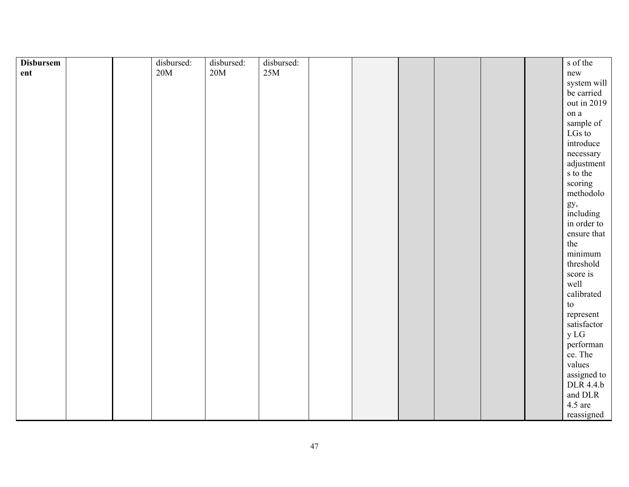| <b>Disbursem</b> |  | disbursed: | disbursed: | disbursed: |  |  |  | s of the               |
|------------------|--|------------|------------|------------|--|--|--|------------------------|
| ent              |  | $20M$      | $20M$      | 25M        |  |  |  | new                    |
|                  |  |            |            |            |  |  |  | system will            |
|                  |  |            |            |            |  |  |  | be carried             |
|                  |  |            |            |            |  |  |  | out in 2019            |
|                  |  |            |            |            |  |  |  | on a                   |
|                  |  |            |            |            |  |  |  | sample of              |
|                  |  |            |            |            |  |  |  | LGs to                 |
|                  |  |            |            |            |  |  |  | introduce              |
|                  |  |            |            |            |  |  |  | necessary              |
|                  |  |            |            |            |  |  |  | adjustment             |
|                  |  |            |            |            |  |  |  | s to the               |
|                  |  |            |            |            |  |  |  | scoring                |
|                  |  |            |            |            |  |  |  | methodolo              |
|                  |  |            |            |            |  |  |  | gy,<br>including       |
|                  |  |            |            |            |  |  |  | in order to            |
|                  |  |            |            |            |  |  |  | ensure that            |
|                  |  |            |            |            |  |  |  | the                    |
|                  |  |            |            |            |  |  |  | minimum                |
|                  |  |            |            |            |  |  |  | threshold              |
|                  |  |            |            |            |  |  |  | score is               |
|                  |  |            |            |            |  |  |  | well                   |
|                  |  |            |            |            |  |  |  | calibrated             |
|                  |  |            |            |            |  |  |  | $\mathop{\mathrm{to}}$ |
|                  |  |            |            |            |  |  |  | represent              |
|                  |  |            |            |            |  |  |  | satisfactor            |
|                  |  |            |            |            |  |  |  | y LG                   |
|                  |  |            |            |            |  |  |  | performan              |
|                  |  |            |            |            |  |  |  | ce. The                |
|                  |  |            |            |            |  |  |  | values                 |
|                  |  |            |            |            |  |  |  | assigned to            |
|                  |  |            |            |            |  |  |  | DLR 4.4.b              |
|                  |  |            |            |            |  |  |  | and DLR                |
|                  |  |            |            |            |  |  |  | $4.5$ are              |
|                  |  |            |            |            |  |  |  | reassigned             |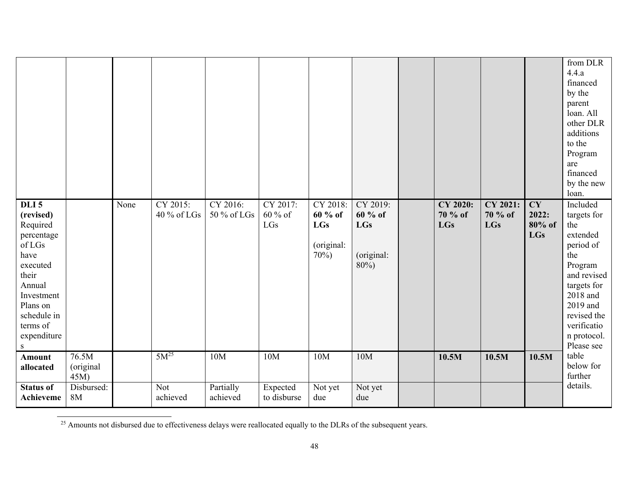|                                                                                                                                                                                           |                           |      |                         |                         |                            |                                                        |                                                  |                                   |                            |                                            | from DLR<br>4.4.a<br>financed<br>by the<br>parent<br>loan. All<br>other DLR<br>additions<br>to the<br>Program<br>are<br>financed<br>by the new<br>loan.                                    |
|-------------------------------------------------------------------------------------------------------------------------------------------------------------------------------------------|---------------------------|------|-------------------------|-------------------------|----------------------------|--------------------------------------------------------|--------------------------------------------------|-----------------------------------|----------------------------|--------------------------------------------|--------------------------------------------------------------------------------------------------------------------------------------------------------------------------------------------|
| DLI <sub>5</sub><br>(revised)<br>Required<br>percentage<br>of LGs<br>have<br>executed<br>their<br>Annual<br>Investment<br>Plans on<br>schedule in<br>terms of<br>expenditure<br>${\bf S}$ |                           | None | CY 2015:<br>40 % of LGs | CY 2016:<br>50 % of LGs | CY 2017:<br>60 % of<br>LGs | CY 2018:<br>60 % of<br><b>LGs</b><br>(original:<br>70% | CY 2019:<br>60 % of<br>LGs<br>(original:<br>80%) | CY 2020:<br>70 % of<br><b>LGs</b> | CY 2021:<br>70 % of<br>LGs | <b>CY</b><br>2022:<br>80% of<br><b>LGs</b> | Included<br>targets for<br>the<br>extended<br>period of<br>the<br>Program<br>and revised<br>targets for<br>2018 and<br>2019 and<br>revised the<br>verificatio<br>n protocol.<br>Please see |
| <b>Amount</b><br>allocated                                                                                                                                                                | 76.5M<br>(original<br>45M |      | $5M^{25}$               | 10M                     | 10M                        | 10M                                                    | 10M                                              | 10.5M                             | 10.5M                      | 10.5M                                      | table<br>below for<br>further                                                                                                                                                              |
| <b>Status of</b><br>Achieveme                                                                                                                                                             | Disbursed:<br><b>8M</b>   |      | <b>Not</b><br>achieved  | Partially<br>achieved   | Expected<br>to disburse    | Not yet<br>due                                         | Not yet<br>due                                   |                                   |                            |                                            | details.                                                                                                                                                                                   |

 $\frac{25}{25}$  Amounts not disbursed due to effectiveness delays were reallocated equally to the DLRs of the subsequent years.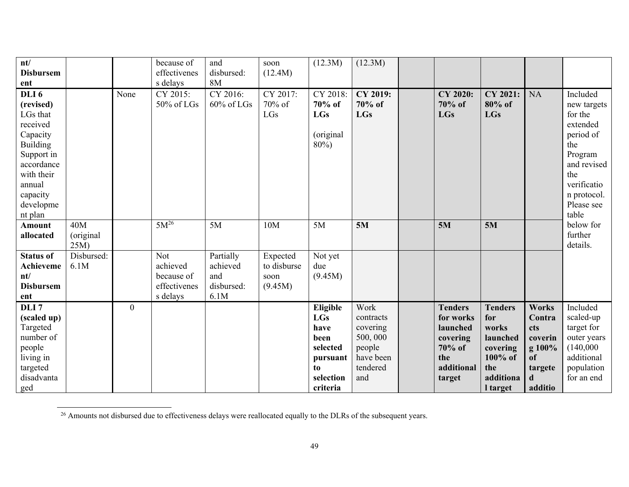| nt/<br><b>Disbursem</b><br>ent                                                                                                                                               |                         |                | because of<br>effectivenes<br>s delays                           | and<br>disbursed:<br>8M                            | soon<br>(12.4M)                            | (12.3M)                                                                                       | (12.3M)                                                                            |                                                                                              |                                                                                                   |                                                                                     |                                                                                                                                                          |
|------------------------------------------------------------------------------------------------------------------------------------------------------------------------------|-------------------------|----------------|------------------------------------------------------------------|----------------------------------------------------|--------------------------------------------|-----------------------------------------------------------------------------------------------|------------------------------------------------------------------------------------|----------------------------------------------------------------------------------------------|---------------------------------------------------------------------------------------------------|-------------------------------------------------------------------------------------|----------------------------------------------------------------------------------------------------------------------------------------------------------|
| DLI <sub>6</sub><br>(revised)<br>LGs that<br>received<br>Capacity<br><b>Building</b><br>Support in<br>accordance<br>with their<br>annual<br>capacity<br>developme<br>nt plan |                         | None           | CY 2015:<br>50% of LGs                                           | CY 2016:<br>$60\%$ of LGs                          | CY 2017:<br>70% of<br>LGs                  | CY 2018:<br>70% of<br><b>LGs</b><br>(original<br>$80\%$                                       | CY 2019:<br>70% of<br><b>LGs</b>                                                   | CY 2020:<br>70% of<br><b>LGs</b>                                                             | CY 2021:<br>80% of<br><b>LGs</b>                                                                  | <b>NA</b>                                                                           | Included<br>new targets<br>for the<br>extended<br>period of<br>the<br>Program<br>and revised<br>the<br>verificatio<br>n protocol.<br>Please see<br>table |
| <b>Amount</b><br>allocated                                                                                                                                                   | 40M<br>(original<br>25M |                | $5M^{26}$                                                        | 5M                                                 | 10M                                        | 5M                                                                                            | 5M                                                                                 | 5M                                                                                           | 5M                                                                                                |                                                                                     | below for<br>further<br>details.                                                                                                                         |
| <b>Status of</b><br><b>Achieveme</b><br>nt/<br><b>Disbursem</b><br>ent                                                                                                       | Disbursed:<br>6.1M      |                | <b>Not</b><br>achieved<br>because of<br>effectivenes<br>s delays | Partially<br>achieved<br>and<br>disbursed:<br>6.1M | Expected<br>to disburse<br>soon<br>(9.45M) | Not yet<br>due<br>(9.45M)                                                                     |                                                                                    |                                                                                              |                                                                                                   |                                                                                     |                                                                                                                                                          |
| DLI <sub>7</sub><br>(scaled up)<br>Targeted<br>number of<br>people<br>living in<br>targeted<br>disadvanta<br>ged                                                             |                         | $\overline{0}$ |                                                                  |                                                    |                                            | Eligible<br><b>LGs</b><br>have<br>been<br>selected<br>pursuant<br>to<br>selection<br>criteria | Work<br>contracts<br>covering<br>500,000<br>people<br>have been<br>tendered<br>and | <b>Tenders</b><br>for works<br>launched<br>covering<br>70% of<br>the<br>additional<br>target | <b>Tenders</b><br>for<br>works<br>launched<br>covering<br>100% of<br>the<br>additiona<br>I target | <b>Works</b><br>Contra<br>cts<br>coverin<br>g 100%<br>of<br>targete<br>d<br>additio | Included<br>scaled-up<br>target for<br>outer years<br>(140,000)<br>additional<br>population<br>for an end                                                |

<sup>&</sup>lt;sup>26</sup> Amounts not disbursed due to effectiveness delays were reallocated equally to the DLRs of the subsequent years.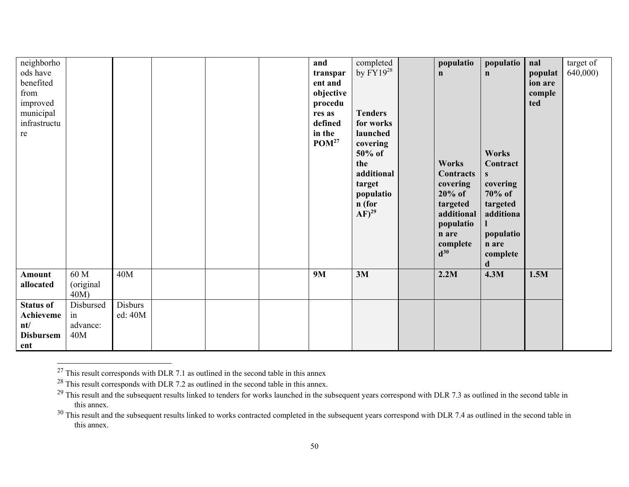| neighborho       |           |         |  | and               | completed<br>by $FY19^{28}$ | populatio                     | populatio    | nal     | target of |
|------------------|-----------|---------|--|-------------------|-----------------------------|-------------------------------|--------------|---------|-----------|
| ods have         |           |         |  | transpar          |                             | $\mathbf n$                   | $\mathbf n$  | populat | 640,000)  |
| benefited        |           |         |  | ent and           |                             |                               |              | ion are |           |
| from             |           |         |  | objective         |                             |                               |              | comple  |           |
| improved         |           |         |  | procedu           |                             |                               |              | ted     |           |
| municipal        |           |         |  | res as            | <b>Tenders</b>              |                               |              |         |           |
| infrastructu     |           |         |  | defined           | for works                   |                               |              |         |           |
| re               |           |         |  | in the            | launched                    |                               |              |         |           |
|                  |           |         |  | POM <sup>27</sup> | covering                    |                               |              |         |           |
|                  |           |         |  |                   | 50% of                      |                               | <b>Works</b> |         |           |
|                  |           |         |  |                   | the                         | <b>Works</b>                  | Contract     |         |           |
|                  |           |         |  |                   | additional                  | <b>Contracts</b>              | S            |         |           |
|                  |           |         |  |                   | target                      | covering                      | covering     |         |           |
|                  |           |         |  |                   | populatio                   | $20\%$ of                     | 70% of       |         |           |
|                  |           |         |  |                   | n (for                      | targeted                      | targeted     |         |           |
|                  |           |         |  |                   | $AF)^{29}$                  | additional                    | additiona    |         |           |
|                  |           |         |  |                   |                             | populatio                     |              |         |           |
|                  |           |         |  |                   |                             | n are                         | populatio    |         |           |
|                  |           |         |  |                   |                             |                               |              |         |           |
|                  |           |         |  |                   |                             | complete<br>$\mathbf{d}^{30}$ | n are        |         |           |
|                  |           |         |  |                   |                             |                               | complete     |         |           |
|                  |           |         |  |                   |                             |                               | d            |         |           |
| Amount           | 60 M      | 40M     |  | <b>9M</b>         | 3M                          | 2.2M                          | 4.3M         | 1.5M    |           |
| allocated        | (original |         |  |                   |                             |                               |              |         |           |
|                  | 40M)      |         |  |                   |                             |                               |              |         |           |
| <b>Status of</b> | Disbursed | Disburs |  |                   |                             |                               |              |         |           |
| Achieveme        | in        | ed: 40M |  |                   |                             |                               |              |         |           |
| nt/              | advance:  |         |  |                   |                             |                               |              |         |           |
| <b>Disbursem</b> | 40M       |         |  |                   |                             |                               |              |         |           |
| ent              |           |         |  |                   |                             |                               |              |         |           |

 $^{27}$  This result corresponds with DLR 7.1 as outlined in the second table in this annex

 $^{28}$  This result corresponds with DLR 7.2 as outlined in the second table in this annex.

<sup>&</sup>lt;sup>29</sup> This result and the subsequent results linked to tenders for works launched in the subsequent years correspond with DLR 7.3 as outlined in the second table in this annex.

 $30$  This result and the subsequent results linked to works contracted completed in the subsequent years correspond with DLR 7.4 as outlined in the second table in this annex.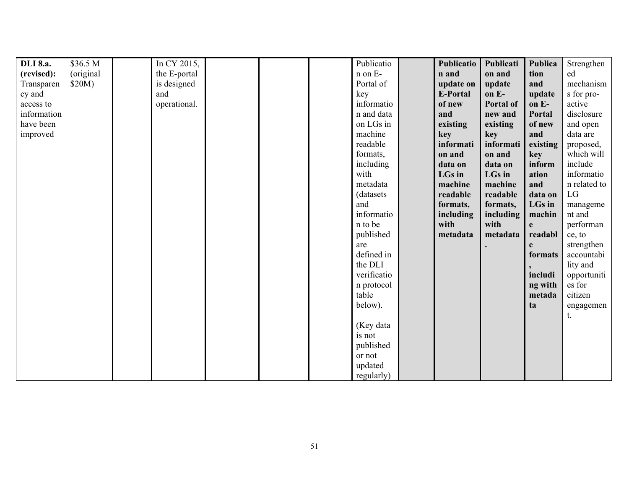| <b>DLI</b> 8.a. | \$36.5 M  | In CY 2015,  |  | Publicatio  | Publicatio | Publicati        | Publica  | Strengthen   |
|-----------------|-----------|--------------|--|-------------|------------|------------------|----------|--------------|
| (revised):      | (original | the E-portal |  | n on E-     | n and      | on and           | tion     | ed           |
| Transparen      | \$20M)    | is designed  |  | Portal of   | update on  | update           | and      | mechanism    |
| cy and          |           | and          |  | key         | E-Portal   | on E-            | update   | s for pro-   |
| access to       |           | operational. |  | informatio  | of new     | <b>Portal of</b> | on E-    | active       |
| information     |           |              |  | n and data  | and        | new and          | Portal   | disclosure   |
| have been       |           |              |  | on LGs in   | existing   | existing         | of new   | and open     |
| improved        |           |              |  | machine     | key        | key              | and      | data are     |
|                 |           |              |  | readable    | informati  | informati        | existing | proposed,    |
|                 |           |              |  | formats,    | on and     | on and           | key      | which will   |
|                 |           |              |  | including   | data on    | data on          | inform   | include      |
|                 |           |              |  | with        | LGs in     | LGs in           | ation    | informatio   |
|                 |           |              |  | metadata    | machine    | machine          | and      | n related to |
|                 |           |              |  | (datasets)  | readable   | readable         | data on  | ${\rm LG}$   |
|                 |           |              |  | and         | formats,   | formats,         | LGs in   | manageme     |
|                 |           |              |  | informatio  | including  | including        | machin   | nt and       |
|                 |           |              |  | n to be     | with       | with             | e        | performan    |
|                 |           |              |  | published   | metadata   | metadata         | readabl  | ce, to       |
|                 |           |              |  | are         |            |                  | e        | strengthen   |
|                 |           |              |  | defined in  |            |                  | formats  | accountabi   |
|                 |           |              |  | the DLI     |            |                  |          | lity and     |
|                 |           |              |  | verificatio |            |                  | includi  | opportuniti  |
|                 |           |              |  | n protocol  |            |                  | ng with  | es for       |
|                 |           |              |  | table       |            |                  | metada   | citizen      |
|                 |           |              |  | below).     |            |                  | ta       | engagemen    |
|                 |           |              |  |             |            |                  |          | t.           |
|                 |           |              |  | (Key data   |            |                  |          |              |
|                 |           |              |  | is not      |            |                  |          |              |
|                 |           |              |  | published   |            |                  |          |              |
|                 |           |              |  | or not      |            |                  |          |              |
|                 |           |              |  | updated     |            |                  |          |              |
|                 |           |              |  | regularly)  |            |                  |          |              |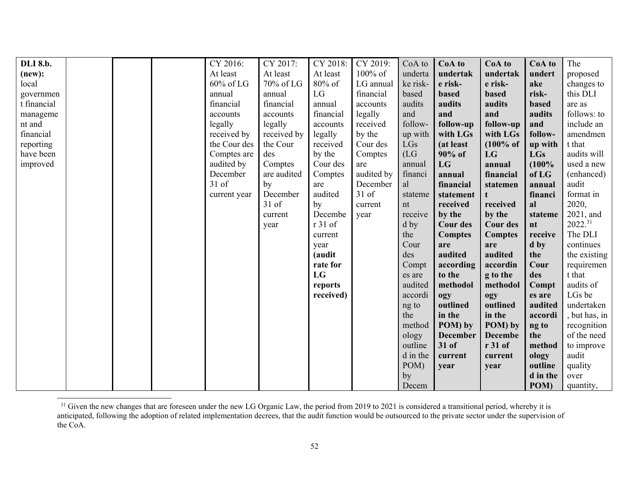| <b>DLI</b> 8.b. |  | CY 2016:     | CY 2017:    | CY 2018:  | CY 2019:   | CoA to   | CoA to          | CoA to               | CoA to     | The           |
|-----------------|--|--------------|-------------|-----------|------------|----------|-----------------|----------------------|------------|---------------|
| (new):          |  | At least     | At least    | At least  | $100\%$ of | underta  | undertak        | undertak             | undert     | proposed      |
| local           |  | 60% of LG    | 70% of LG   | 80% of    | LG annual  | ke risk- | e risk-         | e risk-              | ake        | changes to    |
| governmen       |  | annual       | annual      | LG        | financial  | based    | based           | <b>based</b>         | risk-      | this DLI      |
| t financial     |  | financial    | financial   | annual    | accounts   | audits   | audits          | audits               | based      | are as        |
| manageme        |  | accounts     | accounts    | financial | legally    | and      | and             | and                  | audits     | follows: to   |
| nt and          |  | legally      | legally     | accounts  | received   | follow-  | follow-up       | follow-up            | and        | include an    |
| financial       |  | received by  | received by | legally   | by the     | up with  | with LGs        | with LGs             | follow-    | amendmen      |
| reporting       |  | the Cour des | the Cour    | received  | Cour des   | LGs      | (at least       | $(100\% \text{ of }$ | up with    | t that        |
| have been       |  | Comptes are  | des         | by the    | Comptes    | (LG)     | 90% of          | LG                   | <b>LGs</b> | audits will   |
| improved        |  | audited by   | Comptes     | Cour des  | are        | annual   | LG              | annual               | (100%      | used a new    |
|                 |  | December     | are audited | Comptes   | audited by | financi  | annual          | financial            | of LG      | (enhanced)    |
|                 |  | $31$ of      | by          | are       | December   | al       | financial       | statemen             | annual     | audit         |
|                 |  | current year | December    | audited   | 31 of      | stateme  | statement       | t                    | financi    | format in     |
|                 |  |              | $31$ of     | by        | current    | nt       | received        | received             | al         | 2020,         |
|                 |  |              | current     | Decembe   | year       | receive  | by the          | by the               | stateme    | 2021, and     |
|                 |  |              | year        | r 31 of   |            | d by     | <b>Cour des</b> | <b>Cour des</b>      | nt         | $2022.^{31}$  |
|                 |  |              |             | current   |            | the      | <b>Comptes</b>  | <b>Comptes</b>       | receive    | The DLI       |
|                 |  |              |             | year      |            | Cour     | are             | are                  | d by       | continues     |
|                 |  |              |             | (audit    |            | des      | audited         | audited              | the        | the existing  |
|                 |  |              |             | rate for  |            | Compt    | according       | accordin             | Cour       | requiremen    |
|                 |  |              |             | LG        |            | es are   | to the          | g to the             | des        | t that        |
|                 |  |              |             | reports   |            | audited  | methodol        | methodol             | Compt      | audits of     |
|                 |  |              |             | received) |            | accordi  | ogy             | ogy                  | es are     | LGs be        |
|                 |  |              |             |           |            | ng to    | outlined        | outlined             | audited    | undertaken    |
|                 |  |              |             |           |            | the      | in the          | in the               | accordi    | , but has, in |
|                 |  |              |             |           |            | method   | POM) by         | POM) by              | ng to      | recognition   |
|                 |  |              |             |           |            | ology    | <b>December</b> | <b>Decembe</b>       | the        | of the need   |
|                 |  |              |             |           |            | outline  | 31 of           | r 31 of              | method     | to improve    |
|                 |  |              |             |           |            | d in the | current         | current              | ology      | audit         |
|                 |  |              |             |           |            | POM)     | year            | year                 | outline    | quality       |
|                 |  |              |             |           |            | by       |                 |                      | d in the   | over          |
|                 |  |              |             |           |            | Decem    |                 |                      | POM)       | quantity,     |

<sup>&</sup>lt;sup>31</sup> Given the new changes that are foreseen under the new LG Organic Law, the period from 2019 to 2021 is considered a transitional period, whereby it is anticipated, following the adoption of related implementation decrees, that the audit function would be outsourced to the private sector under the supervision of the CoA.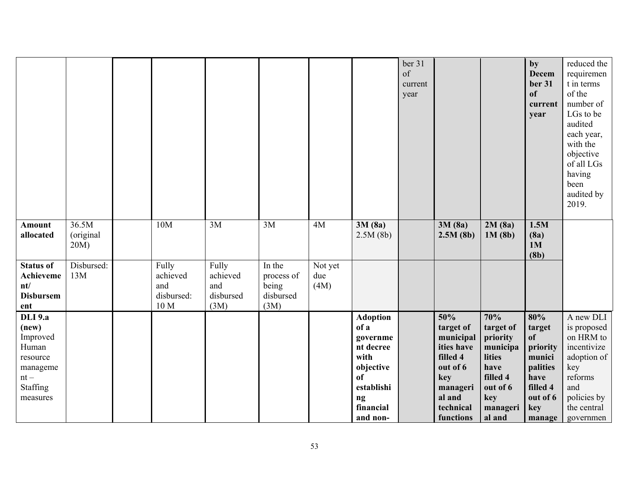|                                                                                                        |                               |                                                |                                               |                                                    |                        |                                                                                                                          | ber 31<br>of<br>current<br>year |                                                                                                                            |                                                                                                                 | by<br><b>Decem</b><br>ber 31<br><b>of</b><br>current<br>year                                           | reduced the<br>requiremen<br>t in terms<br>of the<br>number of<br>LGs to be<br>audited<br>each year,<br>with the<br>objective<br>of all LGs<br>having<br>been<br>audited by<br>2019. |
|--------------------------------------------------------------------------------------------------------|-------------------------------|------------------------------------------------|-----------------------------------------------|----------------------------------------------------|------------------------|--------------------------------------------------------------------------------------------------------------------------|---------------------------------|----------------------------------------------------------------------------------------------------------------------------|-----------------------------------------------------------------------------------------------------------------|--------------------------------------------------------------------------------------------------------|--------------------------------------------------------------------------------------------------------------------------------------------------------------------------------------|
| Amount<br>allocated                                                                                    | 36.5M<br>(original<br>$20M$ ) | 10M                                            | 3M                                            | 3M                                                 | 4M                     | 3M(8a)<br>2.5M(8b)                                                                                                       |                                 | 3M(8a)<br>2.5M(8b)                                                                                                         | 2M(8a)<br>1M(8b)                                                                                                | 1.5M<br>(8a)<br>1M<br>(8b)                                                                             |                                                                                                                                                                                      |
| <b>Status of</b><br>Achieveme<br>nt/<br><b>Disbursem</b><br>ent                                        | Disbursed:<br>13M             | Fully<br>achieved<br>and<br>disbursed:<br>10 M | Fully<br>achieved<br>and<br>disbursed<br>(3M) | In the<br>process of<br>being<br>disbursed<br>(3M) | Not yet<br>due<br>(4M) |                                                                                                                          |                                 |                                                                                                                            |                                                                                                                 |                                                                                                        |                                                                                                                                                                                      |
| <b>DLI</b> 9.a<br>(new)<br>Improved<br>Human<br>resource<br>manageme<br>$nt -$<br>Staffing<br>measures |                               |                                                |                                               |                                                    |                        | <b>Adoption</b><br>of a<br>governme<br>nt decree<br>with<br>objective<br>of<br>establishi<br>ng<br>financial<br>and non- |                                 | 50%<br>target of<br>municipal<br>ities have<br>filled 4<br>out of 6<br>key<br>manageri<br>al and<br>technical<br>functions | 70%<br>target of<br>priority<br>municipa<br>lities<br>have<br>filled 4<br>out of 6<br>key<br>manageri<br>al and | 80%<br>target<br>of<br>priority<br>munici<br>palities<br>have<br>filled 4<br>out of 6<br>key<br>manage | A new DLI<br>is proposed<br>on HRM to<br>incentivize<br>adoption of<br>key<br>reforms<br>and<br>policies by<br>the central<br>governmen                                              |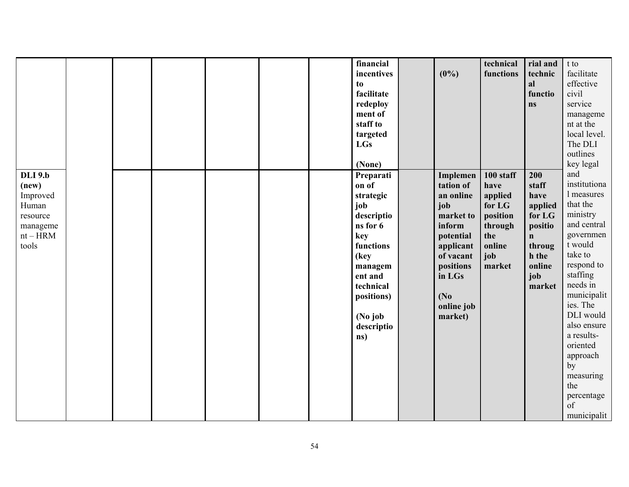|                |  |  |  | financial  |                   | technical | rial and     | t to             |
|----------------|--|--|--|------------|-------------------|-----------|--------------|------------------|
|                |  |  |  | incentives | $(0\%)$           | functions | technic      | facilitate       |
|                |  |  |  | to         |                   |           | al           | effective        |
|                |  |  |  | facilitate |                   |           | functio      | civil            |
|                |  |  |  | redeploy   |                   |           | ns           | service          |
|                |  |  |  | ment of    |                   |           |              | manageme         |
|                |  |  |  | staff to   |                   |           |              | nt at the        |
|                |  |  |  | targeted   |                   |           |              | local level.     |
|                |  |  |  | <b>LGs</b> |                   |           |              | The DLI          |
|                |  |  |  |            |                   |           |              | outlines         |
|                |  |  |  | (None)     |                   |           |              | key legal        |
| <b>DLI</b> 9.b |  |  |  |            |                   | 100 staff | 200          | and              |
|                |  |  |  | Preparati  | Implemen          |           |              | institutiona     |
| (new)          |  |  |  | on of      | tation of         | have      | staff        |                  |
| Improved       |  |  |  | strategic  | an online         | applied   | have         | 1 measures       |
| Human          |  |  |  | job        | job               | for LG    | applied      | that the         |
| resource       |  |  |  | descriptio | market to         | position  | for LG       | ministry         |
| manageme       |  |  |  | ns for 6   | inform            | through   | positio      | and central      |
| $\rm nt-HRM$   |  |  |  | key        | potential         | the       | $\mathbf{n}$ | governmen        |
| tools          |  |  |  | functions  | applicant         | online    | throug       | t would          |
|                |  |  |  | (key       | of vacant         | job       | h the        | take to          |
|                |  |  |  | managem    | positions         | market    | online       | respond to       |
|                |  |  |  | ent and    | in LGs            |           | job          | staffing         |
|                |  |  |  | technical  |                   |           | market       | needs in         |
|                |  |  |  | positions) | (N <sub>0</sub> ) |           |              | municipalit      |
|                |  |  |  |            | online job        |           |              | ies. The         |
|                |  |  |  | (No job    | market)           |           |              | DLI would        |
|                |  |  |  | descriptio |                   |           |              | also ensure      |
|                |  |  |  | ns)        |                   |           |              | a results-       |
|                |  |  |  |            |                   |           |              | oriented         |
|                |  |  |  |            |                   |           |              | approach         |
|                |  |  |  |            |                   |           |              | by               |
|                |  |  |  |            |                   |           |              | measuring        |
|                |  |  |  |            |                   |           |              | the              |
|                |  |  |  |            |                   |           |              |                  |
|                |  |  |  |            |                   |           |              | percentage<br>of |
|                |  |  |  |            |                   |           |              |                  |
|                |  |  |  |            |                   |           |              | municipalit      |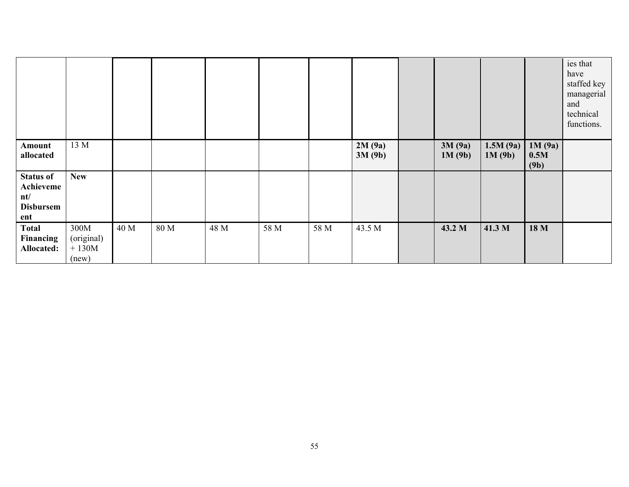|                                                                 |                                              |      |      |      |      |      |                  |                  |                    |                        | ies that<br>have<br>staffed key<br>managerial<br>and<br>technical<br>functions. |
|-----------------------------------------------------------------|----------------------------------------------|------|------|------|------|------|------------------|------------------|--------------------|------------------------|---------------------------------------------------------------------------------|
| Amount<br>allocated                                             | 13 M                                         |      |      |      |      |      | 2M(9a)<br>3M(9b) | 3M(9a)<br>1M(9b) | 1.5M(9a)<br>1M(9b) | 1M(9a)<br>0.5M<br>(9b) |                                                                                 |
| <b>Status of</b><br>Achieveme<br>nt/<br><b>Disbursem</b><br>ent | <b>New</b>                                   |      |      |      |      |      |                  |                  |                    |                        |                                                                                 |
| <b>Total</b><br>Financing<br>Allocated:                         | 300M<br>(original)<br>$+$ 130M $\,$<br>(new) | 40 M | 80 M | 48 M | 58 M | 58 M | 43.5 M           | 43.2 M           | 41.3 M             | 18 M                   |                                                                                 |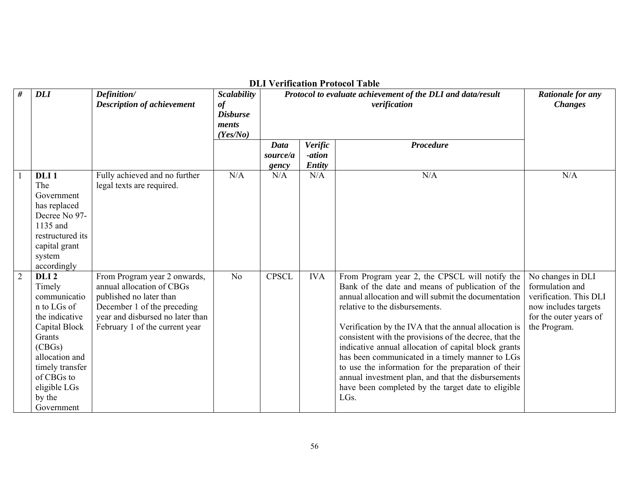|                |                         |                                                                    |                                                                  |              |            | ры усписанон гтососог гарк<br>Protocol to evaluate achievement of the DLI and data/result                       |                        |
|----------------|-------------------------|--------------------------------------------------------------------|------------------------------------------------------------------|--------------|------------|-----------------------------------------------------------------------------------------------------------------|------------------------|
| #              | <b>DLI</b>              | Definition/<br><b>Description of achievement</b>                   | <b>Scalability</b><br>of<br><b>Disburse</b><br>ments<br>(Yes/No) |              |            | <b>Rationale for any</b><br><b>Changes</b>                                                                      |                        |
|                |                         |                                                                    |                                                                  | Data         | Verific    | <b>Procedure</b>                                                                                                |                        |
|                |                         |                                                                    |                                                                  | source/a     | -ation     |                                                                                                                 |                        |
|                |                         |                                                                    |                                                                  | gency        | Entity     |                                                                                                                 |                        |
| -1             | DLI <sub>1</sub><br>The | Fully achieved and no further<br>legal texts are required.         | N/A                                                              | N/A          | N/A        | N/A                                                                                                             | N/A                    |
|                | Government              |                                                                    |                                                                  |              |            |                                                                                                                 |                        |
|                | has replaced            |                                                                    |                                                                  |              |            |                                                                                                                 |                        |
|                | Decree No 97-           |                                                                    |                                                                  |              |            |                                                                                                                 |                        |
|                | 1135 and                |                                                                    |                                                                  |              |            |                                                                                                                 |                        |
|                | restructured its        |                                                                    |                                                                  |              |            |                                                                                                                 |                        |
|                | capital grant           |                                                                    |                                                                  |              |            |                                                                                                                 |                        |
|                | system                  |                                                                    |                                                                  |              |            |                                                                                                                 |                        |
|                | accordingly             |                                                                    |                                                                  |              |            |                                                                                                                 |                        |
| $\overline{2}$ | DLI <sub>2</sub>        | From Program year 2 onwards,                                       | N <sub>o</sub>                                                   | <b>CPSCL</b> | <b>IVA</b> | From Program year 2, the CPSCL will notify the                                                                  | No changes in DLI      |
|                | Timely                  | annual allocation of CBGs                                          |                                                                  |              |            | Bank of the date and means of publication of the                                                                | formulation and        |
|                | communicatio            | published no later than                                            |                                                                  |              |            | annual allocation and will submit the documentation                                                             | verification. This DLI |
|                | n to LGs of             | December 1 of the preceding                                        |                                                                  |              |            | relative to the disbursements.                                                                                  | now includes targets   |
|                | the indicative          | year and disbursed no later than<br>February 1 of the current year |                                                                  |              |            |                                                                                                                 | for the outer years of |
|                | Capital Block<br>Grants |                                                                    |                                                                  |              |            | Verification by the IVA that the annual allocation is<br>consistent with the provisions of the decree, that the | the Program.           |
|                | (CBGs)                  |                                                                    |                                                                  |              |            | indicative annual allocation of capital block grants                                                            |                        |
|                | allocation and          |                                                                    |                                                                  |              |            | has been communicated in a timely manner to LGs                                                                 |                        |
|                | timely transfer         |                                                                    |                                                                  |              |            | to use the information for the preparation of their                                                             |                        |
|                | of CBGs to              |                                                                    |                                                                  |              |            | annual investment plan, and that the disbursements                                                              |                        |
|                | eligible LGs            |                                                                    |                                                                  |              |            | have been completed by the target date to eligible                                                              |                        |
|                | by the                  |                                                                    |                                                                  |              |            | LGs.                                                                                                            |                        |
|                | Government              |                                                                    |                                                                  |              |            |                                                                                                                 |                        |

**DLI Verification Protocol Table**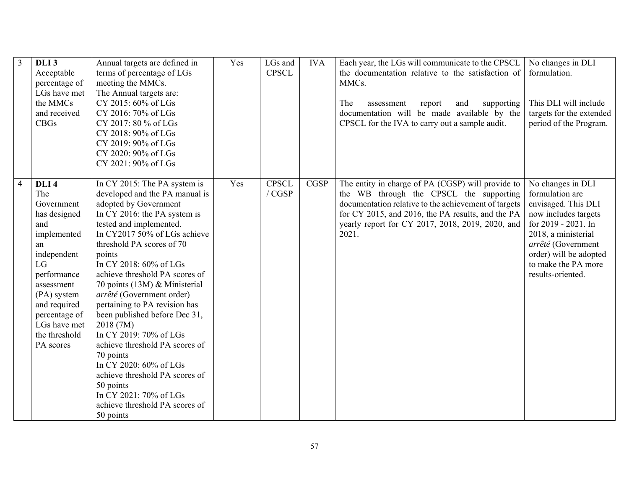| 3              | DLI <sub>3</sub><br>Acceptable<br>percentage of<br>LGs have met<br>the MMCs<br>and received<br><b>CBGs</b>                                                                                                                        | Annual targets are defined in<br>terms of percentage of LGs<br>meeting the MMCs.<br>The Annual targets are:<br>CY 2015: 60% of LGs<br>CY 2016: 70% of LGs<br>CY 2017: 80 % of LGs<br>CY 2018: 90% of LGs                                                                                                                                                                                                                                                                                                                                                                                                                                                      | Yes | LGs and<br><b>CPSCL</b>  | <b>IVA</b>  | Each year, the LGs will communicate to the CPSCL<br>the documentation relative to the satisfaction of<br>MMC <sub>s</sub> .<br>The<br>supporting<br>assessment<br>report<br>and<br>documentation will be made available by the<br>CPSCL for the IVA to carry out a sample audit. | No changes in DLI<br>formulation.<br>This DLI will include<br>targets for the extended<br>period of the Program.                                                                                                              |
|----------------|-----------------------------------------------------------------------------------------------------------------------------------------------------------------------------------------------------------------------------------|---------------------------------------------------------------------------------------------------------------------------------------------------------------------------------------------------------------------------------------------------------------------------------------------------------------------------------------------------------------------------------------------------------------------------------------------------------------------------------------------------------------------------------------------------------------------------------------------------------------------------------------------------------------|-----|--------------------------|-------------|----------------------------------------------------------------------------------------------------------------------------------------------------------------------------------------------------------------------------------------------------------------------------------|-------------------------------------------------------------------------------------------------------------------------------------------------------------------------------------------------------------------------------|
|                |                                                                                                                                                                                                                                   | CY 2019: 90% of LGs<br>CY 2020: 90% of LGs<br>CY 2021: 90% of LGs                                                                                                                                                                                                                                                                                                                                                                                                                                                                                                                                                                                             |     |                          |             |                                                                                                                                                                                                                                                                                  |                                                                                                                                                                                                                               |
| $\overline{4}$ | DLI <sub>4</sub><br>The<br>Government<br>has designed<br>and<br>implemented<br>an<br>independent<br>LG<br>performance<br>assessment<br>(PA) system<br>and required<br>percentage of<br>LGs have met<br>the threshold<br>PA scores | In CY 2015: The PA system is<br>developed and the PA manual is<br>adopted by Government<br>In CY 2016: the PA system is<br>tested and implemented.<br>In CY2017 50% of LGs achieve<br>threshold PA scores of 70<br>points<br>In CY 2018: 60% of LGs<br>achieve threshold PA scores of<br>70 points (13M) & Ministerial<br>arrêté (Government order)<br>pertaining to PA revision has<br>been published before Dec 31,<br>2018 (7M)<br>In CY 2019: 70% of LGs<br>achieve threshold PA scores of<br>70 points<br>In CY 2020: 60% of LGs<br>achieve threshold PA scores of<br>50 points<br>In CY 2021: 70% of LGs<br>achieve threshold PA scores of<br>50 points | Yes | <b>CPSCL</b><br>$/$ CGSP | <b>CGSP</b> | The entity in charge of PA (CGSP) will provide to<br>the WB through the CPSCL the supporting<br>documentation relative to the achievement of targets<br>for CY 2015, and 2016, the PA results, and the PA<br>yearly report for CY 2017, 2018, 2019, 2020, and<br>2021.           | No changes in DLI<br>formulation are<br>envisaged. This DLI<br>now includes targets<br>for 2019 - 2021. In<br>2018, a ministerial<br>arrêté (Government<br>order) will be adopted<br>to make the PA more<br>results-oriented. |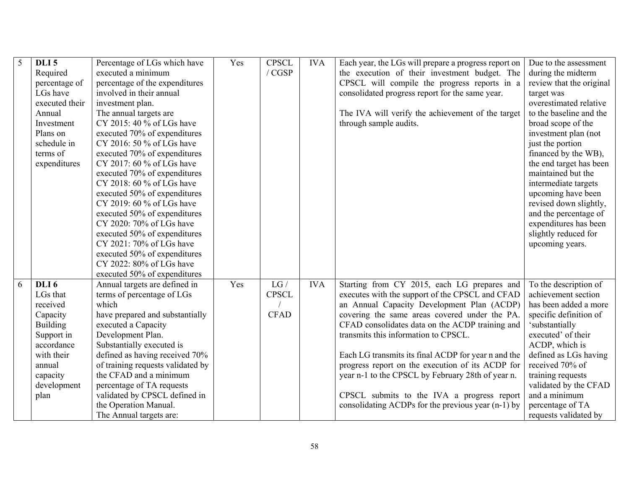| 5 | DLI <sub>5</sub> | Percentage of LGs which have      | Yes | <b>CPSCL</b>  | <b>IVA</b> | Each year, the LGs will prepare a progress report on | Due to the assessment    |
|---|------------------|-----------------------------------|-----|---------------|------------|------------------------------------------------------|--------------------------|
|   | Required         | executed a minimum                |     | / <b>CGSP</b> |            | the execution of their investment budget. The        | during the midterm       |
|   | percentage of    | percentage of the expenditures    |     |               |            | CPSCL will compile the progress reports in a         | review that the original |
|   | LGs have         | involved in their annual          |     |               |            | consolidated progress report for the same year.      | target was               |
|   | executed their   | investment plan.                  |     |               |            |                                                      | overestimated relative   |
|   | Annual           | The annual targets are            |     |               |            | The IVA will verify the achievement of the target    | to the baseline and the  |
|   | Investment       | CY 2015: 40 % of LGs have         |     |               |            | through sample audits.                               | broad scope of the       |
|   | Plans on         | executed 70% of expenditures      |     |               |            |                                                      | investment plan (not     |
|   | schedule in      | CY 2016: 50 % of LGs have         |     |               |            |                                                      | just the portion         |
|   | terms of         | executed 70% of expenditures      |     |               |            |                                                      | financed by the WB),     |
|   | expenditures     | CY 2017: 60 % of LGs have         |     |               |            |                                                      | the end target has been  |
|   |                  | executed 70% of expenditures      |     |               |            |                                                      | maintained but the       |
|   |                  | CY 2018: 60 % of LGs have         |     |               |            |                                                      | intermediate targets     |
|   |                  | executed 50% of expenditures      |     |               |            |                                                      | upcoming have been       |
|   |                  | CY 2019: 60 % of LGs have         |     |               |            |                                                      | revised down slightly,   |
|   |                  | executed 50% of expenditures      |     |               |            |                                                      | and the percentage of    |
|   |                  | CY 2020: 70% of LGs have          |     |               |            |                                                      | expenditures has been    |
|   |                  | executed 50% of expenditures      |     |               |            |                                                      | slightly reduced for     |
|   |                  | CY 2021: 70% of LGs have          |     |               |            |                                                      | upcoming years.          |
|   |                  | executed 50% of expenditures      |     |               |            |                                                      |                          |
|   |                  | CY 2022: 80% of LGs have          |     |               |            |                                                      |                          |
|   |                  | executed 50% of expenditures      |     |               |            |                                                      |                          |
| 6 | DLI <sub>6</sub> | Annual targets are defined in     | Yes | LG/           | <b>IVA</b> | Starting from CY 2015, each LG prepares and          | To the description of    |
|   | LGs that         | terms of percentage of LGs        |     | <b>CPSCL</b>  |            | executes with the support of the CPSCL and CFAD      | achievement section      |
|   | received         | which                             |     |               |            | an Annual Capacity Development Plan (ACDP)           | has been added a more    |
|   | Capacity         | have prepared and substantially   |     | <b>CFAD</b>   |            | covering the same areas covered under the PA.        | specific definition of   |
|   | Building         | executed a Capacity               |     |               |            | CFAD consolidates data on the ACDP training and      | 'substantially           |
|   | Support in       | Development Plan.                 |     |               |            | transmits this information to CPSCL.                 | executed' of their       |
|   | accordance       | Substantially executed is         |     |               |            |                                                      | ACDP, which is           |
|   | with their       | defined as having received 70%    |     |               |            | Each LG transmits its final ACDP for year n and the  | defined as LGs having    |
|   | annual           | of training requests validated by |     |               |            | progress report on the execution of its ACDP for     | received 70% of          |
|   | capacity         | the CFAD and a minimum            |     |               |            | year n-1 to the CPSCL by February 28th of year n.    | training requests        |
|   | development      | percentage of TA requests         |     |               |            |                                                      | validated by the CFAD    |
|   | plan             | validated by CPSCL defined in     |     |               |            | CPSCL submits to the IVA a progress report           | and a minimum            |
|   |                  | the Operation Manual.             |     |               |            | consolidating ACDPs for the previous year (n-1) by   | percentage of TA         |
|   |                  | The Annual targets are:           |     |               |            |                                                      | requests validated by    |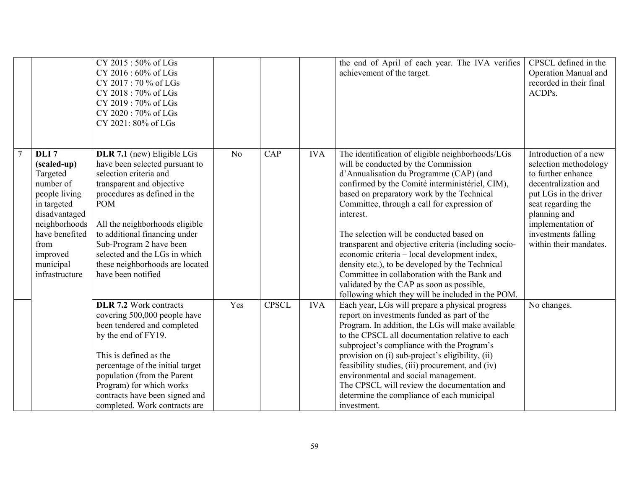|                |                                                                                                                                                                                                 | CY 2015:50% of LGs<br>CY 2016 : 60% of LGs<br>CY 2017: 70 % of LGs<br>CY 2018:70% of LGs<br>CY 2019: 70% of LGs<br>CY 2020: 70% of LGs<br>CY 2021: 80% of LGs                                                                                                                                                                                             |                |              |            | the end of April of each year. The IVA verifies<br>achievement of the target.                                                                                                                                                                                                                                                                                                                                                                                                                                                                                                                                                                            | CPSCL defined in the<br>Operation Manual and<br>recorded in their final<br>ACDPs.                                                                                                                                                 |
|----------------|-------------------------------------------------------------------------------------------------------------------------------------------------------------------------------------------------|-----------------------------------------------------------------------------------------------------------------------------------------------------------------------------------------------------------------------------------------------------------------------------------------------------------------------------------------------------------|----------------|--------------|------------|----------------------------------------------------------------------------------------------------------------------------------------------------------------------------------------------------------------------------------------------------------------------------------------------------------------------------------------------------------------------------------------------------------------------------------------------------------------------------------------------------------------------------------------------------------------------------------------------------------------------------------------------------------|-----------------------------------------------------------------------------------------------------------------------------------------------------------------------------------------------------------------------------------|
| $\overline{7}$ | DLI <sub>7</sub><br>(scaled-up)<br>Targeted<br>number of<br>people living<br>in targeted<br>disadvantaged<br>neighborhoods<br>have benefited<br>from<br>improved<br>municipal<br>infrastructure | DLR 7.1 (new) Eligible LGs<br>have been selected pursuant to<br>selection criteria and<br>transparent and objective<br>procedures as defined in the<br><b>POM</b><br>All the neighborhoods eligible<br>to additional financing under<br>Sub-Program 2 have been<br>selected and the LGs in which<br>these neighborhoods are located<br>have been notified | N <sub>o</sub> | CAP          | <b>IVA</b> | The identification of eligible neighborhoods/LGs<br>will be conducted by the Commission<br>d'Annualisation du Programme (CAP) (and<br>confirmed by the Comité interministériel, CIM),<br>based on preparatory work by the Technical<br>Committee, through a call for expression of<br>interest.<br>The selection will be conducted based on<br>transparent and objective criteria (including socio-<br>economic criteria - local development index,<br>density etc.), to be developed by the Technical<br>Committee in collaboration with the Bank and<br>validated by the CAP as soon as possible,<br>following which they will be included in the POM. | Introduction of a new<br>selection methodology<br>to further enhance<br>decentralization and<br>put LGs in the driver<br>seat regarding the<br>planning and<br>implementation of<br>investments falling<br>within their mandates. |
|                |                                                                                                                                                                                                 | <b>DLR 7.2</b> Work contracts<br>covering 500,000 people have<br>been tendered and completed<br>by the end of FY19.<br>This is defined as the<br>percentage of the initial target<br>population (from the Parent<br>Program) for which works<br>contracts have been signed and<br>completed. Work contracts are                                           | Yes            | <b>CPSCL</b> | <b>IVA</b> | Each year, LGs will prepare a physical progress<br>report on investments funded as part of the<br>Program. In addition, the LGs will make available<br>to the CPSCL all documentation relative to each<br>subproject's compliance with the Program's<br>provision on (i) sub-project's eligibility, (ii)<br>feasibility studies, (iii) procurement, and (iv)<br>environmental and social management.<br>The CPSCL will review the documentation and<br>determine the compliance of each municipal<br>investment.                                                                                                                                         | No changes.                                                                                                                                                                                                                       |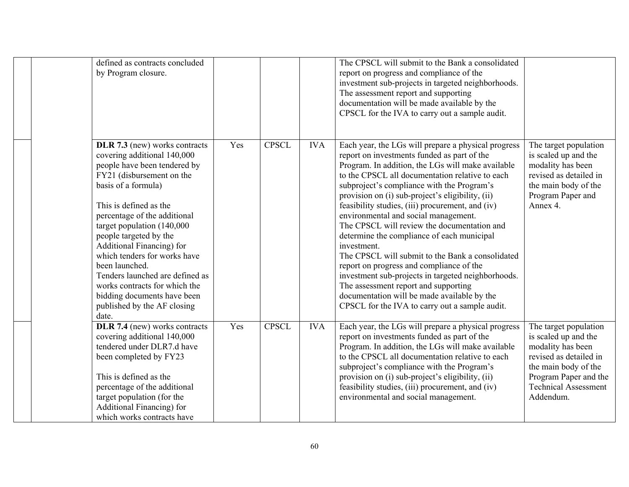| defined as contracts concluded<br>by Program closure.                                                                                                                                                                                                                                                                                                                                                                                                                                        |     |              |            | The CPSCL will submit to the Bank a consolidated<br>report on progress and compliance of the<br>investment sub-projects in targeted neighborhoods.<br>The assessment report and supporting<br>documentation will be made available by the<br>CPSCL for the IVA to carry out a sample audit.                                                                                                                                                                                                                                                                                                                                                                                                                                                                                                                         |                                                                                                                                                                                           |
|----------------------------------------------------------------------------------------------------------------------------------------------------------------------------------------------------------------------------------------------------------------------------------------------------------------------------------------------------------------------------------------------------------------------------------------------------------------------------------------------|-----|--------------|------------|---------------------------------------------------------------------------------------------------------------------------------------------------------------------------------------------------------------------------------------------------------------------------------------------------------------------------------------------------------------------------------------------------------------------------------------------------------------------------------------------------------------------------------------------------------------------------------------------------------------------------------------------------------------------------------------------------------------------------------------------------------------------------------------------------------------------|-------------------------------------------------------------------------------------------------------------------------------------------------------------------------------------------|
| DLR 7.3 (new) works contracts<br>covering additional 140,000<br>people have been tendered by<br>FY21 (disbursement on the<br>basis of a formula)<br>This is defined as the<br>percentage of the additional<br>target population (140,000<br>people targeted by the<br>Additional Financing) for<br>which tenders for works have<br>been launched.<br>Tenders launched are defined as<br>works contracts for which the<br>bidding documents have been<br>published by the AF closing<br>date. | Yes | <b>CPSCL</b> | <b>IVA</b> | Each year, the LGs will prepare a physical progress<br>report on investments funded as part of the<br>Program. In addition, the LGs will make available<br>to the CPSCL all documentation relative to each<br>subproject's compliance with the Program's<br>provision on (i) sub-project's eligibility, (ii)<br>feasibility studies, (iii) procurement, and (iv)<br>environmental and social management.<br>The CPSCL will review the documentation and<br>determine the compliance of each municipal<br>investment.<br>The CPSCL will submit to the Bank a consolidated<br>report on progress and compliance of the<br>investment sub-projects in targeted neighborhoods.<br>The assessment report and supporting<br>documentation will be made available by the<br>CPSCL for the IVA to carry out a sample audit. | The target population<br>is scaled up and the<br>modality has been<br>revised as detailed in<br>the main body of the<br>Program Paper and<br>Annex 4.                                     |
| DLR 7.4 (new) works contracts<br>covering additional 140,000<br>tendered under DLR7.d have<br>been completed by FY23<br>This is defined as the<br>percentage of the additional<br>target population (for the<br>Additional Financing) for<br>which works contracts have                                                                                                                                                                                                                      | Yes | <b>CPSCL</b> | <b>IVA</b> | Each year, the LGs will prepare a physical progress<br>report on investments funded as part of the<br>Program. In addition, the LGs will make available<br>to the CPSCL all documentation relative to each<br>subproject's compliance with the Program's<br>provision on (i) sub-project's eligibility, (ii)<br>feasibility studies, (iii) procurement, and (iv)<br>environmental and social management.                                                                                                                                                                                                                                                                                                                                                                                                            | The target population<br>is scaled up and the<br>modality has been<br>revised as detailed in<br>the main body of the<br>Program Paper and the<br><b>Technical Assessment</b><br>Addendum. |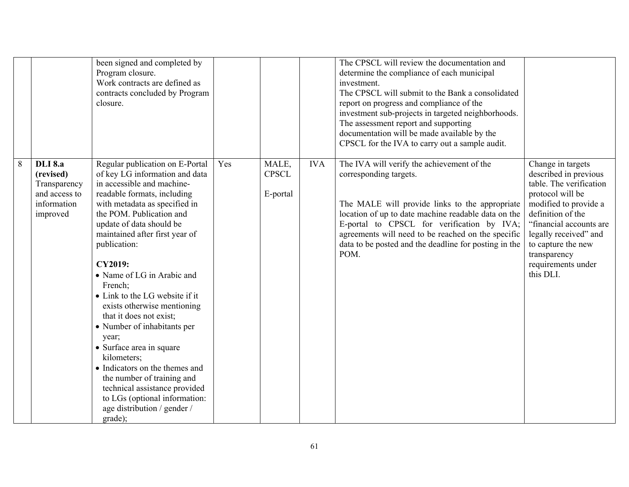|   |                                                                                         | been signed and completed by<br>Program closure.<br>Work contracts are defined as<br>contracts concluded by Program<br>closure.                                                                                                                                                                                                                                                                                                                                                                                                                                                                                                                                                                 |     |                                   |            | The CPSCL will review the documentation and<br>determine the compliance of each municipal<br>investment.<br>The CPSCL will submit to the Bank a consolidated<br>report on progress and compliance of the<br>investment sub-projects in targeted neighborhoods.<br>The assessment report and supporting<br>documentation will be made available by the<br>CPSCL for the IVA to carry out a sample audit. |                                                                                                                                                                                                                                                                      |
|---|-----------------------------------------------------------------------------------------|-------------------------------------------------------------------------------------------------------------------------------------------------------------------------------------------------------------------------------------------------------------------------------------------------------------------------------------------------------------------------------------------------------------------------------------------------------------------------------------------------------------------------------------------------------------------------------------------------------------------------------------------------------------------------------------------------|-----|-----------------------------------|------------|---------------------------------------------------------------------------------------------------------------------------------------------------------------------------------------------------------------------------------------------------------------------------------------------------------------------------------------------------------------------------------------------------------|----------------------------------------------------------------------------------------------------------------------------------------------------------------------------------------------------------------------------------------------------------------------|
| 8 | <b>DLI</b> 8.a<br>(revised)<br>Transparency<br>and access to<br>information<br>improved | Regular publication on E-Portal<br>of key LG information and data<br>in accessible and machine-<br>readable formats, including<br>with metadata as specified in<br>the POM. Publication and<br>update of data should be<br>maintained after first year of<br>publication:<br><b>CY2019:</b><br>• Name of LG in Arabic and<br>French;<br>• Link to the LG website if it<br>exists otherwise mentioning<br>that it does not exist;<br>• Number of inhabitants per<br>year;<br>• Surface area in square<br>kilometers;<br>• Indicators on the themes and<br>the number of training and<br>technical assistance provided<br>to LGs (optional information:<br>age distribution / gender /<br>grade); | Yes | MALE,<br><b>CPSCL</b><br>E-portal | <b>IVA</b> | The IVA will verify the achievement of the<br>corresponding targets.<br>The MALE will provide links to the appropriate<br>location of up to date machine readable data on the<br>E-portal to CPSCL for verification by IVA;<br>agreements will need to be reached on the specific<br>data to be posted and the deadline for posting in the<br>POM.                                                      | Change in targets<br>described in previous<br>table. The verification<br>protocol will be<br>modified to provide a<br>definition of the<br>"financial accounts are<br>legally received" and<br>to capture the new<br>transparency<br>requirements under<br>this DLI. |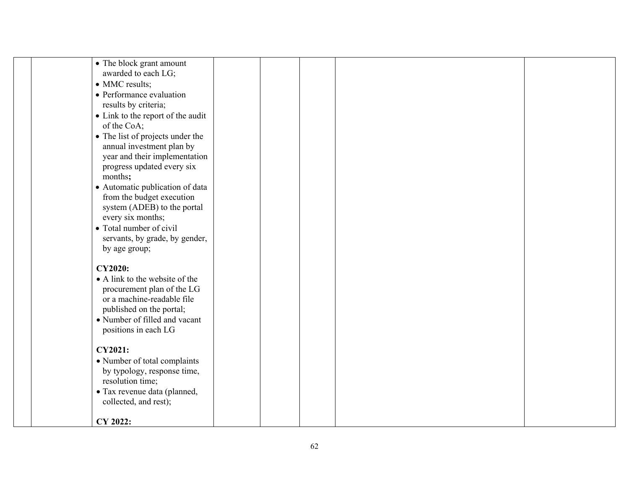|                          | • The block grant amount          |  |  |
|--------------------------|-----------------------------------|--|--|
| awarded to each LG;      |                                   |  |  |
| • MMC results;           |                                   |  |  |
| • Performance evaluation |                                   |  |  |
| results by criteria;     |                                   |  |  |
|                          | • Link to the report of the audit |  |  |
| of the CoA;              |                                   |  |  |
|                          | • The list of projects under the  |  |  |
|                          | annual investment plan by         |  |  |
|                          | year and their implementation     |  |  |
|                          | progress updated every six        |  |  |
| months;                  |                                   |  |  |
|                          | • Automatic publication of data   |  |  |
|                          | from the budget execution         |  |  |
|                          | system (ADEB) to the portal       |  |  |
| every six months;        |                                   |  |  |
| • Total number of civil  |                                   |  |  |
|                          | servants, by grade, by gender,    |  |  |
| by age group;            |                                   |  |  |
| <b>CY2020:</b>           |                                   |  |  |
|                          | • A link to the website of the    |  |  |
|                          | procurement plan of the LG        |  |  |
|                          | or a machine-readable file        |  |  |
|                          | published on the portal;          |  |  |
|                          | • Number of filled and vacant     |  |  |
| positions in each LG     |                                   |  |  |
|                          |                                   |  |  |
| <b>CY2021:</b>           |                                   |  |  |
|                          | • Number of total complaints      |  |  |
|                          | by typology, response time,       |  |  |
| resolution time;         |                                   |  |  |
|                          | · Tax revenue data (planned,      |  |  |
| collected, and rest);    |                                   |  |  |
| CY 2022:                 |                                   |  |  |
|                          |                                   |  |  |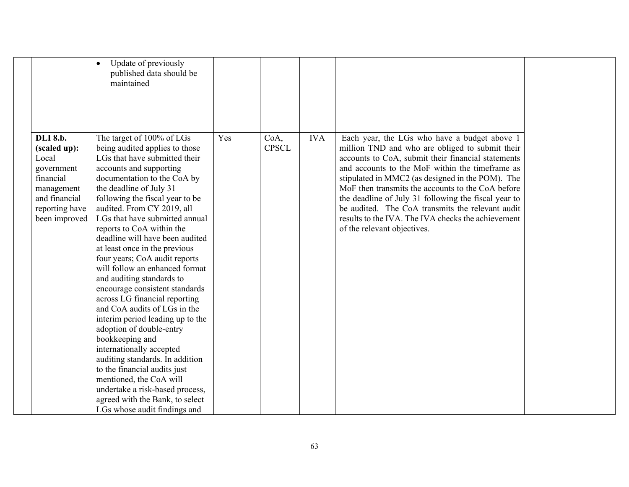|                                                                                                                                       | Update of previously<br>published data should be<br>maintained                                                                                                                                                                                                                                                                                                                                                                                                                                                                                                                                                                                                                                                                                                                                                                                                                                              |     |                      |            |                                                                                                                                                                                                                                                                                                                                                                                                                                                                                                                    |  |
|---------------------------------------------------------------------------------------------------------------------------------------|-------------------------------------------------------------------------------------------------------------------------------------------------------------------------------------------------------------------------------------------------------------------------------------------------------------------------------------------------------------------------------------------------------------------------------------------------------------------------------------------------------------------------------------------------------------------------------------------------------------------------------------------------------------------------------------------------------------------------------------------------------------------------------------------------------------------------------------------------------------------------------------------------------------|-----|----------------------|------------|--------------------------------------------------------------------------------------------------------------------------------------------------------------------------------------------------------------------------------------------------------------------------------------------------------------------------------------------------------------------------------------------------------------------------------------------------------------------------------------------------------------------|--|
| <b>DLI</b> 8.b.<br>(scaled up):<br>Local<br>government<br>financial<br>management<br>and financial<br>reporting have<br>been improved | The target of 100% of LGs<br>being audited applies to those<br>LGs that have submitted their<br>accounts and supporting<br>documentation to the CoA by<br>the deadline of July 31<br>following the fiscal year to be<br>audited. From CY 2019, all<br>LGs that have submitted annual<br>reports to CoA within the<br>deadline will have been audited<br>at least once in the previous<br>four years; CoA audit reports<br>will follow an enhanced format<br>and auditing standards to<br>encourage consistent standards<br>across LG financial reporting<br>and CoA audits of LGs in the<br>interim period leading up to the<br>adoption of double-entry<br>bookkeeping and<br>internationally accepted<br>auditing standards. In addition<br>to the financial audits just<br>mentioned, the CoA will<br>undertake a risk-based process,<br>agreed with the Bank, to select<br>LGs whose audit findings and | Yes | CoA,<br><b>CPSCL</b> | <b>IVA</b> | Each year, the LGs who have a budget above 1<br>million TND and who are obliged to submit their<br>accounts to CoA, submit their financial statements<br>and accounts to the MoF within the timeframe as<br>stipulated in MMC2 (as designed in the POM). The<br>MoF then transmits the accounts to the CoA before<br>the deadline of July 31 following the fiscal year to<br>be audited. The CoA transmits the relevant audit<br>results to the IVA. The IVA checks the achievement<br>of the relevant objectives. |  |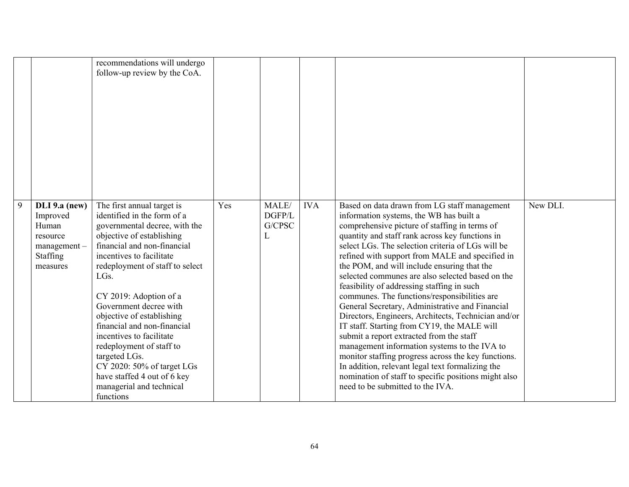|   |                                                                                       | recommendations will undergo<br>follow-up review by the CoA.                                                                                                                                                                                                                                                                                                                                                                                                                                                                              |     |                           |            |                                                                                                                                                                                                                                                                                                                                                                                                                                                                                                                                                                                                                                                                                                                                                                                                                                                                                                                                                                  |          |
|---|---------------------------------------------------------------------------------------|-------------------------------------------------------------------------------------------------------------------------------------------------------------------------------------------------------------------------------------------------------------------------------------------------------------------------------------------------------------------------------------------------------------------------------------------------------------------------------------------------------------------------------------------|-----|---------------------------|------------|------------------------------------------------------------------------------------------------------------------------------------------------------------------------------------------------------------------------------------------------------------------------------------------------------------------------------------------------------------------------------------------------------------------------------------------------------------------------------------------------------------------------------------------------------------------------------------------------------------------------------------------------------------------------------------------------------------------------------------------------------------------------------------------------------------------------------------------------------------------------------------------------------------------------------------------------------------------|----------|
| 9 | DLI 9.a (new)<br>Improved<br>Human<br>resource<br>management-<br>Staffing<br>measures | The first annual target is<br>identified in the form of a<br>governmental decree, with the<br>objective of establishing<br>financial and non-financial<br>incentives to facilitate<br>redeployment of staff to select<br>LG <sub>s</sub> .<br>CY 2019: Adoption of a<br>Government decree with<br>objective of establishing<br>financial and non-financial<br>incentives to facilitate<br>redeployment of staff to<br>targeted LGs.<br>CY 2020: 50% of target LGs<br>have staffed 4 out of 6 key<br>managerial and technical<br>functions | Yes | MALE/<br>DGFP/L<br>G/CPSC | <b>IVA</b> | Based on data drawn from LG staff management<br>information systems, the WB has built a<br>comprehensive picture of staffing in terms of<br>quantity and staff rank across key functions in<br>select LGs. The selection criteria of LGs will be<br>refined with support from MALE and specified in<br>the POM, and will include ensuring that the<br>selected communes are also selected based on the<br>feasibility of addressing staffing in such<br>communes. The functions/responsibilities are<br>General Secretary, Administrative and Financial<br>Directors, Engineers, Architects, Technician and/or<br>IT staff. Starting from CY19, the MALE will<br>submit a report extracted from the staff<br>management information systems to the IVA to<br>monitor staffing progress across the key functions.<br>In addition, relevant legal text formalizing the<br>nomination of staff to specific positions might also<br>need to be submitted to the IVA. | New DLI. |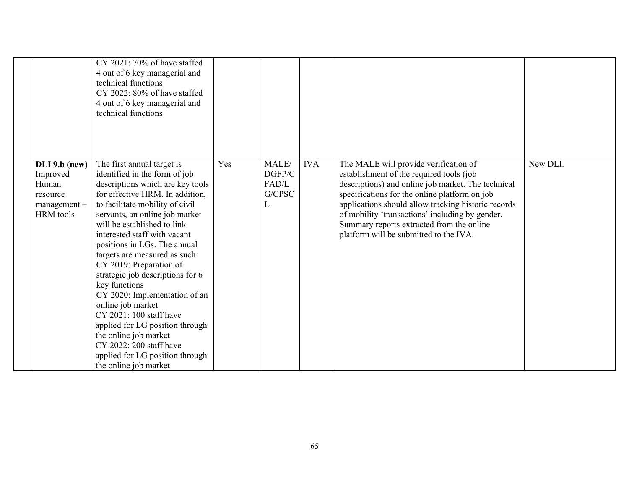|                                                                                    | CY 2021: $70\%$ of have staffed<br>4 out of 6 key managerial and<br>technical functions<br>CY 2022: 80% of have staffed<br>4 out of 6 key managerial and<br>technical functions                                                                                                                                                                                                                                                                                                                                                                                                                                                                             |     |                                         |            |                                                                                                                                                                                                                                                                                                                                                                                           |          |
|------------------------------------------------------------------------------------|-------------------------------------------------------------------------------------------------------------------------------------------------------------------------------------------------------------------------------------------------------------------------------------------------------------------------------------------------------------------------------------------------------------------------------------------------------------------------------------------------------------------------------------------------------------------------------------------------------------------------------------------------------------|-----|-----------------------------------------|------------|-------------------------------------------------------------------------------------------------------------------------------------------------------------------------------------------------------------------------------------------------------------------------------------------------------------------------------------------------------------------------------------------|----------|
| $DLI 9.b$ (new)<br>Improved<br>Human<br>resource<br>$m$ anagement $-$<br>HRM tools | The first annual target is<br>identified in the form of job<br>descriptions which are key tools<br>for effective HRM. In addition,<br>to facilitate mobility of civil<br>servants, an online job market<br>will be established to link<br>interested staff with vacant<br>positions in LGs. The annual<br>targets are measured as such:<br>CY 2019: Preparation of<br>strategic job descriptions for 6<br>key functions<br>CY 2020: Implementation of an<br>online job market<br>CY 2021: 100 staff have<br>applied for LG position through<br>the online job market<br>CY 2022: 200 staff have<br>applied for LG position through<br>the online job market | Yes | MALE/<br>DGFP/C<br>FAD/L<br>G/CPSC<br>L | <b>IVA</b> | The MALE will provide verification of<br>establishment of the required tools (job<br>descriptions) and online job market. The technical<br>specifications for the online platform on job<br>applications should allow tracking historic records<br>of mobility 'transactions' including by gender.<br>Summary reports extracted from the online<br>platform will be submitted to the IVA. | New DLI. |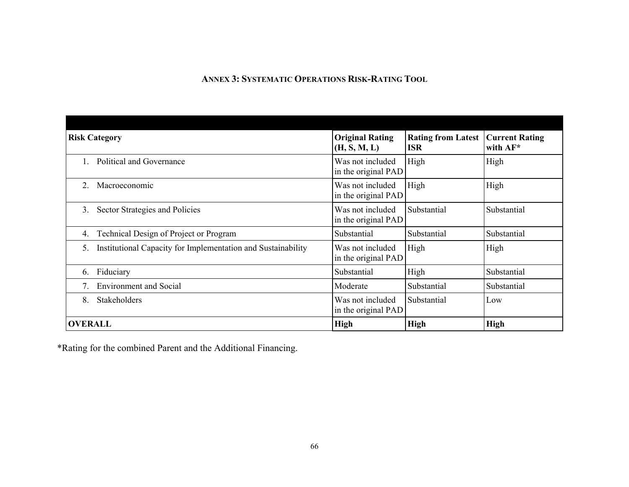## **ANNEX 3: SYSTEMATIC OPERATIONS RISK-RATING TOOL**

| <b>Risk Category</b>                                               | <b>Original Rating</b><br>(H, S, M, L)  | <b>Rating from Latest</b><br><b>ISR</b> | <b>Current Rating</b><br>with AF* |
|--------------------------------------------------------------------|-----------------------------------------|-----------------------------------------|-----------------------------------|
| Political and Governance                                           | Was not included<br>in the original PAD | High                                    | High                              |
| Macroeconomic<br>$2_{\cdot}$                                       | Was not included<br>in the original PAD | High                                    | High                              |
| Sector Strategies and Policies<br>3.                               | Was not included<br>in the original PAD | Substantial                             | Substantial                       |
| Technical Design of Project or Program<br>4.                       | Substantial                             | Substantial                             | Substantial                       |
| Institutional Capacity for Implementation and Sustainability<br>5. | Was not included<br>in the original PAD | High                                    | High                              |
| Fiduciary<br>6.                                                    | Substantial                             | High                                    | Substantial                       |
| <b>Environment and Social</b>                                      | Moderate                                | Substantial                             | Substantial                       |
| Stakeholders<br>8.                                                 | Was not included<br>in the original PAD | Substantial                             | Low                               |
| <b>OVERALL</b>                                                     | <b>High</b>                             | <b>High</b>                             | <b>High</b>                       |

\*Rating for the combined Parent and the Additional Financing.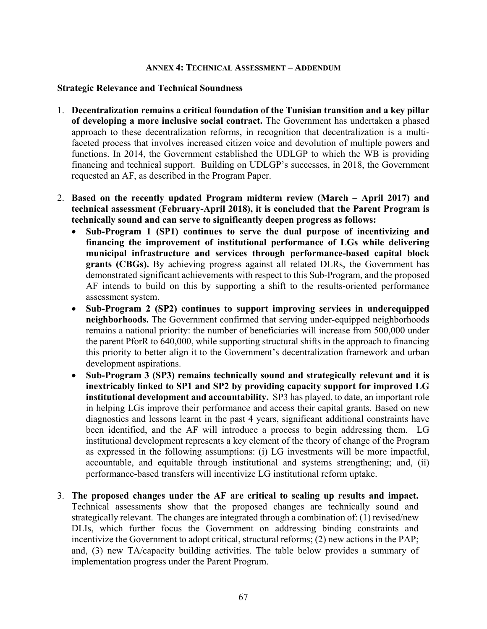#### **ANNEX 4: TECHNICAL ASSESSMENT – ADDENDUM**

#### **Strategic Relevance and Technical Soundness**

- 1. **Decentralization remains a critical foundation of the Tunisian transition and a key pillar of developing a more inclusive social contract.** The Government has undertaken a phased approach to these decentralization reforms, in recognition that decentralization is a multifaceted process that involves increased citizen voice and devolution of multiple powers and functions. In 2014, the Government established the UDLGP to which the WB is providing financing and technical support. Building on UDLGP's successes, in 2018, the Government requested an AF, as described in the Program Paper.
- 2. **Based on the recently updated Program midterm review (March April 2017) and technical assessment (February-April 2018), it is concluded that the Parent Program is technically sound and can serve to significantly deepen progress as follows:** 
	- **Sub-Program 1 (SP1) continues to serve the dual purpose of incentivizing and financing the improvement of institutional performance of LGs while delivering municipal infrastructure and services through performance-based capital block grants (CBGs).** By achieving progress against all related DLRs, the Government has demonstrated significant achievements with respect to this Sub-Program, and the proposed AF intends to build on this by supporting a shift to the results-oriented performance assessment system.
	- **Sub-Program 2 (SP2) continues to support improving services in underequipped neighborhoods.** The Government confirmed that serving under-equipped neighborhoods remains a national priority: the number of beneficiaries will increase from 500,000 under the parent PforR to 640,000, while supporting structural shifts in the approach to financing this priority to better align it to the Government's decentralization framework and urban development aspirations.
	- **Sub-Program 3 (SP3) remains technically sound and strategically relevant and it is inextricably linked to SP1 and SP2 by providing capacity support for improved LG institutional development and accountability.** SP3 has played, to date, an important role in helping LGs improve their performance and access their capital grants. Based on new diagnostics and lessons learnt in the past 4 years, significant additional constraints have been identified, and the AF will introduce a process to begin addressing them. LG institutional development represents a key element of the theory of change of the Program as expressed in the following assumptions: (i) LG investments will be more impactful, accountable, and equitable through institutional and systems strengthening; and, (ii) performance-based transfers will incentivize LG institutional reform uptake.
- 3. **The proposed changes under the AF are critical to scaling up results and impact.** Technical assessments show that the proposed changes are technically sound and strategically relevant. The changes are integrated through a combination of: (1) revised/new DLIs, which further focus the Government on addressing binding constraints and incentivize the Government to adopt critical, structural reforms; (2) new actions in the PAP; and, (3) new TA/capacity building activities. The table below provides a summary of implementation progress under the Parent Program.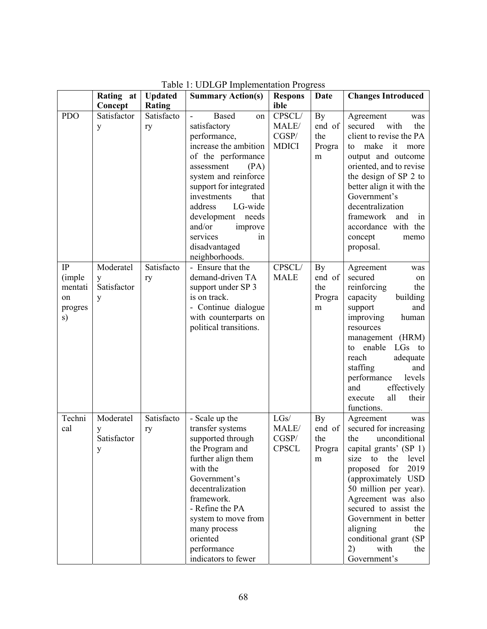|                                                 | Rating at                          | <b>Updated</b>   | <b>Summary Action(s)</b>                                                                                                                                                                                                                                                                                              | <b>Respons</b>                           | <b>Date</b>                        | <b>Changes Introduced</b>                                                                                                                                                                                                                                                                                                                                    |
|-------------------------------------------------|------------------------------------|------------------|-----------------------------------------------------------------------------------------------------------------------------------------------------------------------------------------------------------------------------------------------------------------------------------------------------------------------|------------------------------------------|------------------------------------|--------------------------------------------------------------------------------------------------------------------------------------------------------------------------------------------------------------------------------------------------------------------------------------------------------------------------------------------------------------|
|                                                 | Concept                            | <b>Rating</b>    |                                                                                                                                                                                                                                                                                                                       | ible                                     |                                    |                                                                                                                                                                                                                                                                                                                                                              |
| <b>PDO</b>                                      | Satisfactor<br>y                   | Satisfacto<br>ry | <b>Based</b><br>on<br>satisfactory<br>performance,<br>increase the ambition<br>of the performance<br>assessment<br>(PA)<br>system and reinforce<br>support for integrated<br>investments<br>that<br>LG-wide<br>address<br>development needs<br>and/or<br>improve<br>services<br>1n<br>disadvantaged<br>neighborhoods. | CPSCL/<br>MALE/<br>CGSP/<br><b>MDICI</b> | By<br>end of<br>the<br>Progra<br>m | Agreement<br>was<br>secured<br>with<br>the<br>client to revise the PA<br>make<br>it<br>to<br>more<br>output and outcome<br>oriented, and to revise<br>the design of SP 2 to<br>better align it with the<br>Government's<br>decentralization<br>framework<br>and<br>in<br>accordance with the<br>concept<br>memo<br>proposal.                                 |
| IP<br>(imple)<br>mentati<br>on<br>progres<br>s) | Moderatel<br>y<br>Satisfactor<br>y | Satisfacto<br>ry | - Ensure that the<br>demand-driven TA<br>support under SP 3<br>is on track.<br>- Continue dialogue<br>with counterparts on<br>political transitions.                                                                                                                                                                  | CPSCL/<br><b>MALE</b>                    | By<br>end of<br>the<br>Progra<br>m | Agreement<br>was<br>secured<br>on<br>reinforcing<br>the<br>capacity<br>building<br>and<br>support<br>improving<br>human<br>resources<br>management (HRM)<br>enable<br>LGs<br>to<br>to<br>reach<br>adequate<br>staffing<br>and<br>performance<br>levels<br>effectively<br>and<br>all<br>execute<br>their<br>functions.                                        |
| Techni<br>cal                                   | Moderatel<br>у<br>Satisfactor<br>y | Satisfacto<br>ry | - Scale up the<br>transfer systems<br>supported through<br>the Program and<br>further align them<br>with the<br>Government's<br>decentralization<br>framework.<br>- Refine the PA<br>system to move from<br>many process<br>oriented<br>performance<br>indicators to fewer                                            | LGs/<br>MALE/<br>CGSP/<br><b>CPSCL</b>   | By<br>end of<br>the<br>Progra<br>m | Agreement<br>was<br>secured for increasing<br>unconditional<br>the<br>capital grants' (SP 1)<br>size<br>to<br>the<br>level<br>2019<br>proposed<br>for<br>(approximately USD<br>50 million per year).<br>Agreement was also<br>secured to assist the<br>Government in better<br>aligning<br>the<br>conditional grant (SP<br>2)<br>with<br>the<br>Government's |

Table 1: UDLGP Implementation Progress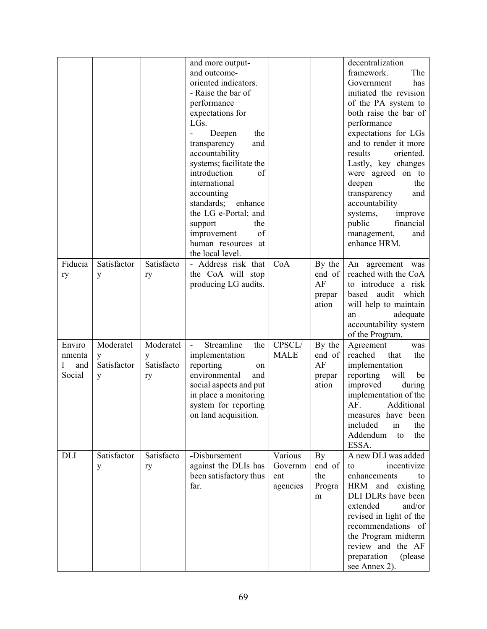|            |             |            | and more output-                              |             |        | decentralization                         |
|------------|-------------|------------|-----------------------------------------------|-------------|--------|------------------------------------------|
|            |             |            | and outcome-                                  |             |        | framework.<br>The                        |
|            |             |            | oriented indicators.                          |             |        | Government<br>has                        |
|            |             |            | - Raise the bar of                            |             |        | initiated the revision                   |
|            |             |            | performance                                   |             |        | of the PA system to                      |
|            |             |            | expectations for                              |             |        | both raise the bar of                    |
|            |             |            | LGs.                                          |             |        | performance                              |
|            |             |            | Deepen<br>the                                 |             |        | expectations for LGs                     |
|            |             |            | and<br>transparency                           |             |        | and to render it more                    |
|            |             |            | accountability                                |             |        | results<br>oriented.                     |
|            |             |            | systems; facilitate the                       |             |        | Lastly, key changes                      |
|            |             |            | introduction<br>of                            |             |        | were agreed on to                        |
|            |             |            | international                                 |             |        | deepen<br>the                            |
|            |             |            | accounting                                    |             |        | transparency<br>and                      |
|            |             |            | standards;<br>enhance                         |             |        | accountability                           |
|            |             |            | the LG e-Portal; and                          |             |        | systems,<br>improve                      |
|            |             |            | support<br>the                                |             |        | financial<br>public                      |
|            |             |            | of<br>improvement                             |             |        | management,<br>and                       |
|            |             |            | human resources at                            |             |        | enhance HRM.                             |
|            |             |            | the local level.                              |             |        |                                          |
| Fiducia    | Satisfactor | Satisfacto | - Address risk that                           | CoA         | By the | An agreement was                         |
| ry         | y           | ry         | the CoA will stop                             |             | end of | reached with the CoA                     |
|            |             |            | producing LG audits.                          |             | AF     | to introduce a risk                      |
|            |             |            |                                               |             | prepar | based audit<br>which                     |
|            |             |            |                                               |             | ation  | will help to maintain                    |
|            |             |            |                                               |             |        | adequate<br>an                           |
|            |             |            |                                               |             |        | accountability system                    |
|            |             |            |                                               |             |        | of the Program.                          |
| Enviro     | Moderatel   | Moderatel  | Streamline<br>the<br>$\overline{\phantom{a}}$ | CPSCL/      | By the | Agreement<br>was                         |
| nmenta     | y           | y          | implementation                                | <b>MALE</b> | end of | reached<br>that<br>the                   |
| and        | Satisfactor | Satisfacto | reporting<br>on                               |             | AF     | implementation                           |
| Social     |             |            | environmental<br>and                          |             | prepar | reporting<br>will<br>be                  |
|            | y           | ry         | social aspects and put                        |             | ation  | improved<br>during                       |
|            |             |            | in place a monitoring                         |             |        | implementation of the                    |
|            |             |            | system for reporting                          |             |        | AF.<br>Additional                        |
|            |             |            | on land acquisition.                          |             |        | measures have been                       |
|            |             |            |                                               |             |        | included<br>$\operatorname{in}$<br>the   |
|            |             |            |                                               |             |        | Addendum<br>the<br>to                    |
|            |             |            |                                               |             |        | ESSA.                                    |
| <b>DLI</b> | Satisfactor | Satisfacto | -Disbursement                                 | Various     | By     | A new DLI was added                      |
|            |             |            | against the DLIs has                          | Governm     | end of | incentivize<br>to                        |
|            | y           | ry         | been satisfactory thus                        | ent         | the    | enhancements<br>to                       |
|            |             |            | far.                                          |             |        | HRM and existing                         |
|            |             |            |                                               | agencies    | Progra |                                          |
|            |             |            |                                               |             | m      | DLI DLRs have been<br>extended<br>and/or |
|            |             |            |                                               |             |        |                                          |
|            |             |            |                                               |             |        | revised in light of the                  |
|            |             |            |                                               |             |        | recommendations of                       |
|            |             |            |                                               |             |        | the Program midterm                      |
|            |             |            |                                               |             |        | review and the AF                        |
|            |             |            |                                               |             |        | preparation<br>(please)                  |
|            |             |            |                                               |             |        | see Annex 2).                            |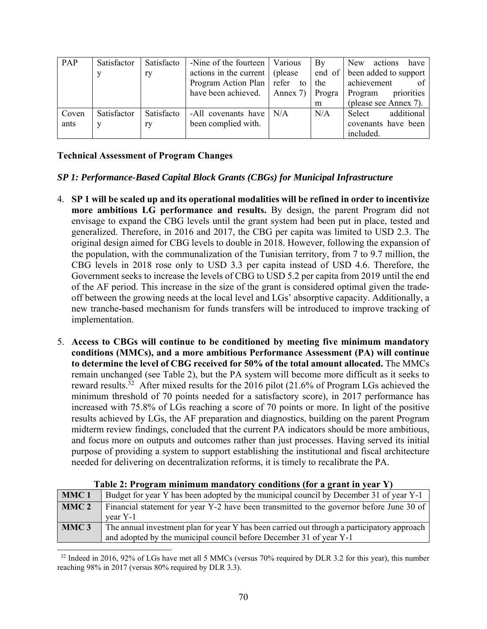| PAP   | Satisfactor | Satisfacto | -Nine of the fourteen   Various      | $\mathbf{B}\mathbf{v}$ | New<br>have<br>actions       |
|-------|-------------|------------|--------------------------------------|------------------------|------------------------------|
|       |             | ry         | actions in the current   (please)    |                        | end of been added to support |
|       |             |            | Program Action Plan refer to the     |                        | achievement                  |
|       |             |            | have been achieved. $\vert$ Annex 7) | $\vert$ Progra         | priorities<br>Program        |
|       |             |            |                                      | m                      | (please see Annex 7).        |
| Coven | Satisfactor | Satisfacto | -All covenants have $\vert$ N/A      | N/A                    | additional<br>Select         |
| ants  | v           | ry         | been complied with.                  |                        | covenants have been          |
|       |             |            |                                      |                        | included.                    |

# **Technical Assessment of Program Changes**

 $\overline{\phantom{a}}$ 

# *SP 1: Performance-Based Capital Block Grants (CBGs) for Municipal Infrastructure*

- 4. **SP 1 will be scaled up and its operational modalities will be refined in order to incentivize more ambitious LG performance and results.** By design, the parent Program did not envisage to expand the CBG levels until the grant system had been put in place, tested and generalized. Therefore, in 2016 and 2017, the CBG per capita was limited to USD 2.3. The original design aimed for CBG levels to double in 2018. However, following the expansion of the population, with the communalization of the Tunisian territory, from 7 to 9.7 million, the CBG levels in 2018 rose only to USD 3.3 per capita instead of USD 4.6. Therefore, the Government seeks to increase the levels of CBG to USD 5.2 per capita from 2019 until the end of the AF period. This increase in the size of the grant is considered optimal given the tradeoff between the growing needs at the local level and LGs' absorptive capacity. Additionally, a new tranche-based mechanism for funds transfers will be introduced to improve tracking of implementation.
- 5. **Access to CBGs will continue to be conditioned by meeting five minimum mandatory conditions (MMCs), and a more ambitious Performance Assessment (PA) will continue to determine the level of CBG received for 50% of the total amount allocated.** The MMCs remain unchanged (see Table 2), but the PA system will become more difficult as it seeks to reward results.32 After mixed results for the 2016 pilot (21.6% of Program LGs achieved the minimum threshold of 70 points needed for a satisfactory score), in 2017 performance has increased with 75.8% of LGs reaching a score of 70 points or more. In light of the positive results achieved by LGs, the AF preparation and diagnostics, building on the parent Program midterm review findings, concluded that the current PA indicators should be more ambitious, and focus more on outputs and outcomes rather than just processes. Having served its initial purpose of providing a system to support establishing the institutional and fiscal architecture needed for delivering on decentralization reforms, it is timely to recalibrate the PA.

| MMC <sub>1</sub> | Budget for year Y has been adopted by the municipal council by December 31 of year Y-1      |
|------------------|---------------------------------------------------------------------------------------------|
| MMC <sub>2</sub> | Financial statement for year Y-2 have been transmitted to the governor before June 30 of    |
|                  | vear Y-1                                                                                    |
| MMC <sub>3</sub> | The annual investment plan for year Y has been carried out through a participatory approach |
|                  | and adopted by the municipal council before December 31 of year Y-1                         |

| Table 2: Program minimum mandatory conditions (for a grant in year Y) |  |  |  |
|-----------------------------------------------------------------------|--|--|--|
|                                                                       |  |  |  |

<sup>&</sup>lt;sup>32</sup> Indeed in 2016, 92% of LGs have met all 5 MMCs (versus 70% required by DLR 3.2 for this year), this number reaching 98% in 2017 (versus 80% required by DLR 3.3).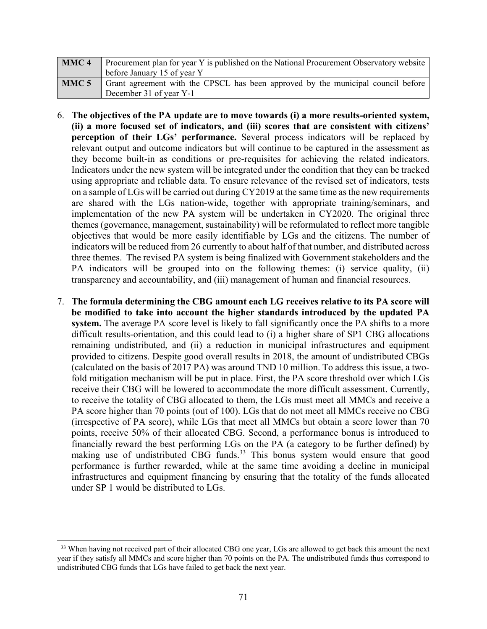| MMC <sub>4</sub> | Procurement plan for year Y is published on the National Procurement Observatory website |  |  |  |  |  |
|------------------|------------------------------------------------------------------------------------------|--|--|--|--|--|
|                  | before January 15 of year Y                                                              |  |  |  |  |  |
| MMC <sub>5</sub> | Grant agreement with the CPSCL has been approved by the municipal council before         |  |  |  |  |  |
|                  | December 31 of year Y-1                                                                  |  |  |  |  |  |

- 6. **The objectives of the PA update are to move towards (i) a more results-oriented system, (ii) a more focused set of indicators, and (iii) scores that are consistent with citizens' perception of their LGs' performance.** Several process indicators will be replaced by relevant output and outcome indicators but will continue to be captured in the assessment as they become built-in as conditions or pre-requisites for achieving the related indicators. Indicators under the new system will be integrated under the condition that they can be tracked using appropriate and reliable data. To ensure relevance of the revised set of indicators, tests on a sample of LGs will be carried out during CY2019 at the same time as the new requirements are shared with the LGs nation-wide, together with appropriate training/seminars, and implementation of the new PA system will be undertaken in CY2020. The original three themes (governance, management, sustainability) will be reformulated to reflect more tangible objectives that would be more easily identifiable by LGs and the citizens. The number of indicators will be reduced from 26 currently to about half of that number, and distributed across three themes. The revised PA system is being finalized with Government stakeholders and the PA indicators will be grouped into on the following themes: (i) service quality, (ii) transparency and accountability, and (iii) management of human and financial resources.
- 7. **The formula determining the CBG amount each LG receives relative to its PA score will be modified to take into account the higher standards introduced by the updated PA system.** The average PA score level is likely to fall significantly once the PA shifts to a more difficult results-orientation, and this could lead to (i) a higher share of SP1 CBG allocations remaining undistributed, and (ii) a reduction in municipal infrastructures and equipment provided to citizens. Despite good overall results in 2018, the amount of undistributed CBGs (calculated on the basis of 2017 PA) was around TND 10 million. To address this issue, a twofold mitigation mechanism will be put in place. First, the PA score threshold over which LGs receive their CBG will be lowered to accommodate the more difficult assessment. Currently, to receive the totality of CBG allocated to them, the LGs must meet all MMCs and receive a PA score higher than 70 points (out of 100). LGs that do not meet all MMCs receive no CBG (irrespective of PA score), while LGs that meet all MMCs but obtain a score lower than 70 points, receive 50% of their allocated CBG. Second, a performance bonus is introduced to financially reward the best performing LGs on the PA (a category to be further defined) by making use of undistributed CBG funds.<sup>33</sup> This bonus system would ensure that good performance is further rewarded, while at the same time avoiding a decline in municipal infrastructures and equipment financing by ensuring that the totality of the funds allocated under SP 1 would be distributed to LGs.

l

<sup>&</sup>lt;sup>33</sup> When having not received part of their allocated CBG one year, LGs are allowed to get back this amount the next year if they satisfy all MMCs and score higher than 70 points on the PA. The undistributed funds thus correspond to undistributed CBG funds that LGs have failed to get back the next year.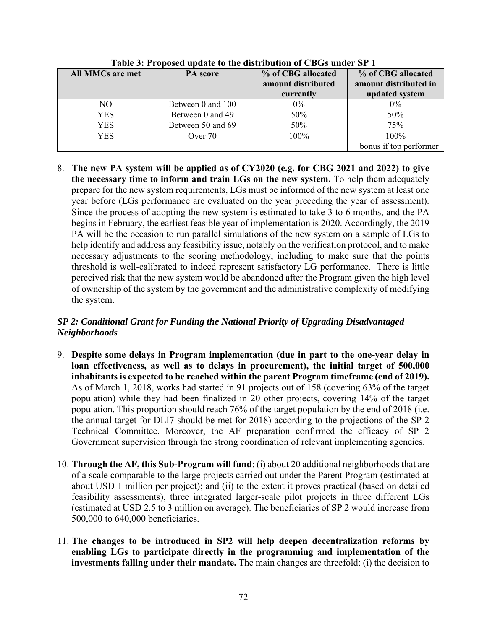| <b>All MMCs are met</b> | PA score          | % of CBG allocated<br>amount distributed<br>currently | % of CBG allocated<br>amount distributed in<br>updated system |
|-------------------------|-------------------|-------------------------------------------------------|---------------------------------------------------------------|
| NO                      | Between 0 and 100 | $0\%$                                                 | $0\%$                                                         |
| YES                     | Between 0 and 49  | 50%                                                   | 50%                                                           |
| <b>YES</b>              | Between 50 and 69 | 50%                                                   | 75%                                                           |
| YES.                    | Over 70           | 100%                                                  | 100%                                                          |
|                         |                   |                                                       | $+$ bonus if top performer                                    |

**Table 3: Proposed update to the distribution of CBGs under SP 1**

8. **The new PA system will be applied as of CY2020 (e.g. for CBG 2021 and 2022) to give the necessary time to inform and train LGs on the new system.** To help them adequately prepare for the new system requirements, LGs must be informed of the new system at least one year before (LGs performance are evaluated on the year preceding the year of assessment). Since the process of adopting the new system is estimated to take 3 to 6 months, and the PA begins in February, the earliest feasible year of implementation is 2020. Accordingly, the 2019 PA will be the occasion to run parallel simulations of the new system on a sample of LGs to help identify and address any feasibility issue, notably on the verification protocol, and to make necessary adjustments to the scoring methodology, including to make sure that the points threshold is well-calibrated to indeed represent satisfactory LG performance. There is little perceived risk that the new system would be abandoned after the Program given the high level of ownership of the system by the government and the administrative complexity of modifying the system.

# *SP 2: Conditional Grant for Funding the National Priority of Upgrading Disadvantaged Neighborhoods*

- 9. **Despite some delays in Program implementation (due in part to the one-year delay in loan effectiveness, as well as to delays in procurement), the initial target of 500,000 inhabitants is expected to be reached within the parent Program timeframe (end of 2019).** As of March 1, 2018, works had started in 91 projects out of 158 (covering 63% of the target population) while they had been finalized in 20 other projects, covering 14% of the target population. This proportion should reach 76% of the target population by the end of 2018 (i.e. the annual target for DLI7 should be met for 2018) according to the projections of the SP 2 Technical Committee. Moreover, the AF preparation confirmed the efficacy of SP 2 Government supervision through the strong coordination of relevant implementing agencies.
- 10. **Through the AF, this Sub-Program will fund**: (i) about 20 additional neighborhoods that are of a scale comparable to the large projects carried out under the Parent Program (estimated at about USD 1 million per project); and (ii) to the extent it proves practical (based on detailed feasibility assessments), three integrated larger-scale pilot projects in three different LGs (estimated at USD 2.5 to 3 million on average). The beneficiaries of SP 2 would increase from 500,000 to 640,000 beneficiaries.
- 11. **The changes to be introduced in SP2 will help deepen decentralization reforms by enabling LGs to participate directly in the programming and implementation of the investments falling under their mandate.** The main changes are threefold: (i) the decision to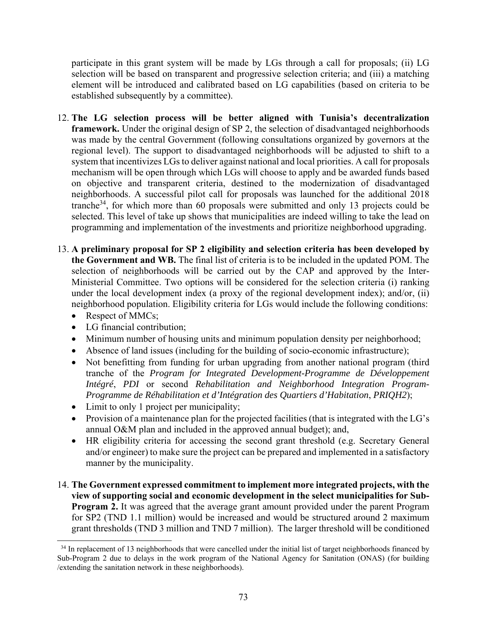participate in this grant system will be made by LGs through a call for proposals; (ii) LG selection will be based on transparent and progressive selection criteria; and (iii) a matching element will be introduced and calibrated based on LG capabilities (based on criteria to be established subsequently by a committee).

- 12. **The LG selection process will be better aligned with Tunisia's decentralization framework.** Under the original design of SP 2, the selection of disadvantaged neighborhoods was made by the central Government (following consultations organized by governors at the regional level). The support to disadvantaged neighborhoods will be adjusted to shift to a system that incentivizes LGs to deliver against national and local priorities. A call for proposals mechanism will be open through which LGs will choose to apply and be awarded funds based on objective and transparent criteria, destined to the modernization of disadvantaged neighborhoods. A successful pilot call for proposals was launched for the additional 2018 tranche<sup>34</sup>, for which more than 60 proposals were submitted and only 13 projects could be selected. This level of take up shows that municipalities are indeed willing to take the lead on programming and implementation of the investments and prioritize neighborhood upgrading.
- 13. **A preliminary proposal for SP 2 eligibility and selection criteria has been developed by the Government and WB.** The final list of criteria is to be included in the updated POM. The selection of neighborhoods will be carried out by the CAP and approved by the Inter-Ministerial Committee. Two options will be considered for the selection criteria (i) ranking under the local development index (a proxy of the regional development index); and/or, (ii) neighborhood population. Eligibility criteria for LGs would include the following conditions:
	- Respect of MMCs;
	- LG financial contribution;
	- Minimum number of housing units and minimum population density per neighborhood;
	- Absence of land issues (including for the building of socio-economic infrastructure);
	- Not benefitting from funding for urban upgrading from another national program (third tranche of the *Program for Integrated Development-Programme de Développement Intégré*, *PDI* or second *Rehabilitation and Neighborhood Integration Program-Programme de Réhabilitation et d'Intégration des Quartiers d'Habitation*, *PRIQH2*);
	- Limit to only 1 project per municipality;
	- Provision of a maintenance plan for the projected facilities (that is integrated with the LG's annual O&M plan and included in the approved annual budget); and,
	- HR eligibility criteria for accessing the second grant threshold (e.g. Secretary General and/or engineer) to make sure the project can be prepared and implemented in a satisfactory manner by the municipality.
- 14. **The Government expressed commitment to implement more integrated projects, with the view of supporting social and economic development in the select municipalities for Sub-Program 2.** It was agreed that the average grant amount provided under the parent Program for SP2 (TND 1.1 million) would be increased and would be structured around 2 maximum grant thresholds (TND 3 million and TND 7 million). The larger threshold will be conditioned

l <sup>34</sup> In replacement of 13 neighborhoods that were cancelled under the initial list of target neighborhoods financed by Sub-Program 2 due to delays in the work program of the National Agency for Sanitation (ONAS) (for building /extending the sanitation network in these neighborhoods).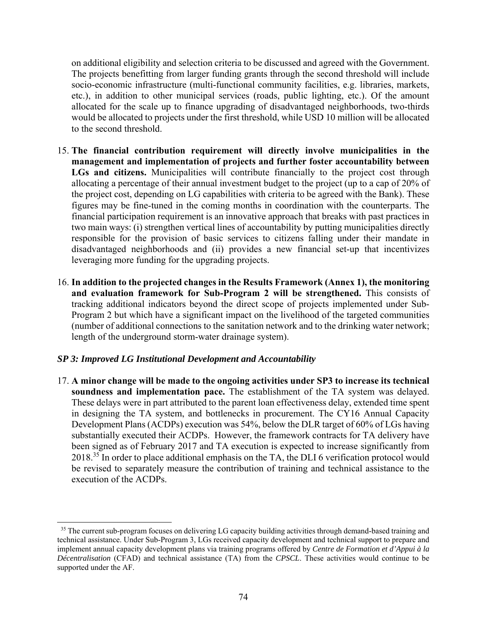on additional eligibility and selection criteria to be discussed and agreed with the Government. The projects benefitting from larger funding grants through the second threshold will include socio-economic infrastructure (multi-functional community facilities, e.g. libraries, markets, etc.), in addition to other municipal services (roads, public lighting, etc.). Of the amount allocated for the scale up to finance upgrading of disadvantaged neighborhoods, two-thirds would be allocated to projects under the first threshold, while USD 10 million will be allocated to the second threshold.

- 15. **The financial contribution requirement will directly involve municipalities in the management and implementation of projects and further foster accountability between LGs and citizens.** Municipalities will contribute financially to the project cost through allocating a percentage of their annual investment budget to the project (up to a cap of 20% of the project cost, depending on LG capabilities with criteria to be agreed with the Bank). These figures may be fine-tuned in the coming months in coordination with the counterparts. The financial participation requirement is an innovative approach that breaks with past practices in two main ways: (i) strengthen vertical lines of accountability by putting municipalities directly responsible for the provision of basic services to citizens falling under their mandate in disadvantaged neighborhoods and (ii) provides a new financial set-up that incentivizes leveraging more funding for the upgrading projects.
- 16. **In addition to the projected changes in the Results Framework (Annex 1), the monitoring and evaluation framework for Sub-Program 2 will be strengthened.** This consists of tracking additional indicators beyond the direct scope of projects implemented under Sub-Program 2 but which have a significant impact on the livelihood of the targeted communities (number of additional connections to the sanitation network and to the drinking water network; length of the underground storm-water drainage system).

#### *SP 3: Improved LG Institutional Development and Accountability*

 $\overline{a}$ 

17. **A minor change will be made to the ongoing activities under SP3 to increase its technical soundness and implementation pace.** The establishment of the TA system was delayed. These delays were in part attributed to the parent loan effectiveness delay, extended time spent in designing the TA system, and bottlenecks in procurement. The CY16 Annual Capacity Development Plans (ACDPs) execution was 54%, below the DLR target of 60% of LGs having substantially executed their ACDPs.However, the framework contracts for TA delivery have been signed as of February 2017 and TA execution is expected to increase significantly from 2018.<sup>35</sup> In order to place additional emphasis on the TA, the DLI 6 verification protocol would be revised to separately measure the contribution of training and technical assistance to the execution of the ACDPs.

<sup>&</sup>lt;sup>35</sup> The current sub-program focuses on delivering LG capacity building activities through demand-based training and technical assistance. Under Sub-Program 3, LGs received capacity development and technical support to prepare and implement annual capacity development plans via training programs offered by *Centre de Formation et d'Appui à la Décentralisation* (CFAD) and technical assistance (TA) from the *CPSCL*. These activities would continue to be supported under the AF.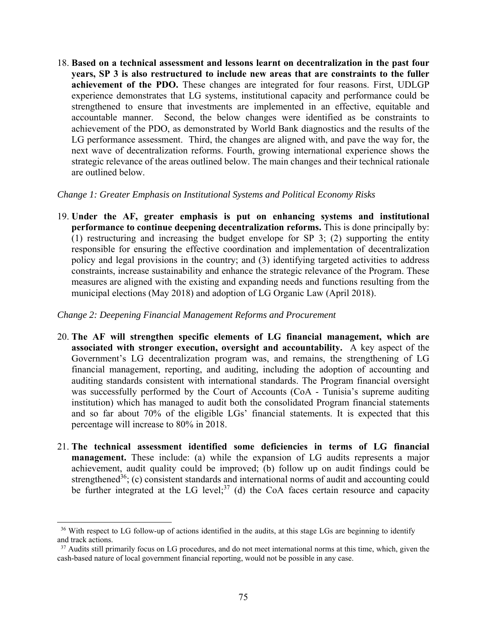18. **Based on a technical assessment and lessons learnt on decentralization in the past four years, SP 3 is also restructured to include new areas that are constraints to the fuller achievement of the PDO.** These changes are integrated for four reasons. First, UDLGP experience demonstrates that LG systems, institutional capacity and performance could be strengthened to ensure that investments are implemented in an effective, equitable and accountable manner. Second, the below changes were identified as be constraints to achievement of the PDO, as demonstrated by World Bank diagnostics and the results of the LG performance assessment. Third, the changes are aligned with, and pave the way for, the next wave of decentralization reforms. Fourth, growing international experience shows the strategic relevance of the areas outlined below. The main changes and their technical rationale are outlined below.

#### *Change 1: Greater Emphasis on Institutional Systems and Political Economy Risks*

19. **Under the AF, greater emphasis is put on enhancing systems and institutional performance to continue deepening decentralization reforms.** This is done principally by: (1) restructuring and increasing the budget envelope for SP 3; (2) supporting the entity responsible for ensuring the effective coordination and implementation of decentralization policy and legal provisions in the country; and (3) identifying targeted activities to address constraints, increase sustainability and enhance the strategic relevance of the Program. These measures are aligned with the existing and expanding needs and functions resulting from the municipal elections (May 2018) and adoption of LG Organic Law (April 2018).

#### *Change 2: Deepening Financial Management Reforms and Procurement*

- 20. **The AF will strengthen specific elements of LG financial management, which are associated with stronger execution, oversight and accountability.** A key aspect of the Government's LG decentralization program was, and remains, the strengthening of LG financial management, reporting, and auditing, including the adoption of accounting and auditing standards consistent with international standards. The Program financial oversight was successfully performed by the Court of Accounts (CoA - Tunisia's supreme auditing institution) which has managed to audit both the consolidated Program financial statements and so far about 70% of the eligible LGs' financial statements. It is expected that this percentage will increase to 80% in 2018.
- 21. **The technical assessment identified some deficiencies in terms of LG financial management.** These include: (a) while the expansion of LG audits represents a major achievement, audit quality could be improved; (b) follow up on audit findings could be strengthened<sup>36</sup>; (c) consistent standards and international norms of audit and accounting could be further integrated at the LG level; $37$  (d) the CoA faces certain resource and capacity

<sup>&</sup>lt;sup>36</sup> With respect to LG follow-up of actions identified in the audits, at this stage LGs are beginning to identify and track actions.

<sup>&</sup>lt;sup>37</sup> Audits still primarily focus on LG procedures, and do not meet international norms at this time, which, given the cash-based nature of local government financial reporting, would not be possible in any case.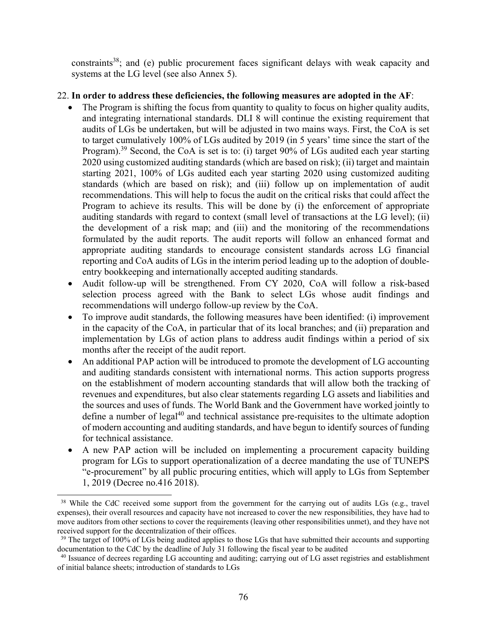constraints<sup>38</sup>; and (e) public procurement faces significant delays with weak capacity and systems at the LG level (see also Annex 5).

## 22. **In order to address these deficiencies, the following measures are adopted in the AF**:

- The Program is shifting the focus from quantity to quality to focus on higher quality audits, and integrating international standards. DLI 8 will continue the existing requirement that audits of LGs be undertaken, but will be adjusted in two mains ways. First, the CoA is set to target cumulatively 100% of LGs audited by 2019 (in 5 years' time since the start of the Program).<sup>39</sup> Second, the CoA is set is to: (i) target 90% of LGs audited each year starting 2020 using customized auditing standards (which are based on risk); (ii) target and maintain starting 2021, 100% of LGs audited each year starting 2020 using customized auditing standards (which are based on risk); and (iii) follow up on implementation of audit recommendations. This will help to focus the audit on the critical risks that could affect the Program to achieve its results. This will be done by (i) the enforcement of appropriate auditing standards with regard to context (small level of transactions at the LG level); (ii) the development of a risk map; and (iii) and the monitoring of the recommendations formulated by the audit reports. The audit reports will follow an enhanced format and appropriate auditing standards to encourage consistent standards across LG financial reporting and CoA audits of LGs in the interim period leading up to the adoption of doubleentry bookkeeping and internationally accepted auditing standards.
- Audit follow-up will be strengthened. From CY 2020, CoA will follow a risk-based selection process agreed with the Bank to select LGs whose audit findings and recommendations will undergo follow-up review by the CoA.
- To improve audit standards, the following measures have been identified: (i) improvement in the capacity of the CoA, in particular that of its local branches; and (ii) preparation and implementation by LGs of action plans to address audit findings within a period of six months after the receipt of the audit report.
- An additional PAP action will be introduced to promote the development of LG accounting and auditing standards consistent with international norms. This action supports progress on the establishment of modern accounting standards that will allow both the tracking of revenues and expenditures, but also clear statements regarding LG assets and liabilities and the sources and uses of funds. The World Bank and the Government have worked jointly to define a number of  $\text{legal}^{40}$  and technical assistance pre-requisites to the ultimate adoption of modern accounting and auditing standards, and have begun to identify sources of funding for technical assistance.
- A new PAP action will be included on implementing a procurement capacity building program for LGs to support operationalization of a decree mandating the use of TUNEPS "e-procurement" by all public procuring entities, which will apply to LGs from September 1, 2019 (Decree no.416 2018).

<sup>&</sup>lt;sup>38</sup> While the CdC received some support from the government for the carrying out of audits LGs (e.g., travel expenses), their overall resources and capacity have not increased to cover the new responsibilities, they have had to move auditors from other sections to cover the requirements (leaving other responsibilities unmet), and they have not received support for the decentralization of their offices.

<sup>&</sup>lt;sup>39</sup> The target of 100% of LGs being audited applies to those LGs that have submitted their accounts and supporting documentation to the CdC by the deadline of July 31 following the fiscal year to be audited

<sup>40</sup> Issuance of decrees regarding LG accounting and auditing; carrying out of LG asset registries and establishment of initial balance sheets; introduction of standards to LGs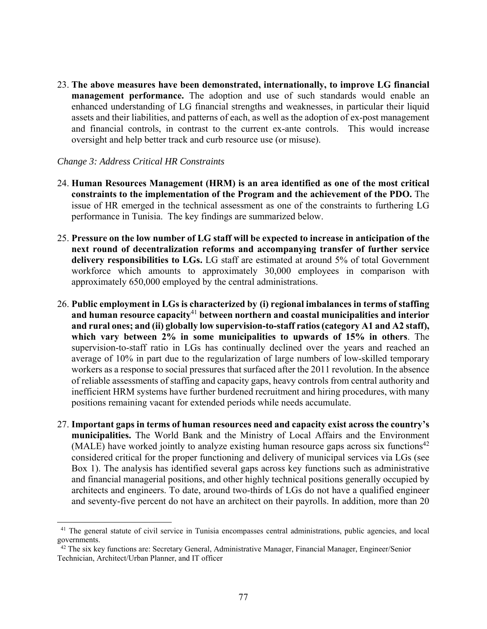23. **The above measures have been demonstrated, internationally, to improve LG financial management performance.** The adoption and use of such standards would enable an enhanced understanding of LG financial strengths and weaknesses, in particular their liquid assets and their liabilities, and patterns of each, as well as the adoption of ex-post management and financial controls, in contrast to the current ex-ante controls. This would increase oversight and help better track and curb resource use (or misuse).

#### *Change 3: Address Critical HR Constraints*

- 24. **Human Resources Management (HRM) is an area identified as one of the most critical constraints to the implementation of the Program and the achievement of the PDO.** The issue of HR emerged in the technical assessment as one of the constraints to furthering LG performance in Tunisia. The key findings are summarized below.
- 25. **Pressure on the low number of LG staff will be expected to increase in anticipation of the next round of decentralization reforms and accompanying transfer of further service delivery responsibilities to LGs.** LG staff are estimated at around 5% of total Government workforce which amounts to approximately 30,000 employees in comparison with approximately 650,000 employed by the central administrations.
- 26. **Public employment in LGs is characterized by (i) regional imbalances in terms of staffing and human resource capacity**<sup>41</sup> **between northern and coastal municipalities and interior and rural ones; and (ii) globally low supervision-to-staff ratios (category A1 and A2 staff), which vary between 2% in some municipalities to upwards of 15% in others**. The supervision-to-staff ratio in LGs has continually declined over the years and reached an average of 10% in part due to the regularization of large numbers of low-skilled temporary workers as a response to social pressures that surfaced after the 2011 revolution. In the absence of reliable assessments of staffing and capacity gaps, heavy controls from central authority and inefficient HRM systems have further burdened recruitment and hiring procedures, with many positions remaining vacant for extended periods while needs accumulate.
- 27. **Important gaps in terms of human resources need and capacity exist across the country's municipalities.** The World Bank and the Ministry of Local Affairs and the Environment (MALE) have worked jointly to analyze existing human resource gaps across six functions<sup>42</sup> considered critical for the proper functioning and delivery of municipal services via LGs (see Box 1). The analysis has identified several gaps across key functions such as administrative and financial managerial positions, and other highly technical positions generally occupied by architects and engineers. To date, around two-thirds of LGs do not have a qualified engineer and seventy-five percent do not have an architect on their payrolls. In addition, more than 20

<sup>&</sup>lt;sup>41</sup> The general statute of civil service in Tunisia encompasses central administrations, public agencies, and local governments.

<sup>&</sup>lt;sup>42</sup> The six key functions are: Secretary General, Administrative Manager, Financial Manager, Engineer/Senior Technician, Architect/Urban Planner, and IT officer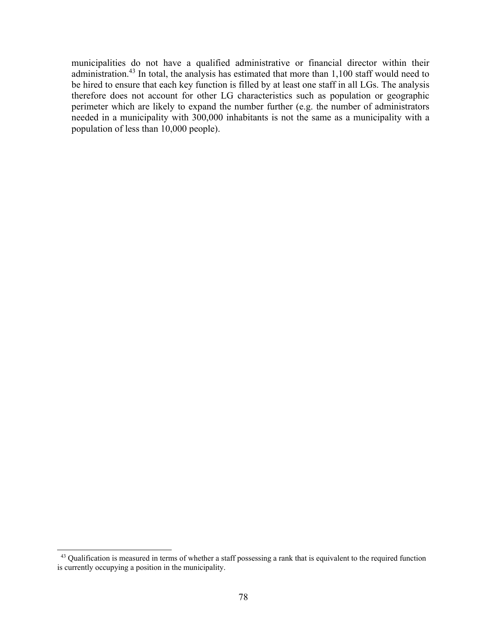municipalities do not have a qualified administrative or financial director within their administration.<sup>43</sup> In total, the analysis has estimated that more than 1,100 staff would need to be hired to ensure that each key function is filled by at least one staff in all LGs. The analysis therefore does not account for other LG characteristics such as population or geographic perimeter which are likely to expand the number further (e.g. the number of administrators needed in a municipality with 300,000 inhabitants is not the same as a municipality with a population of less than 10,000 people).

<sup>&</sup>lt;sup>43</sup> Qualification is measured in terms of whether a staff possessing a rank that is equivalent to the required function is currently occupying a position in the municipality.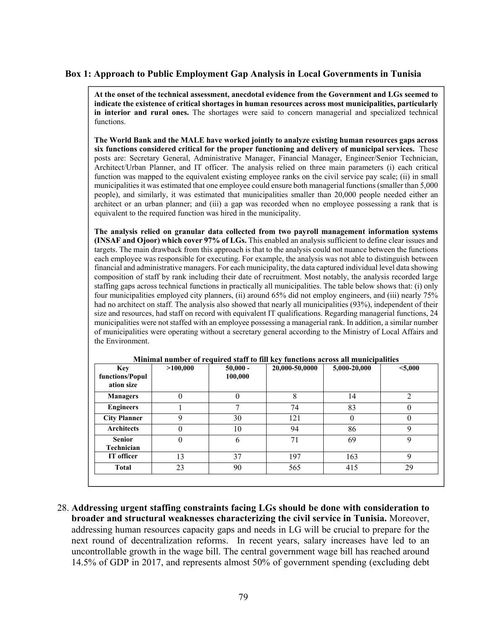#### **Box 1: Approach to Public Employment Gap Analysis in Local Governments in Tunisia**

**At the onset of the technical assessment, anecdotal evidence from the Government and LGs seemed to indicate the existence of critical shortages in human resources across most municipalities, particularly in interior and rural ones.** The shortages were said to concern managerial and specialized technical functions.

**The World Bank and the MALE have worked jointly to analyze existing human resources gaps across six functions considered critical for the proper functioning and delivery of municipal services.** These posts are: Secretary General, Administrative Manager, Financial Manager, Engineer/Senior Technician, Architect/Urban Planner, and IT officer. The analysis relied on three main parameters (i) each critical function was mapped to the equivalent existing employee ranks on the civil service pay scale; (ii) in small municipalities it was estimated that one employee could ensure both managerial functions (smaller than 5,000 people), and similarly, it was estimated that municipalities smaller than 20,000 people needed either an architect or an urban planner; and (iii) a gap was recorded when no employee possessing a rank that is equivalent to the required function was hired in the municipality.

**The analysis relied on granular data collected from two payroll management information systems (INSAF and Ojoor) which cover 97% of LGs.** This enabled an analysis sufficient to define clear issues and targets. The main drawback from this approach is that to the analysis could not nuance between the functions each employee was responsible for executing. For example, the analysis was not able to distinguish between financial and administrative managers. For each municipality, the data captured individual level data showing composition of staff by rank including their date of recruitment. Most notably, the analysis recorded large staffing gaps across technical functions in practically all municipalities. The table below shows that: (i) only four municipalities employed city planners, (ii) around 65% did not employ engineers, and (iii) nearly 75% had no architect on staff. The analysis also showed that nearly all municipalities (93%), independent of their size and resources, had staff on record with equivalent IT qualifications. Regarding managerial functions, 24 municipalities were not staffed with an employee possessing a managerial rank. In addition, a similar number of municipalities were operating without a secretary general according to the Ministry of Local Affairs and the Environment.

| <b>Key</b><br>functions/Popul<br>ation size | >100,000 | $50,000 -$<br>100,000 | 20,000-50,0000 | 5,000-20,000 | < 5,000 |
|---------------------------------------------|----------|-----------------------|----------------|--------------|---------|
| <b>Managers</b>                             | 0        | 0                     | 8              | 14           | 2       |
| <b>Engineers</b>                            |          | −                     | 74             | 83           | 0       |
| <b>City Planner</b>                         | 9        | 30                    | 121            | $\theta$     | 0       |
| <b>Architects</b>                           | 0        | 10                    | 94             | 86           | 9       |
| <b>Senior</b><br>Technician                 | 0        | 6                     | 71             | 69           | 9       |
| IT officer                                  | 13       | 37                    | 197            | 163          | 9       |
| <b>Total</b>                                | 23       | 90                    | 565            | 415          | 29      |

**Minimal number of required staff to fill key functions across all municipalities** 

28. **Addressing urgent staffing constraints facing LGs should be done with consideration to broader and structural weaknesses characterizing the civil service in Tunisia.** Moreover, addressing human resources capacity gaps and needs in LG will be crucial to prepare for the next round of decentralization reforms.In recent years, salary increases have led to an uncontrollable growth in the wage bill. The central government wage bill has reached around 14.5% of GDP in 2017, and represents almost 50% of government spending (excluding debt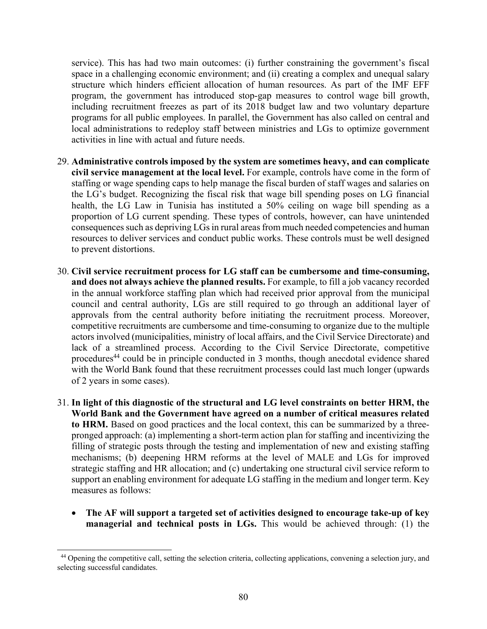service). This has had two main outcomes: (i) further constraining the government's fiscal space in a challenging economic environment; and (ii) creating a complex and unequal salary structure which hinders efficient allocation of human resources. As part of the IMF EFF program, the government has introduced stop-gap measures to control wage bill growth, including recruitment freezes as part of its 2018 budget law and two voluntary departure programs for all public employees. In parallel, the Government has also called on central and local administrations to redeploy staff between ministries and LGs to optimize government activities in line with actual and future needs.

- 29. **Administrative controls imposed by the system are sometimes heavy, and can complicate civil service management at the local level.** For example, controls have come in the form of staffing or wage spending caps to help manage the fiscal burden of staff wages and salaries on the LG's budget. Recognizing the fiscal risk that wage bill spending poses on LG financial health, the LG Law in Tunisia has instituted a 50% ceiling on wage bill spending as a proportion of LG current spending. These types of controls, however, can have unintended consequences such as depriving LGs in rural areas from much needed competencies and human resources to deliver services and conduct public works. These controls must be well designed to prevent distortions.
- 30. **Civil service recruitment process for LG staff can be cumbersome and time-consuming, and does not always achieve the planned results.** For example, to fill a job vacancy recorded in the annual workforce staffing plan which had received prior approval from the municipal council and central authority, LGs are still required to go through an additional layer of approvals from the central authority before initiating the recruitment process. Moreover, competitive recruitments are cumbersome and time-consuming to organize due to the multiple actors involved (municipalities, ministry of local affairs, and the Civil Service Directorate) and lack of a streamlined process. According to the Civil Service Directorate, competitive procedures<sup>44</sup> could be in principle conducted in 3 months, though anecdotal evidence shared with the World Bank found that these recruitment processes could last much longer (upwards of 2 years in some cases).
- 31. **In light of this diagnostic of the structural and LG level constraints on better HRM, the World Bank and the Government have agreed on a number of critical measures related to HRM.** Based on good practices and the local context, this can be summarized by a threepronged approach: (a) implementing a short-term action plan for staffing and incentivizing the filling of strategic posts through the testing and implementation of new and existing staffing mechanisms; (b) deepening HRM reforms at the level of MALE and LGs for improved strategic staffing and HR allocation; and (c) undertaking one structural civil service reform to support an enabling environment for adequate LG staffing in the medium and longer term. Key measures as follows:
	- **The AF will support a targeted set of activities designed to encourage take-up of key managerial and technical posts in LGs.** This would be achieved through: (1) the

<sup>&</sup>lt;sup>44</sup> Opening the competitive call, setting the selection criteria, collecting applications, convening a selection jury, and selecting successful candidates.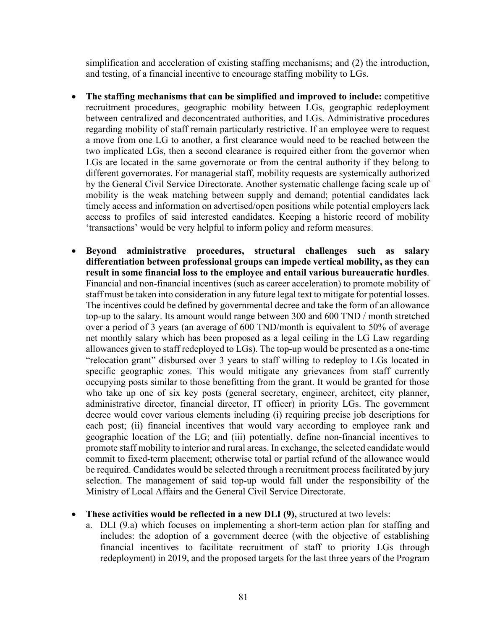simplification and acceleration of existing staffing mechanisms; and (2) the introduction, and testing, of a financial incentive to encourage staffing mobility to LGs.

- **The staffing mechanisms that can be simplified and improved to include:** competitive recruitment procedures, geographic mobility between LGs, geographic redeployment between centralized and deconcentrated authorities, and LGs. Administrative procedures regarding mobility of staff remain particularly restrictive. If an employee were to request a move from one LG to another, a first clearance would need to be reached between the two implicated LGs, then a second clearance is required either from the governor when LGs are located in the same governorate or from the central authority if they belong to different governorates. For managerial staff, mobility requests are systemically authorized by the General Civil Service Directorate. Another systematic challenge facing scale up of mobility is the weak matching between supply and demand; potential candidates lack timely access and information on advertised/open positions while potential employers lack access to profiles of said interested candidates. Keeping a historic record of mobility 'transactions' would be very helpful to inform policy and reform measures.
- **Beyond administrative procedures, structural challenges such as salary differentiation between professional groups can impede vertical mobility, as they can result in some financial loss to the employee and entail various bureaucratic hurdles**. Financial and non-financial incentives (such as career acceleration) to promote mobility of staff must be taken into consideration in any future legal text to mitigate for potential losses. The incentives could be defined by governmental decree and take the form of an allowance top-up to the salary. Its amount would range between 300 and 600 TND / month stretched over a period of 3 years (an average of 600 TND/month is equivalent to 50% of average net monthly salary which has been proposed as a legal ceiling in the LG Law regarding allowances given to staff redeployed to LGs). The top-up would be presented as a one-time "relocation grant" disbursed over 3 years to staff willing to redeploy to LGs located in specific geographic zones. This would mitigate any grievances from staff currently occupying posts similar to those benefitting from the grant. It would be granted for those who take up one of six key posts (general secretary, engineer, architect, city planner, administrative director, financial director, IT officer) in priority LGs. The government decree would cover various elements including (i) requiring precise job descriptions for each post; (ii) financial incentives that would vary according to employee rank and geographic location of the LG; and (iii) potentially, define non-financial incentives to promote staff mobility to interior and rural areas. In exchange, the selected candidate would commit to fixed-term placement; otherwise total or partial refund of the allowance would be required. Candidates would be selected through a recruitment process facilitated by jury selection. The management of said top-up would fall under the responsibility of the Ministry of Local Affairs and the General Civil Service Directorate.
- **These activities would be reflected in a new DLI (9), structured at two levels:** 
	- a. DLI (9.a) which focuses on implementing a short-term action plan for staffing and includes: the adoption of a government decree (with the objective of establishing financial incentives to facilitate recruitment of staff to priority LGs through redeployment) in 2019, and the proposed targets for the last three years of the Program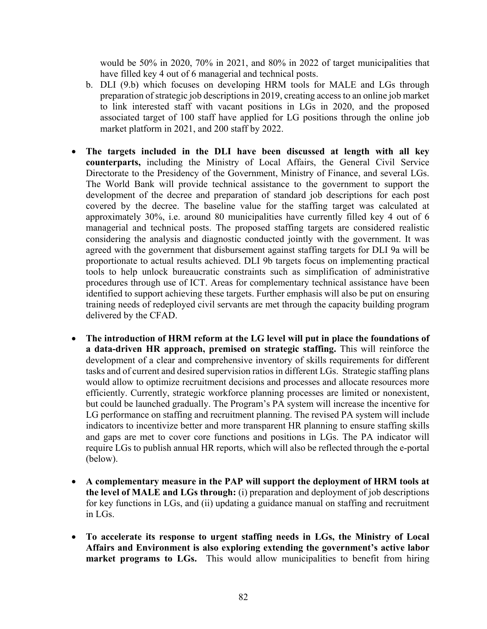would be 50% in 2020, 70% in 2021, and 80% in 2022 of target municipalities that have filled key 4 out of 6 managerial and technical posts.

- b. DLI (9.b) which focuses on developing HRM tools for MALE and LGs through preparation of strategic job descriptions in 2019, creating access to an online job market to link interested staff with vacant positions in LGs in 2020, and the proposed associated target of 100 staff have applied for LG positions through the online job market platform in 2021, and 200 staff by 2022.
- **The targets included in the DLI have been discussed at length with all key counterparts,** including the Ministry of Local Affairs, the General Civil Service Directorate to the Presidency of the Government, Ministry of Finance, and several LGs. The World Bank will provide technical assistance to the government to support the development of the decree and preparation of standard job descriptions for each post covered by the decree. The baseline value for the staffing target was calculated at approximately 30%, i.e. around 80 municipalities have currently filled key 4 out of 6 managerial and technical posts. The proposed staffing targets are considered realistic considering the analysis and diagnostic conducted jointly with the government. It was agreed with the government that disbursement against staffing targets for DLI 9a will be proportionate to actual results achieved. DLI 9b targets focus on implementing practical tools to help unlock bureaucratic constraints such as simplification of administrative procedures through use of ICT. Areas for complementary technical assistance have been identified to support achieving these targets. Further emphasis will also be put on ensuring training needs of redeployed civil servants are met through the capacity building program delivered by the CFAD.
- **The introduction of HRM reform at the LG level will put in place the foundations of a data-driven HR approach, premised on strategic staffing.** This will reinforce the development of a clear and comprehensive inventory of skills requirements for different tasks and of current and desired supervision ratios in different LGs. Strategic staffing plans would allow to optimize recruitment decisions and processes and allocate resources more efficiently. Currently, strategic workforce planning processes are limited or nonexistent, but could be launched gradually. The Program's PA system will increase the incentive for LG performance on staffing and recruitment planning. The revised PA system will include indicators to incentivize better and more transparent HR planning to ensure staffing skills and gaps are met to cover core functions and positions in LGs. The PA indicator will require LGs to publish annual HR reports, which will also be reflected through the e-portal (below).
- **A complementary measure in the PAP will support the deployment of HRM tools at the level of MALE and LGs through:** (i) preparation and deployment of job descriptions for key functions in LGs, and (ii) updating a guidance manual on staffing and recruitment in LGs.
- **To accelerate its response to urgent staffing needs in LGs, the Ministry of Local Affairs and Environment is also exploring extending the government's active labor market programs to LGs.** This would allow municipalities to benefit from hiring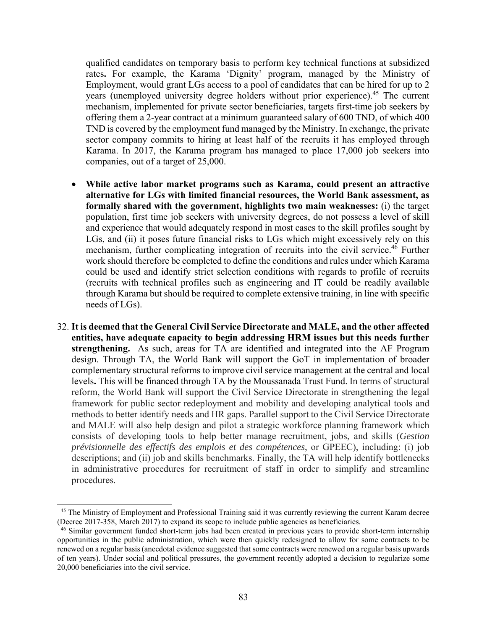qualified candidates on temporary basis to perform key technical functions at subsidized rates**.** For example, the Karama 'Dignity' program, managed by the Ministry of Employment, would grant LGs access to a pool of candidates that can be hired for up to 2 years (unemployed university degree holders without prior experience).<sup>45</sup> The current mechanism, implemented for private sector beneficiaries, targets first-time job seekers by offering them a 2-year contract at a minimum guaranteed salary of 600 TND, of which 400 TND is covered by the employment fund managed by the Ministry. In exchange, the private sector company commits to hiring at least half of the recruits it has employed through Karama. In 2017, the Karama program has managed to place 17,000 job seekers into companies, out of a target of 25,000.

- **While active labor market programs such as Karama, could present an attractive alternative for LGs with limited financial resources, the World Bank assessment, as formally shared with the government, highlights two main weaknesses:** (i) the target population, first time job seekers with university degrees, do not possess a level of skill and experience that would adequately respond in most cases to the skill profiles sought by LGs, and (ii) it poses future financial risks to LGs which might excessively rely on this mechanism, further complicating integration of recruits into the civil service.<sup>46</sup> Further work should therefore be completed to define the conditions and rules under which Karama could be used and identify strict selection conditions with regards to profile of recruits (recruits with technical profiles such as engineering and IT could be readily available through Karama but should be required to complete extensive training, in line with specific needs of LGs).
- 32. **It is deemed that the General Civil Service Directorate and MALE, and the other affected entities, have adequate capacity to begin addressing HRM issues but this needs further strengthening.** As such, areas for TA are identified and integrated into the AF Program design. Through TA, the World Bank will support the GoT in implementation of broader complementary structural reforms to improve civil service management at the central and local levels**.** This will be financed through TA by the Moussanada Trust Fund. In terms of structural reform, the World Bank will support the Civil Service Directorate in strengthening the legal framework for public sector redeployment and mobility and developing analytical tools and methods to better identify needs and HR gaps. Parallel support to the Civil Service Directorate and MALE will also help design and pilot a strategic workforce planning framework which consists of developing tools to help better manage recruitment, jobs, and skills (*Gestion prévisionnelle des effectifs des emplois et des compétences*, or GPEEC), including: (i) job descriptions; and (ii) job and skills benchmarks. Finally, the TA will help identify bottlenecks in administrative procedures for recruitment of staff in order to simplify and streamline procedures.

<sup>&</sup>lt;sup>45</sup> The Ministry of Employment and Professional Training said it was currently reviewing the current Karam decree (Decree 2017-358, March 2017) to expand its scope to include public agencies as beneficiaries.

<sup>46</sup> Similar government funded short-term jobs had been created in previous years to provide short-term internship opportunities in the public administration, which were then quickly redesigned to allow for some contracts to be renewed on a regular basis (anecdotal evidence suggested that some contracts were renewed on a regular basis upwards of ten years). Under social and political pressures, the government recently adopted a decision to regularize some 20,000 beneficiaries into the civil service.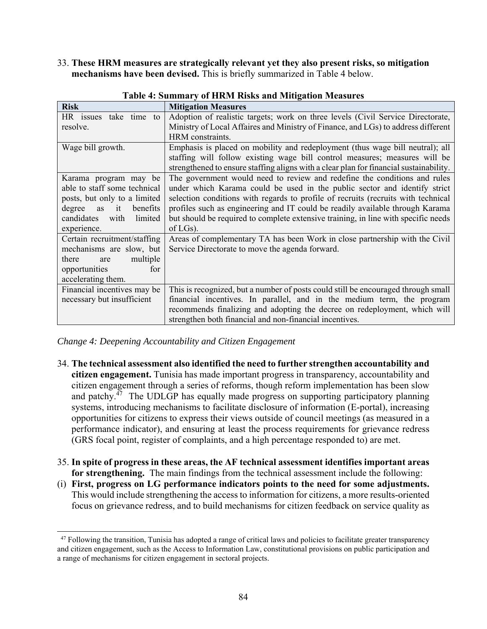33. **These HRM measures are strategically relevant yet they also present risks, so mitigation mechanisms have been devised.** This is briefly summarized in Table 4 below.

| <b>Risk</b>                    | <b>Mitigation Measures</b>                                                             |
|--------------------------------|----------------------------------------------------------------------------------------|
|                                |                                                                                        |
| HR issues take time to         | Adoption of realistic targets; work on three levels (Civil Service Directorate,        |
| resolve.                       | Ministry of Local Affaires and Ministry of Finance, and LGs) to address different      |
|                                | HRM constraints.                                                                       |
| Wage bill growth.              | Emphasis is placed on mobility and redeployment (thus wage bill neutral); all          |
|                                | staffing will follow existing wage bill control measures; measures will be             |
|                                | strengthened to ensure staffing aligns with a clear plan for financial sustainability. |
| Karama program may be          | The government would need to review and redefine the conditions and rules              |
| able to staff some technical   | under which Karama could be used in the public sector and identify strict              |
| posts, but only to a limited   | selection conditions with regards to profile of recruits (recruits with technical      |
| degree<br>benefits<br>it<br>as | profiles such as engineering and IT could be readily available through Karama          |
| candidates<br>limited<br>with  | but should be required to complete extensive training, in line with specific needs     |
|                                |                                                                                        |
| experience.                    | $of LGs$ ).                                                                            |
| Certain recruitment/staffing   | Areas of complementary TA has been Work in close partnership with the Civil            |
| mechanisms are slow, but       | Service Directorate to move the agenda forward.                                        |
| multiple<br>there<br>are       |                                                                                        |
| opportunities<br>for           |                                                                                        |
| accelerating them.             |                                                                                        |
| Financial incentives may be    | This is recognized, but a number of posts could still be encouraged through small      |
| necessary but insufficient     | financial incentives. In parallel, and in the medium term, the program                 |
|                                | recommends finalizing and adopting the decree on redeployment, which will              |
|                                | strengthen both financial and non-financial incentives.                                |

**Table 4: Summary of HRM Risks and Mitigation Measures** 

*Change 4: Deepening Accountability and Citizen Engagement* 

- 34. **The technical assessment also identified the need to further strengthen accountability and citizen engagement.** Tunisia has made important progress in transparency, accountability and citizen engagement through a series of reforms, though reform implementation has been slow and patchy.47The UDLGP has equally made progress on supporting participatory planning systems, introducing mechanisms to facilitate disclosure of information (E-portal), increasing opportunities for citizens to express their views outside of council meetings (as measured in a performance indicator), and ensuring at least the process requirements for grievance redress (GRS focal point, register of complaints, and a high percentage responded to) are met.
- 35. **In spite of progress in these areas, the AF technical assessment identifies important areas for strengthening.** The main findings from the technical assessment include the following:
- (i) **First, progress on LG performance indicators points to the need for some adjustments.**  This would include strengthening the access to information for citizens, a more results-oriented focus on grievance redress, and to build mechanisms for citizen feedback on service quality as

 $47$  Following the transition, Tunisia has adopted a range of critical laws and policies to facilitate greater transparency and citizen engagement, such as the Access to Information Law, constitutional provisions on public participation and a range of mechanisms for citizen engagement in sectoral projects.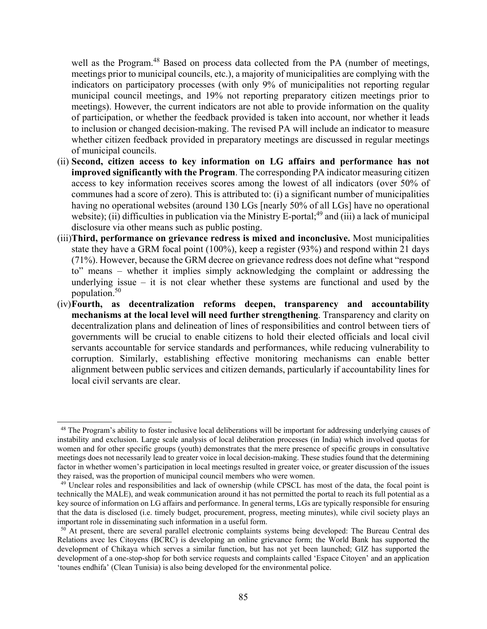well as the Program.<sup>48</sup> Based on process data collected from the PA (number of meetings, meetings prior to municipal councils, etc.), a majority of municipalities are complying with the indicators on participatory processes (with only 9% of municipalities not reporting regular municipal council meetings, and 19% not reporting preparatory citizen meetings prior to meetings). However, the current indicators are not able to provide information on the quality of participation, or whether the feedback provided is taken into account, nor whether it leads to inclusion or changed decision-making. The revised PA will include an indicator to measure whether citizen feedback provided in preparatory meetings are discussed in regular meetings of municipal councils.

- (ii) **Second, citizen access to key information on LG affairs and performance has not improved significantly with the Program**. The corresponding PA indicator measuring citizen access to key information receives scores among the lowest of all indicators (over 50% of communes had a score of zero). This is attributed to: (i) a significant number of municipalities having no operational websites (around 130 LGs [nearly 50% of all LGs] have no operational website); (ii) difficulties in publication via the Ministry E-portal;<sup>49</sup> and (iii) a lack of municipal disclosure via other means such as public posting.
- (iii)**Third, performance on grievance redress is mixed and inconclusive.** Most municipalities state they have a GRM focal point (100%), keep a register (93%) and respond within 21 days (71%). However, because the GRM decree on grievance redress does not define what "respond to" means – whether it implies simply acknowledging the complaint or addressing the underlying issue – it is not clear whether these systems are functional and used by the population.50
- (iv)**Fourth, as decentralization reforms deepen, transparency and accountability mechanisms at the local level will need further strengthening**. Transparency and clarity on decentralization plans and delineation of lines of responsibilities and control between tiers of governments will be crucial to enable citizens to hold their elected officials and local civil servants accountable for service standards and performances, while reducing vulnerability to corruption. Similarly, establishing effective monitoring mechanisms can enable better alignment between public services and citizen demands, particularly if accountability lines for local civil servants are clear.

<sup>&</sup>lt;sup>48</sup> The Program's ability to foster inclusive local deliberations will be important for addressing underlying causes of instability and exclusion. Large scale analysis of local deliberation processes (in India) which involved quotas for women and for other specific groups (youth) demonstrates that the mere presence of specific groups in consultative meetings does not necessarily lead to greater voice in local decision-making. These studies found that the determining factor in whether women's participation in local meetings resulted in greater voice, or greater discussion of the issues they raised, was the proportion of municipal council members who were women.

<sup>&</sup>lt;sup>49</sup> Unclear roles and responsibilities and lack of ownership (while CPSCL has most of the data, the focal point is technically the MALE), and weak communication around it has not permitted the portal to reach its full potential as a key source of information on LG affairs and performance. In general terms, LGs are typically responsible for ensuring that the data is disclosed (i.e. timely budget, procurement, progress, meeting minutes), while civil society plays an important role in disseminating such information in a useful form.

<sup>&</sup>lt;sup>50</sup> At present, there are several parallel electronic complaints systems being developed: The Bureau Central des Relations avec les Citoyens (BCRC) is developing an online grievance form; the World Bank has supported the development of Chikaya which serves a similar function, but has not yet been launched; GIZ has supported the development of a one-stop-shop for both service requests and complaints called 'Espace Citoyen' and an application 'tounes endhifa' (Clean Tunisia) is also being developed for the environmental police.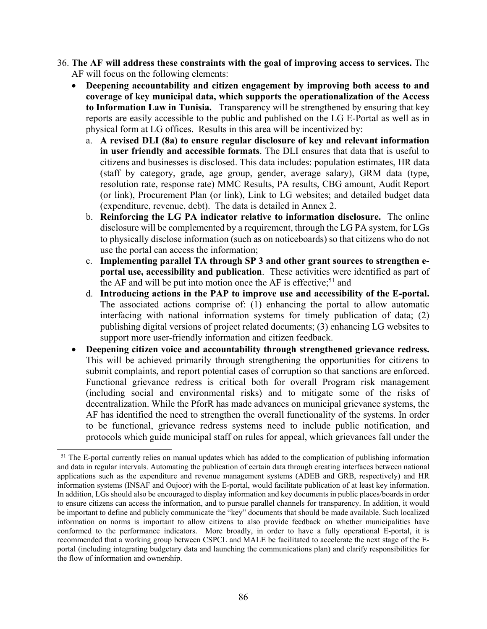- 36. **The AF will address these constraints with the goal of improving access to services.** The AF will focus on the following elements:
	- **Deepening accountability and citizen engagement by improving both access to and coverage of key municipal data, which supports the operationalization of the Access to Information Law in Tunisia.** Transparency will be strengthened by ensuring that key reports are easily accessible to the public and published on the LG E-Portal as well as in physical form at LG offices. Results in this area will be incentivized by:
		- a. **A revised DLI (8a) to ensure regular disclosure of key and relevant information in user friendly and accessible formats**. The DLI ensures that data that is useful to citizens and businesses is disclosed. This data includes: population estimates, HR data (staff by category, grade, age group, gender, average salary), GRM data (type, resolution rate, response rate) MMC Results, PA results, CBG amount, Audit Report (or link), Procurement Plan (or link), Link to LG websites; and detailed budget data (expenditure, revenue, debt). The data is detailed in Annex 2.
		- b. **Reinforcing the LG PA indicator relative to information disclosure.** The online disclosure will be complemented by a requirement, through the LG PA system, for LGs to physically disclose information (such as on noticeboards) so that citizens who do not use the portal can access the information;
		- c. **Implementing parallel TA through SP 3 and other grant sources to strengthen eportal use, accessibility and publication**. These activities were identified as part of the AF and will be put into motion once the AF is effective;<sup>51</sup> and
		- d. **Introducing actions in the PAP to improve use and accessibility of the E-portal.**  The associated actions comprise of: (1) enhancing the portal to allow automatic interfacing with national information systems for timely publication of data; (2) publishing digital versions of project related documents; (3) enhancing LG websites to support more user-friendly information and citizen feedback.
	- **Deepening citizen voice and accountability through strengthened grievance redress.** This will be achieved primarily through strengthening the opportunities for citizens to submit complaints, and report potential cases of corruption so that sanctions are enforced. Functional grievance redress is critical both for overall Program risk management (including social and environmental risks) and to mitigate some of the risks of decentralization. While the PforR has made advances on municipal grievance systems, the AF has identified the need to strengthen the overall functionality of the systems. In order to be functional, grievance redress systems need to include public notification, and protocols which guide municipal staff on rules for appeal, which grievances fall under the

<sup>&</sup>lt;sup>51</sup> The E-portal currently relies on manual updates which has added to the complication of publishing information and data in regular intervals. Automating the publication of certain data through creating interfaces between national applications such as the expenditure and revenue management systems (ADEB and GRB, respectively) and HR information systems (INSAF and Oujoor) with the E-portal, would facilitate publication of at least key information. In addition, LGs should also be encouraged to display information and key documents in public places/boards in order to ensure citizens can access the information, and to pursue parallel channels for transparency. In addition, it would be important to define and publicly communicate the "key" documents that should be made available. Such localized information on norms is important to allow citizens to also provide feedback on whether municipalities have conformed to the performance indicators. More broadly, in order to have a fully operational E-portal, it is recommended that a working group between CSPCL and MALE be facilitated to accelerate the next stage of the Eportal (including integrating budgetary data and launching the communications plan) and clarify responsibilities for the flow of information and ownership.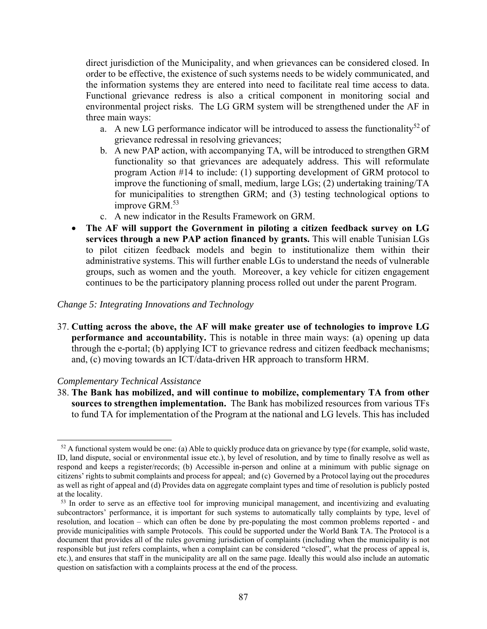direct jurisdiction of the Municipality, and when grievances can be considered closed. In order to be effective, the existence of such systems needs to be widely communicated, and the information systems they are entered into need to facilitate real time access to data. Functional grievance redress is also a critical component in monitoring social and environmental project risks. The LG GRM system will be strengthened under the AF in three main ways:

- a. A new LG performance indicator will be introduced to assess the functionality<sup>52</sup> of grievance redressal in resolving grievances;
- b. A new PAP action, with accompanying TA, will be introduced to strengthen GRM functionality so that grievances are adequately address. This will reformulate program Action #14 to include: (1) supporting development of GRM protocol to improve the functioning of small, medium, large LGs; (2) undertaking training/TA for municipalities to strengthen GRM; and (3) testing technological options to improve GRM.<sup>53</sup>
- c. A new indicator in the Results Framework on GRM.
- **The AF will support the Government in piloting a citizen feedback survey on LG services through a new PAP action financed by grants.** This will enable Tunisian LGs to pilot citizen feedback models and begin to institutionalize them within their administrative systems. This will further enable LGs to understand the needs of vulnerable groups, such as women and the youth. Moreover, a key vehicle for citizen engagement continues to be the participatory planning process rolled out under the parent Program.

#### *Change 5: Integrating Innovations and Technology*

37. **Cutting across the above, the AF will make greater use of technologies to improve LG performance and accountability.** This is notable in three main ways: (a) opening up data through the e-portal; (b) applying ICT to grievance redress and citizen feedback mechanisms; and, (c) moving towards an ICT/data-driven HR approach to transform HRM.

#### *Complementary Technical Assistance*

 $\overline{\phantom{a}}$ 

38. **The Bank has mobilized, and will continue to mobilize, complementary TA from other sources to strengthen implementation.** The Bank has mobilized resources from various TFs to fund TA for implementation of the Program at the national and LG levels. This has included

 $52$  A functional system would be one: (a) Able to quickly produce data on grievance by type (for example, solid waste, ID, land dispute, social or environmental issue etc.), by level of resolution, and by time to finally resolve as well as respond and keeps a register/records; (b) Accessible in-person and online at a minimum with public signage on citizens' rights to submit complaints and process for appeal; and (c) Governed by a Protocol laying out the procedures as well as right of appeal and (d) Provides data on aggregate complaint types and time of resolution is publicly posted at the locality.

<sup>&</sup>lt;sup>53</sup> In order to serve as an effective tool for improving municipal management, and incentivizing and evaluating subcontractors' performance, it is important for such systems to automatically tally complaints by type, level of resolution, and location – which can often be done by pre-populating the most common problems reported - and provide municipalities with sample Protocols. This could be supported under the World Bank TA. The Protocol is a document that provides all of the rules governing jurisdiction of complaints (including when the municipality is not responsible but just refers complaints, when a complaint can be considered "closed", what the process of appeal is, etc.), and ensures that staff in the municipality are all on the same page. Ideally this would also include an automatic question on satisfaction with a complaints process at the end of the process.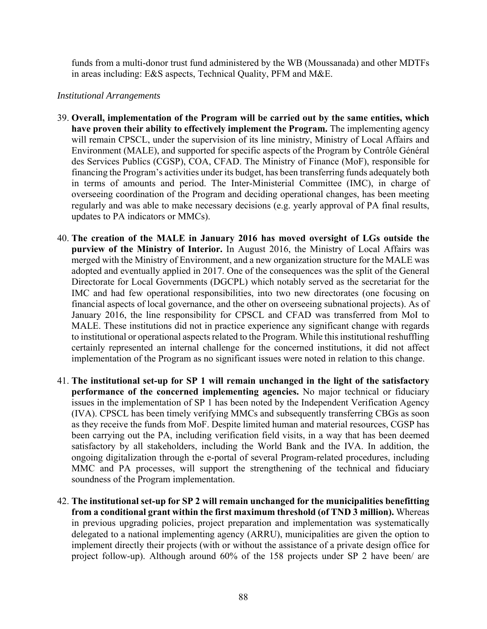funds from a multi-donor trust fund administered by the WB (Moussanada) and other MDTFs in areas including: E&S aspects, Technical Quality, PFM and M&E.

### *Institutional Arrangements*

- 39. **Overall, implementation of the Program will be carried out by the same entities, which have proven their ability to effectively implement the Program.** The implementing agency will remain CPSCL, under the supervision of its line ministry, Ministry of Local Affairs and Environment (MALE), and supported for specific aspects of the Program by Contrôle Général des Services Publics (CGSP), COA, CFAD. The Ministry of Finance (MoF), responsible for financing the Program's activities under its budget, has been transferring funds adequately both in terms of amounts and period. The Inter-Ministerial Committee (IMC), in charge of overseeing coordination of the Program and deciding operational changes, has been meeting regularly and was able to make necessary decisions (e.g. yearly approval of PA final results, updates to PA indicators or MMCs).
- 40. **The creation of the MALE in January 2016 has moved oversight of LGs outside the purview of the Ministry of Interior.** In August 2016, the Ministry of Local Affairs was merged with the Ministry of Environment, and a new organization structure for the MALE was adopted and eventually applied in 2017. One of the consequences was the split of the General Directorate for Local Governments (DGCPL) which notably served as the secretariat for the IMC and had few operational responsibilities, into two new directorates (one focusing on financial aspects of local governance, and the other on overseeing subnational projects). As of January 2016, the line responsibility for CPSCL and CFAD was transferred from MoI to MALE. These institutions did not in practice experience any significant change with regards to institutional or operational aspects related to the Program. While this institutional reshuffling certainly represented an internal challenge for the concerned institutions, it did not affect implementation of the Program as no significant issues were noted in relation to this change.
- 41. **The institutional set-up for SP 1 will remain unchanged in the light of the satisfactory performance of the concerned implementing agencies.** No major technical or fiduciary issues in the implementation of SP 1 has been noted by the Independent Verification Agency (IVA). CPSCL has been timely verifying MMCs and subsequently transferring CBGs as soon as they receive the funds from MoF. Despite limited human and material resources, CGSP has been carrying out the PA, including verification field visits, in a way that has been deemed satisfactory by all stakeholders, including the World Bank and the IVA. In addition, the ongoing digitalization through the e-portal of several Program-related procedures, including MMC and PA processes, will support the strengthening of the technical and fiduciary soundness of the Program implementation.
- 42. **The institutional set-up for SP 2 will remain unchanged for the municipalities benefitting from a conditional grant within the first maximum threshold (of TND 3 million).** Whereas in previous upgrading policies, project preparation and implementation was systematically delegated to a national implementing agency (ARRU), municipalities are given the option to implement directly their projects (with or without the assistance of a private design office for project follow-up). Although around 60% of the 158 projects under SP 2 have been/ are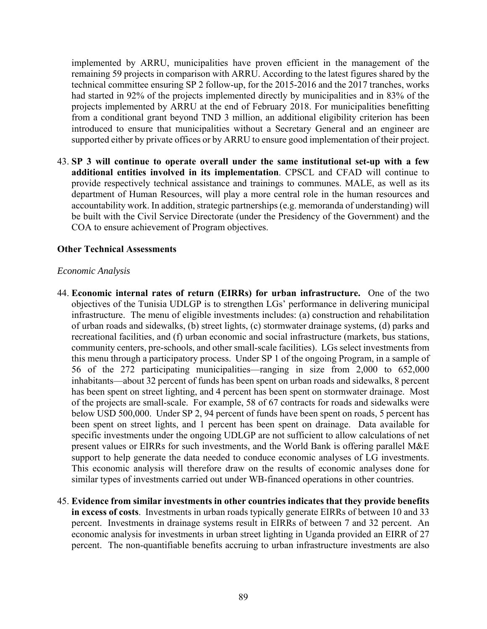implemented by ARRU, municipalities have proven efficient in the management of the remaining 59 projects in comparison with ARRU. According to the latest figures shared by the technical committee ensuring SP 2 follow-up, for the 2015-2016 and the 2017 tranches, works had started in 92% of the projects implemented directly by municipalities and in 83% of the projects implemented by ARRU at the end of February 2018. For municipalities benefitting from a conditional grant beyond TND 3 million, an additional eligibility criterion has been introduced to ensure that municipalities without a Secretary General and an engineer are supported either by private offices or by ARRU to ensure good implementation of their project.

43. **SP 3 will continue to operate overall under the same institutional set-up with a few additional entities involved in its implementation**. CPSCL and CFAD will continue to provide respectively technical assistance and trainings to communes. MALE, as well as its department of Human Resources, will play a more central role in the human resources and accountability work. In addition, strategic partnerships (e.g. memoranda of understanding) will be built with the Civil Service Directorate (under the Presidency of the Government) and the COA to ensure achievement of Program objectives.

### **Other Technical Assessments**

#### *Economic Analysis*

- 44. **Economic internal rates of return (EIRRs) for urban infrastructure.** One of the two objectives of the Tunisia UDLGP is to strengthen LGs' performance in delivering municipal infrastructure. The menu of eligible investments includes: (a) construction and rehabilitation of urban roads and sidewalks, (b) street lights, (c) stormwater drainage systems, (d) parks and recreational facilities, and (f) urban economic and social infrastructure (markets, bus stations, community centers, pre-schools, and other small-scale facilities). LGs select investments from this menu through a participatory process. Under SP 1 of the ongoing Program, in a sample of 56 of the 272 participating municipalities—ranging in size from 2,000 to 652,000 inhabitants—about 32 percent of funds has been spent on urban roads and sidewalks, 8 percent has been spent on street lighting, and 4 percent has been spent on stormwater drainage. Most of the projects are small-scale. For example, 58 of 67 contracts for roads and sidewalks were below USD 500,000. Under SP 2, 94 percent of funds have been spent on roads, 5 percent has been spent on street lights, and 1 percent has been spent on drainage. Data available for specific investments under the ongoing UDLGP are not sufficient to allow calculations of net present values or EIRRs for such investments, and the World Bank is offering parallel M&E support to help generate the data needed to conduce economic analyses of LG investments. This economic analysis will therefore draw on the results of economic analyses done for similar types of investments carried out under WB-financed operations in other countries.
- 45. **Evidence from similar investments in other countries indicates that they provide benefits in excess of costs**. Investments in urban roads typically generate EIRRs of between 10 and 33 percent. Investments in drainage systems result in EIRRs of between 7 and 32 percent. An economic analysis for investments in urban street lighting in Uganda provided an EIRR of 27 percent. The non-quantifiable benefits accruing to urban infrastructure investments are also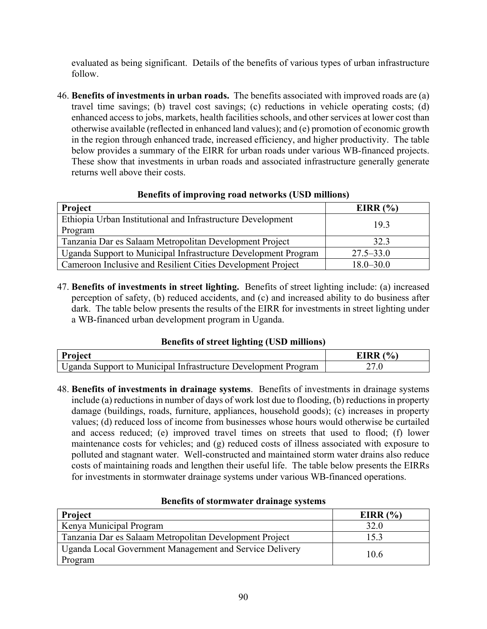evaluated as being significant. Details of the benefits of various types of urban infrastructure follow.

46. **Benefits of investments in urban roads.** The benefits associated with improved roads are (a) travel time savings; (b) travel cost savings; (c) reductions in vehicle operating costs; (d) enhanced access to jobs, markets, health facilities schools, and other services at lower cost than otherwise available (reflected in enhanced land values); and (e) promotion of economic growth in the region through enhanced trade, increased efficiency, and higher productivity. The table below provides a summary of the EIRR for urban roads under various WB-financed projects. These show that investments in urban roads and associated infrastructure generally generate returns well above their costs.

| Project                                                        | EIRR $(%)$    |
|----------------------------------------------------------------|---------------|
| Ethiopia Urban Institutional and Infrastructure Development    | 19.3          |
| Program                                                        |               |
| Tanzania Dar es Salaam Metropolitan Development Project        | 32.3          |
| Uganda Support to Municipal Infrastructure Development Program | $27.5 - 33.0$ |
| Cameroon Inclusive and Resilient Cities Development Project    | $18.0 - 30.0$ |

# **Benefits of improving road networks (USD millions)**

47. **Benefits of investments in street lighting.** Benefits of street lighting include: (a) increased perception of safety, (b) reduced accidents, and (c) and increased ability to do business after dark. The table below presents the results of the EIRR for investments in street lighting under a WB-financed urban development program in Uganda.

## **Benefits of street lighting (USD millions)**

| <b>Project</b>                                                 | $\mathbf{O}_{\mathbf{O}}$ |
|----------------------------------------------------------------|---------------------------|
| Uganda Support to Municipal Infrastructure Development Program | ' .U                      |

48. **Benefits of investments in drainage systems**. Benefits of investments in drainage systems include (a) reductions in number of days of work lost due to flooding, (b) reductions in property damage (buildings, roads, furniture, appliances, household goods); (c) increases in property values; (d) reduced loss of income from businesses whose hours would otherwise be curtailed and access reduced; (e) improved travel times on streets that used to flood; (f) lower maintenance costs for vehicles; and (g) reduced costs of illness associated with exposure to polluted and stagnant water. Well-constructed and maintained storm water drains also reduce costs of maintaining roads and lengthen their useful life. The table below presents the EIRRs for investments in stormwater drainage systems under various WB-financed operations.

| <b>Project</b>                                                     | EIRR $(%)$ |
|--------------------------------------------------------------------|------------|
| Kenya Municipal Program                                            | 32.0       |
| Tanzania Dar es Salaam Metropolitan Development Project            | 15.3       |
| Uganda Local Government Management and Service Delivery<br>Program | 10.6       |

#### **Benefits of stormwater drainage systems**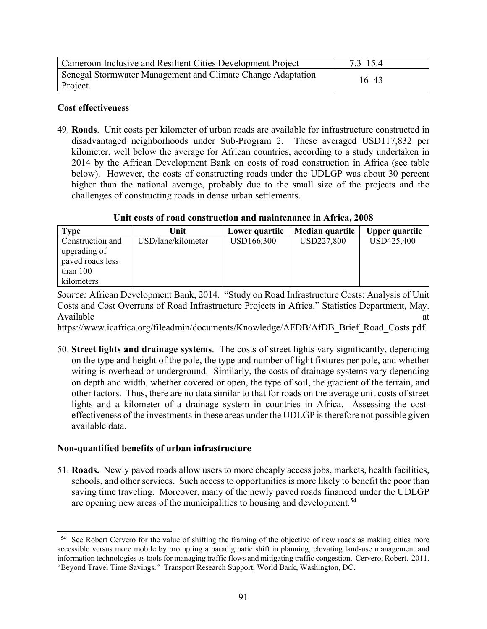| Cameroon Inclusive and Resilient Cities Development Project            | $7.3 - 15.4$ |
|------------------------------------------------------------------------|--------------|
| Senegal Stormwater Management and Climate Change Adaptation<br>Project | $16 - 43$    |

## **Cost effectiveness**

49. **Roads**. Unit costs per kilometer of urban roads are available for infrastructure constructed in disadvantaged neighborhoods under Sub-Program 2. These averaged USD117,832 per kilometer, well below the average for African countries, according to a study undertaken in 2014 by the African Development Bank on costs of road construction in Africa (see table below). However, the costs of constructing roads under the UDLGP was about 30 percent higher than the national average, probably due to the small size of the projects and the challenges of constructing roads in dense urban settlements.

**Unit costs of road construction and maintenance in Africa, 2008**

| Type             | Unit               | Lower quartile | Median quartile | <b>Upper quartile</b> |
|------------------|--------------------|----------------|-----------------|-----------------------|
| Construction and | USD/lane/kilometer | USD166,300     | USD227,800      | USD425,400            |
| upgrading of     |                    |                |                 |                       |
| paved roads less |                    |                |                 |                       |
| than $100$       |                    |                |                 |                       |
| kilometers       |                    |                |                 |                       |

*Source:* African Development Bank, 2014. "Study on Road Infrastructure Costs: Analysis of Unit Costs and Cost Overruns of Road Infrastructure Projects in Africa." Statistics Department, May. Available at a state of  $\alpha$  at a state of  $\alpha$  at a state of  $\alpha$  at a state of  $\alpha$  at a state of  $\alpha$  at a state of  $\alpha$  at a state of  $\alpha$  at a state of  $\alpha$  at a state of  $\alpha$  at a state of  $\alpha$  at a state of  $\alpha$  at

https://www.icafrica.org/fileadmin/documents/Knowledge/AFDB/AfDB\_Brief\_Road\_Costs.pdf.

50. **Street lights and drainage systems**. The costs of street lights vary significantly, depending on the type and height of the pole, the type and number of light fixtures per pole, and whether wiring is overhead or underground. Similarly, the costs of drainage systems vary depending on depth and width, whether covered or open, the type of soil, the gradient of the terrain, and other factors. Thus, there are no data similar to that for roads on the average unit costs of street lights and a kilometer of a drainage system in countries in Africa. Assessing the costeffectiveness of the investments in these areas under the UDLGP is therefore not possible given available data.

## **Non-quantified benefits of urban infrastructure**

 $\overline{\phantom{a}}$ 

51. **Roads.** Newly paved roads allow users to more cheaply access jobs, markets, health facilities, schools, and other services. Such access to opportunities is more likely to benefit the poor than saving time traveling. Moreover, many of the newly paved roads financed under the UDLGP are opening new areas of the municipalities to housing and development.<sup>54</sup>

<sup>&</sup>lt;sup>54</sup> See Robert Cervero for the value of shifting the framing of the objective of new roads as making cities more accessible versus more mobile by prompting a paradigmatic shift in planning, elevating land-use management and information technologies as tools for managing traffic flows and mitigating traffic congestion. Cervero, Robert. 2011. "Beyond Travel Time Savings." Transport Research Support, World Bank, Washington, DC.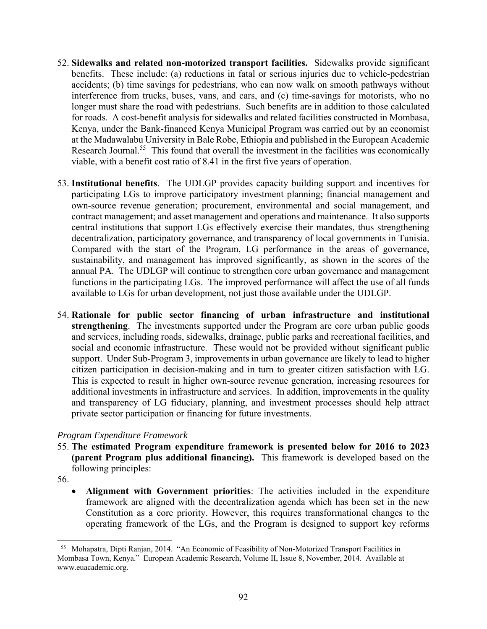- 52. **Sidewalks and related non-motorized transport facilities.** Sidewalks provide significant benefits. These include: (a) reductions in fatal or serious injuries due to vehicle-pedestrian accidents; (b) time savings for pedestrians, who can now walk on smooth pathways without interference from trucks, buses, vans, and cars, and (c) time-savings for motorists, who no longer must share the road with pedestrians. Such benefits are in addition to those calculated for roads. A cost-benefit analysis for sidewalks and related facilities constructed in Mombasa, Kenya, under the Bank-financed Kenya Municipal Program was carried out by an economist at the Madawalabu University in Bale Robe, Ethiopia and published in the European Academic Research Journal.<sup>55</sup> This found that overall the investment in the facilities was economically viable, with a benefit cost ratio of 8.41 in the first five years of operation.
- 53. **Institutional benefits**. The UDLGP provides capacity building support and incentives for participating LGs to improve participatory investment planning; financial management and own-source revenue generation; procurement, environmental and social management, and contract management; and asset management and operations and maintenance. It also supports central institutions that support LGs effectively exercise their mandates, thus strengthening decentralization, participatory governance, and transparency of local governments in Tunisia. Compared with the start of the Program, LG performance in the areas of governance, sustainability, and management has improved significantly, as shown in the scores of the annual PA. The UDLGP will continue to strengthen core urban governance and management functions in the participating LGs. The improved performance will affect the use of all funds available to LGs for urban development, not just those available under the UDLGP.
- 54. **Rationale for public sector financing of urban infrastructure and institutional strengthening**. The investments supported under the Program are core urban public goods and services, including roads, sidewalks, drainage, public parks and recreational facilities, and social and economic infrastructure. These would not be provided without significant public support. Under Sub-Program 3, improvements in urban governance are likely to lead to higher citizen participation in decision-making and in turn to greater citizen satisfaction with LG. This is expected to result in higher own-source revenue generation, increasing resources for additional investments in infrastructure and services. In addition, improvements in the quality and transparency of LG fiduciary, planning, and investment processes should help attract private sector participation or financing for future investments.

#### *Program Expenditure Framework*

55. **The estimated Program expenditure framework is presented below for 2016 to 2023 (parent Program plus additional financing).** This framework is developed based on the following principles:

56.

 **Alignment with Government priorities**: The activities included in the expenditure framework are aligned with the decentralization agenda which has been set in the new Constitution as a core priority. However, this requires transformational changes to the operating framework of the LGs, and the Program is designed to support key reforms

l 55 Mohapatra, Dipti Ranjan, 2014. "An Economic of Feasibility of Non-Motorized Transport Facilities in Mombasa Town, Kenya." European Academic Research, Volume II, Issue 8, November, 2014. Available at www.euacademic.org.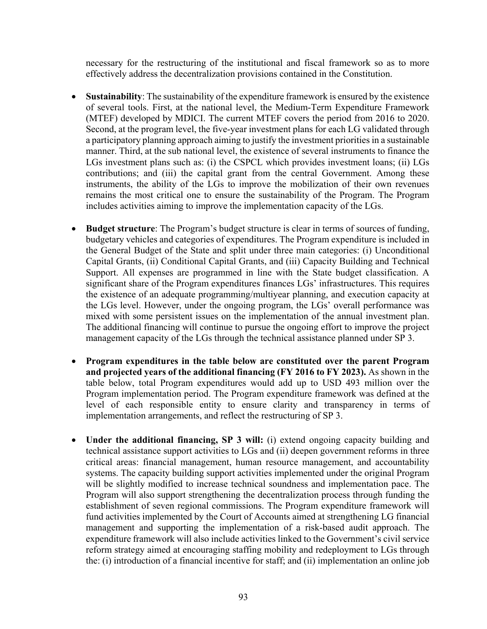necessary for the restructuring of the institutional and fiscal framework so as to more effectively address the decentralization provisions contained in the Constitution.

- **Sustainability**: The sustainability of the expenditure framework is ensured by the existence of several tools. First, at the national level, the Medium-Term Expenditure Framework (MTEF) developed by MDICI. The current MTEF covers the period from 2016 to 2020. Second, at the program level, the five-year investment plans for each LG validated through a participatory planning approach aiming to justify the investment priorities in a sustainable manner. Third, at the sub national level, the existence of several instruments to finance the LGs investment plans such as: (i) the CSPCL which provides investment loans; (ii) LGs contributions; and (iii) the capital grant from the central Government. Among these instruments, the ability of the LGs to improve the mobilization of their own revenues remains the most critical one to ensure the sustainability of the Program. The Program includes activities aiming to improve the implementation capacity of the LGs.
- **Budget structure**: The Program's budget structure is clear in terms of sources of funding, budgetary vehicles and categories of expenditures. The Program expenditure is included in the General Budget of the State and split under three main categories: (i) Unconditional Capital Grants, (ii) Conditional Capital Grants, and (iii) Capacity Building and Technical Support. All expenses are programmed in line with the State budget classification. A significant share of the Program expenditures finances LGs' infrastructures. This requires the existence of an adequate programming/multiyear planning, and execution capacity at the LGs level. However, under the ongoing program, the LGs' overall performance was mixed with some persistent issues on the implementation of the annual investment plan. The additional financing will continue to pursue the ongoing effort to improve the project management capacity of the LGs through the technical assistance planned under SP 3.
- **Program expenditures in the table below are constituted over the parent Program and projected years of the additional financing (FY 2016 to FY 2023).** As shown in the table below, total Program expenditures would add up to USD 493 million over the Program implementation period. The Program expenditure framework was defined at the level of each responsible entity to ensure clarity and transparency in terms of implementation arrangements, and reflect the restructuring of SP 3.
- **Under the additional financing, SP 3 will:** (i) extend ongoing capacity building and technical assistance support activities to LGs and (ii) deepen government reforms in three critical areas: financial management, human resource management, and accountability systems. The capacity building support activities implemented under the original Program will be slightly modified to increase technical soundness and implementation pace. The Program will also support strengthening the decentralization process through funding the establishment of seven regional commissions. The Program expenditure framework will fund activities implemented by the Court of Accounts aimed at strengthening LG financial management and supporting the implementation of a risk-based audit approach. The expenditure framework will also include activities linked to the Government's civil service reform strategy aimed at encouraging staffing mobility and redeployment to LGs through the: (i) introduction of a financial incentive for staff; and (ii) implementation an online job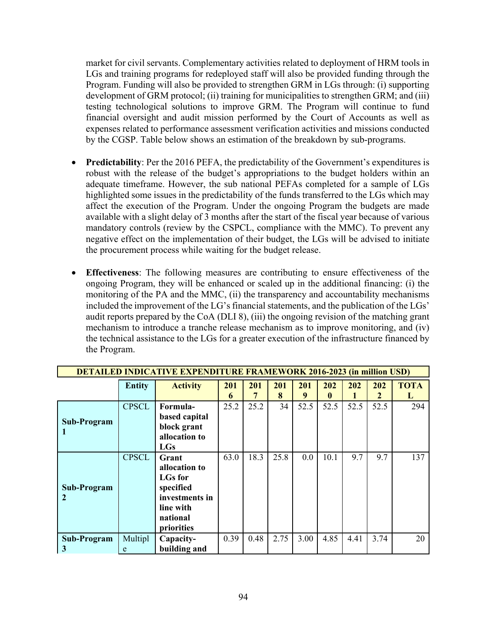market for civil servants. Complementary activities related to deployment of HRM tools in LGs and training programs for redeployed staff will also be provided funding through the Program. Funding will also be provided to strengthen GRM in LGs through: (i) supporting development of GRM protocol; (ii) training for municipalities to strengthen GRM; and (iii) testing technological solutions to improve GRM. The Program will continue to fund financial oversight and audit mission performed by the Court of Accounts as well as expenses related to performance assessment verification activities and missions conducted by the CGSP. Table below shows an estimation of the breakdown by sub-programs.

- **Predictability**: Per the 2016 PEFA, the predictability of the Government's expenditures is robust with the release of the budget's appropriations to the budget holders within an adequate timeframe. However, the sub national PEFAs completed for a sample of LGs highlighted some issues in the predictability of the funds transferred to the LGs which may affect the execution of the Program. Under the ongoing Program the budgets are made available with a slight delay of 3 months after the start of the fiscal year because of various mandatory controls (review by the CSPCL, compliance with the MMC). To prevent any negative effect on the implementation of their budget, the LGs will be advised to initiate the procurement process while waiting for the budget release.
- **Effectiveness**: The following measures are contributing to ensure effectiveness of the ongoing Program, they will be enhanced or scaled up in the additional financing: (i) the monitoring of the PA and the MMC, (ii) the transparency and accountability mechanisms included the improvement of the LG's financial statements, and the publication of the LGs' audit reports prepared by the CoA (DLI 8), (iii) the ongoing revision of the matching grant mechanism to introduce a tranche release mechanism as to improve monitoring, and (iv) the technical assistance to the LGs for a greater execution of the infrastructure financed by the Program.

| <b>DETAILED INDICATIVE EXPENDITURE FRAMEWORK 2016-2023 (in million USD)</b> |               |                 |      |      |      |      |              |      |      |             |
|-----------------------------------------------------------------------------|---------------|-----------------|------|------|------|------|--------------|------|------|-------------|
|                                                                             | <b>Entity</b> | <b>Activity</b> | 201  | 201  | 201  | 201  | 202          | 202  | 202  | <b>TOTA</b> |
|                                                                             |               |                 | 6    |      | 8    | 9    | $\mathbf{0}$ |      | 2    | Т.          |
|                                                                             | <b>CPSCL</b>  | Formula-        | 25.2 | 25.2 | 34   | 52.5 | 52.5         | 52.5 | 52.5 | 294         |
| Sub-Program                                                                 |               | based capital   |      |      |      |      |              |      |      |             |
|                                                                             |               | block grant     |      |      |      |      |              |      |      |             |
|                                                                             |               | allocation to   |      |      |      |      |              |      |      |             |
|                                                                             |               | LGs             |      |      |      |      |              |      |      |             |
|                                                                             | <b>CPSCL</b>  | Grant           | 63.0 | 18.3 | 25.8 | 0.0  | 10.1         | 9.7  | 9.7  | 137         |
|                                                                             |               | allocation to   |      |      |      |      |              |      |      |             |
|                                                                             |               | <b>LGs</b> for  |      |      |      |      |              |      |      |             |
| Sub-Program                                                                 |               | specified       |      |      |      |      |              |      |      |             |
|                                                                             |               | investments in  |      |      |      |      |              |      |      |             |
|                                                                             |               | line with       |      |      |      |      |              |      |      |             |
|                                                                             |               | national        |      |      |      |      |              |      |      |             |
|                                                                             |               | priorities      |      |      |      |      |              |      |      |             |
| Sub-Program                                                                 | Multipl       | Capacity-       | 0.39 | 0.48 | 2.75 | 3.00 | 4.85         | 4.41 | 3.74 | 20          |
| 3                                                                           | e             | building and    |      |      |      |      |              |      |      |             |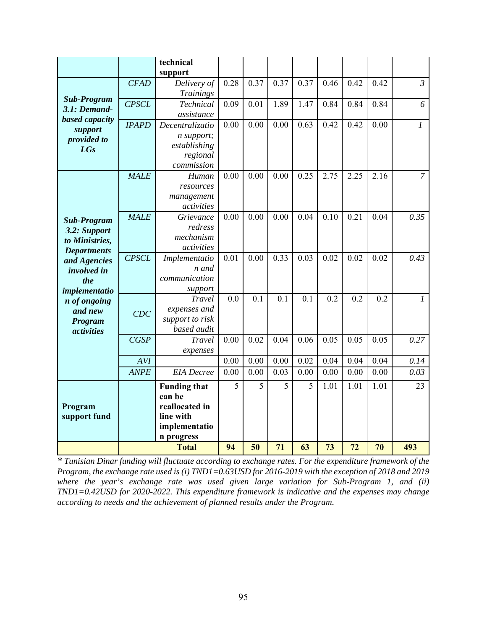|                                                                                                                                                                                                     |              | technical<br>support                                                                        |      |      |      |      |      |      |      |                |
|-----------------------------------------------------------------------------------------------------------------------------------------------------------------------------------------------------|--------------|---------------------------------------------------------------------------------------------|------|------|------|------|------|------|------|----------------|
|                                                                                                                                                                                                     | <b>CFAD</b>  | Delivery of<br><b>Trainings</b>                                                             | 0.28 | 0.37 | 0.37 | 0.37 | 0.46 | 0.42 | 0.42 | $\mathfrak{Z}$ |
| <b>Sub-Program</b><br>3.1: Demand-                                                                                                                                                                  | <b>CPSCL</b> | Technical<br>assistance                                                                     | 0.09 | 0.01 | 1.89 | 1.47 | 0.84 | 0.84 | 0.84 | 6              |
| based capacity<br>support                                                                                                                                                                           | <b>IPAPD</b> | Decentralizatio<br>n support;                                                               | 0.00 | 0.00 | 0.00 | 0.63 | 0.42 | 0.42 | 0.00 | $\mathfrak{1}$ |
| provided to<br><b>LGs</b>                                                                                                                                                                           |              | establishing<br>regional<br>commission                                                      |      |      |      |      |      |      |      |                |
|                                                                                                                                                                                                     | <b>MALE</b>  | Human<br>resources<br>management<br>activities                                              | 0.00 | 0.00 | 0.00 | 0.25 | 2.75 | 2.25 | 2.16 | $\overline{7}$ |
| <b>Sub-Program</b><br>3.2: Support<br>to Ministries,<br><b>Departments</b><br>and Agencies<br><i>involved in</i><br>the<br>implementatio<br>n of ongoing<br>and new<br>Program<br><i>activities</i> | <b>MALE</b>  | Grievance<br>redress<br>mechanism<br>activities                                             | 0.00 | 0.00 | 0.00 | 0.04 | 0.10 | 0.21 | 0.04 | 0.35           |
|                                                                                                                                                                                                     | CPSCL        | Implementatio<br>n and<br>communication<br>support                                          | 0.01 | 0.00 | 0.33 | 0.03 | 0.02 | 0.02 | 0.02 | 0.43           |
|                                                                                                                                                                                                     | CDC          | Travel<br>expenses and<br>support to risk<br>based audit                                    | 0.0  | 0.1  | 0.1  | 0.1  | 0.2  | 0.2  | 0.2  | $\mathfrak{1}$ |
|                                                                                                                                                                                                     | CGSP         | <b>Travel</b><br>expenses                                                                   | 0.00 | 0.02 | 0.04 | 0.06 | 0.05 | 0.05 | 0.05 | 0.27           |
|                                                                                                                                                                                                     | AVI          |                                                                                             | 0.00 | 0.00 | 0.00 | 0.02 | 0.04 | 0.04 | 0.04 | 0.14           |
|                                                                                                                                                                                                     | <b>ANPE</b>  | <b>EIA</b> Decree                                                                           | 0.00 | 0.00 | 0.03 | 0.00 | 0.00 | 0.00 | 0.00 | 0.03           |
| Program<br>support fund                                                                                                                                                                             |              | <b>Funding that</b><br>can be<br>reallocated in<br>line with<br>implementatio<br>n progress | 5    | 5    | 5    | 5    | 1.01 | 1.01 | 1.01 | 23             |
|                                                                                                                                                                                                     |              | <b>Total</b>                                                                                | 94   | 50   | 71   | 63   | 73   | 72   | 70   | 493            |

*\* Tunisian Dinar funding will fluctuate according to exchange rates. For the expenditure framework of the Program, the exchange rate used is (i) TND1=0.63USD for 2016-2019 with the exception of 2018 and 2019 where the year's exchange rate was used given large variation for Sub-Program 1, and (ii) TND1=0.42USD for 2020-2022. This expenditure framework is indicative and the expenses may change according to needs and the achievement of planned results under the Program.*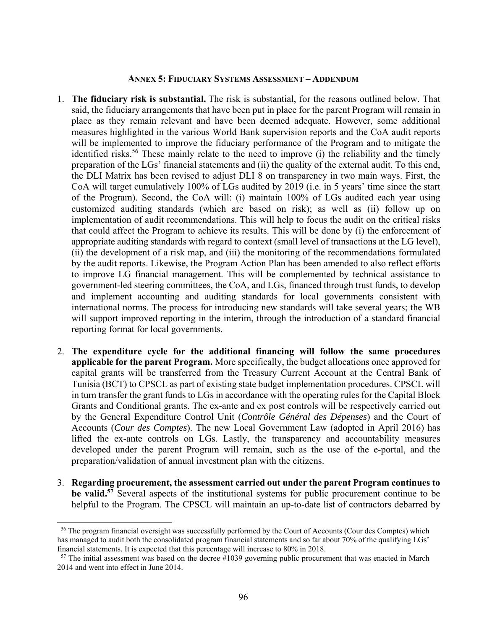#### **ANNEX 5: FIDUCIARY SYSTEMS ASSESSMENT – ADDENDUM**

- 1. **The fiduciary risk is substantial.** The risk is substantial, for the reasons outlined below. That said, the fiduciary arrangements that have been put in place for the parent Program will remain in place as they remain relevant and have been deemed adequate. However, some additional measures highlighted in the various World Bank supervision reports and the CoA audit reports will be implemented to improve the fiduciary performance of the Program and to mitigate the identified risks.<sup>56</sup> These mainly relate to the need to improve (i) the reliability and the timely preparation of the LGs' financial statements and (ii) the quality of the external audit. To this end, the DLI Matrix has been revised to adjust DLI 8 on transparency in two main ways. First, the CoA will target cumulatively 100% of LGs audited by 2019 (i.e. in 5 years' time since the start of the Program). Second, the CoA will: (i) maintain 100% of LGs audited each year using customized auditing standards (which are based on risk); as well as (ii) follow up on implementation of audit recommendations. This will help to focus the audit on the critical risks that could affect the Program to achieve its results. This will be done by (i) the enforcement of appropriate auditing standards with regard to context (small level of transactions at the LG level), (ii) the development of a risk map, and (iii) the monitoring of the recommendations formulated by the audit reports. Likewise, the Program Action Plan has been amended to also reflect efforts to improve LG financial management. This will be complemented by technical assistance to government-led steering committees, the CoA, and LGs, financed through trust funds, to develop and implement accounting and auditing standards for local governments consistent with international norms. The process for introducing new standards will take several years; the WB will support improved reporting in the interim, through the introduction of a standard financial reporting format for local governments.
- 2. **The expenditure cycle for the additional financing will follow the same procedures applicable for the parent Program.** More specifically, the budget allocations once approved for capital grants will be transferred from the Treasury Current Account at the Central Bank of Tunisia (BCT) to CPSCL as part of existing state budget implementation procedures. CPSCL will in turn transfer the grant funds to LGs in accordance with the operating rules for the Capital Block Grants and Conditional grants. The ex-ante and ex post controls will be respectively carried out by the General Expenditure Control Unit (*Contrôle Général des Dépenses*) and the Court of Accounts (*Cour des Comptes*). The new Local Government Law (adopted in April 2016) has lifted the ex-ante controls on LGs. Lastly, the transparency and accountability measures developed under the parent Program will remain, such as the use of the e-portal, and the preparation/validation of annual investment plan with the citizens.
- 3. **Regarding procurement, the assessment carried out under the parent Program continues to be valid.57** Several aspects of the institutional systems for public procurement continue to be helpful to the Program. The CPSCL will maintain an up-to-date list of contractors debarred by

<sup>56</sup> The program financial oversight was successfully performed by the Court of Accounts (Cour des Comptes) which has managed to audit both the consolidated program financial statements and so far about 70% of the qualifying LGs' financial statements. It is expected that this percentage will increase to 80% in 2018. 57 The initial assessment was based on the decree #1039 governing public procurement that was enacted in March

<sup>2014</sup> and went into effect in June 2014.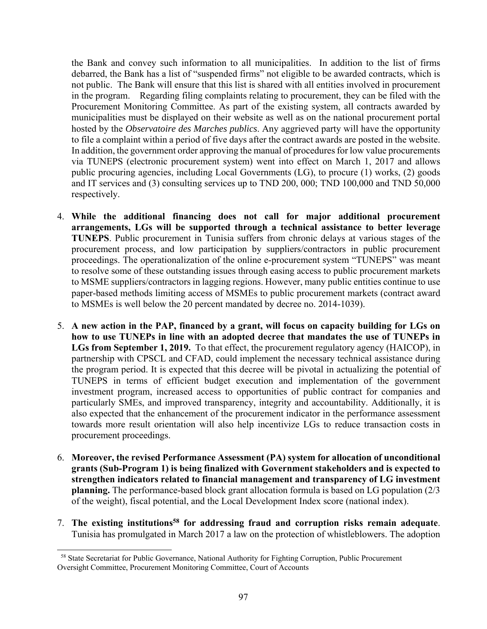the Bank and convey such information to all municipalities. In addition to the list of firms debarred, the Bank has a list of "suspended firms" not eligible to be awarded contracts, which is not public. The Bank will ensure that this list is shared with all entities involved in procurement in the program. Regarding filing complaints relating to procurement, they can be filed with the Procurement Monitoring Committee. As part of the existing system, all contracts awarded by municipalities must be displayed on their website as well as on the national procurement portal hosted by the *Observatoire des Marches publics*. Any aggrieved party will have the opportunity to file a complaint within a period of five days after the contract awards are posted in the website. In addition, the government order approving the manual of procedures for low value procurements via TUNEPS (electronic procurement system) went into effect on March 1, 2017 and allows public procuring agencies, including Local Governments (LG), to procure (1) works, (2) goods and IT services and (3) consulting services up to TND 200, 000; TND 100,000 and TND 50,000 respectively.

- 4. **While the additional financing does not call for major additional procurement arrangements, LGs will be supported through a technical assistance to better leverage TUNEPS**. Public procurement in Tunisia suffers from chronic delays at various stages of the procurement process, and low participation by suppliers/contractors in public procurement proceedings. The operationalization of the online e-procurement system "TUNEPS" was meant to resolve some of these outstanding issues through easing access to public procurement markets to MSME suppliers/contractors in lagging regions. However, many public entities continue to use paper-based methods limiting access of MSMEs to public procurement markets (contract award to MSMEs is well below the 20 percent mandated by decree no. 2014-1039).
- 5. **A new action in the PAP, financed by a grant, will focus on capacity building for LGs on how to use TUNEPs in line with an adopted decree that mandates the use of TUNEPs in LGs from September 1, 2019.** To that effect, the procurement regulatory agency (HAICOP), in partnership with CPSCL and CFAD, could implement the necessary technical assistance during the program period. It is expected that this decree will be pivotal in actualizing the potential of TUNEPS in terms of efficient budget execution and implementation of the government investment program, increased access to opportunities of public contract for companies and particularly SMEs, and improved transparency, integrity and accountability. Additionally, it is also expected that the enhancement of the procurement indicator in the performance assessment towards more result orientation will also help incentivize LGs to reduce transaction costs in procurement proceedings.
- 6. **Moreover, the revised Performance Assessment (PA) system for allocation of unconditional grants (Sub-Program 1) is being finalized with Government stakeholders and is expected to strengthen indicators related to financial management and transparency of LG investment planning.** The performance-based block grant allocation formula is based on LG population (2/3 of the weight), fiscal potential, and the Local Development Index score (national index).
- 7. **The existing institutions58 for addressing fraud and corruption risks remain adequate**. Tunisia has promulgated in March 2017 a law on the protection of whistleblowers. The adoption

<sup>58</sup> State Secretariat for Public Governance, National Authority for Fighting Corruption, Public Procurement Oversight Committee, Procurement Monitoring Committee, Court of Accounts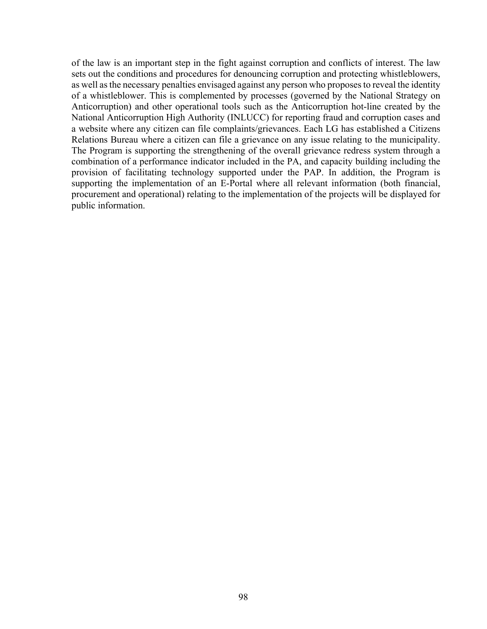of the law is an important step in the fight against corruption and conflicts of interest. The law sets out the conditions and procedures for denouncing corruption and protecting whistleblowers, as well as the necessary penalties envisaged against any person who proposes to reveal the identity of a whistleblower. This is complemented by processes (governed by the National Strategy on Anticorruption) and other operational tools such as the Anticorruption hot-line created by the National Anticorruption High Authority (INLUCC) for reporting fraud and corruption cases and a website where any citizen can file complaints/grievances. Each LG has established a Citizens Relations Bureau where a citizen can file a grievance on any issue relating to the municipality. The Program is supporting the strengthening of the overall grievance redress system through a combination of a performance indicator included in the PA, and capacity building including the provision of facilitating technology supported under the PAP. In addition, the Program is supporting the implementation of an E-Portal where all relevant information (both financial, procurement and operational) relating to the implementation of the projects will be displayed for public information.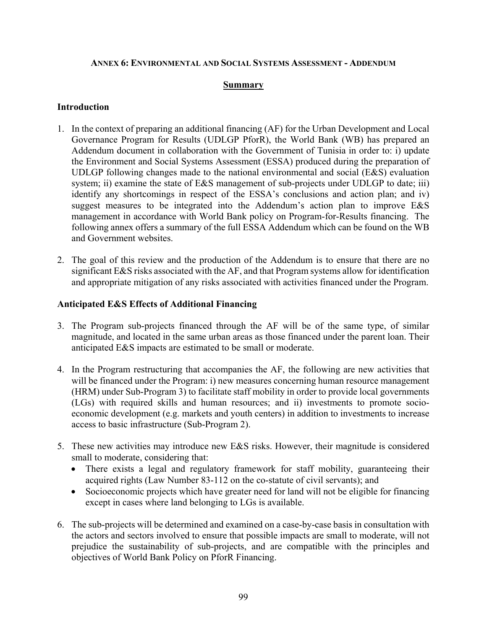#### **ANNEX 6: ENVIRONMENTAL AND SOCIAL SYSTEMS ASSESSMENT - ADDENDUM**

#### **Summary**

### **Introduction**

- 1. In the context of preparing an additional financing (AF) for the Urban Development and Local Governance Program for Results (UDLGP PforR), the World Bank (WB) has prepared an Addendum document in collaboration with the Government of Tunisia in order to: i) update the Environment and Social Systems Assessment (ESSA) produced during the preparation of UDLGP following changes made to the national environmental and social ( $E&S$ ) evaluation system; ii) examine the state of E&S management of sub-projects under UDLGP to date; iii) identify any shortcomings in respect of the ESSA's conclusions and action plan; and iv) suggest measures to be integrated into the Addendum's action plan to improve E&S management in accordance with World Bank policy on Program-for-Results financing. The following annex offers a summary of the full ESSA Addendum which can be found on the WB and Government websites.
- 2. The goal of this review and the production of the Addendum is to ensure that there are no significant E&S risks associated with the AF, and that Program systems allow for identification and appropriate mitigation of any risks associated with activities financed under the Program.

### **Anticipated E&S Effects of Additional Financing**

- 3. The Program sub-projects financed through the AF will be of the same type, of similar magnitude, and located in the same urban areas as those financed under the parent loan. Their anticipated E&S impacts are estimated to be small or moderate.
- 4. In the Program restructuring that accompanies the AF, the following are new activities that will be financed under the Program: i) new measures concerning human resource management (HRM) under Sub-Program 3) to facilitate staff mobility in order to provide local governments (LGs) with required skills and human resources; and ii) investments to promote socioeconomic development (e.g. markets and youth centers) in addition to investments to increase access to basic infrastructure (Sub-Program 2).
- 5. These new activities may introduce new E&S risks. However, their magnitude is considered small to moderate, considering that:
	- There exists a legal and regulatory framework for staff mobility, guaranteeing their acquired rights (Law Number 83-112 on the co-statute of civil servants); and
	- Socioeconomic projects which have greater need for land will not be eligible for financing except in cases where land belonging to LGs is available.
- 6. The sub-projects will be determined and examined on a case-by-case basis in consultation with the actors and sectors involved to ensure that possible impacts are small to moderate, will not prejudice the sustainability of sub-projects, and are compatible with the principles and objectives of World Bank Policy on PforR Financing.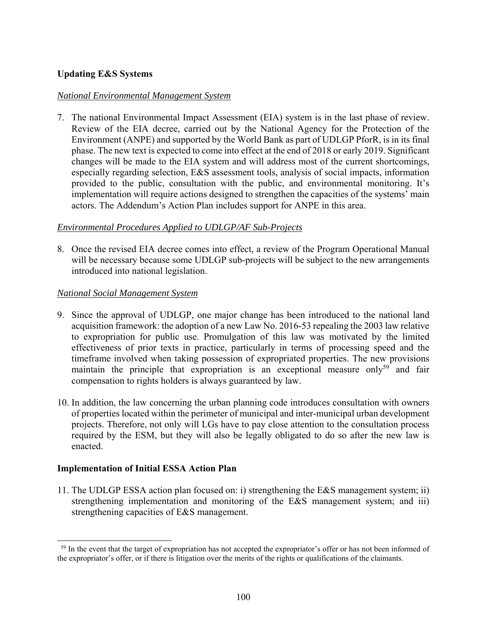## **Updating E&S Systems**

### *National Environmental Management System*

7. The national Environmental Impact Assessment (EIA) system is in the last phase of review. Review of the EIA decree, carried out by the National Agency for the Protection of the Environment (ANPE) and supported by the World Bank as part of UDLGP PforR, is in its final phase. The new text is expected to come into effect at the end of 2018 or early 2019. Significant changes will be made to the EIA system and will address most of the current shortcomings, especially regarding selection, E&S assessment tools, analysis of social impacts, information provided to the public, consultation with the public, and environmental monitoring. It's implementation will require actions designed to strengthen the capacities of the systems' main actors. The Addendum's Action Plan includes support for ANPE in this area.

### *Environmental Procedures Applied to UDLGP/AF Sub-Projects*

8. Once the revised EIA decree comes into effect, a review of the Program Operational Manual will be necessary because some UDLGP sub-projects will be subject to the new arrangements introduced into national legislation.

### *National Social Management System*

- 9. Since the approval of UDLGP, one major change has been introduced to the national land acquisition framework: the adoption of a new Law No. 2016-53 repealing the 2003 law relative to expropriation for public use. Promulgation of this law was motivated by the limited effectiveness of prior texts in practice, particularly in terms of processing speed and the timeframe involved when taking possession of expropriated properties. The new provisions maintain the principle that expropriation is an exceptional measure only<sup>59</sup> and fair compensation to rights holders is always guaranteed by law.
- 10. In addition, the law concerning the urban planning code introduces consultation with owners of properties located within the perimeter of municipal and inter-municipal urban development projects. Therefore, not only will LGs have to pay close attention to the consultation process required by the ESM, but they will also be legally obligated to do so after the new law is enacted.

## **Implementation of Initial ESSA Action Plan**

l

11. The UDLGP ESSA action plan focused on: i) strengthening the E&S management system; ii) strengthening implementation and monitoring of the E&S management system; and iii) strengthening capacities of E&S management.

<sup>&</sup>lt;sup>59</sup> In the event that the target of expropriation has not accepted the expropriator's offer or has not been informed of the expropriator's offer, or if there is litigation over the merits of the rights or qualifications of the claimants.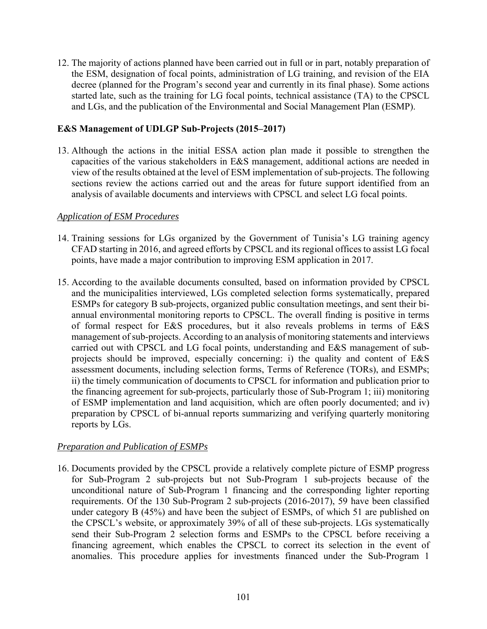12. The majority of actions planned have been carried out in full or in part, notably preparation of the ESM, designation of focal points, administration of LG training, and revision of the EIA decree (planned for the Program's second year and currently in its final phase). Some actions started late, such as the training for LG focal points, technical assistance (TA) to the CPSCL and LGs, and the publication of the Environmental and Social Management Plan (ESMP).

## **E&S Management of UDLGP Sub-Projects (2015–2017)**

13. Although the actions in the initial ESSA action plan made it possible to strengthen the capacities of the various stakeholders in E&S management, additional actions are needed in view of the results obtained at the level of ESM implementation of sub-projects. The following sections review the actions carried out and the areas for future support identified from an analysis of available documents and interviews with CPSCL and select LG focal points.

#### *Application of ESM Procedures*

- 14. Training sessions for LGs organized by the Government of Tunisia's LG training agency CFAD starting in 2016, and agreed efforts by CPSCL and its regional offices to assist LG focal points, have made a major contribution to improving ESM application in 2017.
- 15. According to the available documents consulted, based on information provided by CPSCL and the municipalities interviewed, LGs completed selection forms systematically, prepared ESMPs for category B sub-projects, organized public consultation meetings, and sent their biannual environmental monitoring reports to CPSCL. The overall finding is positive in terms of formal respect for E&S procedures, but it also reveals problems in terms of E&S management of sub-projects. According to an analysis of monitoring statements and interviews carried out with CPSCL and LG focal points, understanding and E&S management of subprojects should be improved, especially concerning: i) the quality and content of E&S assessment documents, including selection forms, Terms of Reference (TORs), and ESMPs; ii) the timely communication of documents to CPSCL for information and publication prior to the financing agreement for sub-projects, particularly those of Sub-Program 1; iii) monitoring of ESMP implementation and land acquisition, which are often poorly documented; and iv) preparation by CPSCL of bi-annual reports summarizing and verifying quarterly monitoring reports by LGs.

## *Preparation and Publication of ESMPs*

16. Documents provided by the CPSCL provide a relatively complete picture of ESMP progress for Sub-Program 2 sub-projects but not Sub-Program 1 sub-projects because of the unconditional nature of Sub-Program 1 financing and the corresponding lighter reporting requirements. Of the 130 Sub-Program 2 sub-projects (2016-2017), 59 have been classified under category B (45%) and have been the subject of ESMPs, of which 51 are published on the CPSCL's website, or approximately 39% of all of these sub-projects. LGs systematically send their Sub-Program 2 selection forms and ESMPs to the CPSCL before receiving a financing agreement, which enables the CPSCL to correct its selection in the event of anomalies. This procedure applies for investments financed under the Sub-Program 1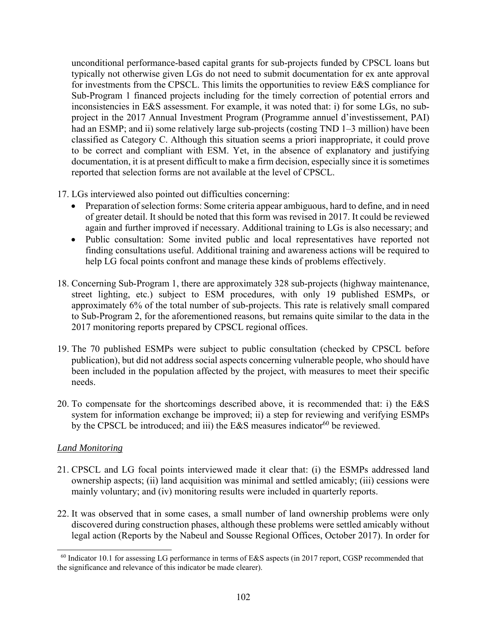unconditional performance-based capital grants for sub-projects funded by CPSCL loans but typically not otherwise given LGs do not need to submit documentation for ex ante approval for investments from the CPSCL. This limits the opportunities to review E&S compliance for Sub-Program 1 financed projects including for the timely correction of potential errors and inconsistencies in E&S assessment. For example, it was noted that: i) for some LGs, no subproject in the 2017 Annual Investment Program (Programme annuel d'investissement, PAI) had an ESMP; and ii) some relatively large sub-projects (costing TND 1–3 million) have been classified as Category C. Although this situation seems a priori inappropriate, it could prove to be correct and compliant with ESM. Yet, in the absence of explanatory and justifying documentation, it is at present difficult to make a firm decision, especially since it is sometimes reported that selection forms are not available at the level of CPSCL.

- 17. LGs interviewed also pointed out difficulties concerning:
	- Preparation of selection forms: Some criteria appear ambiguous, hard to define, and in need of greater detail. It should be noted that this form was revised in 2017. It could be reviewed again and further improved if necessary. Additional training to LGs is also necessary; and
	- Public consultation: Some invited public and local representatives have reported not finding consultations useful. Additional training and awareness actions will be required to help LG focal points confront and manage these kinds of problems effectively.
- 18. Concerning Sub-Program 1, there are approximately 328 sub-projects (highway maintenance, street lighting, etc.) subject to ESM procedures, with only 19 published ESMPs, or approximately 6% of the total number of sub-projects. This rate is relatively small compared to Sub-Program 2, for the aforementioned reasons, but remains quite similar to the data in the 2017 monitoring reports prepared by CPSCL regional offices.
- 19. The 70 published ESMPs were subject to public consultation (checked by CPSCL before publication), but did not address social aspects concerning vulnerable people, who should have been included in the population affected by the project, with measures to meet their specific needs.
- 20. To compensate for the shortcomings described above, it is recommended that: i) the E&S system for information exchange be improved; ii) a step for reviewing and verifying ESMPs by the CPSCL be introduced; and iii) the E&S measures indicator<sup>60</sup> be reviewed.

## *Land Monitoring*

- 21. CPSCL and LG focal points interviewed made it clear that: (i) the ESMPs addressed land ownership aspects; (ii) land acquisition was minimal and settled amicably; (iii) cessions were mainly voluntary; and (iv) monitoring results were included in quarterly reports.
- 22. It was observed that in some cases, a small number of land ownership problems were only discovered during construction phases, although these problems were settled amicably without legal action (Reports by the Nabeul and Sousse Regional Offices, October 2017). In order for

<sup>60</sup> Indicator 10.1 for assessing LG performance in terms of E&S aspects (in 2017 report, CGSP recommended that the significance and relevance of this indicator be made clearer).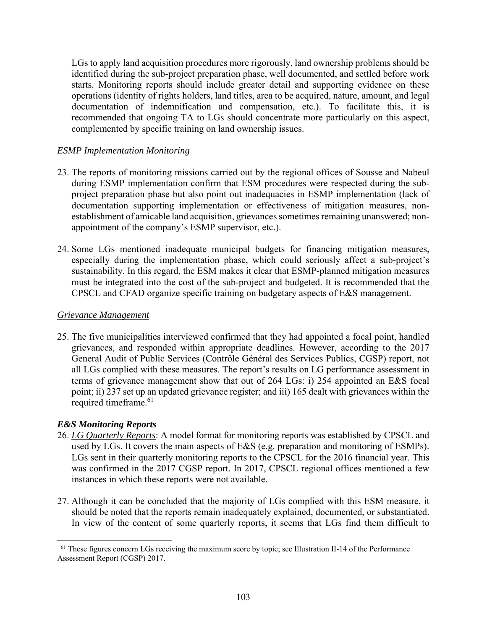LGs to apply land acquisition procedures more rigorously, land ownership problems should be identified during the sub-project preparation phase, well documented, and settled before work starts. Monitoring reports should include greater detail and supporting evidence on these operations (identity of rights holders, land titles, area to be acquired, nature, amount, and legal documentation of indemnification and compensation, etc.). To facilitate this, it is recommended that ongoing TA to LGs should concentrate more particularly on this aspect, complemented by specific training on land ownership issues.

## *ESMP Implementation Monitoring*

- 23. The reports of monitoring missions carried out by the regional offices of Sousse and Nabeul during ESMP implementation confirm that ESM procedures were respected during the subproject preparation phase but also point out inadequacies in ESMP implementation (lack of documentation supporting implementation or effectiveness of mitigation measures, nonestablishment of amicable land acquisition, grievances sometimes remaining unanswered; nonappointment of the company's ESMP supervisor, etc.).
- 24. Some LGs mentioned inadequate municipal budgets for financing mitigation measures, especially during the implementation phase, which could seriously affect a sub-project's sustainability. In this regard, the ESM makes it clear that ESMP-planned mitigation measures must be integrated into the cost of the sub-project and budgeted. It is recommended that the CPSCL and CFAD organize specific training on budgetary aspects of E&S management.

### *Grievance Management*

25. The five municipalities interviewed confirmed that they had appointed a focal point, handled grievances, and responded within appropriate deadlines. However, according to the 2017 General Audit of Public Services (Contrôle Général des Services Publics, CGSP) report, not all LGs complied with these measures. The report's results on LG performance assessment in terms of grievance management show that out of 264 LGs: i) 254 appointed an E&S focal point; ii) 237 set up an updated grievance register; and iii) 165 dealt with grievances within the required timeframe.<sup>61</sup>

## *E&S Monitoring Reports*

- 26. *LG Quarterly Reports*: A model format for monitoring reports was established by CPSCL and used by LGs. It covers the main aspects of E&S (e.g. preparation and monitoring of ESMPs). LGs sent in their quarterly monitoring reports to the CPSCL for the 2016 financial year. This was confirmed in the 2017 CGSP report. In 2017, CPSCL regional offices mentioned a few instances in which these reports were not available.
- 27. Although it can be concluded that the majority of LGs complied with this ESM measure, it should be noted that the reports remain inadequately explained, documented, or substantiated. In view of the content of some quarterly reports, it seems that LGs find them difficult to

l <sup>61</sup> These figures concern LGs receiving the maximum score by topic; see Illustration II-14 of the Performance Assessment Report (CGSP) 2017.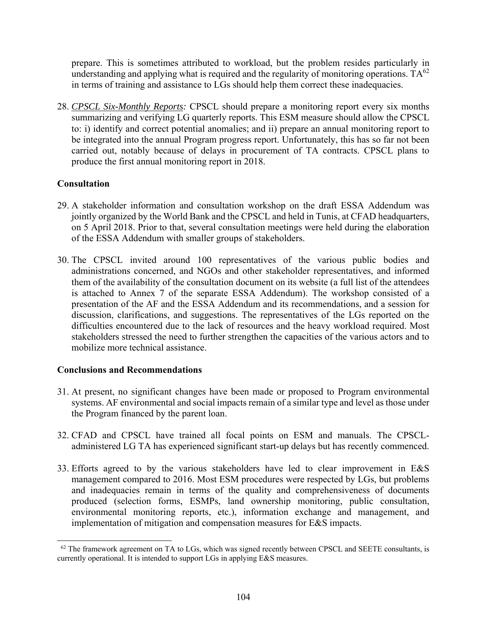prepare. This is sometimes attributed to workload, but the problem resides particularly in understanding and applying what is required and the regularity of monitoring operations.  $TA^{62}$ in terms of training and assistance to LGs should help them correct these inadequacies.

28. *CPSCL Six-Monthly Reports:* CPSCL should prepare a monitoring report every six months summarizing and verifying LG quarterly reports. This ESM measure should allow the CPSCL to: i) identify and correct potential anomalies; and ii) prepare an annual monitoring report to be integrated into the annual Program progress report. Unfortunately, this has so far not been carried out, notably because of delays in procurement of TA contracts. CPSCL plans to produce the first annual monitoring report in 2018.

# **Consultation**

l

- 29. A stakeholder information and consultation workshop on the draft ESSA Addendum was jointly organized by the World Bank and the CPSCL and held in Tunis, at CFAD headquarters, on 5 April 2018. Prior to that, several consultation meetings were held during the elaboration of the ESSA Addendum with smaller groups of stakeholders.
- 30. The CPSCL invited around 100 representatives of the various public bodies and administrations concerned, and NGOs and other stakeholder representatives, and informed them of the availability of the consultation document on its website (a full list of the attendees is attached to Annex 7 of the separate ESSA Addendum). The workshop consisted of a presentation of the AF and the ESSA Addendum and its recommendations, and a session for discussion, clarifications, and suggestions. The representatives of the LGs reported on the difficulties encountered due to the lack of resources and the heavy workload required. Most stakeholders stressed the need to further strengthen the capacities of the various actors and to mobilize more technical assistance.

## **Conclusions and Recommendations**

- 31. At present, no significant changes have been made or proposed to Program environmental systems. AF environmental and social impacts remain of a similar type and level as those under the Program financed by the parent loan.
- 32. CFAD and CPSCL have trained all focal points on ESM and manuals. The CPSCLadministered LG TA has experienced significant start-up delays but has recently commenced.
- 33. Efforts agreed to by the various stakeholders have led to clear improvement in E&S management compared to 2016. Most ESM procedures were respected by LGs, but problems and inadequacies remain in terms of the quality and comprehensiveness of documents produced (selection forms, ESMPs, land ownership monitoring, public consultation, environmental monitoring reports, etc.), information exchange and management, and implementation of mitigation and compensation measures for E&S impacts.

 $62$  The framework agreement on TA to LGs, which was signed recently between CPSCL and SEETE consultants, is currently operational. It is intended to support LGs in applying E&S measures.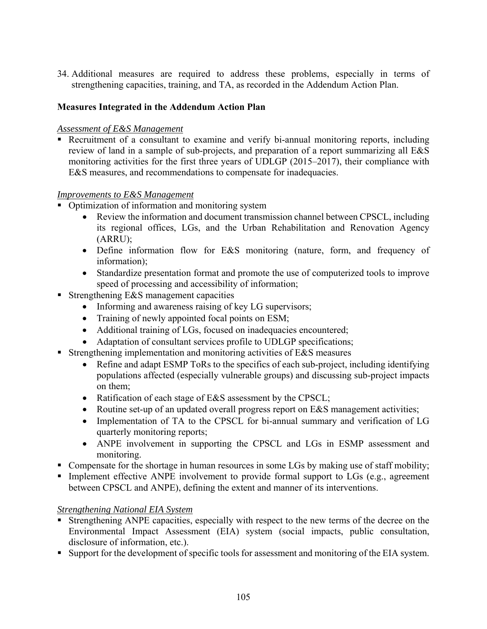34. Additional measures are required to address these problems, especially in terms of strengthening capacities, training, and TA, as recorded in the Addendum Action Plan.

# **Measures Integrated in the Addendum Action Plan**

## *Assessment of E&S Management*

 Recruitment of a consultant to examine and verify bi-annual monitoring reports, including review of land in a sample of sub-projects, and preparation of a report summarizing all E&S monitoring activities for the first three years of UDLGP (2015–2017), their compliance with E&S measures, and recommendations to compensate for inadequacies.

### *Improvements to E&S Management*

- Optimization of information and monitoring system
	- Review the information and document transmission channel between CPSCL, including its regional offices, LGs, and the Urban Rehabilitation and Renovation Agency (ARRU);
	- Define information flow for E&S monitoring (nature, form, and frequency of information);
	- Standardize presentation format and promote the use of computerized tools to improve speed of processing and accessibility of information;
- Strengthening E&S management capacities
	- Informing and awareness raising of key LG supervisors;
	- Training of newly appointed focal points on ESM;
	- Additional training of LGs, focused on inadequacies encountered;
	- Adaptation of consultant services profile to UDLGP specifications;
- **Strengthening implementation and monitoring activities of E&S measures** 
	- Refine and adapt ESMP ToRs to the specifics of each sub-project, including identifying populations affected (especially vulnerable groups) and discussing sub-project impacts on them;
	- Ratification of each stage of E&S assessment by the CPSCL;
	- Routine set-up of an updated overall progress report on E&S management activities;
	- Implementation of TA to the CPSCL for bi-annual summary and verification of LG quarterly monitoring reports;
	- ANPE involvement in supporting the CPSCL and LGs in ESMP assessment and monitoring.
- Compensate for the shortage in human resources in some LGs by making use of staff mobility;
- Implement effective ANPE involvement to provide formal support to  $LGs$  (e.g., agreement between CPSCL and ANPE), defining the extent and manner of its interventions.

## *Strengthening National EIA System*

- Strengthening ANPE capacities, especially with respect to the new terms of the decree on the Environmental Impact Assessment (EIA) system (social impacts, public consultation, disclosure of information, etc.).
- Support for the development of specific tools for assessment and monitoring of the EIA system.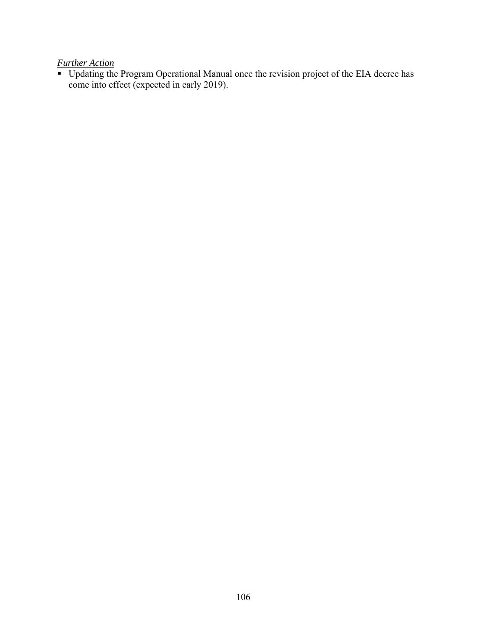*Further Action* 

Updating the Program Operational Manual once the revision project of the EIA decree has come into effect (expected in early 2019).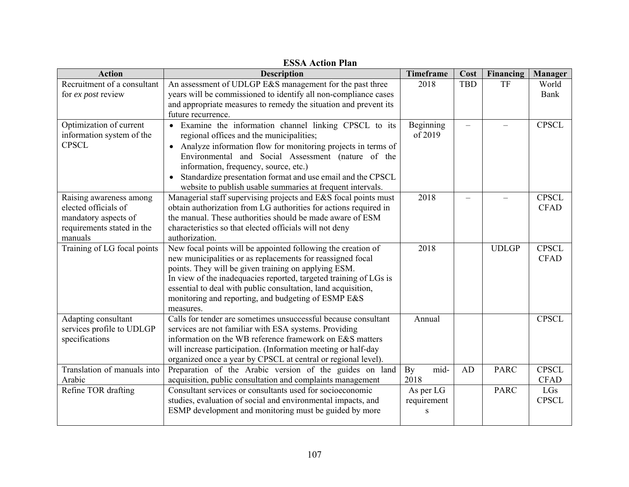| <b>Action</b>                                                                                                                      | <b>Description</b>                                                                                                                                                                                                                                                                                                                                                                                                                                                                                                                                                                                                                                                                                                                                                                                                                                                                                      | <b>Timeframe</b>                                              | Cost       | Financing                  | Manager                                                            |
|------------------------------------------------------------------------------------------------------------------------------------|---------------------------------------------------------------------------------------------------------------------------------------------------------------------------------------------------------------------------------------------------------------------------------------------------------------------------------------------------------------------------------------------------------------------------------------------------------------------------------------------------------------------------------------------------------------------------------------------------------------------------------------------------------------------------------------------------------------------------------------------------------------------------------------------------------------------------------------------------------------------------------------------------------|---------------------------------------------------------------|------------|----------------------------|--------------------------------------------------------------------|
| Recruitment of a consultant                                                                                                        | An assessment of UDLGP E&S management for the past three                                                                                                                                                                                                                                                                                                                                                                                                                                                                                                                                                                                                                                                                                                                                                                                                                                                | 2018                                                          | <b>TBD</b> | TF                         | World                                                              |
| for ex post review                                                                                                                 | years will be commissioned to identify all non-compliance cases                                                                                                                                                                                                                                                                                                                                                                                                                                                                                                                                                                                                                                                                                                                                                                                                                                         |                                                               |            |                            | Bank                                                               |
|                                                                                                                                    | and appropriate measures to remedy the situation and prevent its                                                                                                                                                                                                                                                                                                                                                                                                                                                                                                                                                                                                                                                                                                                                                                                                                                        |                                                               |            |                            |                                                                    |
|                                                                                                                                    | future recurrence.                                                                                                                                                                                                                                                                                                                                                                                                                                                                                                                                                                                                                                                                                                                                                                                                                                                                                      |                                                               |            |                            |                                                                    |
| Optimization of current                                                                                                            | · Examine the information channel linking CPSCL to its                                                                                                                                                                                                                                                                                                                                                                                                                                                                                                                                                                                                                                                                                                                                                                                                                                                  | Beginning                                                     |            |                            | <b>CPSCL</b>                                                       |
| information system of the                                                                                                          | regional offices and the municipalities;                                                                                                                                                                                                                                                                                                                                                                                                                                                                                                                                                                                                                                                                                                                                                                                                                                                                | of 2019                                                       |            |                            |                                                                    |
| <b>CPSCL</b>                                                                                                                       | Analyze information flow for monitoring projects in terms of<br>$\bullet$                                                                                                                                                                                                                                                                                                                                                                                                                                                                                                                                                                                                                                                                                                                                                                                                                               |                                                               |            |                            |                                                                    |
|                                                                                                                                    | Environmental and Social Assessment (nature of the                                                                                                                                                                                                                                                                                                                                                                                                                                                                                                                                                                                                                                                                                                                                                                                                                                                      |                                                               |            |                            |                                                                    |
|                                                                                                                                    | information, frequency, source, etc.)                                                                                                                                                                                                                                                                                                                                                                                                                                                                                                                                                                                                                                                                                                                                                                                                                                                                   |                                                               |            |                            |                                                                    |
|                                                                                                                                    | Standardize presentation format and use email and the CPSCL                                                                                                                                                                                                                                                                                                                                                                                                                                                                                                                                                                                                                                                                                                                                                                                                                                             |                                                               |            |                            |                                                                    |
|                                                                                                                                    | website to publish usable summaries at frequent intervals.                                                                                                                                                                                                                                                                                                                                                                                                                                                                                                                                                                                                                                                                                                                                                                                                                                              |                                                               |            |                            |                                                                    |
| Raising awareness among                                                                                                            | Managerial staff supervising projects and E&S focal points must                                                                                                                                                                                                                                                                                                                                                                                                                                                                                                                                                                                                                                                                                                                                                                                                                                         | 2018                                                          |            |                            | <b>CPSCL</b>                                                       |
| elected officials of                                                                                                               | obtain authorization from LG authorities for actions required in                                                                                                                                                                                                                                                                                                                                                                                                                                                                                                                                                                                                                                                                                                                                                                                                                                        |                                                               |            |                            | <b>CFAD</b>                                                        |
| mandatory aspects of                                                                                                               | the manual. These authorities should be made aware of ESM                                                                                                                                                                                                                                                                                                                                                                                                                                                                                                                                                                                                                                                                                                                                                                                                                                               |                                                               |            |                            |                                                                    |
| requirements stated in the                                                                                                         | characteristics so that elected officials will not deny                                                                                                                                                                                                                                                                                                                                                                                                                                                                                                                                                                                                                                                                                                                                                                                                                                                 |                                                               |            |                            |                                                                    |
| manuals                                                                                                                            | authorization.                                                                                                                                                                                                                                                                                                                                                                                                                                                                                                                                                                                                                                                                                                                                                                                                                                                                                          |                                                               |            |                            |                                                                    |
| Training of LG focal points                                                                                                        | New focal points will be appointed following the creation of                                                                                                                                                                                                                                                                                                                                                                                                                                                                                                                                                                                                                                                                                                                                                                                                                                            | 2018                                                          |            | <b>UDLGP</b>               | <b>CPSCL</b>                                                       |
|                                                                                                                                    | new municipalities or as replacements for reassigned focal                                                                                                                                                                                                                                                                                                                                                                                                                                                                                                                                                                                                                                                                                                                                                                                                                                              |                                                               |            |                            | <b>CFAD</b>                                                        |
|                                                                                                                                    |                                                                                                                                                                                                                                                                                                                                                                                                                                                                                                                                                                                                                                                                                                                                                                                                                                                                                                         |                                                               |            |                            |                                                                    |
|                                                                                                                                    |                                                                                                                                                                                                                                                                                                                                                                                                                                                                                                                                                                                                                                                                                                                                                                                                                                                                                                         |                                                               |            |                            |                                                                    |
|                                                                                                                                    |                                                                                                                                                                                                                                                                                                                                                                                                                                                                                                                                                                                                                                                                                                                                                                                                                                                                                                         |                                                               |            |                            |                                                                    |
|                                                                                                                                    |                                                                                                                                                                                                                                                                                                                                                                                                                                                                                                                                                                                                                                                                                                                                                                                                                                                                                                         |                                                               |            |                            |                                                                    |
|                                                                                                                                    |                                                                                                                                                                                                                                                                                                                                                                                                                                                                                                                                                                                                                                                                                                                                                                                                                                                                                                         |                                                               |            |                            |                                                                    |
|                                                                                                                                    |                                                                                                                                                                                                                                                                                                                                                                                                                                                                                                                                                                                                                                                                                                                                                                                                                                                                                                         |                                                               |            |                            |                                                                    |
|                                                                                                                                    |                                                                                                                                                                                                                                                                                                                                                                                                                                                                                                                                                                                                                                                                                                                                                                                                                                                                                                         |                                                               |            |                            |                                                                    |
|                                                                                                                                    |                                                                                                                                                                                                                                                                                                                                                                                                                                                                                                                                                                                                                                                                                                                                                                                                                                                                                                         |                                                               |            |                            |                                                                    |
|                                                                                                                                    |                                                                                                                                                                                                                                                                                                                                                                                                                                                                                                                                                                                                                                                                                                                                                                                                                                                                                                         |                                                               |            |                            |                                                                    |
|                                                                                                                                    |                                                                                                                                                                                                                                                                                                                                                                                                                                                                                                                                                                                                                                                                                                                                                                                                                                                                                                         |                                                               |            |                            |                                                                    |
|                                                                                                                                    |                                                                                                                                                                                                                                                                                                                                                                                                                                                                                                                                                                                                                                                                                                                                                                                                                                                                                                         |                                                               |            |                            |                                                                    |
|                                                                                                                                    |                                                                                                                                                                                                                                                                                                                                                                                                                                                                                                                                                                                                                                                                                                                                                                                                                                                                                                         |                                                               |            |                            |                                                                    |
|                                                                                                                                    |                                                                                                                                                                                                                                                                                                                                                                                                                                                                                                                                                                                                                                                                                                                                                                                                                                                                                                         |                                                               |            |                            |                                                                    |
|                                                                                                                                    |                                                                                                                                                                                                                                                                                                                                                                                                                                                                                                                                                                                                                                                                                                                                                                                                                                                                                                         |                                                               |            |                            |                                                                    |
|                                                                                                                                    |                                                                                                                                                                                                                                                                                                                                                                                                                                                                                                                                                                                                                                                                                                                                                                                                                                                                                                         |                                                               |            |                            |                                                                    |
| Adapting consultant<br>services profile to UDLGP<br>specifications<br>Translation of manuals into<br>Arabic<br>Refine TOR drafting | points. They will be given training on applying ESM.<br>In view of the inadequacies reported, targeted training of LGs is<br>essential to deal with public consultation, land acquisition,<br>monitoring and reporting, and budgeting of ESMP E&S<br>measures.<br>Calls for tender are sometimes unsuccessful because consultant<br>services are not familiar with ESA systems. Providing<br>information on the WB reference framework on E&S matters<br>will increase participation. (Information meeting or half-day<br>organized once a year by CPSCL at central or regional level).<br>Preparation of the Arabic version of the guides on land<br>acquisition, public consultation and complaints management<br>Consultant services or consultants used for socioeconomic<br>studies, evaluation of social and environmental impacts, and<br>ESMP development and monitoring must be guided by more | Annual<br>mid-<br>By<br>2018<br>As per LG<br>requirement<br>S | AD         | <b>PARC</b><br><b>PARC</b> | <b>CPSCL</b><br><b>CPSCL</b><br><b>CFAD</b><br>LGs<br><b>CPSCL</b> |

**ESSA Action Plan**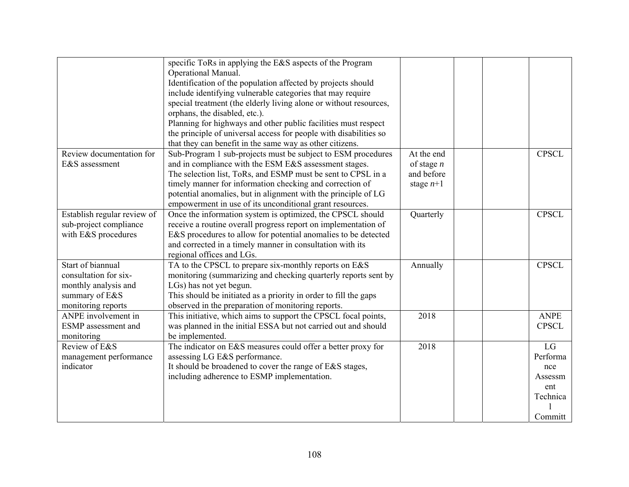|                             | specific ToRs in applying the E&S aspects of the Program          |              |  |              |
|-----------------------------|-------------------------------------------------------------------|--------------|--|--------------|
|                             | Operational Manual.                                               |              |  |              |
|                             | Identification of the population affected by projects should      |              |  |              |
|                             | include identifying vulnerable categories that may require        |              |  |              |
|                             | special treatment (the elderly living alone or without resources, |              |  |              |
|                             | orphans, the disabled, etc.).                                     |              |  |              |
|                             | Planning for highways and other public facilities must respect    |              |  |              |
|                             | the principle of universal access for people with disabilities so |              |  |              |
|                             | that they can benefit in the same way as other citizens.          |              |  |              |
| Review documentation for    | Sub-Program 1 sub-projects must be subject to ESM procedures      | At the end   |  | <b>CPSCL</b> |
| E&S assessment              | and in compliance with the ESM E&S assessment stages.             | of stage $n$ |  |              |
|                             | The selection list, ToRs, and ESMP must be sent to CPSL in a      | and before   |  |              |
|                             | timely manner for information checking and correction of          | stage $n+1$  |  |              |
|                             | potential anomalies, but in alignment with the principle of LG    |              |  |              |
|                             | empowerment in use of its unconditional grant resources.          |              |  |              |
| Establish regular review of | Once the information system is optimized, the CPSCL should        | Quarterly    |  | <b>CPSCL</b> |
| sub-project compliance      | receive a routine overall progress report on implementation of    |              |  |              |
| with E&S procedures         | E&S procedures to allow for potential anomalies to be detected    |              |  |              |
|                             | and corrected in a timely manner in consultation with its         |              |  |              |
|                             | regional offices and LGs.                                         |              |  |              |
| Start of biannual           | TA to the CPSCL to prepare six-monthly reports on E&S             | Annually     |  | <b>CPSCL</b> |
| consultation for six-       | monitoring (summarizing and checking quarterly reports sent by    |              |  |              |
| monthly analysis and        | LGs) has not yet begun.                                           |              |  |              |
| summary of E&S              | This should be initiated as a priority in order to fill the gaps  |              |  |              |
| monitoring reports          | observed in the preparation of monitoring reports.                |              |  |              |
| ANPE involvement in         | This initiative, which aims to support the CPSCL focal points,    | 2018         |  | <b>ANPE</b>  |
| <b>ESMP</b> assessment and  | was planned in the initial ESSA but not carried out and should    |              |  | <b>CPSCL</b> |
| monitoring                  | be implemented.                                                   |              |  |              |
| Review of E&S               | The indicator on E&S measures could offer a better proxy for      | 2018         |  | LG           |
| management performance      | assessing LG E&S performance.                                     |              |  | Performa     |
| indicator                   | It should be broadened to cover the range of E&S stages,          |              |  | nce          |
|                             | including adherence to ESMP implementation.                       |              |  | Assessm      |
|                             |                                                                   |              |  | ent          |
|                             |                                                                   |              |  | Technica     |
|                             |                                                                   |              |  |              |
|                             |                                                                   |              |  | Committ      |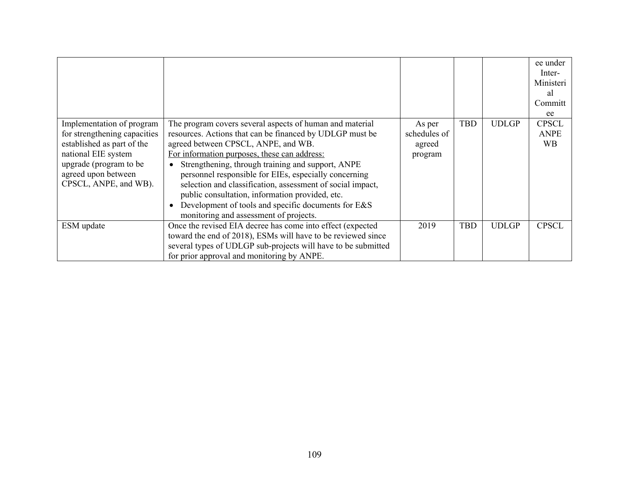| Implementation of program<br>for strengthening capacities<br>established as part of the<br>national EIE system<br>upgrade (program to be<br>agreed upon between<br>CPSCL, ANPE, and WB). | The program covers several aspects of human and material<br>resources. Actions that can be financed by UDLGP must be<br>agreed between CPSCL, ANPE, and WB.<br>For information purposes, these can address:<br>Strengthening, through training and support, ANPE<br>$\bullet$<br>personnel responsible for EIEs, especially concerning<br>selection and classification, assessment of social impact,<br>public consultation, information provided, etc.<br>Development of tools and specific documents for E&S<br>monitoring and assessment of projects. | As per<br>schedules of<br>agreed<br>program | <b>TBD</b> | <b>UDLGP</b> | ee under<br>Inter-<br>Ministeri<br>al<br>Committ<br>ee<br><b>CPSCL</b><br><b>ANPE</b><br><b>WB</b> |
|------------------------------------------------------------------------------------------------------------------------------------------------------------------------------------------|----------------------------------------------------------------------------------------------------------------------------------------------------------------------------------------------------------------------------------------------------------------------------------------------------------------------------------------------------------------------------------------------------------------------------------------------------------------------------------------------------------------------------------------------------------|---------------------------------------------|------------|--------------|----------------------------------------------------------------------------------------------------|
| ESM update                                                                                                                                                                               | Once the revised EIA decree has come into effect (expected<br>toward the end of 2018), ESMs will have to be reviewed since<br>several types of UDLGP sub-projects will have to be submitted                                                                                                                                                                                                                                                                                                                                                              | 2019                                        | <b>TBD</b> | <b>UDLGP</b> | <b>CPSCL</b>                                                                                       |
|                                                                                                                                                                                          | for prior approval and monitoring by ANPE.                                                                                                                                                                                                                                                                                                                                                                                                                                                                                                               |                                             |            |              |                                                                                                    |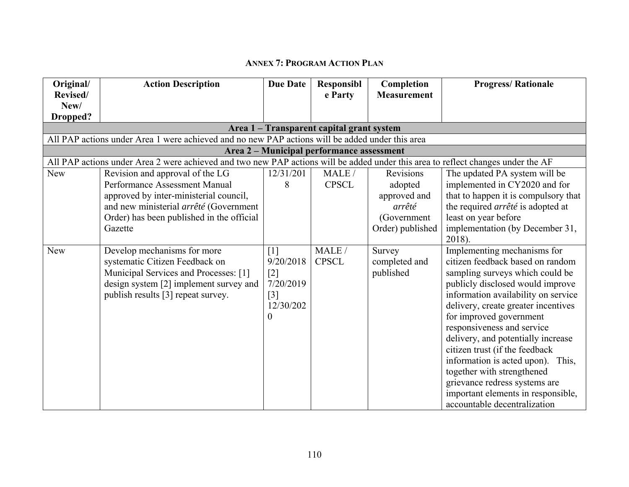## **ANNEX 7: PROGRAM ACTION PLAN**

| Original/       | <b>Action Description</b>                                                                                                        | <b>Due Date</b>   | Responsibl                                | Completion         | <b>Progress/Rationale</b>            |
|-----------------|----------------------------------------------------------------------------------------------------------------------------------|-------------------|-------------------------------------------|--------------------|--------------------------------------|
| Revised/        |                                                                                                                                  |                   | e Party                                   | <b>Measurement</b> |                                      |
| New/            |                                                                                                                                  |                   |                                           |                    |                                      |
| <b>Dropped?</b> |                                                                                                                                  |                   |                                           |                    |                                      |
|                 |                                                                                                                                  |                   | Area 1 - Transparent capital grant system |                    |                                      |
|                 | All PAP actions under Area 1 were achieved and no new PAP actions will be added under this area                                  |                   |                                           |                    |                                      |
|                 |                                                                                                                                  |                   | Area 2 - Municipal performance assessment |                    |                                      |
|                 | All PAP actions under Area 2 were achieved and two new PAP actions will be added under this area to reflect changes under the AF |                   |                                           |                    |                                      |
| New             | Revision and approval of the LG                                                                                                  | 12/31/201         | MALE /                                    | Revisions          | The updated PA system will be        |
|                 | Performance Assessment Manual                                                                                                    | 8                 | <b>CPSCL</b>                              | adopted            | implemented in CY2020 and for        |
|                 | approved by inter-ministerial council,                                                                                           |                   |                                           | approved and       | that to happen it is compulsory that |
|                 | and new ministerial arrêté (Government                                                                                           |                   |                                           | arrêté             | the required arrêté is adopted at    |
|                 | Order) has been published in the official                                                                                        |                   |                                           | (Government        | least on year before                 |
|                 | Gazette                                                                                                                          |                   |                                           | Order) published   | implementation (by December 31,      |
|                 |                                                                                                                                  |                   |                                           |                    | 2018).                               |
| <b>New</b>      | Develop mechanisms for more                                                                                                      | $\lceil 1 \rceil$ | MALE /                                    | Survey             | Implementing mechanisms for          |
|                 | systematic Citizen Feedback on                                                                                                   | 9/20/2018         | <b>CPSCL</b>                              | completed and      | citizen feedback based on random     |
|                 | Municipal Services and Processes: [1]                                                                                            | $[2]$             |                                           | published          | sampling surveys which could be      |
|                 | design system [2] implement survey and                                                                                           | 7/20/2019         |                                           |                    | publicly disclosed would improve     |
|                 | publish results [3] repeat survey.                                                                                               | $\lceil 3 \rceil$ |                                           |                    | information availability on service  |
|                 |                                                                                                                                  | 12/30/202         |                                           |                    | delivery, create greater incentives  |
|                 |                                                                                                                                  | $\theta$          |                                           |                    | for improved government              |
|                 |                                                                                                                                  |                   |                                           |                    | responsiveness and service           |
|                 |                                                                                                                                  |                   |                                           |                    | delivery, and potentially increase   |
|                 |                                                                                                                                  |                   |                                           |                    | citizen trust (if the feedback       |
|                 |                                                                                                                                  |                   |                                           |                    | information is acted upon). This,    |
|                 |                                                                                                                                  |                   |                                           |                    | together with strengthened           |
|                 |                                                                                                                                  |                   |                                           |                    | grievance redress systems are        |
|                 |                                                                                                                                  |                   |                                           |                    | important elements in responsible,   |
|                 |                                                                                                                                  |                   |                                           |                    | accountable decentralization         |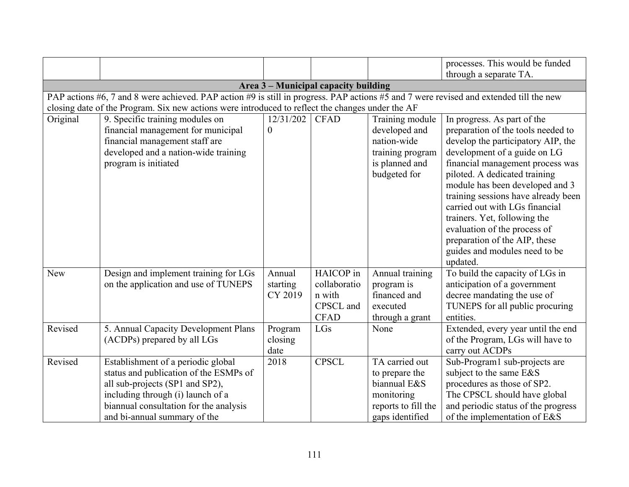|            |                                                                                                                                                                                                                                |                               |                                                                 |                                                                                                          | processes. This would be funded                                                                                                                                                                                                                                                                                                                                                                                                                                        |
|------------|--------------------------------------------------------------------------------------------------------------------------------------------------------------------------------------------------------------------------------|-------------------------------|-----------------------------------------------------------------|----------------------------------------------------------------------------------------------------------|------------------------------------------------------------------------------------------------------------------------------------------------------------------------------------------------------------------------------------------------------------------------------------------------------------------------------------------------------------------------------------------------------------------------------------------------------------------------|
|            |                                                                                                                                                                                                                                |                               |                                                                 |                                                                                                          | through a separate TA.                                                                                                                                                                                                                                                                                                                                                                                                                                                 |
|            |                                                                                                                                                                                                                                |                               | Area 3 - Municipal capacity building                            |                                                                                                          |                                                                                                                                                                                                                                                                                                                                                                                                                                                                        |
|            | PAP actions #6, 7 and 8 were achieved. PAP action #9 is still in progress. PAP actions #5 and 7 were revised and extended till the new                                                                                         |                               |                                                                 |                                                                                                          |                                                                                                                                                                                                                                                                                                                                                                                                                                                                        |
|            | closing date of the Program. Six new actions were introduced to reflect the changes under the AF                                                                                                                               |                               |                                                                 |                                                                                                          |                                                                                                                                                                                                                                                                                                                                                                                                                                                                        |
| Original   | 9. Specific training modules on<br>financial management for municipal<br>financial management staff are<br>developed and a nation-wide training<br>program is initiated                                                        | 12/31/202<br>$\overline{0}$   | <b>CFAD</b>                                                     | Training module<br>developed and<br>nation-wide<br>training program<br>is planned and<br>budgeted for    | In progress. As part of the<br>preparation of the tools needed to<br>develop the participatory AIP, the<br>development of a guide on LG<br>financial management process was<br>piloted. A dedicated training<br>module has been developed and 3<br>training sessions have already been<br>carried out with LGs financial<br>trainers. Yet, following the<br>evaluation of the process of<br>preparation of the AIP, these<br>guides and modules need to be<br>updated. |
| <b>New</b> | Design and implement training for LGs<br>on the application and use of TUNEPS                                                                                                                                                  | Annual<br>starting<br>CY 2019 | HAICOP in<br>collaboratio<br>n with<br>CPSCL and<br><b>CFAD</b> | Annual training<br>program is<br>financed and<br>executed<br>through a grant                             | To build the capacity of LGs in<br>anticipation of a government<br>decree mandating the use of<br>TUNEPS for all public procuring<br>entities.                                                                                                                                                                                                                                                                                                                         |
| Revised    | 5. Annual Capacity Development Plans<br>(ACDPs) prepared by all LGs                                                                                                                                                            | Program<br>closing<br>date    | LGs                                                             | None                                                                                                     | Extended, every year until the end<br>of the Program, LGs will have to<br>carry out ACDPs                                                                                                                                                                                                                                                                                                                                                                              |
| Revised    | Establishment of a periodic global<br>status and publication of the ESMPs of<br>all sub-projects (SP1 and SP2),<br>including through (i) launch of a<br>biannual consultation for the analysis<br>and bi-annual summary of the | 2018                          | <b>CPSCL</b>                                                    | TA carried out<br>to prepare the<br>biannual E&S<br>monitoring<br>reports to fill the<br>gaps identified | Sub-Program1 sub-projects are<br>subject to the same E&S<br>procedures as those of SP2.<br>The CPSCL should have global<br>and periodic status of the progress<br>of the implementation of E&S                                                                                                                                                                                                                                                                         |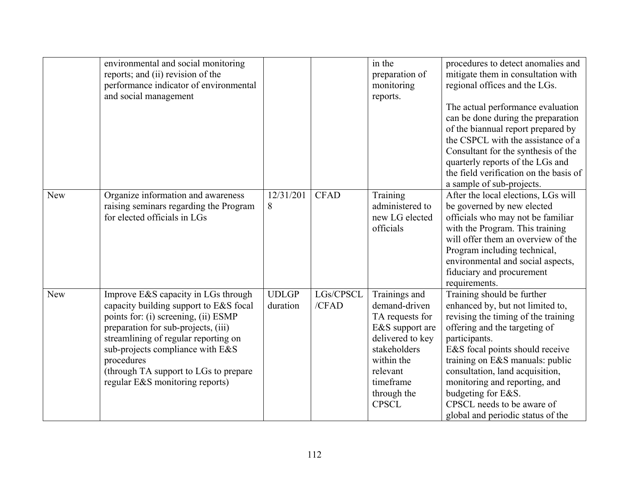|            | environmental and social monitoring<br>reports; and (ii) revision of the<br>performance indicator of environmental<br>and social management                                                                                                                                                                                        |                          |                    | in the<br>preparation of<br>monitoring<br>reports.                                                                                                                             | procedures to detect anomalies and<br>mitigate them in consultation with<br>regional offices and the LGs.<br>The actual performance evaluation<br>can be done during the preparation<br>of the biannual report prepared by<br>the CSPCL with the assistance of a<br>Consultant for the synthesis of the<br>quarterly reports of the LGs and<br>the field verification on the basis of<br>a sample of sub-projects. |
|------------|------------------------------------------------------------------------------------------------------------------------------------------------------------------------------------------------------------------------------------------------------------------------------------------------------------------------------------|--------------------------|--------------------|--------------------------------------------------------------------------------------------------------------------------------------------------------------------------------|--------------------------------------------------------------------------------------------------------------------------------------------------------------------------------------------------------------------------------------------------------------------------------------------------------------------------------------------------------------------------------------------------------------------|
| <b>New</b> | Organize information and awareness<br>raising seminars regarding the Program<br>for elected officials in LGs                                                                                                                                                                                                                       | 12/31/201<br>8           | <b>CFAD</b>        | Training<br>administered to<br>new LG elected<br>officials                                                                                                                     | After the local elections, LGs will<br>be governed by new elected<br>officials who may not be familiar<br>with the Program. This training<br>will offer them an overview of the<br>Program including technical,<br>environmental and social aspects,<br>fiduciary and procurement<br>requirements.                                                                                                                 |
| New        | Improve E&S capacity in LGs through<br>capacity building support to E&S focal<br>points for: (i) screening, (ii) ESMP<br>preparation for sub-projects, (iii)<br>streamlining of regular reporting on<br>sub-projects compliance with E&S<br>procedures<br>(through TA support to LGs to prepare<br>regular E&S monitoring reports) | <b>UDLGP</b><br>duration | LGs/CPSCL<br>/CFAD | Trainings and<br>demand-driven<br>TA requests for<br>E&S support are<br>delivered to key<br>stakeholders<br>within the<br>relevant<br>timeframe<br>through the<br><b>CPSCL</b> | Training should be further<br>enhanced by, but not limited to,<br>revising the timing of the training<br>offering and the targeting of<br>participants.<br>E&S focal points should receive<br>training on E&S manuals: public<br>consultation, land acquisition,<br>monitoring and reporting, and<br>budgeting for E&S.<br>CPSCL needs to be aware of<br>global and periodic status of the                         |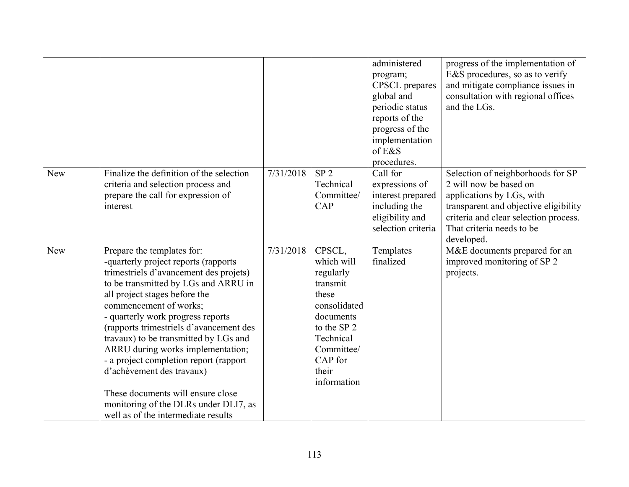|     |                                                                                                                                                                                                                                                                                                                                                                                                                                                                                                                                                                           |           |                                                                                                                                                                  | administered<br>program;<br><b>CPSCL</b> prepares<br>global and<br>periodic status<br>reports of the<br>progress of the<br>implementation<br>of E&S<br>procedures. | progress of the implementation of<br>E&S procedures, so as to verify<br>and mitigate compliance issues in<br>consultation with regional offices<br>and the LGs.                                                       |
|-----|---------------------------------------------------------------------------------------------------------------------------------------------------------------------------------------------------------------------------------------------------------------------------------------------------------------------------------------------------------------------------------------------------------------------------------------------------------------------------------------------------------------------------------------------------------------------------|-----------|------------------------------------------------------------------------------------------------------------------------------------------------------------------|--------------------------------------------------------------------------------------------------------------------------------------------------------------------|-----------------------------------------------------------------------------------------------------------------------------------------------------------------------------------------------------------------------|
| New | Finalize the definition of the selection<br>criteria and selection process and<br>prepare the call for expression of<br>interest                                                                                                                                                                                                                                                                                                                                                                                                                                          | 7/31/2018 | SP <sub>2</sub><br>Technical<br>Committee/<br>CAP                                                                                                                | Call for<br>expressions of<br>interest prepared<br>including the<br>eligibility and<br>selection criteria                                                          | Selection of neighborhoods for SP<br>2 will now be based on<br>applications by LGs, with<br>transparent and objective eligibility<br>criteria and clear selection process.<br>That criteria needs to be<br>developed. |
| New | Prepare the templates for:<br>-quarterly project reports (rapports<br>trimestriels d'avancement des projets)<br>to be transmitted by LGs and ARRU in<br>all project stages before the<br>commencement of works;<br>- quarterly work progress reports<br>(rapports trimestriels d'avancement des<br>travaux) to be transmitted by LGs and<br>ARRU during works implementation;<br>- a project completion report (rapport<br>d'achèvement des travaux)<br>These documents will ensure close<br>monitoring of the DLRs under DLI7, as<br>well as of the intermediate results | 7/31/2018 | CPSCL,<br>which will<br>regularly<br>transmit<br>these<br>consolidated<br>documents<br>to the SP 2<br>Technical<br>Committee/<br>CAP for<br>their<br>information | Templates<br>finalized                                                                                                                                             | M&E documents prepared for an<br>improved monitoring of SP 2<br>projects.                                                                                                                                             |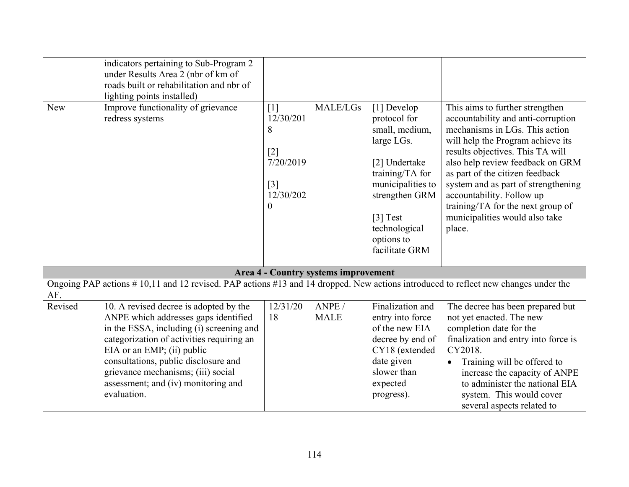|            | indicators pertaining to Sub-Program 2<br>under Results Area 2 (nbr of km of<br>roads built or rehabilitation and nbr of<br>lighting points installed)                                                                                                                                                                                    |                                                                                                     |                                      |                                                                                                                                                                                                     |                                                                                                                                                                                                                                                                                                                                                                                                              |
|------------|-------------------------------------------------------------------------------------------------------------------------------------------------------------------------------------------------------------------------------------------------------------------------------------------------------------------------------------------|-----------------------------------------------------------------------------------------------------|--------------------------------------|-----------------------------------------------------------------------------------------------------------------------------------------------------------------------------------------------------|--------------------------------------------------------------------------------------------------------------------------------------------------------------------------------------------------------------------------------------------------------------------------------------------------------------------------------------------------------------------------------------------------------------|
| <b>New</b> | Improve functionality of grievance<br>redress systems                                                                                                                                                                                                                                                                                     | $[1]$<br>12/30/201<br>8<br>$[2]$<br>7/20/2019<br>$\lceil 3 \rceil$<br>12/30/202<br>$\boldsymbol{0}$ | <b>MALE/LGs</b>                      | [1] Develop<br>protocol for<br>small, medium,<br>large LGs.<br>[2] Undertake<br>training/TA for<br>municipalities to<br>strengthen GRM<br>[3] Test<br>technological<br>options to<br>facilitate GRM | This aims to further strengthen<br>accountability and anti-corruption<br>mechanisms in LGs. This action<br>will help the Program achieve its<br>results objectives. This TA will<br>also help review feedback on GRM<br>as part of the citizen feedback<br>system and as part of strengthening<br>accountability. Follow up<br>training/TA for the next group of<br>municipalities would also take<br>place. |
|            |                                                                                                                                                                                                                                                                                                                                           |                                                                                                     | Area 4 - Country systems improvement |                                                                                                                                                                                                     |                                                                                                                                                                                                                                                                                                                                                                                                              |
| AF.        | Ongoing PAP actions #10,11 and 12 revised. PAP actions #13 and 14 dropped. New actions introduced to reflect new changes under the                                                                                                                                                                                                        |                                                                                                     |                                      |                                                                                                                                                                                                     |                                                                                                                                                                                                                                                                                                                                                                                                              |
| Revised    | 10. A revised decree is adopted by the<br>ANPE which addresses gaps identified<br>in the ESSA, including (i) screening and<br>categorization of activities requiring an<br>EIA or an EMP; (ii) public<br>consultations, public disclosure and<br>grievance mechanisms; (iii) social<br>assessment; and (iv) monitoring and<br>evaluation. | 12/31/20<br>18                                                                                      | ANPE /<br><b>MALE</b>                | Finalization and<br>entry into force<br>of the new EIA<br>decree by end of<br>CY18 (extended<br>date given<br>slower than<br>expected<br>progress).                                                 | The decree has been prepared but<br>not yet enacted. The new<br>completion date for the<br>finalization and entry into force is<br>CY2018.<br>Training will be offered to<br>$\bullet$<br>increase the capacity of ANPE<br>to administer the national EIA<br>system. This would cover<br>several aspects related to                                                                                          |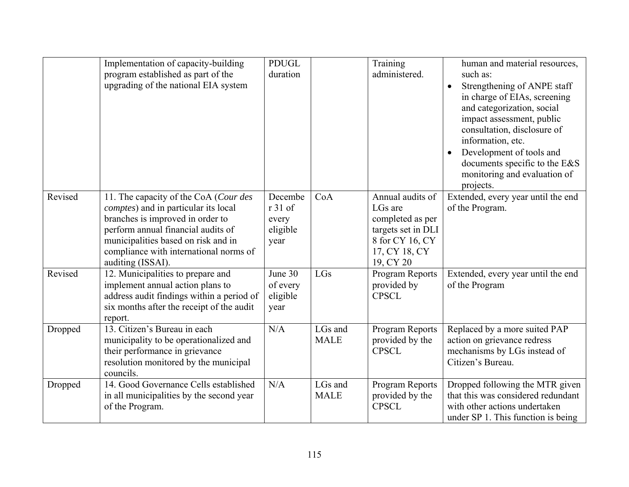|         | Implementation of capacity-building<br>program established as part of the<br>upgrading of the national EIA system                                                                                                                                             | <b>PDUGL</b><br>duration                        |                        | Training<br>administered.                                                                                              | human and material resources,<br>such as:<br>Strengthening of ANPE staff<br>$\bullet$<br>in charge of EIAs, screening<br>and categorization, social<br>impact assessment, public<br>consultation, disclosure of<br>information, etc.<br>Development of tools and<br>documents specific to the E&S<br>monitoring and evaluation of<br>projects. |
|---------|---------------------------------------------------------------------------------------------------------------------------------------------------------------------------------------------------------------------------------------------------------------|-------------------------------------------------|------------------------|------------------------------------------------------------------------------------------------------------------------|------------------------------------------------------------------------------------------------------------------------------------------------------------------------------------------------------------------------------------------------------------------------------------------------------------------------------------------------|
| Revised | 11. The capacity of the CoA (Cour des<br>comptes) and in particular its local<br>branches is improved in order to<br>perform annual financial audits of<br>municipalities based on risk and in<br>compliance with international norms of<br>auditing (ISSAI). | Decembe<br>r 31 of<br>every<br>eligible<br>year | CoA                    | Annual audits of<br>LGs are<br>completed as per<br>targets set in DLI<br>8 for CY 16, CY<br>17, CY 18, CY<br>19, CY 20 | Extended, every year until the end<br>of the Program.                                                                                                                                                                                                                                                                                          |
| Revised | 12. Municipalities to prepare and<br>implement annual action plans to<br>address audit findings within a period of<br>six months after the receipt of the audit<br>report.                                                                                    | June 30<br>of every<br>eligible<br>year         | LGs                    | Program Reports<br>provided by<br><b>CPSCL</b>                                                                         | Extended, every year until the end<br>of the Program                                                                                                                                                                                                                                                                                           |
| Dropped | 13. Citizen's Bureau in each<br>municipality to be operationalized and<br>their performance in grievance<br>resolution monitored by the municipal<br>councils.                                                                                                | N/A                                             | LGs and<br><b>MALE</b> | Program Reports<br>provided by the<br><b>CPSCL</b>                                                                     | Replaced by a more suited PAP<br>action on grievance redress<br>mechanisms by LGs instead of<br>Citizen's Bureau.                                                                                                                                                                                                                              |
| Dropped | 14. Good Governance Cells established<br>in all municipalities by the second year<br>of the Program.                                                                                                                                                          | N/A                                             | LGs and<br><b>MALE</b> | Program Reports<br>provided by the<br><b>CPSCL</b>                                                                     | Dropped following the MTR given<br>that this was considered redundant<br>with other actions undertaken<br>under SP 1. This function is being                                                                                                                                                                                                   |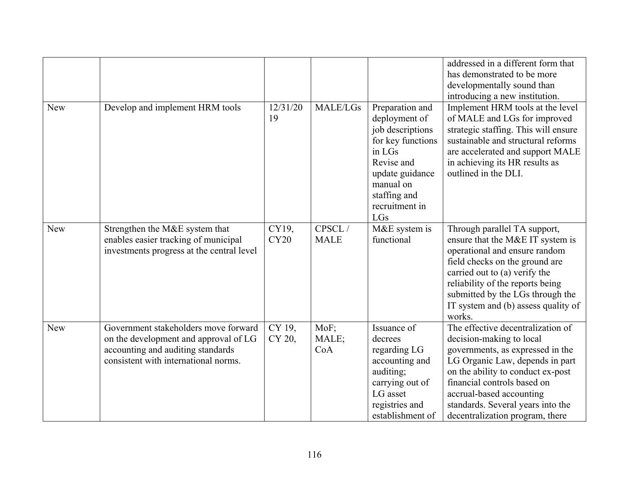|            |                                                                                                                                                            |                      |                       |                                                                                                                                                                            | addressed in a different form that<br>has demonstrated to be more<br>developmentally sound than<br>introducing a new institution.                                                                                                                                                                            |
|------------|------------------------------------------------------------------------------------------------------------------------------------------------------------|----------------------|-----------------------|----------------------------------------------------------------------------------------------------------------------------------------------------------------------------|--------------------------------------------------------------------------------------------------------------------------------------------------------------------------------------------------------------------------------------------------------------------------------------------------------------|
| <b>New</b> | Develop and implement HRM tools                                                                                                                            | 12/31/20<br>19       | <b>MALE/LGs</b>       | Preparation and<br>deployment of<br>job descriptions<br>for key functions<br>in LGs<br>Revise and<br>update guidance<br>manual on<br>staffing and<br>recruitment in<br>LGs | Implement HRM tools at the level<br>of MALE and LGs for improved<br>strategic staffing. This will ensure<br>sustainable and structural reforms<br>are accelerated and support MALE<br>in achieving its HR results as<br>outlined in the DLI.                                                                 |
| <b>New</b> | Strengthen the M&E system that<br>enables easier tracking of municipal<br>investments progress at the central level                                        | CY19,<br><b>CY20</b> | CPSCL/<br><b>MALE</b> | M&E system is<br>functional                                                                                                                                                | Through parallel TA support,<br>ensure that the M&E IT system is<br>operational and ensure random<br>field checks on the ground are<br>carried out to (a) verify the<br>reliability of the reports being<br>submitted by the LGs through the<br>IT system and (b) assess quality of<br>works.                |
| <b>New</b> | Government stakeholders move forward<br>on the development and approval of LG<br>accounting and auditing standards<br>consistent with international norms. | CY 19,<br>CY 20,     | MoF;<br>MALE;<br>CoA  | Issuance of<br>decrees<br>regarding LG<br>accounting and<br>auditing;<br>carrying out of<br>LG asset<br>registries and<br>establishment of                                 | The effective decentralization of<br>decision-making to local<br>governments, as expressed in the<br>LG Organic Law, depends in part<br>on the ability to conduct ex-post<br>financial controls based on<br>accrual-based accounting<br>standards. Several years into the<br>decentralization program, there |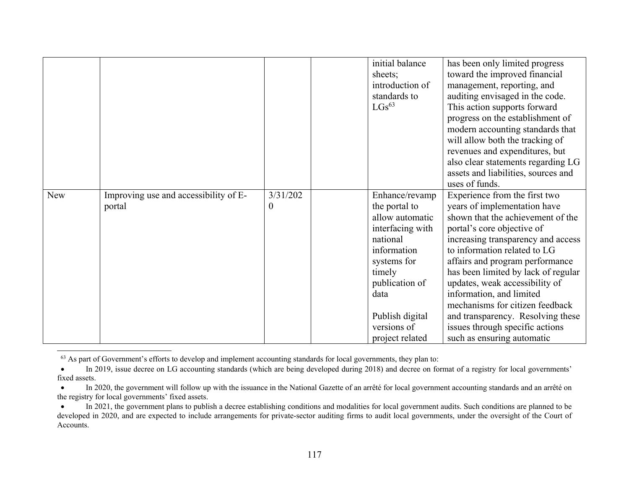|            |                                                 |                      | initial balance<br>sheets;<br>introduction of<br>standards to<br>$LGs^{63}$                                                                                                                               | has been only limited progress<br>toward the improved financial<br>management, reporting, and<br>auditing envisaged in the code.<br>This action supports forward<br>progress on the establishment of<br>modern accounting standards that<br>will allow both the tracking of<br>revenues and expenditures, but<br>also clear statements regarding LG<br>assets and liabilities, sources and                                                                                                                |
|------------|-------------------------------------------------|----------------------|-----------------------------------------------------------------------------------------------------------------------------------------------------------------------------------------------------------|-----------------------------------------------------------------------------------------------------------------------------------------------------------------------------------------------------------------------------------------------------------------------------------------------------------------------------------------------------------------------------------------------------------------------------------------------------------------------------------------------------------|
| <b>New</b> | Improving use and accessibility of E-<br>portal | 3/31/202<br>$\theta$ | Enhance/revamp<br>the portal to<br>allow automatic<br>interfacing with<br>national<br>information<br>systems for<br>timely<br>publication of<br>data<br>Publish digital<br>versions of<br>project related | uses of funds.<br>Experience from the first two<br>years of implementation have<br>shown that the achievement of the<br>portal's core objective of<br>increasing transparency and access<br>to information related to LG<br>affairs and program performance<br>has been limited by lack of regular<br>updates, weak accessibility of<br>information, and limited<br>mechanisms for citizen feedback<br>and transparency. Resolving these<br>issues through specific actions<br>such as ensuring automatic |

<sup>&</sup>lt;sup>63</sup> As part of Government's efforts to develop and implement accounting standards for local governments, they plan to:

 $\bullet$  In 2019, issue decree on LG accounting standards (which are being developed during 2018) and decree on format of a registry for local governments' fixed assets.

 $\bullet$  In 2020, the government will follow up with the issuance in the National Gazette of an arrêté for local government accounting standards and an arrêté on the registry for local governments' fixed assets.

 $\bullet$  In 2021, the government plans to publish a decree establishing conditions and modalities for local government audits. Such conditions are planned to be developed in 2020, and are expected to include arrangements for private-sector auditing firms to audit local governments, under the oversight of the Court of Accounts.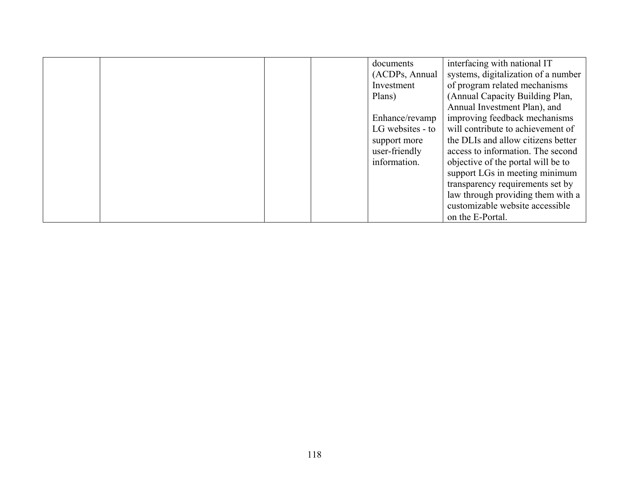|  |  | documents        | interfacing with national IT        |
|--|--|------------------|-------------------------------------|
|  |  | (ACDPs, Annual   | systems, digitalization of a number |
|  |  | Investment       | of program related mechanisms       |
|  |  | Plans)           | (Annual Capacity Building Plan,     |
|  |  |                  | Annual Investment Plan), and        |
|  |  | Enhance/revamp   | improving feedback mechanisms       |
|  |  | LG websites - to | will contribute to achievement of   |
|  |  | support more     | the DLIs and allow citizens better  |
|  |  | user-friendly    | access to information. The second   |
|  |  | information.     | objective of the portal will be to  |
|  |  |                  | support LGs in meeting minimum      |
|  |  |                  | transparency requirements set by    |
|  |  |                  | law through providing them with a   |
|  |  |                  | customizable website accessible     |
|  |  |                  | on the E-Portal.                    |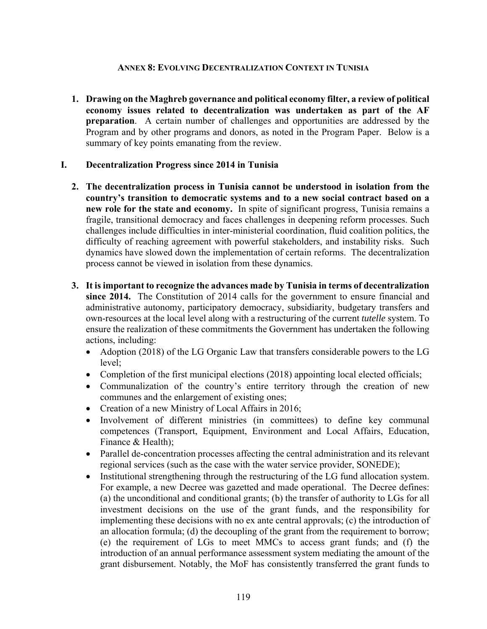#### **ANNEX 8: EVOLVING DECENTRALIZATION CONTEXT IN TUNISIA**

**1. Drawing on the Maghreb governance and political economy filter, a review of political economy issues related to decentralization was undertaken as part of the AF preparation**. A certain number of challenges and opportunities are addressed by the Program and by other programs and donors, as noted in the Program Paper. Below is a summary of key points emanating from the review.

#### **I. Decentralization Progress since 2014 in Tunisia**

- **2. The decentralization process in Tunisia cannot be understood in isolation from the country's transition to democratic systems and to a new social contract based on a new role for the state and economy.** In spite of significant progress, Tunisia remains a fragile, transitional democracy and faces challenges in deepening reform processes. Such challenges include difficulties in inter-ministerial coordination, fluid coalition politics, the difficulty of reaching agreement with powerful stakeholders, and instability risks. Such dynamics have slowed down the implementation of certain reforms. The decentralization process cannot be viewed in isolation from these dynamics.
- **3. It is important to recognize the advances made by Tunisia in terms of decentralization since 2014.** The Constitution of 2014 calls for the government to ensure financial and administrative autonomy, participatory democracy, subsidiarity, budgetary transfers and own-resources at the local level along with a restructuring of the current *tutelle* system. To ensure the realization of these commitments the Government has undertaken the following actions, including:
	- Adoption (2018) of the LG Organic Law that transfers considerable powers to the LG level;
	- Completion of the first municipal elections (2018) appointing local elected officials;
	- Communalization of the country's entire territory through the creation of new communes and the enlargement of existing ones;
	- Creation of a new Ministry of Local Affairs in 2016;
	- Involvement of different ministries (in committees) to define key communal competences (Transport, Equipment, Environment and Local Affairs, Education, Finance & Health);
	- Parallel de-concentration processes affecting the central administration and its relevant regional services (such as the case with the water service provider, SONEDE);
	- Institutional strengthening through the restructuring of the LG fund allocation system. For example, a new Decree was gazetted and made operational. The Decree defines: (a) the unconditional and conditional grants; (b) the transfer of authority to LGs for all investment decisions on the use of the grant funds, and the responsibility for implementing these decisions with no ex ante central approvals; (c) the introduction of an allocation formula; (d) the decoupling of the grant from the requirement to borrow; (e) the requirement of LGs to meet MMCs to access grant funds; and (f) the introduction of an annual performance assessment system mediating the amount of the grant disbursement. Notably, the MoF has consistently transferred the grant funds to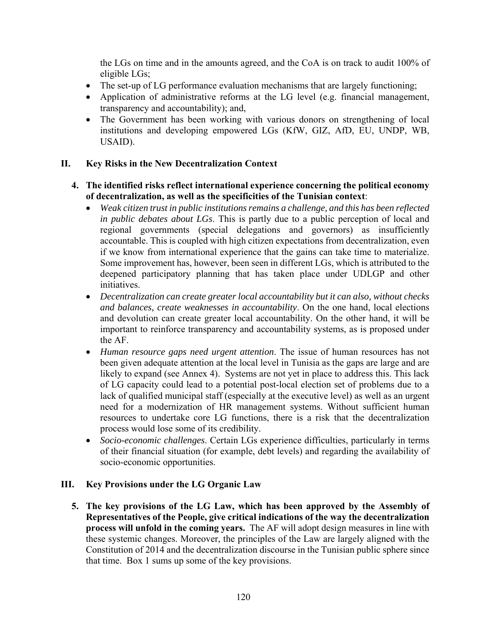the LGs on time and in the amounts agreed, and the CoA is on track to audit 100% of eligible LGs;

- The set-up of LG performance evaluation mechanisms that are largely functioning;
- Application of administrative reforms at the LG level (e.g. financial management, transparency and accountability); and,
- The Government has been working with various donors on strengthening of local institutions and developing empowered LGs (KfW, GIZ, AfD, EU, UNDP, WB, USAID).

# **II. Key Risks in the New Decentralization Context**

## **4. The identified risks reflect international experience concerning the political economy of decentralization, as well as the specificities of the Tunisian context**:

- *Weak citizen trust in public institutions remains a challenge, and this has been reflected in public debates about LGs*. This is partly due to a public perception of local and regional governments (special delegations and governors) as insufficiently accountable. This is coupled with high citizen expectations from decentralization, even if we know from international experience that the gains can take time to materialize. Some improvement has, however, been seen in different LGs, which is attributed to the deepened participatory planning that has taken place under UDLGP and other initiatives.
- *Decentralization can create greater local accountability but it can also, without checks and balances, create weaknesses in accountability*. On the one hand, local elections and devolution can create greater local accountability. On the other hand, it will be important to reinforce transparency and accountability systems, as is proposed under the AF.
- *Human resource gaps need urgent attention*. The issue of human resources has not been given adequate attention at the local level in Tunisia as the gaps are large and are likely to expand (see Annex 4). Systems are not yet in place to address this. This lack of LG capacity could lead to a potential post-local election set of problems due to a lack of qualified municipal staff (especially at the executive level) as well as an urgent need for a modernization of HR management systems. Without sufficient human resources to undertake core LG functions, there is a risk that the decentralization process would lose some of its credibility.
- *Socio-economic challenges*. Certain LGs experience difficulties, particularly in terms of their financial situation (for example, debt levels) and regarding the availability of socio-economic opportunities.

# **III. Key Provisions under the LG Organic Law**

**5. The key provisions of the LG Law, which has been approved by the Assembly of Representatives of the People, give critical indications of the way the decentralization process will unfold in the coming years.** The AF will adopt design measures in line with these systemic changes. Moreover, the principles of the Law are largely aligned with the Constitution of 2014 and the decentralization discourse in the Tunisian public sphere since that time. Box 1 sums up some of the key provisions.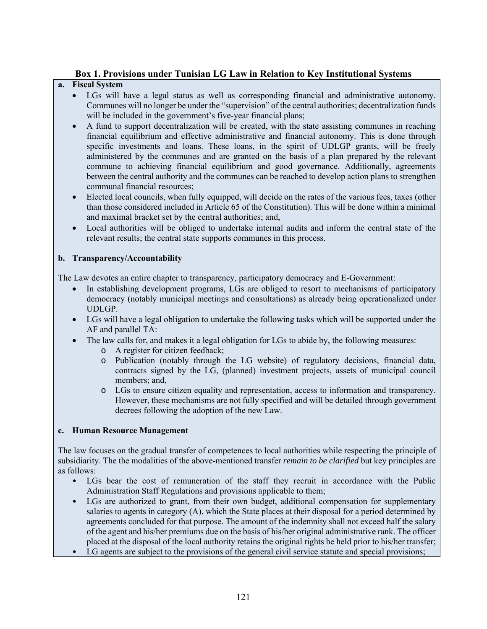## **Box 1. Provisions under Tunisian LG Law in Relation to Key Institutional Systems**

### **a. Fiscal System**

- LGs will have a legal status as well as corresponding financial and administrative autonomy. Communes will no longer be under the "supervision" of the central authorities; decentralization funds will be included in the government's five-year financial plans;
- A fund to support decentralization will be created, with the state assisting communes in reaching financial equilibrium and effective administrative and financial autonomy. This is done through specific investments and loans. These loans, in the spirit of UDLGP grants, will be freely administered by the communes and are granted on the basis of a plan prepared by the relevant commune to achieving financial equilibrium and good governance. Additionally, agreements between the central authority and the communes can be reached to develop action plans to strengthen communal financial resources;
- Elected local councils, when fully equipped, will decide on the rates of the various fees, taxes (other than those considered included in Article 65 of the Constitution). This will be done within a minimal and maximal bracket set by the central authorities; and,
- Local authorities will be obliged to undertake internal audits and inform the central state of the relevant results; the central state supports communes in this process.

### **b. Transparency/Accountability**

The Law devotes an entire chapter to transparency, participatory democracy and E-Government:

- In establishing development programs, LGs are obliged to resort to mechanisms of participatory democracy (notably municipal meetings and consultations) as already being operationalized under UDLGP.
- LGs will have a legal obligation to undertake the following tasks which will be supported under the AF and parallel TA:
- The law calls for, and makes it a legal obligation for LGs to abide by, the following measures:
	- o A register for citizen feedback;
	- o Publication (notably through the LG website) of regulatory decisions, financial data, contracts signed by the LG, (planned) investment projects, assets of municipal council members; and,
	- o LGs to ensure citizen equality and representation, access to information and transparency. However, these mechanisms are not fully specified and will be detailed through government decrees following the adoption of the new Law.

#### **c. Human Resource Management**

The law focuses on the gradual transfer of competences to local authorities while respecting the principle of subsidiarity. The the modalities of the above-mentioned transfer *remain to be clarified* but key principles are as follows:

- LGs bear the cost of remuneration of the staff they recruit in accordance with the Public Administration Staff Regulations and provisions applicable to them;
- LGs are authorized to grant, from their own budget, additional compensation for supplementary salaries to agents in category (A), which the State places at their disposal for a period determined by agreements concluded for that purpose. The amount of the indemnity shall not exceed half the salary of the agent and his/her premiums due on the basis of his/her original administrative rank. The officer placed at the disposal of the local authority retains the original rights he held prior to his/her transfer;
- LG agents are subject to the provisions of the general civil service statute and special provisions;